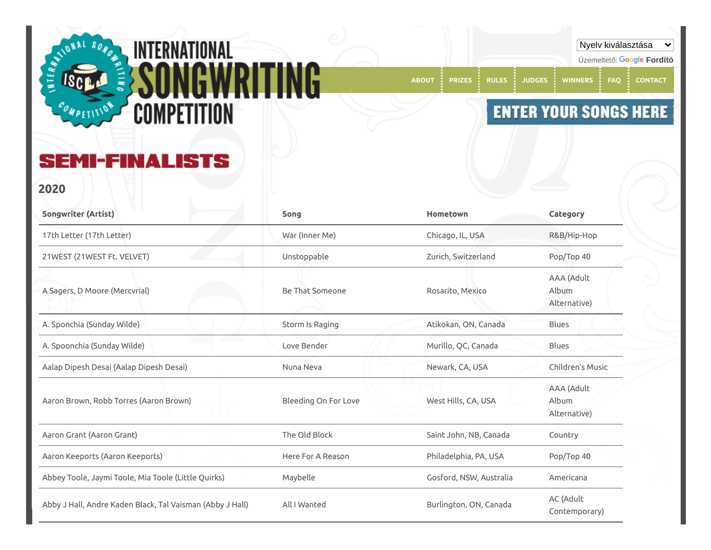

Üzemeltető: **[Fordító](https://translate.google.com/) [ABOUT](https://songwritingcompetition.com/) [PRIZES](https://songwritingcompetition.com/prizes) [RULES](https://songwritingcompetition.com/rules) [JUDGES](https://songwritingcompetition.com/judges) [WINNERS](https://songwritingcompetition.com/winners) [FAQ](https://songwritingcompetition.com/faq) [CONTACT](https://songwritingcompetition.com/contact)**

## **ENTER YOUR SONGS HERE**

Nyelv kiválasztása

 $\checkmark$ 

**MI-FINALISTS** SE

**2020**

| <b>Songwriter (Artist)</b>                                | Song                 | Hometown                | Category                            |
|-----------------------------------------------------------|----------------------|-------------------------|-------------------------------------|
| 17th Letter (17th Letter)                                 | War (Inner Me)       | Chicago, IL, USA        | R&B/Hip-Hop                         |
| 21WEST (21WEST Ft. VELVET)                                | Unstoppable          | Zurich, Switzerland     | Pop/Top 40                          |
| A Sagers, D Moore (Mercvrial)                             | Be That Someone      | Rosarito, Mexico        | AAA (Adult<br>Album<br>Alternative) |
| A. Sponchia (Sunday Wilde)                                | Storm Is Raging      | Atikokan, ON, Canada    | Blues                               |
| A. Spoonchia (Sunday Wilde)                               | Love Bender          | Murillo, QC, Canada     | <b>Blues</b>                        |
| Aalap Dipesh Desai (Aalap Dipesh Desai)                   | Nuna Neva            | Newark, CA, USA         | Children's Music                    |
| Aaron Brown, Robb Torres (Aaron Brown)                    | Bleeding On For Love | West Hills, CA, USA     | AAA (Adult<br>Album<br>Alternative) |
| Aaron Grant (Aaron Grant)                                 | The Old Block        | Saint John, NB, Canada  | Country                             |
| Aaron Keeports (Aaron Keeports)                           | Here For A Reason    | Philadelphia, PA, USA   | Pop/Top 40                          |
| Abbey Toole, Jaymi Toole, Mia Toole (Little Quirks)       | Maybelle             | Gosford, NSW, Australia | Americana                           |
| Abby J Hall, Andre Kaden Black, Tal Vaisman (Abby J Hall) | All I Wanted         | Burlington, ON, Canada  | AC (Adult<br>Contemporary)          |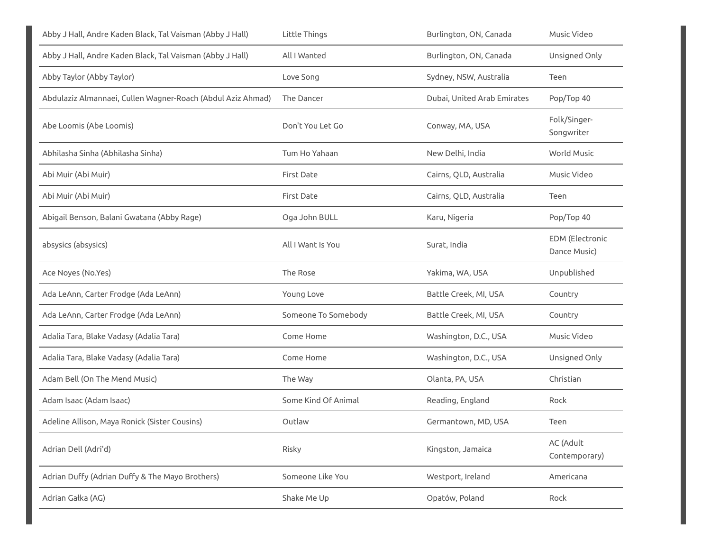| Abby J Hall, Andre Kaden Black, Tal Vaisman (Abby J Hall)   | Little Things       | Burlington, ON, Canada      | Music Video                            |
|-------------------------------------------------------------|---------------------|-----------------------------|----------------------------------------|
| Abby J Hall, Andre Kaden Black, Tal Vaisman (Abby J Hall)   | All I Wanted        | Burlington, ON, Canada      | Unsigned Only                          |
| Abby Taylor (Abby Taylor)                                   | Love Song           | Sydney, NSW, Australia      | Teen                                   |
| Abdulaziz Almannaei, Cullen Wagner-Roach (Abdul Aziz Ahmad) | The Dancer          | Dubai, United Arab Emirates | Pop/Top 40                             |
| Abe Loomis (Abe Loomis)                                     | Don't You Let Go    | Conway, MA, USA             | Folk/Singer-<br>Songwriter             |
| Abhilasha Sinha (Abhilasha Sinha)                           | Tum Ho Yahaan       | New Delhi, India            | World Music                            |
| Abi Muir (Abi Muir)                                         | <b>First Date</b>   | Cairns, QLD, Australia      | Music Video                            |
| Abi Muir (Abi Muir)                                         | <b>First Date</b>   | Cairns, QLD, Australia      | Teen                                   |
| Abigail Benson, Balani Gwatana (Abby Rage)                  | Oga John BULL       | Karu, Nigeria               | Pop/Top 40                             |
| absysics (absysics)                                         | All I Want Is You   | Surat, India                | <b>EDM</b> (Electronic<br>Dance Music) |
| Ace Noyes (No.Yes)                                          | The Rose            | Yakima, WA, USA             | Unpublished                            |
| Ada LeAnn, Carter Frodge (Ada LeAnn)                        | Young Love          | Battle Creek, MI, USA       | Country                                |
| Ada LeAnn, Carter Frodge (Ada LeAnn)                        | Someone To Somebody | Battle Creek, MI, USA       | Country                                |
| Adalia Tara, Blake Vadasy (Adalia Tara)                     | Come Home           | Washington, D.C., USA       | Music Video                            |
| Adalia Tara, Blake Vadasy (Adalia Tara)                     | Come Home           | Washington, D.C., USA       | Unsigned Only                          |
| Adam Bell (On The Mend Music)                               | The Way             | Olanta, PA, USA             | Christian                              |
| Adam Isaac (Adam Isaac)                                     | Some Kind Of Animal | Reading, England            | Rock                                   |
| Adeline Allison, Maya Ronick (Sister Cousins)               | Outlaw              | Germantown, MD, USA         | Teen                                   |
| Adrian Dell (Adri'd)                                        | Risky               | Kingston, Jamaica           | AC (Adult<br>Contemporary)             |
| Adrian Duffy (Adrian Duffy & The Mayo Brothers)             | Someone Like You    | Westport, Ireland           | Americana                              |
| Adrian Gałka (AG)                                           | Shake Me Up         | Opatów, Poland              | Rock                                   |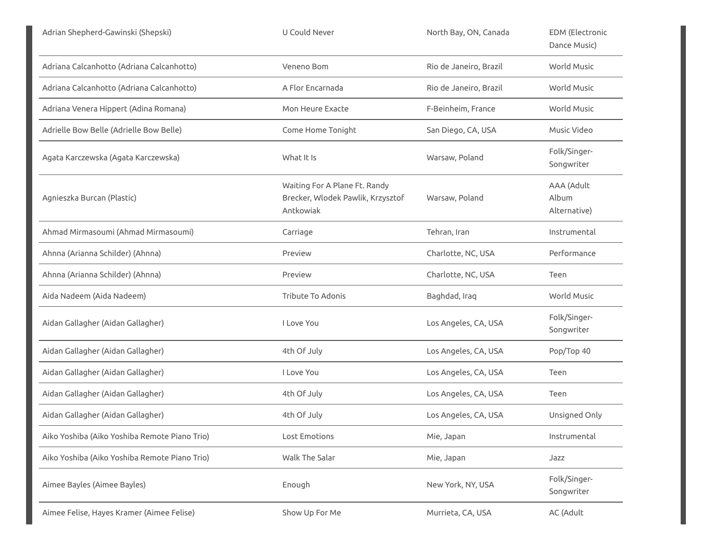| Adrian Shepherd-Gawinski (Shepski)            | U Could Never                                                                   | North Bay, ON, Canada  | <b>EDM</b> (Electronic<br>Dance Music) |
|-----------------------------------------------|---------------------------------------------------------------------------------|------------------------|----------------------------------------|
| Adriana Calcanhotto (Adriana Calcanhotto)     | Veneno Bom                                                                      | Rio de Janeiro, Brazil | World Music                            |
| Adriana Calcanhotto (Adriana Calcanhotto)     | A Flor Encarnada                                                                | Rio de Janeiro, Brazil | World Music                            |
| Adriana Venera Hippert (Adina Romana)         | Mon Heure Exacte                                                                | F-Beinheim, France     | World Music                            |
| Adrielle Bow Belle (Adrielle Bow Belle)       | Come Home Tonight                                                               | San Diego, CA, USA     | Music Video                            |
| Agata Karczewska (Agata Karczewska)           | What It Is                                                                      | Warsaw, Poland         | Folk/Singer-<br>Songwriter             |
| Agnieszka Burcan (Plastic)                    | Waiting For A Plane Ft. Randy<br>Brecker, Wlodek Pawlik, Krzysztof<br>Antkowiak | Warsaw, Poland         | AAA (Adult<br>Album<br>Alternative)    |
| Ahmad Mirmasoumi (Ahmad Mirmasoumi)           | Carriage                                                                        | Tehran, Iran           | Instrumental                           |
| Ahnna (Arianna Schilder) (Ahnna)              | Preview                                                                         | Charlotte, NC, USA     | Performance                            |
| Ahnna (Arianna Schilder) (Ahnna)              | Preview                                                                         | Charlotte, NC, USA     | Teen                                   |
| Aida Nadeem (Aida Nadeem)                     | Tribute To Adonis                                                               | Baghdad, Iraq          | World Music                            |
| Aidan Gallagher (Aidan Gallagher)             | I Love You                                                                      | Los Angeles, CA, USA   | Folk/Singer-<br>Songwriter             |
| Aidan Gallagher (Aidan Gallagher)             | 4th Of July                                                                     | Los Angeles, CA, USA   | Pop/Top 40                             |
| Aidan Gallagher (Aidan Gallagher)             | I Love You                                                                      | Los Angeles, CA, USA   | Teen                                   |
| Aidan Gallagher (Aidan Gallagher)             | 4th Of July                                                                     | Los Angeles, CA, USA   | Teen                                   |
| Aidan Gallagher (Aidan Gallagher)             | 4th Of July                                                                     | Los Angeles, CA, USA   | Unsigned Only                          |
| Aiko Yoshiba (Aiko Yoshiba Remote Piano Trio) | Lost Emotions                                                                   | Mie, Japan             | Instrumental                           |
| Aiko Yoshiba (Aiko Yoshiba Remote Piano Trio) | Walk The Salar                                                                  | Mie, Japan             | Jazz                                   |
| Aimee Bayles (Aimee Bayles)                   | Enough                                                                          | New York, NY, USA      | Folk/Singer-<br>Songwriter             |
| Aimee Felise, Hayes Kramer (Aimee Felise)     | Show Up For Me                                                                  | Murrieta, CA, USA      | AC (Adult                              |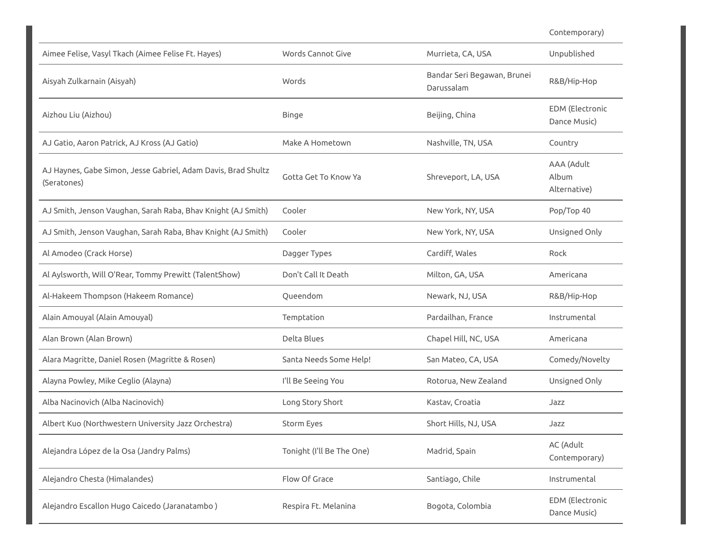Contemporary)

| Aimee Felise, Vasyl Tkach (Aimee Felise Ft. Hayes)                           | Words Cannot Give         | Murrieta, CA, USA                         | Unpublished                            |
|------------------------------------------------------------------------------|---------------------------|-------------------------------------------|----------------------------------------|
| Aisyah Zulkarnain (Aisyah)                                                   | Words                     | Bandar Seri Begawan, Brunei<br>Darussalam | R&B/Hip-Hop                            |
| Aizhou Liu (Aizhou)                                                          | <b>Binge</b>              | Beijing, China                            | <b>EDM</b> (Electronic<br>Dance Music) |
| AJ Gatio, Aaron Patrick, AJ Kross (AJ Gatio)                                 | Make A Hometown           | Nashville, TN, USA                        | Country                                |
| AJ Haynes, Gabe Simon, Jesse Gabriel, Adam Davis, Brad Shultz<br>(Seratones) | Gotta Get To Know Ya      | Shreveport, LA, USA                       | AAA (Adult<br>Album<br>Alternative)    |
| AJ Smith, Jenson Vaughan, Sarah Raba, Bhav Knight (AJ Smith)                 | Cooler                    | New York, NY, USA                         | Pop/Top 40                             |
| AJ Smith, Jenson Vaughan, Sarah Raba, Bhav Knight (AJ Smith)                 | Cooler                    | New York, NY, USA                         | Unsigned Only                          |
| Al Amodeo (Crack Horse)                                                      | Dagger Types              | Cardiff, Wales                            | Rock                                   |
| Al Aylsworth, Will O'Rear, Tommy Prewitt (TalentShow)                        | Don't Call It Death       | Milton, GA, USA                           | Americana                              |
| Al-Hakeem Thompson (Hakeem Romance)                                          | Queendom                  | Newark, NJ, USA                           | R&B/Hip-Hop                            |
| Alain Amouyal (Alain Amouyal)                                                | Temptation                | Pardailhan, France                        | Instrumental                           |
| Alan Brown (Alan Brown)                                                      | Delta Blues               | Chapel Hill, NC, USA                      | Americana                              |
| Alara Magritte, Daniel Rosen (Magritte & Rosen)                              | Santa Needs Some Help!    | San Mateo, CA, USA                        | Comedy/Novelty                         |
| Alayna Powley, Mike Ceglio (Alayna)                                          | I'll Be Seeing You        | Rotorua, New Zealand                      | Unsigned Only                          |
| Alba Nacinovich (Alba Nacinovich)                                            | Long Story Short          | Kastav, Croatia                           | Jazz                                   |
| Albert Kuo (Northwestern University Jazz Orchestra)                          | Storm Eyes                | Short Hills, NJ, USA                      | Jazz                                   |
| Alejandra López de la Osa (Jandry Palms)                                     | Tonight (I'll Be The One) | Madrid, Spain                             | AC (Adult<br>Contemporary)             |
| Alejandro Chesta (Himalandes)                                                | Flow Of Grace             | Santiago, Chile                           | Instrumental                           |
| Alejandro Escallon Hugo Caicedo (Jaranatambo)                                | Respira Ft. Melanina      | Bogota, Colombia                          | <b>EDM</b> (Electronic<br>Dance Music) |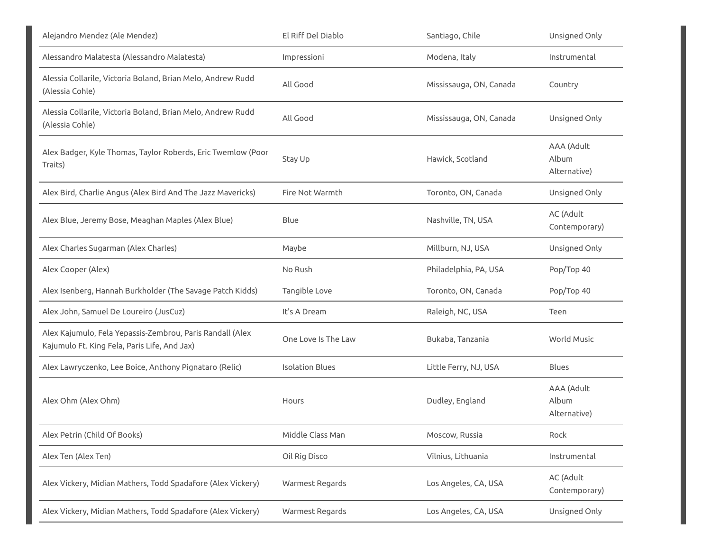| Alejandro Mendez (Ale Mendez)                                                                             | El Riff Del Diablo     | Santiago, Chile         | Unsigned Only                       |
|-----------------------------------------------------------------------------------------------------------|------------------------|-------------------------|-------------------------------------|
| Alessandro Malatesta (Alessandro Malatesta)                                                               | Impressioni            | Modena, Italy           | Instrumental                        |
| Alessia Collarile, Victoria Boland, Brian Melo, Andrew Rudd<br>(Alessia Cohle)                            | All Good               | Mississauga, ON, Canada | Country                             |
| Alessia Collarile, Victoria Boland, Brian Melo, Andrew Rudd<br>(Alessia Cohle)                            | All Good               | Mississauga, ON, Canada | Unsigned Only                       |
| Alex Badger, Kyle Thomas, Taylor Roberds, Eric Twemlow (Poor<br>Traits)                                   | Stay Up                | Hawick, Scotland        | AAA (Adult<br>Album<br>Alternative) |
| Alex Bird, Charlie Angus (Alex Bird And The Jazz Mavericks)                                               | Fire Not Warmth        | Toronto, ON, Canada     | Unsigned Only                       |
| Alex Blue, Jeremy Bose, Meaghan Maples (Alex Blue)                                                        | Blue                   | Nashville, TN, USA      | AC (Adult<br>Contemporary)          |
| Alex Charles Sugarman (Alex Charles)                                                                      | Maybe                  | Millburn, NJ, USA       | Unsigned Only                       |
| Alex Cooper (Alex)                                                                                        | No Rush                | Philadelphia, PA, USA   | Pop/Top 40                          |
| Alex Isenberg, Hannah Burkholder (The Savage Patch Kidds)                                                 | Tangible Love          | Toronto, ON, Canada     | Pop/Top 40                          |
| Alex John, Samuel De Loureiro (JusCuz)                                                                    | It's A Dream           | Raleigh, NC, USA        | Teen                                |
| Alex Kajumulo, Fela Yepassis-Zembrou, Paris Randall (Alex<br>Kajumulo Ft. King Fela, Paris Life, And Jax) | One Love Is The Law    | Bukaba, Tanzania        | World Music                         |
| Alex Lawryczenko, Lee Boice, Anthony Pignataro (Relic)                                                    | <b>Isolation Blues</b> | Little Ferry, NJ, USA   | <b>Blues</b>                        |
| Alex Ohm (Alex Ohm)                                                                                       | Hours                  | Dudley, England         | AAA (Adult<br>Album<br>Alternative) |
| Alex Petrin (Child Of Books)                                                                              | Middle Class Man       | Moscow, Russia          | Rock                                |
| Alex Ten (Alex Ten)                                                                                       | Oil Rig Disco          | Vilnius, Lithuania      | Instrumental                        |
| Alex Vickery, Midian Mathers, Todd Spadafore (Alex Vickery)                                               | Warmest Regards        | Los Angeles, CA, USA    | AC (Adult<br>Contemporary)          |
| Alex Vickery, Midian Mathers, Todd Spadafore (Alex Vickery)                                               | Warmest Regards        | Los Angeles, CA, USA    | Unsigned Only                       |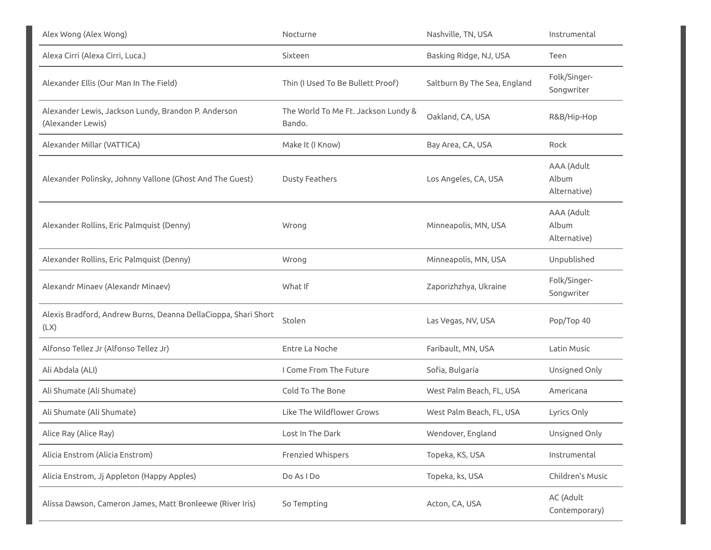| Alex Wong (Alex Wong)                                                    | Nocturne                                      | Nashville, TN, USA           | Instrumental                        |
|--------------------------------------------------------------------------|-----------------------------------------------|------------------------------|-------------------------------------|
| Alexa Cirri (Alexa Cirri, Luca.)                                         | Sixteen                                       | Basking Ridge, NJ, USA       | Teen                                |
| Alexander Ellis (Our Man In The Field)                                   | Thin (I Used To Be Bullett Proof)             | Saltburn By The Sea, England | Folk/Singer-<br>Songwriter          |
| Alexander Lewis, Jackson Lundy, Brandon P. Anderson<br>(Alexander Lewis) | The World To Me Ft. Jackson Lundy &<br>Bando. | Oakland, CA, USA             | R&B/Hip-Hop                         |
| Alexander Millar (VATTICA)                                               | Make It (I Know)                              | Bay Area, CA, USA            | Rock                                |
| Alexander Polinsky, Johnny Vallone (Ghost And The Guest)                 | <b>Dusty Feathers</b>                         | Los Angeles, CA, USA         | AAA (Adult<br>Album<br>Alternative) |
| Alexander Rollins, Eric Palmquist (Denny)                                | Wrong                                         | Minneapolis, MN, USA         | AAA (Adult<br>Album<br>Alternative) |
| Alexander Rollins, Eric Palmquist (Denny)                                | Wrong                                         | Minneapolis, MN, USA         | Unpublished                         |
| Alexandr Minaev (Alexandr Minaev)                                        | What If                                       | Zaporizhzhya, Ukraine        | Folk/Singer-<br>Songwriter          |
| Alexis Bradford, Andrew Burns, Deanna DellaCioppa, Shari Short<br>(LX)   | Stolen                                        | Las Vegas, NV, USA           | Pop/Top 40                          |
| Alfonso Tellez Jr (Alfonso Tellez Jr)                                    | Entre La Noche                                | Faribault, MN, USA           | Latin Music                         |
| Ali Abdala (ALI)                                                         | I Come From The Future                        | Sofia, Bulgaria              | Unsigned Only                       |
| Ali Shumate (Ali Shumate)                                                | Cold To The Bone                              | West Palm Beach, FL, USA     | Americana                           |
| Ali Shumate (Ali Shumate)                                                | Like The Wildflower Grows                     | West Palm Beach, FL, USA     | Lyrics Only                         |
| Alice Ray (Alice Ray)                                                    | Lost In The Dark                              | Wendover, England            | Unsigned Only                       |
| Alicia Enstrom (Alicia Enstrom)                                          | <b>Frenzied Whispers</b>                      | Topeka, KS, USA              | Instrumental                        |
| Alicia Enstrom, Jj Appleton (Happy Apples)                               | Do As I Do                                    | Topeka, ks, USA              | Children's Music                    |
| Alissa Dawson, Cameron James, Matt Bronleewe (River Iris)                | So Tempting                                   | Acton, CA, USA               | AC (Adult<br>Contemporary)          |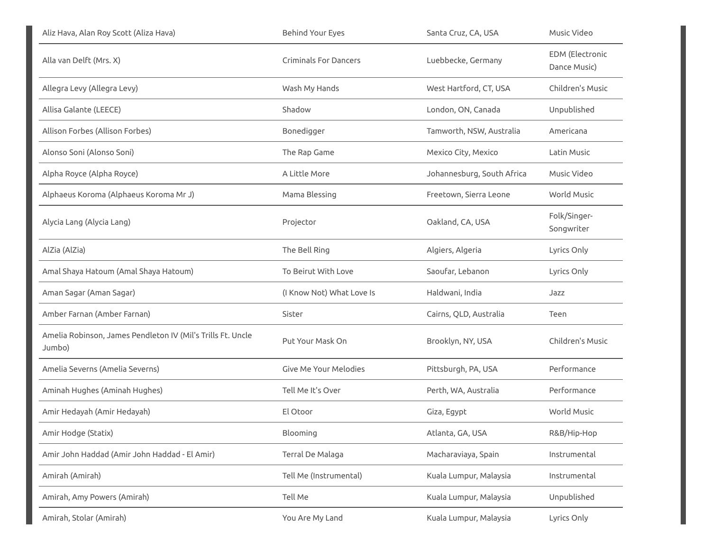| Aliz Hava, Alan Roy Scott (Aliza Hava)                                | <b>Behind Your Eyes</b>      | Santa Cruz, CA, USA        | Music Video                            |
|-----------------------------------------------------------------------|------------------------------|----------------------------|----------------------------------------|
| Alla van Delft (Mrs. X)                                               | <b>Criminals For Dancers</b> | Luebbecke, Germany         | <b>EDM</b> (Electronic<br>Dance Music) |
| Allegra Levy (Allegra Levy)                                           | Wash My Hands                | West Hartford, CT, USA     | Children's Music                       |
| Allisa Galante (LEECE)                                                | Shadow                       | London, ON, Canada         | Unpublished                            |
| Allison Forbes (Allison Forbes)                                       | Bonedigger                   | Tamworth, NSW, Australia   | Americana                              |
| Alonso Soni (Alonso Soni)                                             | The Rap Game                 | Mexico City, Mexico        | Latin Music                            |
| Alpha Royce (Alpha Royce)                                             | A Little More                | Johannesburg, South Africa | Music Video                            |
| Alphaeus Koroma (Alphaeus Koroma Mr J)                                | Mama Blessing                | Freetown, Sierra Leone     | World Music                            |
| Alycia Lang (Alycia Lang)                                             | Projector                    | Oakland, CA, USA           | Folk/Singer-<br>Songwriter             |
| AlZia (AlZia)                                                         | The Bell Ring                | Algiers, Algeria           | Lyrics Only                            |
| Amal Shaya Hatoum (Amal Shaya Hatoum)                                 | To Beirut With Love          | Saoufar, Lebanon           | Lyrics Only                            |
| Aman Sagar (Aman Sagar)                                               | (I Know Not) What Love Is    | Haldwani, India            | Jazz                                   |
| Amber Farnan (Amber Farnan)                                           | Sister                       | Cairns, QLD, Australia     | Teen                                   |
| Amelia Robinson, James Pendleton IV (Mil's Trills Ft. Uncle<br>Jumbo) | Put Your Mask On             | Brooklyn, NY, USA          | Children's Music                       |
| Amelia Severns (Amelia Severns)                                       | Give Me Your Melodies        | Pittsburgh, PA, USA        | Performance                            |
| Aminah Hughes (Aminah Hughes)                                         | Tell Me It's Over            | Perth, WA, Australia       | Performance                            |
| Amir Hedayah (Amir Hedayah)                                           | El Otoor                     | Giza, Egypt                | World Music                            |
| Amir Hodge (Statix)                                                   | Blooming                     | Atlanta, GA, USA           | R&B/Hip-Hop                            |
| Amir John Haddad (Amir John Haddad - El Amir)                         | Terral De Malaga             | Macharaviaya, Spain        | Instrumental                           |
| Amirah (Amirah)                                                       | Tell Me (Instrumental)       | Kuala Lumpur, Malaysia     | Instrumental                           |
| Amirah, Amy Powers (Amirah)                                           | Tell Me                      | Kuala Lumpur, Malaysia     | Unpublished                            |
| Amirah, Stolar (Amirah)                                               | You Are My Land              | Kuala Lumpur, Malaysia     | Lyrics Only                            |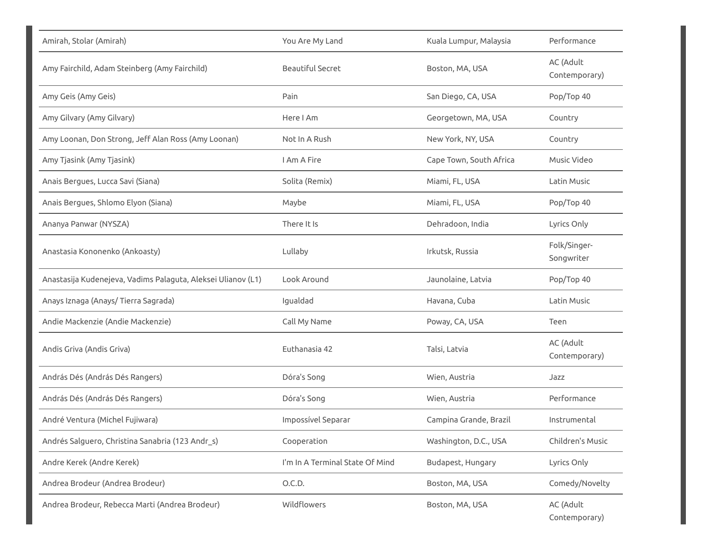| Amirah, Stolar (Amirah)                                      | You Are My Land                 | Kuala Lumpur, Malaysia  | Performance                |
|--------------------------------------------------------------|---------------------------------|-------------------------|----------------------------|
| Amy Fairchild, Adam Steinberg (Amy Fairchild)                | <b>Beautiful Secret</b>         | Boston, MA, USA         | AC (Adult<br>Contemporary) |
| Amy Geis (Amy Geis)                                          | Pain                            | San Diego, CA, USA      | Pop/Top 40                 |
| Amy Gilvary (Amy Gilvary)                                    | Here I Am                       | Georgetown, MA, USA     | Country                    |
| Amy Loonan, Don Strong, Jeff Alan Ross (Amy Loonan)          | Not In A Rush                   | New York, NY, USA       | Country                    |
| Amy Tjasink (Amy Tjasink)                                    | I Am A Fire                     | Cape Town, South Africa | Music Video                |
| Anais Bergues, Lucca Savi (Siana)                            | Solita (Remix)                  | Miami, FL, USA          | Latin Music                |
| Anais Bergues, Shlomo Elyon (Siana)                          | Maybe                           | Miami, FL, USA          | Pop/Top 40                 |
| Ananya Panwar (NYSZA)                                        | There It Is                     | Dehradoon, India        | Lyrics Only                |
| Anastasia Kononenko (Ankoasty)                               | Lullaby                         | Irkutsk, Russia         | Folk/Singer-<br>Songwriter |
| Anastasija Kudenejeva, Vadims Palaguta, Aleksei Ulianov (L1) | Look Around                     | Jaunolaine, Latvia      | Pop/Top 40                 |
| Anays Iznaga (Anays/Tierra Sagrada)                          | Igualdad                        | Havana, Cuba            | Latin Music                |
| Andie Mackenzie (Andie Mackenzie)                            | Call My Name                    | Poway, CA, USA          | Teen                       |
| Andis Griva (Andis Griva)                                    | Euthanasia 42                   | Talsi, Latvia           | AC (Adult<br>Contemporary) |
| András Dés (András Dés Rangers)                              | Dóra's Song                     | Wien, Austria           | Jazz                       |
| András Dés (András Dés Rangers)                              | Dóra's Song                     | Wien, Austria           | Performance                |
| André Ventura (Michel Fujiwara)                              | Impossível Separar              | Campina Grande, Brazil  | Instrumental               |
| Andrés Salguero, Christina Sanabria (123 Andr_s)             | Cooperation                     | Washington, D.C., USA   | Children's Music           |
| Andre Kerek (Andre Kerek)                                    | I'm In A Terminal State Of Mind | Budapest, Hungary       | Lyrics Only                |
| Andrea Brodeur (Andrea Brodeur)                              | O.C.D.                          | Boston, MA, USA         | Comedy/Novelty             |
| Andrea Brodeur, Rebecca Marti (Andrea Brodeur)               | Wildflowers                     | Boston, MA, USA         | AC (Adult<br>Contemporary) |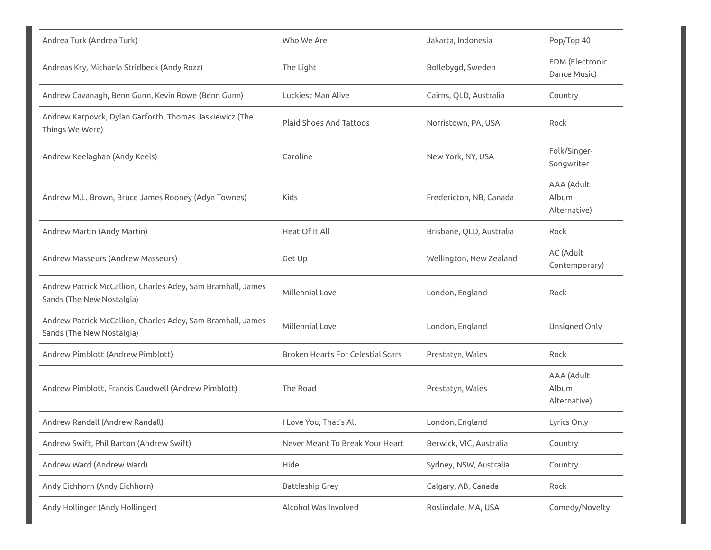| Andrea Turk (Andrea Turk)                                                                | Who We Are                               | Jakarta, Indonesia       | Pop/Top 40                          |
|------------------------------------------------------------------------------------------|------------------------------------------|--------------------------|-------------------------------------|
| Andreas Kry, Michaela Stridbeck (Andy Rozz)                                              | The Light                                | Bollebygd, Sweden        | EDM (Electronic<br>Dance Music)     |
| Andrew Cavanagh, Benn Gunn, Kevin Rowe (Benn Gunn)                                       | Luckiest Man Alive                       | Cairns, QLD, Australia   | Country                             |
| Andrew Karpovck, Dylan Garforth, Thomas Jaskiewicz (The<br>Things We Were)               | <b>Plaid Shoes And Tattoos</b>           | Norristown, PA, USA      | Rock                                |
| Andrew Keelaghan (Andy Keels)                                                            | Caroline                                 | New York, NY, USA        | Folk/Singer-<br>Songwriter          |
| Andrew M.L. Brown, Bruce James Rooney (Adyn Townes)                                      | Kids                                     | Fredericton, NB, Canada  | AAA (Adult<br>Album<br>Alternative) |
| Andrew Martin (Andy Martin)                                                              | Heat Of It All                           | Brisbane, QLD, Australia | Rock                                |
| Andrew Masseurs (Andrew Masseurs)                                                        | Get Up                                   | Wellington, New Zealand  | AC (Adult<br>Contemporary)          |
| Andrew Patrick McCallion, Charles Adey, Sam Bramhall, James<br>Sands (The New Nostalgia) | Millennial Love                          | London, England          | Rock                                |
| Andrew Patrick McCallion, Charles Adey, Sam Bramhall, James<br>Sands (The New Nostalgia) | Millennial Love                          | London, England          | Unsigned Only                       |
| Andrew Pimblott (Andrew Pimblott)                                                        | <b>Broken Hearts For Celestial Scars</b> | Prestatyn, Wales         | Rock                                |
| Andrew Pimblott, Francis Caudwell (Andrew Pimblott)                                      | The Road                                 | Prestatyn, Wales         | AAA (Adult<br>Album<br>Alternative) |
| Andrew Randall (Andrew Randall)                                                          | I Love You, That's All                   | London, England          | Lyrics Only                         |
| Andrew Swift, Phil Barton (Andrew Swift)                                                 | Never Meant To Break Your Heart          | Berwick, VIC, Australia  | Country                             |
| Andrew Ward (Andrew Ward)                                                                | Hide                                     | Sydney, NSW, Australia   | Country                             |
| Andy Eichhorn (Andy Eichhorn)                                                            | <b>Battleship Grey</b>                   | Calgary, AB, Canada      | Rock                                |
| Andy Hollinger (Andy Hollinger)                                                          | Alcohol Was Involved                     | Roslindale, MA, USA      | Comedy/Novelty                      |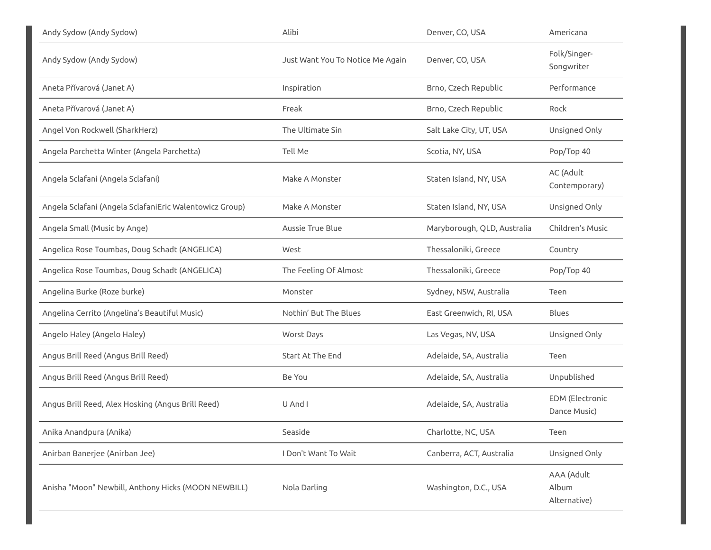| Andy Sydow (Andy Sydow)                                 | Alibi                            | Denver, CO, USA             | Americana                           |
|---------------------------------------------------------|----------------------------------|-----------------------------|-------------------------------------|
| Andy Sydow (Andy Sydow)                                 | Just Want You To Notice Me Again | Denver, CO, USA             | Folk/Singer-<br>Songwriter          |
| Aneta Přívarová (Janet A)                               | Inspiration                      | Brno, Czech Republic        | Performance                         |
| Aneta Přívarová (Janet A)                               | Freak                            | Brno, Czech Republic        | Rock                                |
| Angel Von Rockwell (SharkHerz)                          | The Ultimate Sin                 | Salt Lake City, UT, USA     | Unsigned Only                       |
| Angela Parchetta Winter (Angela Parchetta)              | Tell Me                          | Scotia, NY, USA             | Pop/Top 40                          |
| Angela Sclafani (Angela Sclafani)                       | Make A Monster                   | Staten Island, NY, USA      | AC (Adult<br>Contemporary)          |
| Angela Sclafani (Angela SclafaniEric Walentowicz Group) | Make A Monster                   | Staten Island, NY, USA      | Unsigned Only                       |
| Angela Small (Music by Ange)                            | <b>Aussie True Blue</b>          | Maryborough, QLD, Australia | Children's Music                    |
| Angelica Rose Toumbas, Doug Schadt (ANGELICA)           | West                             | Thessaloniki, Greece        | Country                             |
| Angelica Rose Toumbas, Doug Schadt (ANGELICA)           | The Feeling Of Almost            | Thessaloniki, Greece        | Pop/Top 40                          |
| Angelina Burke (Roze burke)                             | Monster                          | Sydney, NSW, Australia      | Teen                                |
| Angelina Cerrito (Angelina's Beautiful Music)           | Nothin' But The Blues            | East Greenwich, RI, USA     | <b>Blues</b>                        |
| Angelo Haley (Angelo Haley)                             | Worst Days                       | Las Vegas, NV, USA          | Unsigned Only                       |
| Angus Brill Reed (Angus Brill Reed)                     | <b>Start At The End</b>          | Adelaide, SA, Australia     | Teen                                |
| Angus Brill Reed (Angus Brill Reed)                     | Be You                           | Adelaide, SA, Australia     | Unpublished                         |
| Angus Brill Reed, Alex Hosking (Angus Brill Reed)       | U And I                          | Adelaide, SA, Australia     | EDM (Electronic<br>Dance Music)     |
| Anika Anandpura (Anika)                                 | Seaside                          | Charlotte, NC, USA          | Teen                                |
| Anirban Banerjee (Anirban Jee)                          | I Don't Want To Wait             | Canberra, ACT, Australia    | Unsigned Only                       |
| Anisha "Moon" Newbill, Anthony Hicks (MOON NEWBILL)     | Nola Darling                     | Washington, D.C., USA       | AAA (Adult<br>Album<br>Alternative) |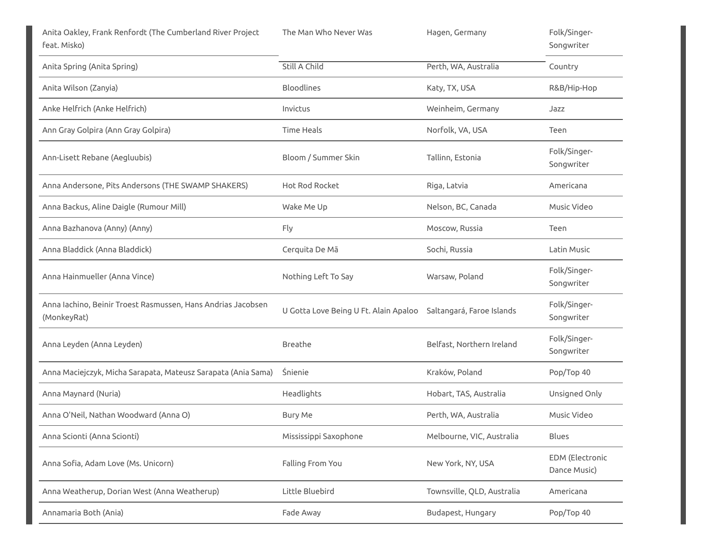| Anita Oakley, Frank Renfordt (The Cumberland River Project<br>feat. Misko)  | The Man Who Never Was                                           | Hagen, Germany             | Folk/Singer-<br>Songwriter      |
|-----------------------------------------------------------------------------|-----------------------------------------------------------------|----------------------------|---------------------------------|
| Anita Spring (Anita Spring)                                                 | Still A Child                                                   | Perth, WA, Australia       | Country                         |
| Anita Wilson (Zanyia)                                                       | <b>Bloodlines</b>                                               | Katy, TX, USA              | R&B/Hip-Hop                     |
| Anke Helfrich (Anke Helfrich)                                               | Invictus                                                        | Weinheim, Germany          | Jazz                            |
| Ann Gray Golpira (Ann Gray Golpira)                                         | <b>Time Heals</b>                                               | Norfolk, VA, USA           | Teen                            |
| Ann-Lisett Rebane (Aegluubis)                                               | Bloom / Summer Skin                                             | Tallinn, Estonia           | Folk/Singer-<br>Songwriter      |
| Anna Andersone, Pits Andersons (THE SWAMP SHAKERS)                          | <b>Hot Rod Rocket</b>                                           | Riga, Latvia               | Americana                       |
| Anna Backus, Aline Daigle (Rumour Mill)                                     | Wake Me Up                                                      | Nelson, BC, Canada         | Music Video                     |
| Anna Bazhanova (Anny) (Anny)                                                | Fly                                                             | Moscow, Russia             | Teen                            |
| Anna Bladdick (Anna Bladdick)                                               | Cerquita De Mã                                                  | Sochi, Russia              | Latin Music                     |
| Anna Hainmueller (Anna Vince)                                               | Nothing Left To Say                                             | Warsaw, Poland             | Folk/Singer-<br>Songwriter      |
| Anna Iachino, Beinir Troest Rasmussen, Hans Andrias Jacobsen<br>(MonkeyRat) | U Gotta Love Being U Ft. Alain Apaloo Saltangará, Faroe Islands |                            | Folk/Singer-<br>Songwriter      |
| Anna Leyden (Anna Leyden)                                                   | Breathe                                                         | Belfast, Northern Ireland  | Folk/Singer-<br>Songwriter      |
| Anna Maciejczyk, Micha Sarapata, Mateusz Sarapata (Ania Sama)               | <b>Snienie</b>                                                  | Kraków, Poland             | Pop/Top 40                      |
| Anna Maynard (Nuria)                                                        | Headlights                                                      | Hobart, TAS, Australia     | Unsigned Only                   |
| Anna O'Neil, Nathan Woodward (Anna O)                                       | <b>Bury Me</b>                                                  | Perth, WA, Australia       | Music Video                     |
| Anna Scionti (Anna Scionti)                                                 | Mississippi Saxophone                                           | Melbourne, VIC, Australia  | Blues                           |
| Anna Sofia, Adam Love (Ms. Unicorn)                                         | Falling From You                                                | New York, NY, USA          | EDM (Electronic<br>Dance Music) |
| Anna Weatherup, Dorian West (Anna Weatherup)                                | Little Bluebird                                                 | Townsville, QLD, Australia | Americana                       |
| Annamaria Both (Ania)                                                       | Fade Away                                                       | Budapest, Hungary          | Pop/Top 40                      |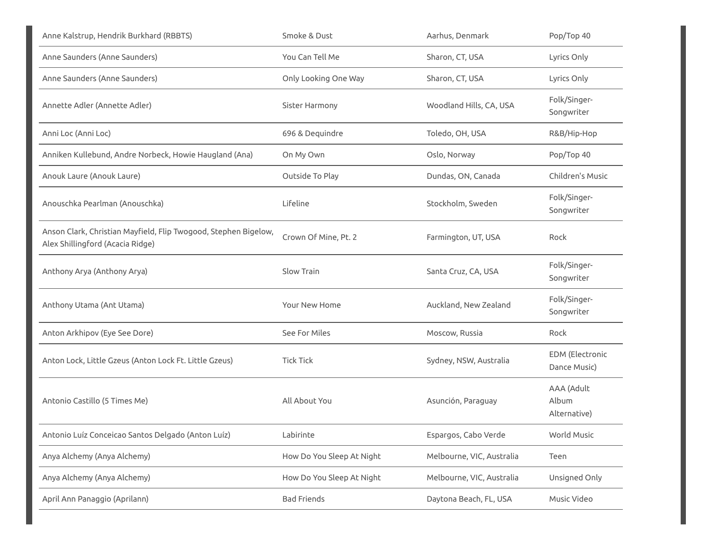| Anne Kalstrup, Hendrik Burkhard (RBBTS)                                                             | Smoke & Dust              | Aarhus, Denmark           | Pop/Top 40                             |
|-----------------------------------------------------------------------------------------------------|---------------------------|---------------------------|----------------------------------------|
| Anne Saunders (Anne Saunders)                                                                       | You Can Tell Me           | Sharon, CT, USA           | Lyrics Only                            |
| Anne Saunders (Anne Saunders)                                                                       | Only Looking One Way      | Sharon, CT, USA           | Lyrics Only                            |
| Annette Adler (Annette Adler)                                                                       | Sister Harmony            | Woodland Hills, CA, USA   | Folk/Singer-<br>Songwriter             |
| Anni Loc (Anni Loc)                                                                                 | 696 & Dequindre           | Toledo, OH, USA           | R&B/Hip-Hop                            |
| Anniken Kullebund, Andre Norbeck, Howie Haugland (Ana)                                              | On My Own                 | Oslo, Norway              | Pop/Top 40                             |
| Anouk Laure (Anouk Laure)                                                                           | Outside To Play           | Dundas, ON, Canada        | Children's Music                       |
| Anouschka Pearlman (Anouschka)                                                                      | Lifeline                  | Stockholm, Sweden         | Folk/Singer-<br>Songwriter             |
| Anson Clark, Christian Mayfield, Flip Twogood, Stephen Bigelow,<br>Alex Shillingford (Acacia Ridge) | Crown Of Mine, Pt. 2      | Farmington, UT, USA       | Rock                                   |
| Anthony Arya (Anthony Arya)                                                                         | Slow Train                | Santa Cruz, CA, USA       | Folk/Singer-<br>Songwriter             |
| Anthony Utama (Ant Utama)                                                                           | Your New Home             | Auckland, New Zealand     | Folk/Singer-<br>Songwriter             |
| Anton Arkhipov (Eye See Dore)                                                                       | See For Miles             | Moscow, Russia            | Rock                                   |
| Anton Lock, Little Gzeus (Anton Lock Ft. Little Gzeus)                                              | <b>Tick Tick</b>          | Sydney, NSW, Australia    | <b>EDM</b> (Electronic<br>Dance Music) |
| Antonio Castillo (5 Times Me)                                                                       | All About You             | Asunción, Paraguay        | AAA (Adult<br>Album<br>Alternative)    |
| Antonio Luíz Conceicao Santos Delgado (Anton Luíz)                                                  | Labirinte                 | Espargos, Cabo Verde      | World Music                            |
| Anya Alchemy (Anya Alchemy)                                                                         | How Do You Sleep At Night | Melbourne, VIC, Australia | Teen                                   |
| Anya Alchemy (Anya Alchemy)                                                                         | How Do You Sleep At Night | Melbourne, VIC, Australia | Unsigned Only                          |
| April Ann Panaggio (Aprilann)                                                                       | <b>Bad Friends</b>        | Daytona Beach, FL, USA    | Music Video                            |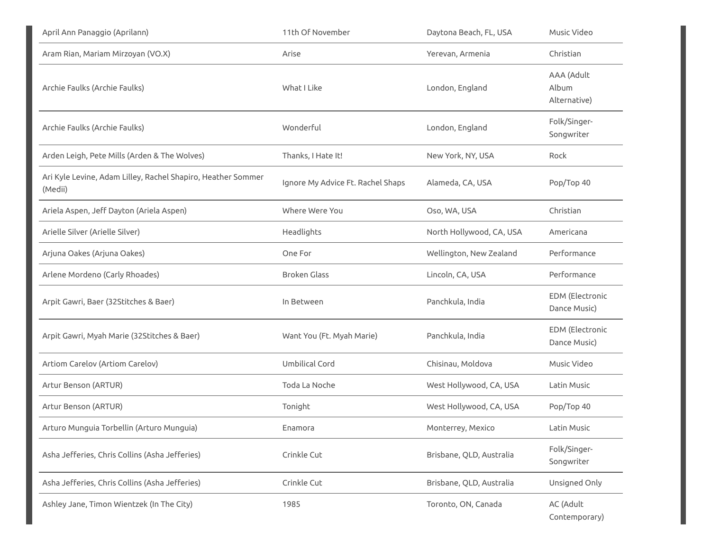| April Ann Panaggio (Aprilann)                                           | 11th Of November                  | Daytona Beach, FL, USA   | Music Video                            |
|-------------------------------------------------------------------------|-----------------------------------|--------------------------|----------------------------------------|
| Aram Rian, Mariam Mirzoyan (VO.X)                                       | Arise                             | Yerevan, Armenia         | Christian                              |
| Archie Faulks (Archie Faulks)                                           | What I Like                       | London, England          | AAA (Adult<br>Album<br>Alternative)    |
| Archie Faulks (Archie Faulks)                                           | Wonderful                         | London, England          | Folk/Singer-<br>Songwriter             |
| Arden Leigh, Pete Mills (Arden & The Wolves)                            | Thanks, I Hate It!                | New York, NY, USA        | Rock                                   |
| Ari Kyle Levine, Adam Lilley, Rachel Shapiro, Heather Sommer<br>(Medii) | Ignore My Advice Ft. Rachel Shaps | Alameda, CA, USA         | Pop/Top 40                             |
| Ariela Aspen, Jeff Dayton (Ariela Aspen)                                | Where Were You                    | Oso, WA, USA             | Christian                              |
| Arielle Silver (Arielle Silver)                                         | Headlights                        | North Hollywood, CA, USA | Americana                              |
| Arjuna Oakes (Arjuna Oakes)                                             | One For                           | Wellington, New Zealand  | Performance                            |
| Arlene Mordeno (Carly Rhoades)                                          | <b>Broken Glass</b>               | Lincoln, CA, USA         | Performance                            |
| Arpit Gawri, Baer (32Stitches & Baer)                                   | In Between                        | Panchkula, India         | <b>EDM</b> (Electronic<br>Dance Music) |
| Arpit Gawri, Myah Marie (32Stitches & Baer)                             | Want You (Ft. Myah Marie)         | Panchkula, India         | EDM (Electronic<br>Dance Music)        |
| Artiom Carelov (Artiom Carelov)                                         | Umbilical Cord                    | Chisinau, Moldova        | Music Video                            |
| Artur Benson (ARTUR)                                                    | Toda La Noche                     | West Hollywood, CA, USA  | Latin Music                            |
| Artur Benson (ARTUR)                                                    | Tonight                           | West Hollywood, CA, USA  | Pop/Top 40                             |
| Arturo Munguia Torbellin (Arturo Munguia)                               | Enamora                           | Monterrey, Mexico        | Latin Music                            |
| Asha Jefferies, Chris Collins (Asha Jefferies)                          | Crinkle Cut                       | Brisbane, QLD, Australia | Folk/Singer-<br>Songwriter             |
| Asha Jefferies, Chris Collins (Asha Jefferies)                          | Crinkle Cut                       | Brisbane, QLD, Australia | Unsigned Only                          |
| Ashley Jane, Timon Wientzek (In The City)                               | 1985                              | Toronto, ON, Canada      | AC (Adult<br>Contemporary)             |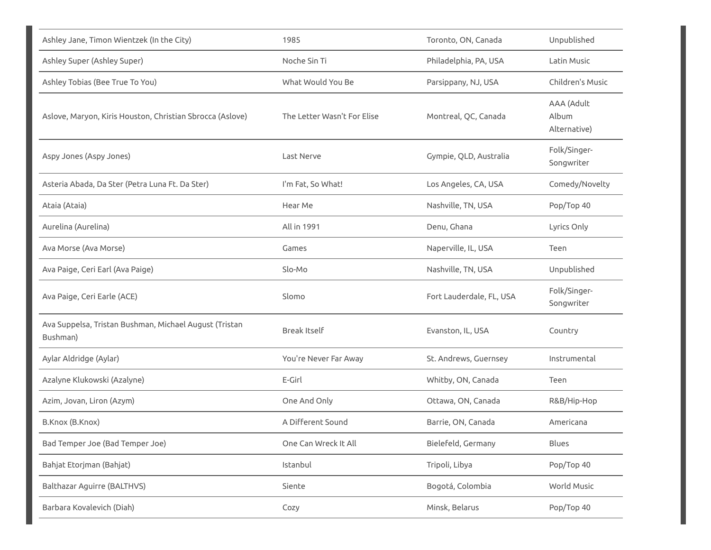| Ashley Jane, Timon Wientzek (In the City)                          | 1985                        | Toronto, ON, Canada      | Unpublished                         |
|--------------------------------------------------------------------|-----------------------------|--------------------------|-------------------------------------|
| Ashley Super (Ashley Super)                                        | Noche Sin Ti                | Philadelphia, PA, USA    | Latin Music                         |
| Ashley Tobias (Bee True To You)                                    | What Would You Be           | Parsippany, NJ, USA      | Children's Music                    |
| Aslove, Maryon, Kiris Houston, Christian Sbrocca (Aslove)          | The Letter Wasn't For Elise | Montreal, QC, Canada     | AAA (Adult<br>Album<br>Alternative) |
| Aspy Jones (Aspy Jones)                                            | Last Nerve                  | Gympie, QLD, Australia   | Folk/Singer-<br>Songwriter          |
| Asteria Abada, Da Ster (Petra Luna Ft. Da Ster)                    | I'm Fat, So What!           | Los Angeles, CA, USA     | Comedy/Novelty                      |
| Ataia (Ataia)                                                      | Hear Me                     | Nashville, TN, USA       | Pop/Top 40                          |
| Aurelina (Aurelina)                                                | All in 1991                 | Denu, Ghana              | Lyrics Only                         |
| Ava Morse (Ava Morse)                                              | Games                       | Naperville, IL, USA      | Teen                                |
| Ava Paige, Ceri Earl (Ava Paige)                                   | Slo-Mo                      | Nashville, TN, USA       | Unpublished                         |
| Ava Paige, Ceri Earle (ACE)                                        | Slomo                       | Fort Lauderdale, FL, USA | Folk/Singer-<br>Songwriter          |
| Ava Suppelsa, Tristan Bushman, Michael August (Tristan<br>Bushman) | <b>Break Itself</b>         | Evanston, IL, USA        | Country                             |
| Aylar Aldridge (Aylar)                                             | You're Never Far Away       | St. Andrews, Guernsey    | Instrumental                        |
| Azalyne Klukowski (Azalyne)                                        | E-Girl                      | Whitby, ON, Canada       | Teen                                |
| Azim, Jovan, Liron (Azym)                                          | One And Only                | Ottawa, ON, Canada       | R&B/Hip-Hop                         |
| B.Knox (B.Knox)                                                    | A Different Sound           | Barrie, ON, Canada       | Americana                           |
| Bad Temper Joe (Bad Temper Joe)                                    | One Can Wreck It All        | Bielefeld, Germany       | Blues                               |
| Bahjat Etorjman (Bahjat)                                           | Istanbul                    | Tripoli, Libya           | Pop/Top 40                          |
| Balthazar Aguirre (BALTHVS)                                        | Siente                      | Bogotá, Colombia         | World Music                         |
| Barbara Kovalevich (Diah)                                          | Cozy                        | Minsk, Belarus           | Pop/Top 40                          |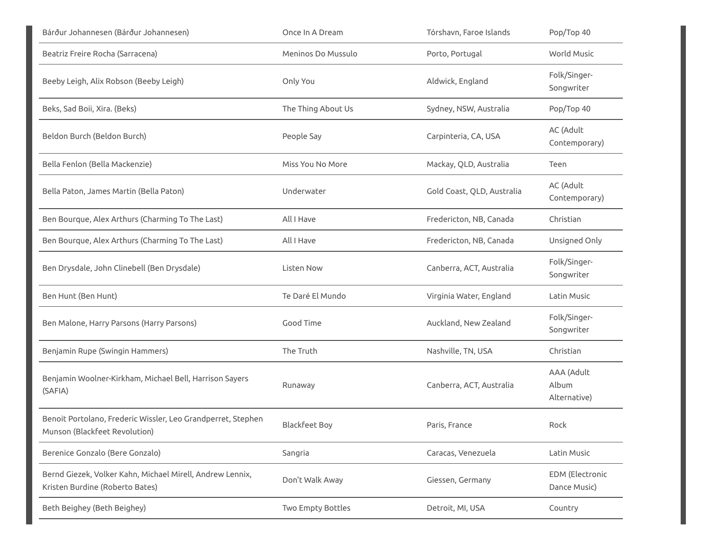| Bárður Johannesen (Bárður Johannesen)                                                         | Once In A Dream      | Tórshavn, Faroe Islands    | Pop/Top 40                          |
|-----------------------------------------------------------------------------------------------|----------------------|----------------------------|-------------------------------------|
| Beatriz Freire Rocha (Sarracena)                                                              | Meninos Do Mussulo   | Porto, Portugal            | World Music                         |
| Beeby Leigh, Alix Robson (Beeby Leigh)                                                        | Only You             | Aldwick, England           | Folk/Singer-<br>Songwriter          |
| Beks, Sad Boii, Xira. (Beks)                                                                  | The Thing About Us   | Sydney, NSW, Australia     | Pop/Top 40                          |
| Beldon Burch (Beldon Burch)                                                                   | People Say           | Carpinteria, CA, USA       | AC (Adult<br>Contemporary)          |
| Bella Fenlon (Bella Mackenzie)                                                                | Miss You No More     | Mackay, QLD, Australia     | Teen                                |
| Bella Paton, James Martin (Bella Paton)                                                       | Underwater           | Gold Coast, QLD, Australia | AC (Adult<br>Contemporary)          |
| Ben Bourque, Alex Arthurs (Charming To The Last)                                              | All I Have           | Fredericton, NB, Canada    | Christian                           |
| Ben Bourque, Alex Arthurs (Charming To The Last)                                              | All I Have           | Fredericton, NB, Canada    | Unsigned Only                       |
| Ben Drysdale, John Clinebell (Ben Drysdale)                                                   | Listen Now           | Canberra, ACT, Australia   | Folk/Singer-<br>Songwriter          |
| Ben Hunt (Ben Hunt)                                                                           | Te Daré El Mundo     | Virginia Water, England    | Latin Music                         |
| Ben Malone, Harry Parsons (Harry Parsons)                                                     | Good Time            | Auckland, New Zealand      | Folk/Singer-<br>Songwriter          |
| Benjamin Rupe (Swingin Hammers)                                                               | The Truth            | Nashville, TN, USA         | Christian                           |
| Benjamin Woolner-Kirkham, Michael Bell, Harrison Sayers<br>(SAFIA)                            | Runaway              | Canberra, ACT, Australia   | AAA (Adult<br>Album<br>Alternative) |
| Benoit Portolano, Frederic Wissler, Leo Grandperret, Stephen<br>Munson (Blackfeet Revolution) | <b>Blackfeet Boy</b> | Paris, France              | Rock                                |
| Berenice Gonzalo (Bere Gonzalo)                                                               | Sangria              | Caracas, Venezuela         | Latin Music                         |
| Bernd Giezek, Volker Kahn, Michael Mirell, Andrew Lennix,<br>Kristen Burdine (Roberto Bates)  | Don't Walk Away      | Giessen, Germany           | EDM (Electronic<br>Dance Music)     |
| Beth Beighey (Beth Beighey)                                                                   | Two Empty Bottles    | Detroit, MI, USA           | Country                             |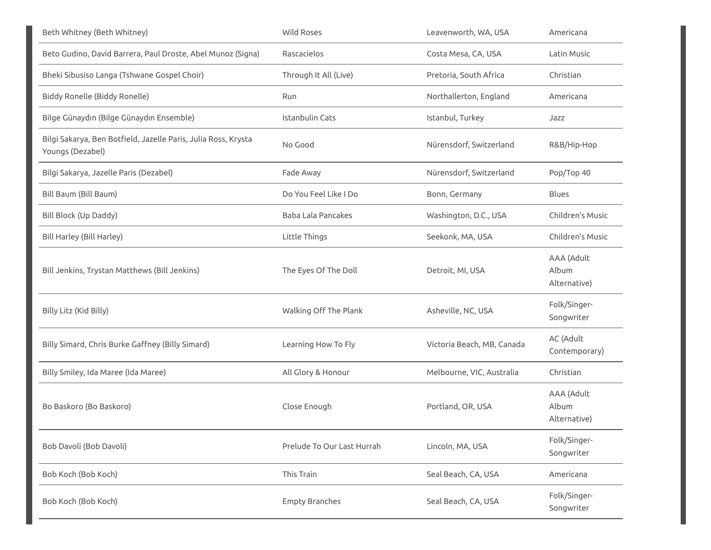| Beth Whitney (Beth Whitney)                                                        | <b>Wild Roses</b>          | Leavenworth, WA, USA       | Americana                           |
|------------------------------------------------------------------------------------|----------------------------|----------------------------|-------------------------------------|
| Beto Gudino, David Barrera, Paul Droste, Abel Munoz (Signa)                        | Rascacielos                | Costa Mesa, CA, USA        | Latin Music                         |
| Bheki Sibusiso Langa (Tshwane Gospel Choir)                                        | Through It All (Live)      | Pretoria, South Africa     | Christian                           |
| Biddy Ronelle (Biddy Ronelle)                                                      | Run                        | Northallerton, England     | Americana                           |
| Bilge Günaydın (Bilge Günaydın Ensemble)                                           | Istanbulin Cats            | Istanbul, Turkey           | Jazz                                |
| Bilgi Sakarya, Ben Botfield, Jazelle Paris, Julia Ross, Krysta<br>Youngs (Dezabel) | No Good                    | Nürensdorf, Switzerland    | R&B/Hip-Hop                         |
| Bilgi Sakarya, Jazelle Paris (Dezabel)                                             | Fade Away                  | Nürensdorf, Switzerland    | Pop/Top 40                          |
| Bill Baum (Bill Baum)                                                              | Do You Feel Like I Do      | Bonn, Germany              | <b>Blues</b>                        |
| Bill Block (Up Daddy)                                                              | <b>Baba Lala Pancakes</b>  | Washington, D.C., USA      | Children's Music                    |
| Bill Harley (Bill Harley)                                                          | Little Things              | Seekonk, MA, USA           | Children's Music                    |
| Bill Jenkins, Trystan Matthews (Bill Jenkins)                                      | The Eyes Of The Doll       | Detroit, MI, USA           | AAA (Adult<br>Album<br>Alternative) |
| Billy Litz (Kid Billy)                                                             | Walking Off The Plank      | Asheville, NC, USA         | Folk/Singer-<br>Songwriter          |
| Billy Simard, Chris Burke Gaffney (Billy Simard)                                   | Learning How To Fly        | Victoria Beach, MB, Canada | AC (Adult<br>Contemporary)          |
| Billy Smiley, Ida Maree (Ida Maree)                                                | All Glory & Honour         | Melbourne, VIC, Australia  | Christian                           |
| Bo Baskoro (Bo Baskoro)                                                            | Close Enough               | Portland, OR, USA          | AAA (Adult<br>Album<br>Alternative) |
| Bob Davoli (Bob Davoli)                                                            | Prelude To Our Last Hurrah | Lincoln, MA, USA           | Folk/Singer-<br>Songwriter          |
| Bob Koch (Bob Koch)                                                                | This Train                 | Seal Beach, CA, USA        | Americana                           |
| Bob Koch (Bob Koch)                                                                | <b>Empty Branches</b>      | Seal Beach, CA, USA        | Folk/Singer-<br>Songwriter          |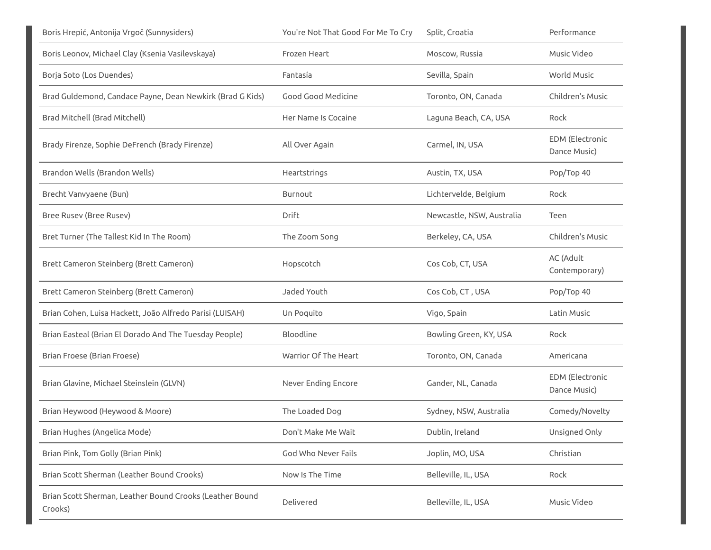| Boris Hrepić, Antonija Vrgoč (Sunnysiders)                          | You're Not That Good For Me To Cry | Split, Croatia            | Performance                            |
|---------------------------------------------------------------------|------------------------------------|---------------------------|----------------------------------------|
| Boris Leonov, Michael Clay (Ksenia Vasilevskaya)                    | Frozen Heart                       | Moscow, Russia            | Music Video                            |
| Borja Soto (Los Duendes)                                            | Fantasía                           | Sevilla, Spain            | World Music                            |
| Brad Guldemond, Candace Payne, Dean Newkirk (Brad G Kids)           | Good Good Medicine                 | Toronto, ON, Canada       | Children's Music                       |
| Brad Mitchell (Brad Mitchell)                                       | Her Name Is Cocaine                | Laguna Beach, CA, USA     | Rock                                   |
| Brady Firenze, Sophie DeFrench (Brady Firenze)                      | All Over Again                     | Carmel, IN, USA           | <b>EDM</b> (Electronic<br>Dance Music) |
| Brandon Wells (Brandon Wells)                                       | Heartstrings                       | Austin, TX, USA           | Pop/Top 40                             |
| Brecht Vanvyaene (Bun)                                              | Burnout                            | Lichtervelde, Belgium     | Rock                                   |
| Bree Rusev (Bree Rusev)                                             | Drift                              | Newcastle, NSW, Australia | Teen                                   |
| Bret Turner (The Tallest Kid In The Room)                           | The Zoom Song                      | Berkeley, CA, USA         | Children's Music                       |
| Brett Cameron Steinberg (Brett Cameron)                             | Hopscotch                          | Cos Cob, CT, USA          | AC (Adult<br>Contemporary)             |
| Brett Cameron Steinberg (Brett Cameron)                             | Jaded Youth                        | Cos Cob, CT, USA          | Pop/Top 40                             |
| Brian Cohen, Luisa Hackett, João Alfredo Parisi (LUISAH)            | Un Poquito                         | Vigo, Spain               | Latin Music                            |
| Brian Easteal (Brian El Dorado And The Tuesday People)              | Bloodline                          | Bowling Green, KY, USA    | Rock                                   |
| Brian Froese (Brian Froese)                                         | Warrior Of The Heart               | Toronto, ON, Canada       | Americana                              |
| Brian Glavine, Michael Steinslein (GLVN)                            | Never Ending Encore                | Gander, NL, Canada        | <b>EDM</b> (Electronic<br>Dance Music) |
| Brian Heywood (Heywood & Moore)                                     | The Loaded Dog                     | Sydney, NSW, Australia    | Comedy/Novelty                         |
| Brian Hughes (Angelica Mode)                                        | Don't Make Me Wait                 | Dublin, Ireland           | Unsigned Only                          |
| Brian Pink, Tom Golly (Brian Pink)                                  | God Who Never Fails                | Joplin, MO, USA           | Christian                              |
| Brian Scott Sherman (Leather Bound Crooks)                          | Now Is The Time                    | Belleville, IL, USA       | Rock                                   |
| Brian Scott Sherman, Leather Bound Crooks (Leather Bound<br>Crooks) | Delivered                          | Belleville, IL, USA       | Music Video                            |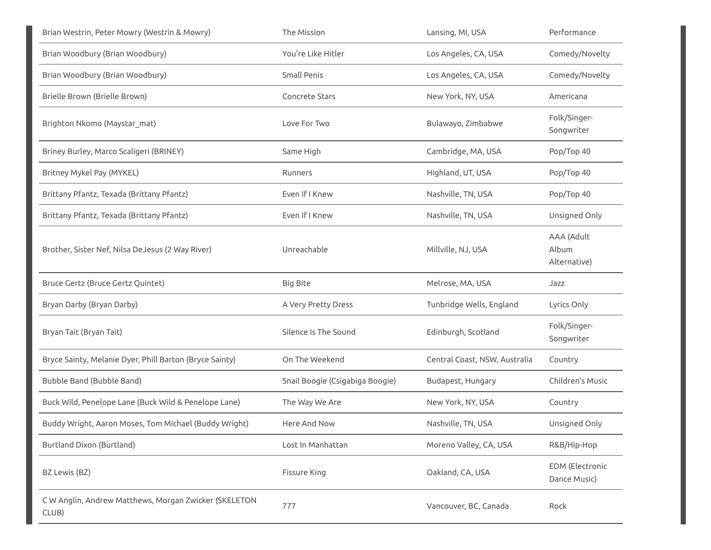| Brian Westrin, Peter Mowry (Westrin & Mowry)            | The Mission                     | Lansing, MI, USA              | Performance                         |
|---------------------------------------------------------|---------------------------------|-------------------------------|-------------------------------------|
| Brian Woodbury (Brian Woodbury)                         | You're Like Hitler              | Los Angeles, CA, USA          | Comedy/Novelty                      |
| Brian Woodbury (Brian Woodbury)                         | Small Penis                     | Los Angeles, CA, USA          | Comedy/Novelty                      |
| Brielle Brown (Brielle Brown)                           | Concrete Stars                  | New York, NY, USA             | Americana                           |
| Brighton Nkomo (Maystar_mat)                            | Love For Two                    | Bulawayo, Zimbabwe            | Folk/Singer-<br>Songwriter          |
| Briney Burley, Marco Scaligeri (BRINEY)                 | Same High                       | Cambridge, MA, USA            | Pop/Top 40                          |
| Britney Mykel Pay (MYKEL)                               | Runners                         | Highland, UT, USA             | Pop/Top 40                          |
| Brittany Pfantz, Texada (Brittany Pfantz)               | Even If I Knew                  | Nashville, TN, USA            | Pop/Top 40                          |
| Brittany Pfantz, Texada (Brittany Pfantz)               | Even If I Knew                  | Nashville, TN, USA            | Unsigned Only                       |
| Brother, Sister Nef, Nilsa DeJesus (2 Way River)        | Unreachable                     | Millville, NJ, USA            | AAA (Adult<br>Album<br>Alternative) |
| Bruce Gertz (Bruce Gertz Quintet)                       | <b>Big Bite</b>                 | Melrose, MA, USA              | Jazz                                |
| Bryan Darby (Bryan Darby)                               | A Very Pretty Dress             | Tunbridge Wells, England      | Lyrics Only                         |
| Bryan Tait (Bryan Tait)                                 |                                 |                               |                                     |
|                                                         | Silence Is The Sound            | Edinburgh, Scotland           | Folk/Singer-<br>Songwriter          |
| Bryce Sainty, Melanie Dyer, Phill Barton (Bryce Sainty) | On The Weekend                  | Central Coast, NSW, Australia | Country                             |
| Bubble Band (Bubble Band)                               | Snail Boogie (Csigabiga Boogie) | Budapest, Hungary             | Children's Music                    |
| Buck Wild, Penelope Lane (Buck Wild & Penelope Lane)    | The Way We Are                  | New York, NY, USA             | Country                             |
| Buddy Wright, Aaron Moses, Tom Michael (Buddy Wright)   | Here And Now                    | Nashville, TN, USA            | Unsigned Only                       |
| Burtland Dixon (Burtland)                               | Lost In Manhattan               | Moreno Valley, CA, USA        | R&B/Hip-Hop                         |
| BZ Lewis (BZ)                                           | Fissure King                    | Oakland, CA, USA              | EDM (Electronic<br>Dance Music)     |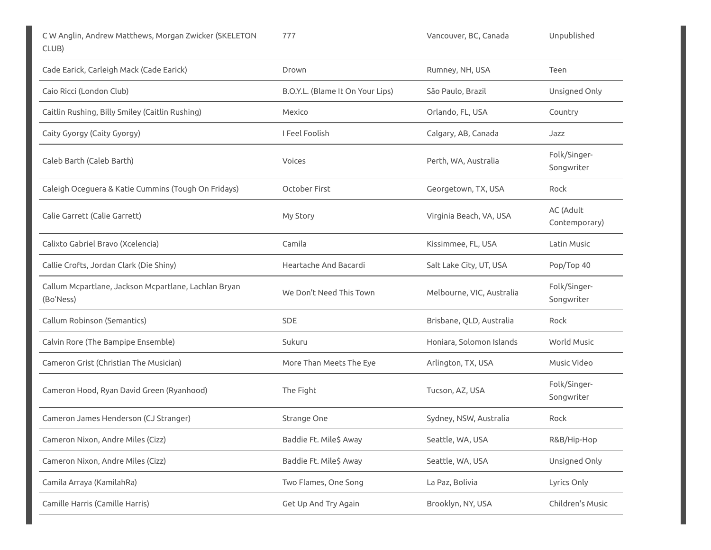777 Vancouver, BC, Canada Unpublished

| Cade Earick, Carleigh Mack (Cade Earick)                          | Drown                            | Rumney, NH, USA           | Teen                       |
|-------------------------------------------------------------------|----------------------------------|---------------------------|----------------------------|
| Caio Ricci (London Club)                                          | B.O.Y.L. (Blame It On Your Lips) | São Paulo, Brazil         | Unsigned Only              |
| Caitlin Rushing, Billy Smiley (Caitlin Rushing)                   | Mexico                           | Orlando, FL, USA          | Country                    |
| Caity Gyorgy (Caity Gyorgy)                                       | I Feel Foolish                   | Calgary, AB, Canada       | Jazz                       |
| Caleb Barth (Caleb Barth)                                         | Voices                           | Perth, WA, Australia      | Folk/Singer-<br>Songwriter |
| Caleigh Oceguera & Katie Cummins (Tough On Fridays)               | October First                    | Georgetown, TX, USA       | Rock                       |
| Calie Garrett (Calie Garrett)                                     | My Story                         | Virginia Beach, VA, USA   | AC (Adult<br>Contemporary) |
| Calixto Gabriel Bravo (Xcelencia)                                 | Camila                           | Kissimmee, FL, USA        | Latin Music                |
| Callie Crofts, Jordan Clark (Die Shiny)                           | Heartache And Bacardi            | Salt Lake City, UT, USA   | Pop/Top 40                 |
| Callum Mcpartlane, Jackson Mcpartlane, Lachlan Bryan<br>(Bo'Ness) | We Don't Need This Town          | Melbourne, VIC, Australia | Folk/Singer-<br>Songwriter |
| Callum Robinson (Semantics)                                       | <b>SDE</b>                       | Brisbane, QLD, Australia  | Rock                       |
| Calvin Rore (The Bampipe Ensemble)                                | Sukuru                           | Honiara, Solomon Islands  | <b>World Music</b>         |
| Cameron Grist (Christian The Musician)                            | More Than Meets The Eye          | Arlington, TX, USA        | Music Video                |
| Cameron Hood, Ryan David Green (Ryanhood)                         | The Fight                        | Tucson, AZ, USA           | Folk/Singer-<br>Songwriter |
| Cameron James Henderson (CJ Stranger)                             | Strange One                      | Sydney, NSW, Australia    | Rock                       |
| Cameron Nixon, Andre Miles (Cizz)                                 | Baddie Ft. Mile\$ Away           | Seattle, WA, USA          | R&B/Hip-Hop                |
| Cameron Nixon, Andre Miles (Cizz)                                 | Baddie Ft. Mile\$ Away           | Seattle, WA, USA          | Unsigned Only              |
| Camila Arraya (KamilahRa)                                         | Two Flames, One Song             | La Paz, Bolivia           | Lyrics Only                |
| Camille Harris (Camille Harris)                                   | Get Up And Try Again             | Brooklyn, NY, USA         | Children's Music           |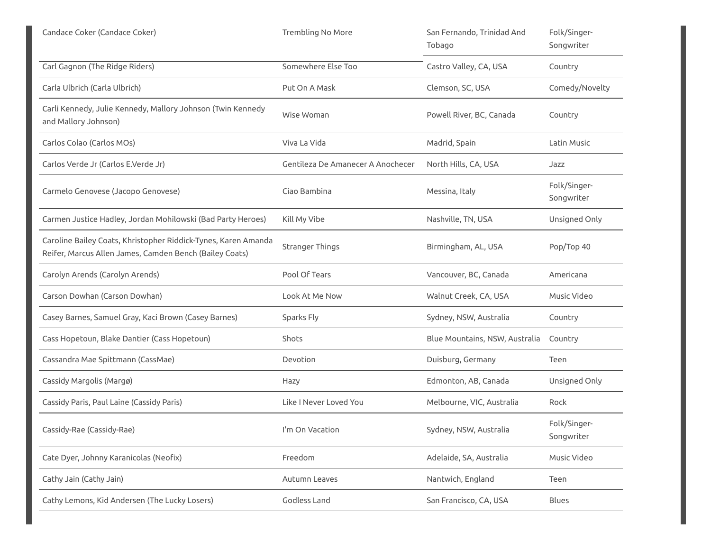| Candace Coker (Candace Coker)                                                                                             | <b>Trembling No More</b>          | San Fernando, Trinidad And<br>Tobago | Folk/Singer-<br>Songwriter |
|---------------------------------------------------------------------------------------------------------------------------|-----------------------------------|--------------------------------------|----------------------------|
| Carl Gagnon (The Ridge Riders)                                                                                            | Somewhere Else Too                | Castro Valley, CA, USA               | Country                    |
| Carla Ulbrich (Carla Ulbrich)                                                                                             | Put On A Mask                     | Clemson, SC, USA                     | Comedy/Novelty             |
| Carli Kennedy, Julie Kennedy, Mallory Johnson (Twin Kennedy<br>and Mallory Johnson)                                       | Wise Woman                        | Powell River, BC, Canada             | Country                    |
| Carlos Colao (Carlos MOs)                                                                                                 | Viva La Vida                      | Madrid, Spain                        | Latin Music                |
| Carlos Verde Jr (Carlos E.Verde Jr)                                                                                       | Gentileza De Amanecer A Anochecer | North Hills, CA, USA                 | Jazz                       |
| Carmelo Genovese (Jacopo Genovese)                                                                                        | Ciao Bambina                      | Messina, Italy                       | Folk/Singer-<br>Songwriter |
| Carmen Justice Hadley, Jordan Mohilowski (Bad Party Heroes)                                                               | Kill My Vibe                      | Nashville, TN, USA                   | Unsigned Only              |
| Caroline Bailey Coats, Khristopher Riddick-Tynes, Karen Amanda<br>Reifer, Marcus Allen James, Camden Bench (Bailey Coats) | <b>Stranger Things</b>            | Birmingham, AL, USA                  | Pop/Top 40                 |
| Carolyn Arends (Carolyn Arends)                                                                                           | Pool Of Tears                     | Vancouver, BC, Canada                | Americana                  |
| Carson Dowhan (Carson Dowhan)                                                                                             | Look At Me Now                    | Walnut Creek, CA, USA                | Music Video                |
| Casey Barnes, Samuel Gray, Kaci Brown (Casey Barnes)                                                                      | Sparks Fly                        | Sydney, NSW, Australia               | Country                    |
| Cass Hopetoun, Blake Dantier (Cass Hopetoun)                                                                              | Shots                             | Blue Mountains, NSW, Australia       | Country                    |
| Cassandra Mae Spittmann (CassMae)                                                                                         | Devotion                          | Duisburg, Germany                    | Teen                       |
| Cassidy Margolis (Margø)                                                                                                  | Hazy                              | Edmonton, AB, Canada                 | Unsigned Only              |
| Cassidy Paris, Paul Laine (Cassidy Paris)                                                                                 | Like I Never Loved You            | Melbourne, VIC, Australia            | Rock                       |
| Cassidy-Rae (Cassidy-Rae)                                                                                                 | I'm On Vacation                   | Sydney, NSW, Australia               | Folk/Singer-<br>Songwriter |
| Cate Dyer, Johnny Karanicolas (Neofix)                                                                                    | Freedom                           | Adelaide, SA, Australia              | Music Video                |
| Cathy Jain (Cathy Jain)                                                                                                   | Autumn Leaves                     | Nantwich, England                    | Teen                       |
| Cathy Lemons, Kid Andersen (The Lucky Losers)                                                                             | Godless Land                      | San Francisco, CA, USA               | Blues                      |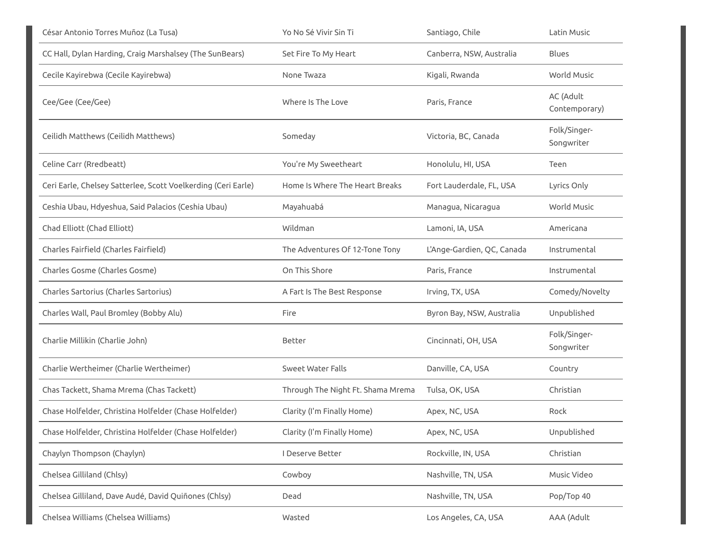| César Antonio Torres Muñoz (La Tusa)                          | Yo No Sé Vivir Sin Ti             | Santiago, Chile            | Latin Music                |
|---------------------------------------------------------------|-----------------------------------|----------------------------|----------------------------|
| CC Hall, Dylan Harding, Craig Marshalsey (The SunBears)       | Set Fire To My Heart              | Canberra, NSW, Australia   | <b>Blues</b>               |
| Cecile Kayirebwa (Cecile Kayirebwa)                           | None Twaza                        | Kigali, Rwanda             | World Music                |
| Cee/Gee (Cee/Gee)                                             | Where Is The Love                 | Paris, France              | AC (Adult<br>Contemporary) |
| Ceilidh Matthews (Ceilidh Matthews)                           | Someday                           | Victoria, BC, Canada       | Folk/Singer-<br>Songwriter |
| Celine Carr (Rredbeatt)                                       | You're My Sweetheart              | Honolulu, HI, USA          | Teen                       |
| Ceri Earle, Chelsey Satterlee, Scott Voelkerding (Ceri Earle) | Home Is Where The Heart Breaks    | Fort Lauderdale, FL, USA   | Lyrics Only                |
| Ceshia Ubau, Hdyeshua, Said Palacios (Ceshia Ubau)            | Mayahuabá                         | Managua, Nicaragua         | World Music                |
| Chad Elliott (Chad Elliott)                                   | Wildman                           | Lamoni, IA, USA            | Americana                  |
| Charles Fairfield (Charles Fairfield)                         | The Adventures Of 12-Tone Tony    | L'Ange-Gardien, QC, Canada | Instrumental               |
| Charles Gosme (Charles Gosme)                                 | On This Shore                     | Paris, France              | Instrumental               |
| Charles Sartorius (Charles Sartorius)                         | A Fart Is The Best Response       | Irving, TX, USA            | Comedy/Novelty             |
| Charles Wall, Paul Bromley (Bobby Alu)                        | Fire                              | Byron Bay, NSW, Australia  | Unpublished                |
| Charlie Millikin (Charlie John)                               | Better                            | Cincinnati, OH, USA        | Folk/Singer-<br>Songwriter |
| Charlie Wertheimer (Charlie Wertheimer)                       | <b>Sweet Water Falls</b>          | Danville, CA, USA          | Country                    |
| Chas Tackett, Shama Mrema (Chas Tackett)                      | Through The Night Ft. Shama Mrema | Tulsa, OK, USA             | Christian                  |
| Chase Holfelder, Christina Holfelder (Chase Holfelder)        | Clarity (I'm Finally Home)        | Apex, NC, USA              | Rock                       |
| Chase Holfelder, Christina Holfelder (Chase Holfelder)        | Clarity (I'm Finally Home)        | Apex, NC, USA              | Unpublished                |
| Chaylyn Thompson (Chaylyn)                                    | I Deserve Better                  | Rockville, IN, USA         | Christian                  |
| Chelsea Gilliland (Chlsy)                                     | Cowboy                            | Nashville, TN, USA         | Music Video                |
| Chelsea Gilliland, Dave Audé, David Quiñones (Chlsy)          | Dead                              | Nashville, TN, USA         | Pop/Top 40                 |
| Chelsea Williams (Chelsea Williams)                           | Wasted                            | Los Angeles, CA, USA       | AAA (Adult                 |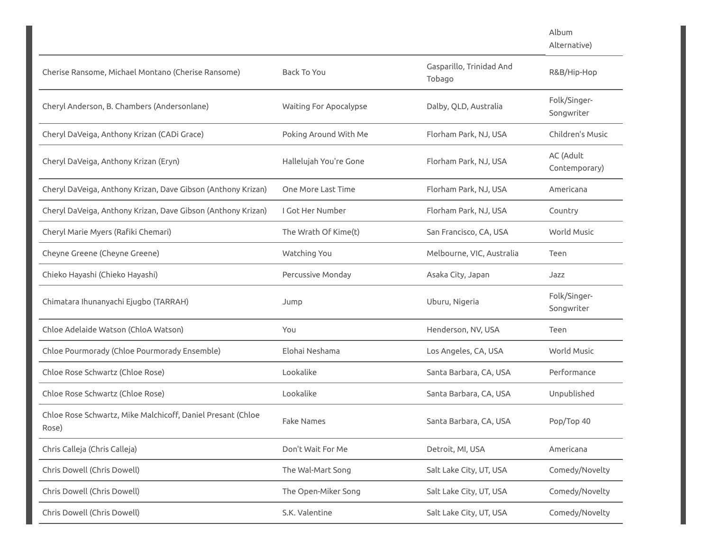$A|k$ 

| Album        |  |
|--------------|--|
| Alternative) |  |

| Cherise Ransome, Michael Montano (Cherise Ransome)                   | <b>Back To You</b>            | Gasparillo, Trinidad And<br>Tobago | R&B/Hip-Hop                |
|----------------------------------------------------------------------|-------------------------------|------------------------------------|----------------------------|
| Cheryl Anderson, B. Chambers (Andersonlane)                          | <b>Waiting For Apocalypse</b> | Dalby, QLD, Australia              | Folk/Singer-<br>Songwriter |
| Cheryl DaVeiga, Anthony Krizan (CADi Grace)                          | Poking Around With Me         | Florham Park, NJ, USA              | Children's Music           |
| Cheryl DaVeiga, Anthony Krizan (Eryn)                                | Hallelujah You're Gone        | Florham Park, NJ, USA              | AC (Adult<br>Contemporary) |
| Cheryl DaVeiga, Anthony Krizan, Dave Gibson (Anthony Krizan)         | One More Last Time            | Florham Park, NJ, USA              | Americana                  |
| Cheryl DaVeiga, Anthony Krizan, Dave Gibson (Anthony Krizan)         | I Got Her Number              | Florham Park, NJ, USA              | Country                    |
| Cheryl Marie Myers (Rafiki Chemari)                                  | The Wrath Of Kime(t)          | San Francisco, CA, USA             | <b>World Music</b>         |
| Cheyne Greene (Cheyne Greene)                                        | Watching You                  | Melbourne, VIC, Australia          | Teen                       |
| Chieko Hayashi (Chieko Hayashi)                                      | Percussive Monday             | Asaka City, Japan                  | Jazz                       |
| Chimatara Ihunanyachi Ejugbo (TARRAH)                                | Jump                          | Uburu, Nigeria                     | Folk/Singer-<br>Songwriter |
| Chloe Adelaide Watson (ChloA Watson)                                 | You                           | Henderson, NV, USA                 | Teen                       |
| Chloe Pourmorady (Chloe Pourmorady Ensemble)                         | Elohai Neshama                | Los Angeles, CA, USA               | <b>World Music</b>         |
| Chloe Rose Schwartz (Chloe Rose)                                     | Lookalike                     | Santa Barbara, CA, USA             | Performance                |
| Chloe Rose Schwartz (Chloe Rose)                                     | Lookalike                     | Santa Barbara, CA, USA             | Unpublished                |
| Chloe Rose Schwartz, Mike Malchicoff, Daniel Presant (Chloe<br>Rose) | <b>Fake Names</b>             | Santa Barbara, CA, USA             | Pop/Top 40                 |
| Chris Calleja (Chris Calleja)                                        | Don't Wait For Me             | Detroit, MI, USA                   | Americana                  |
| Chris Dowell (Chris Dowell)                                          | The Wal-Mart Song             | Salt Lake City, UT, USA            | Comedy/Novelty             |
| Chris Dowell (Chris Dowell)                                          | The Open-Miker Song           | Salt Lake City, UT, USA            | Comedy/Novelty             |
|                                                                      |                               |                                    |                            |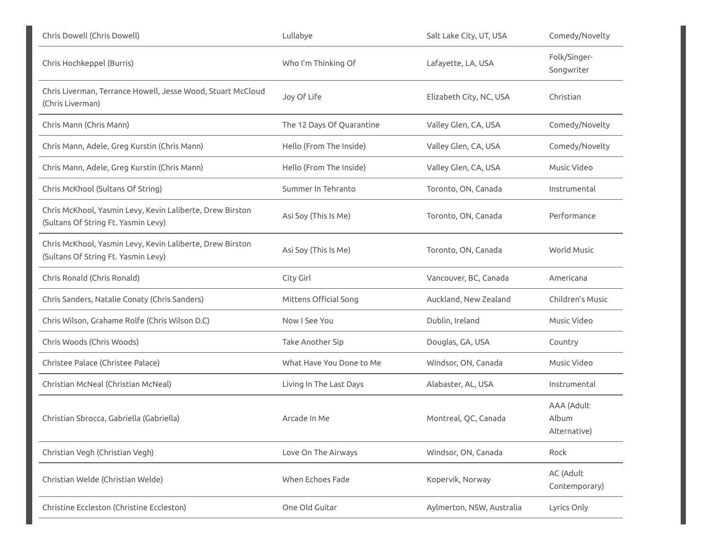| Chris Dowell (Chris Dowell)                                                                      | Lullabye                  | Salt Lake City, UT, USA   | Comedy/Novelty                      |
|--------------------------------------------------------------------------------------------------|---------------------------|---------------------------|-------------------------------------|
| Chris Hochkeppel (Burris)                                                                        | Who I'm Thinking Of       | Lafayette, LA, USA        | Folk/Singer-<br>Songwriter          |
| Chris Liverman, Terrance Howell, Jesse Wood, Stuart McCloud<br>(Chris Liverman)                  | Joy Of Life               | Elizabeth City, NC, USA   | Christian                           |
| Chris Mann (Chris Mann)                                                                          | The 12 Days Of Quarantine | Valley Glen, CA, USA      | Comedy/Novelty                      |
| Chris Mann, Adele, Greg Kurstin (Chris Mann)                                                     | Hello (From The Inside)   | Valley Glen, CA, USA      | Comedy/Novelty                      |
| Chris Mann, Adele, Greg Kurstin (Chris Mann)                                                     | Hello (From The Inside)   | Valley Glen, CA, USA      | Music Video                         |
| Chris McKhool (Sultans Of String)                                                                | Summer In Tehranto        | Toronto, ON, Canada       | Instrumental                        |
| Chris McKhool, Yasmin Levy, Kevin Laliberte, Drew Birston<br>(Sultans Of String Ft. Yasmin Levy) | Asi Soy (This Is Me)      | Toronto, ON, Canada       | Performance                         |
| Chris McKhool, Yasmin Levy, Kevin Laliberte, Drew Birston<br>(Sultans Of String Ft. Yasmin Levy) | Asi Soy (This Is Me)      | Toronto, ON, Canada       | World Music                         |
| Chris Ronald (Chris Ronald)                                                                      | City Girl                 | Vancouver, BC, Canada     | Americana                           |
| Chris Sanders, Natalie Conaty (Chris Sanders)                                                    | Mittens Official Song     | Auckland, New Zealand     | Children's Music                    |
| Chris Wilson, Grahame Rolfe (Chris Wilson D.C)                                                   | Now I See You             | Dublin, Ireland           | Music Video                         |
| Chris Woods (Chris Woods)                                                                        | Take Another Sip          | Douglas, GA, USA          | Country                             |
| Christee Palace (Christee Palace)                                                                | What Have You Done to Me  | Windsor, ON, Canada       | Music Video                         |
| Christian McNeal (Christian McNeal)                                                              | Living In The Last Days   | Alabaster, AL, USA        | Instrumental                        |
| Christian Sbrocca, Gabriella (Gabriella)                                                         | Arcade In Me              | Montreal, QC, Canada      | AAA (Adult<br>Album<br>Alternative) |
| Christian Vegh (Christian Vegh)                                                                  | Love On The Airways       | Windsor, ON, Canada       | Rock                                |
| Christian Welde (Christian Welde)                                                                | When Echoes Fade          | Kopervik, Norway          | AC (Adult<br>Contemporary)          |
| Christine Eccleston (Christine Eccleston)                                                        | One Old Guitar            | Aylmerton, NSW, Australia | Lyrics Only                         |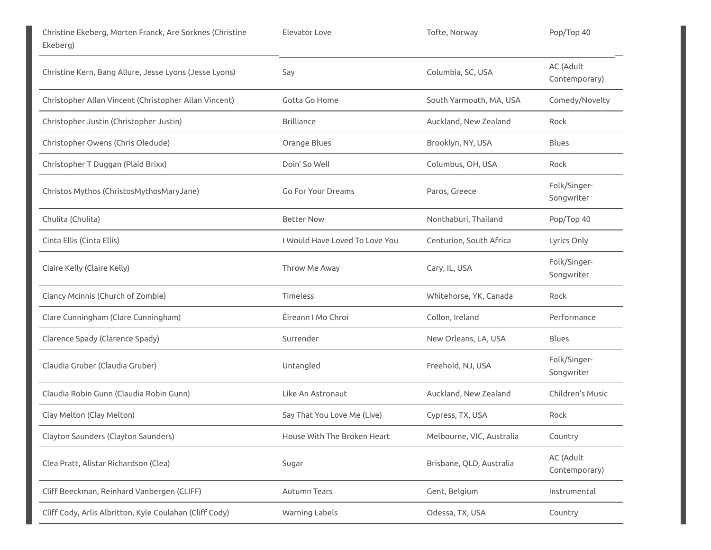| Christine Ekeberg, Morten Franck, Are Sorknes (Christine<br>Ekeberg) | Elevator Love                  | Tofte, Norway             | Pop/Top 40                 |
|----------------------------------------------------------------------|--------------------------------|---------------------------|----------------------------|
| Christine Kern, Bang Allure, Jesse Lyons (Jesse Lyons)               | Say                            | Columbia, SC, USA         | AC (Adult<br>Contemporary) |
| Christopher Allan Vincent (Christopher Allan Vincent)                | Gotta Go Home                  | South Yarmouth, MA, USA   | Comedy/Novelty             |
| Christopher Justin (Christopher Justin)                              | <b>Brilliance</b>              | Auckland, New Zealand     | Rock                       |
| Christopher Owens (Chris Oledude)                                    | Orange Blues                   | Brooklyn, NY, USA         | <b>Blues</b>               |
| Christopher T Duggan (Plaid Brixx)                                   | Doin' So Well                  | Columbus, OH, USA         | Rock                       |
| Christos Mythos (ChristosMythosMaryJane)                             | Go For Your Dreams             | Paros, Greece             | Folk/Singer-<br>Songwriter |
| Chulita (Chulita)                                                    | <b>Better Now</b>              | Nonthaburi, Thailand      | Pop/Top 40                 |
| Cinta Ellis (Cinta Ellis)                                            | I Would Have Loved To Love You | Centurion, South Africa   | Lyrics Only                |
| Claire Kelly (Claire Kelly)                                          | Throw Me Away                  | Cary, IL, USA             | Folk/Singer-<br>Songwriter |
| Clancy Mcinnis (Church of Zombie)                                    | <b>Timeless</b>                | Whitehorse, YK, Canada    | Rock                       |
| Clare Cunningham (Clare Cunningham)                                  | Éireann I Mo Chroí             | Collon, Ireland           | Performance                |
| Clarence Spady (Clarence Spady)                                      | Surrender                      | New Orleans, LA, USA      | <b>Blues</b>               |
| Claudia Gruber (Claudia Gruber)                                      | Untangled                      | Freehold, NJ, USA         | Folk/Singer-<br>Songwriter |
| Claudia Robin Gunn (Claudia Robin Gunn)                              | Like An Astronaut              | Auckland, New Zealand     | Children's Music           |
| Clay Melton (Clay Melton)                                            | Say That You Love Me (Live)    | Cypress, TX, USA          | Rock                       |
| Clayton Saunders (Clayton Saunders)                                  | House With The Broken Heart    | Melbourne, VIC, Australia | Country                    |
| Clea Pratt, Alistar Richardson (Clea)                                | Sugar                          | Brisbane, QLD, Australia  | AC (Adult<br>Contemporary) |
| Cliff Beeckman, Reinhard Vanbergen (CLIFF)                           | Autumn Tears                   | Gent, Belgium             | Instrumental               |
| Cliff Cody, Arlis Albritton, Kyle Coulahan (Cliff Cody)              | Warning Labels                 | Odessa, TX, USA           | Country                    |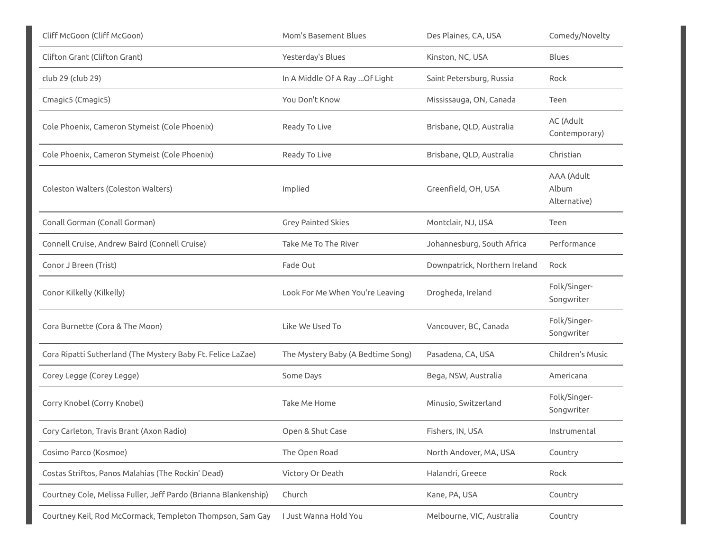| Cliff McGoon (Cliff McGoon)                                     | Mom's Basement Blues              | Des Plaines, CA, USA          | Comedy/Novelty                      |
|-----------------------------------------------------------------|-----------------------------------|-------------------------------|-------------------------------------|
| Clifton Grant (Clifton Grant)                                   | Yesterday's Blues                 | Kinston, NC, USA              | <b>Blues</b>                        |
| club 29 (club 29)                                               | In A Middle Of A Ray  Of Light    | Saint Petersburg, Russia      | Rock                                |
| Cmagic5 (Cmagic5)                                               | You Don't Know                    | Mississauga, ON, Canada       | Teen                                |
| Cole Phoenix, Cameron Stymeist (Cole Phoenix)                   | Ready To Live                     | Brisbane, QLD, Australia      | AC (Adult<br>Contemporary)          |
| Cole Phoenix, Cameron Stymeist (Cole Phoenix)                   | Ready To Live                     | Brisbane, QLD, Australia      | Christian                           |
| Coleston Walters (Coleston Walters)                             | Implied                           | Greenfield, OH, USA           | AAA (Adult<br>Album<br>Alternative) |
| Conall Gorman (Conall Gorman)                                   | <b>Grey Painted Skies</b>         | Montclair, NJ, USA            | Teen                                |
| Connell Cruise, Andrew Baird (Connell Cruise)                   | Take Me To The River              | Johannesburg, South Africa    | Performance                         |
| Conor J Breen (Trist)                                           | Fade Out                          | Downpatrick, Northern Ireland | Rock                                |
| Conor Kilkelly (Kilkelly)                                       | Look For Me When You're Leaving   | Drogheda, Ireland             | Folk/Singer-<br>Songwriter          |
| Cora Burnette (Cora & The Moon)                                 | Like We Used To                   | Vancouver, BC, Canada         | Folk/Singer-<br>Songwriter          |
| Cora Ripatti Sutherland (The Mystery Baby Ft. Felice LaZae)     | The Mystery Baby (A Bedtime Song) | Pasadena, CA, USA             | Children's Music                    |
| Corey Legge (Corey Legge)                                       | Some Days                         | Bega, NSW, Australia          | Americana                           |
| Corry Knobel (Corry Knobel)                                     | Take Me Home                      | Minusio, Switzerland          | Folk/Singer-<br>Songwriter          |
| Cory Carleton, Travis Brant (Axon Radio)                        | Open & Shut Case                  | Fishers, IN, USA              | Instrumental                        |
| Cosimo Parco (Kosmoe)                                           | The Open Road                     | North Andover, MA, USA        | Country                             |
| Costas Striftos, Panos Malahias (The Rockin' Dead)              | Victory Or Death                  | Halandri, Greece              | Rock                                |
| Courtney Cole, Melissa Fuller, Jeff Pardo (Brianna Blankenship) | Church                            | Kane, PA, USA                 | Country                             |
| Courtney Keil, Rod McCormack, Templeton Thompson, Sam Gay       | I Just Wanna Hold You             | Melbourne, VIC, Australia     | Country                             |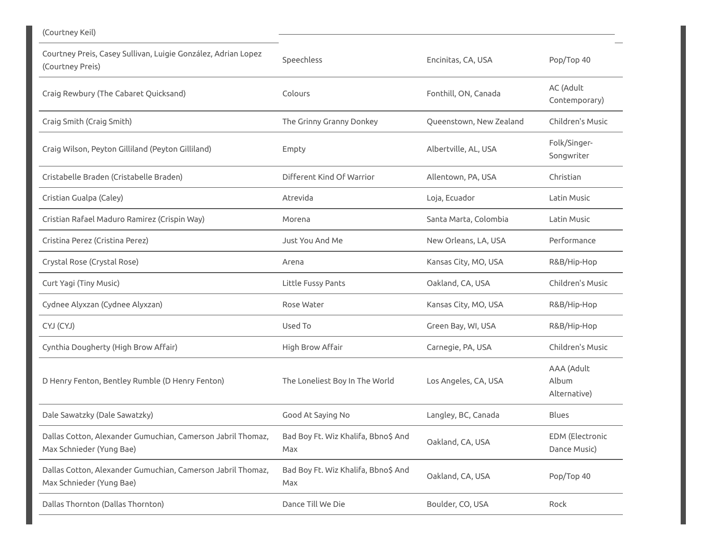| (Courtney Keil)                                                                         |                                            |                         |                                        |
|-----------------------------------------------------------------------------------------|--------------------------------------------|-------------------------|----------------------------------------|
| Courtney Preis, Casey Sullivan, Luigie González, Adrian Lopez<br>(Courtney Preis)       | Speechless                                 | Encinitas, CA, USA      | Pop/Top 40                             |
| Craig Rewbury (The Cabaret Quicksand)                                                   | Colours                                    | Fonthill, ON, Canada    | AC (Adult<br>Contemporary)             |
| Craig Smith (Craig Smith)                                                               | The Grinny Granny Donkey                   | Queenstown, New Zealand | Children's Music                       |
| Craig Wilson, Peyton Gilliland (Peyton Gilliland)                                       | Empty                                      | Albertville, AL, USA    | Folk/Singer-<br>Songwriter             |
| Cristabelle Braden (Cristabelle Braden)                                                 | Different Kind Of Warrior                  | Allentown, PA, USA      | Christian                              |
| Cristian Gualpa (Caley)                                                                 | Atrevida                                   | Loja, Ecuador           | Latin Music                            |
| Cristian Rafael Maduro Ramirez (Crispin Way)                                            | Morena                                     | Santa Marta, Colombia   | Latin Music                            |
| Cristina Perez (Cristina Perez)                                                         | Just You And Me                            | New Orleans, LA, USA    | Performance                            |
| Crystal Rose (Crystal Rose)                                                             | Arena                                      | Kansas City, MO, USA    | R&B/Hip-Hop                            |
| Curt Yagi (Tiny Music)                                                                  | Little Fussy Pants                         | Oakland, CA, USA        | Children's Music                       |
| Cydnee Alyxzan (Cydnee Alyxzan)                                                         | Rose Water                                 | Kansas City, MO, USA    | R&B/Hip-Hop                            |
| CYJ (CYJ)                                                                               | Used To                                    | Green Bay, WI, USA      | R&B/Hip-Hop                            |
| Cynthia Dougherty (High Brow Affair)                                                    | High Brow Affair                           | Carnegie, PA, USA       | Children's Music                       |
| D Henry Fenton, Bentley Rumble (D Henry Fenton)                                         | The Loneliest Boy In The World             | Los Angeles, CA, USA    | AAA (Adult<br>Album<br>Alternative)    |
| Dale Sawatzky (Dale Sawatzky)                                                           | Good At Saying No                          | Langley, BC, Canada     | Blues                                  |
| Dallas Cotton, Alexander Gumuchian, Camerson Jabril Thomaz,<br>Max Schnieder (Yung Bae) | Bad Boy Ft. Wiz Khalifa, Bbno\$ And<br>Max | Oakland, CA, USA        | <b>EDM</b> (Electronic<br>Dance Music) |
| Dallas Cotton, Alexander Gumuchian, Camerson Jabril Thomaz,<br>Max Schnieder (Yung Bae) | Bad Boy Ft. Wiz Khalifa, Bbno\$ And<br>Max | Oakland, CA, USA        | Pop/Top 40                             |
| Dallas Thornton (Dallas Thornton)                                                       | Dance Till We Die                          | Boulder, CO, USA        | Rock                                   |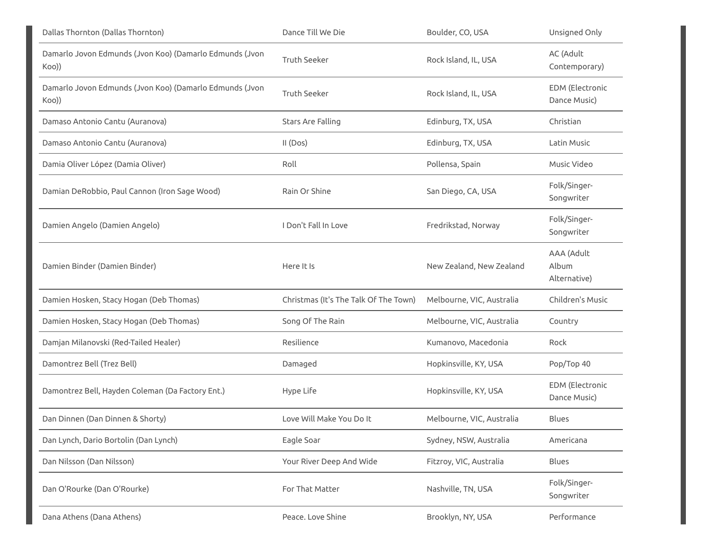| Dallas Thornton (Dallas Thornton)                                | Dance Till We Die                     | Boulder, CO, USA          | Unsigned Only                          |
|------------------------------------------------------------------|---------------------------------------|---------------------------|----------------------------------------|
| Damarlo Jovon Edmunds (Jvon Koo) (Damarlo Edmunds (Jvon<br>Koo)) | <b>Truth Seeker</b>                   | Rock Island, IL, USA      | AC (Adult<br>Contemporary)             |
| Damarlo Jovon Edmunds (Jvon Koo) (Damarlo Edmunds (Jvon<br>Koo)) | <b>Truth Seeker</b>                   | Rock Island, IL, USA      | EDM (Electronic<br>Dance Music)        |
| Damaso Antonio Cantu (Auranova)                                  | Stars Are Falling                     | Edinburg, TX, USA         | Christian                              |
| Damaso Antonio Cantu (Auranova)                                  | II (Dos)                              | Edinburg, TX, USA         | Latin Music                            |
| Damia Oliver López (Damia Oliver)                                | Roll                                  | Pollensa, Spain           | Music Video                            |
| Damian DeRobbio, Paul Cannon (Iron Sage Wood)                    | Rain Or Shine                         | San Diego, CA, USA        | Folk/Singer-<br>Songwriter             |
| Damien Angelo (Damien Angelo)                                    | I Don't Fall In Love                  | Fredrikstad, Norway       | Folk/Singer-<br>Songwriter             |
| Damien Binder (Damien Binder)                                    | Here It Is                            | New Zealand, New Zealand  | AAA (Adult<br>Album<br>Alternative)    |
| Damien Hosken, Stacy Hogan (Deb Thomas)                          | Christmas (It's The Talk Of The Town) | Melbourne, VIC, Australia | Children's Music                       |
| Damien Hosken, Stacy Hogan (Deb Thomas)                          | Song Of The Rain                      | Melbourne, VIC, Australia | Country                                |
| Damjan Milanovski (Red-Tailed Healer)                            | Resilience                            | Kumanovo, Macedonia       | Rock                                   |
| Damontrez Bell (Trez Bell)                                       | Damaged                               | Hopkinsville, KY, USA     | Pop/Top 40                             |
| Damontrez Bell, Hayden Coleman (Da Factory Ent.)                 | Hype Life                             | Hopkinsville, KY, USA     | <b>EDM</b> (Electronic<br>Dance Music) |
| Dan Dinnen (Dan Dinnen & Shorty)                                 | Love Will Make You Do It              | Melbourne, VIC, Australia | Blues                                  |
| Dan Lynch, Dario Bortolin (Dan Lynch)                            | Eagle Soar                            | Sydney, NSW, Australia    | Americana                              |
| Dan Nilsson (Dan Nilsson)                                        | Your River Deep And Wide              | Fitzroy, VIC, Australia   | Blues                                  |
| Dan O'Rourke (Dan O'Rourke)                                      | For That Matter                       | Nashville, TN, USA        | Folk/Singer-<br>Songwriter             |
| Dana Athens (Dana Athens)                                        | Peace. Love Shine                     | Brooklyn, NY, USA         | Performance                            |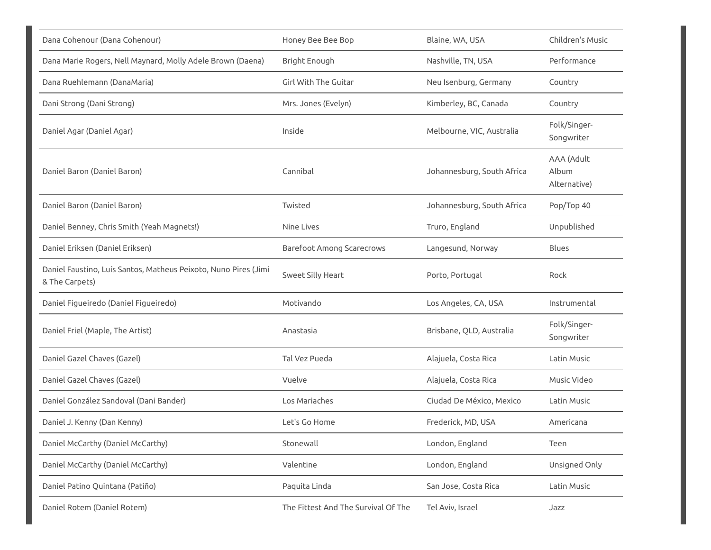| Dana Cohenour (Dana Cohenour)                                                     | Honey Bee Bee Bop                   | Blaine, WA, USA            | Children's Music                    |
|-----------------------------------------------------------------------------------|-------------------------------------|----------------------------|-------------------------------------|
| Dana Marie Rogers, Nell Maynard, Molly Adele Brown (Daena)                        | Bright Enough                       | Nashville, TN, USA         | Performance                         |
| Dana Ruehlemann (DanaMaria)                                                       | Girl With The Guitar                | Neu Isenburg, Germany      | Country                             |
| Dani Strong (Dani Strong)                                                         | Mrs. Jones (Evelyn)                 | Kimberley, BC, Canada      | Country                             |
| Daniel Agar (Daniel Agar)                                                         | Inside                              | Melbourne, VIC, Australia  | Folk/Singer-<br>Songwriter          |
| Daniel Baron (Daniel Baron)                                                       | Cannibal                            | Johannesburg, South Africa | AAA (Adult<br>Album<br>Alternative) |
| Daniel Baron (Daniel Baron)                                                       | Twisted                             | Johannesburg, South Africa | Pop/Top 40                          |
| Daniel Benney, Chris Smith (Yeah Magnets!)                                        | Nine Lives                          | Truro, England             | Unpublished                         |
| Daniel Eriksen (Daniel Eriksen)                                                   | <b>Barefoot Among Scarecrows</b>    | Langesund, Norway          | <b>Blues</b>                        |
| Daniel Faustino, Luís Santos, Matheus Peixoto, Nuno Pires (Jimi<br>& The Carpets) | Sweet Silly Heart                   | Porto, Portugal            | Rock                                |
| Daniel Figueiredo (Daniel Figueiredo)                                             | Motivando                           | Los Angeles, CA, USA       | Instrumental                        |
| Daniel Friel (Maple, The Artist)                                                  | Anastasia                           | Brisbane, QLD, Australia   | Folk/Singer-<br>Songwriter          |
| Daniel Gazel Chaves (Gazel)                                                       | Tal Vez Pueda                       | Alajuela, Costa Rica       | Latin Music                         |
| Daniel Gazel Chaves (Gazel)                                                       | Vuelve                              | Alajuela, Costa Rica       | Music Video                         |
| Daniel González Sandoval (Dani Bander)                                            | Los Mariaches                       | Ciudad De México, Mexico   | Latin Music                         |
| Daniel J. Kenny (Dan Kenny)                                                       | Let's Go Home                       | Frederick, MD, USA         | Americana                           |
| Daniel McCarthy (Daniel McCarthy)                                                 | Stonewall                           | London, England            | Teen                                |
| Daniel McCarthy (Daniel McCarthy)                                                 | Valentine                           | London, England            | Unsigned Only                       |
| Daniel Patino Quintana (Patiño)                                                   | Paquita Linda                       | San Jose, Costa Rica       | Latin Music                         |
| Daniel Rotem (Daniel Rotem)                                                       | The Fittest And The Survival Of The | Tel Aviv, Israel           | Jazz                                |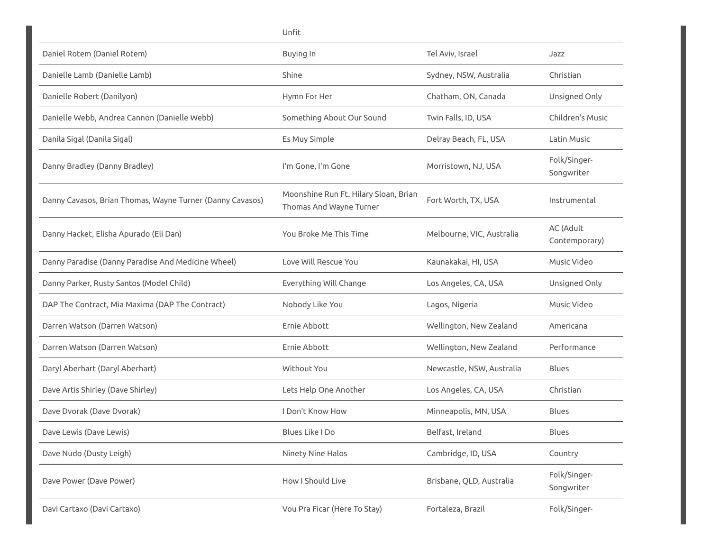|                                                           | Unfit                                                            |                           |                            |
|-----------------------------------------------------------|------------------------------------------------------------------|---------------------------|----------------------------|
| Daniel Rotem (Daniel Rotem)                               | Buying In                                                        | Tel Aviv, Israel          | Jazz                       |
| Danielle Lamb (Danielle Lamb)                             | Shine                                                            | Sydney, NSW, Australia    | Christian                  |
| Danielle Robert (Danilyon)                                | Hymn For Her                                                     | Chatham, ON, Canada       | Unsigned Only              |
| Danielle Webb, Andrea Cannon (Danielle Webb)              | Something About Our Sound                                        | Twin Falls, ID, USA       | Children's Music           |
| Danila Sigal (Danila Sigal)                               | Es Muy Simple                                                    | Delray Beach, FL, USA     | Latin Music                |
| Danny Bradley (Danny Bradley)                             | I'm Gone, I'm Gone                                               | Morristown, NJ, USA       | Folk/Singer-<br>Songwriter |
| Danny Cavasos, Brian Thomas, Wayne Turner (Danny Cavasos) | Moonshine Run Ft. Hilary Sloan, Brian<br>Thomas And Wayne Turner | Fort Worth, TX, USA       | Instrumental               |
| Danny Hacket, Elisha Apurado (Eli Dan)                    | You Broke Me This Time                                           | Melbourne, VIC, Australia | AC (Adult<br>Contemporary) |
| Danny Paradise (Danny Paradise And Medicine Wheel)        | Love Will Rescue You                                             | Kaunakakai, HI, USA       | Music Video                |
| Danny Parker, Rusty Santos (Model Child)                  | Everything Will Change                                           | Los Angeles, CA, USA      | Unsigned Only              |
| DAP The Contract, Mia Maxima (DAP The Contract)           | Nobody Like You                                                  | Lagos, Nigeria            | Music Video                |
| Darren Watson (Darren Watson)                             | Ernie Abbott                                                     | Wellington, New Zealand   | Americana                  |
| Darren Watson (Darren Watson)                             | Ernie Abbott                                                     | Wellington, New Zealand   | Performance                |
| Daryl Aberhart (Daryl Aberhart)                           | Without You                                                      | Newcastle, NSW, Australia | Blues                      |
| Dave Artis Shirley (Dave Shirley)                         | Lets Help One Another                                            | Los Angeles, CA, USA      | Christian                  |
| Dave Dvorak (Dave Dvorak)                                 | I Don't Know How                                                 | Minneapolis, MN, USA      | Blues                      |
| Dave Lewis (Dave Lewis)                                   | Blues Like I Do                                                  | Belfast, Ireland          | Blues                      |
| Dave Nudo (Dusty Leigh)                                   | Ninety Nine Halos                                                | Cambridge, ID, USA        | Country                    |
| Dave Power (Dave Power)                                   | How I Should Live                                                | Brisbane, QLD, Australia  | Folk/Singer-<br>Songwriter |
| Davi Cartaxo (Davi Cartaxo)                               | Vou Pra Ficar (Here To Stay)                                     | Fortaleza, Brazil         | Folk/Singer-               |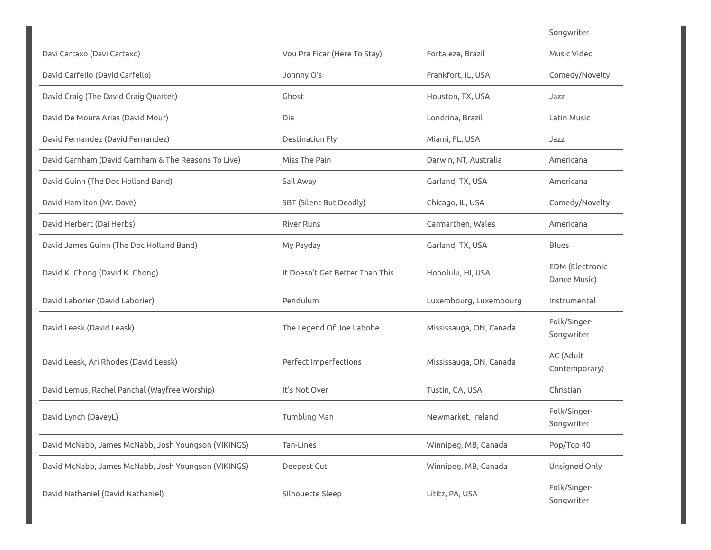Songwriter

| Davi Cartaxo (Davi Cartaxo)                         | Vou Pra Ficar (Here To Stay)    | Fortaleza, Brazil       | Music Video                            |
|-----------------------------------------------------|---------------------------------|-------------------------|----------------------------------------|
| David Carfello (David Carfello)                     | Johnny O's                      | Frankfort, IL, USA      | Comedy/Novelty                         |
| David Craig (The David Craig Quartet)               | Ghost                           | Houston, TX, USA        | Jazz                                   |
| David De Moura Arias (David Mour)                   | Dia                             | Londrina, Brazil        | Latin Music                            |
| David Fernandez (David Fernandez)                   | Destination Fly                 | Miami, FL, USA          | Jazz                                   |
| David Garnham (David Garnham & The Reasons To Live) | Miss The Pain                   | Darwin, NT, Australia   | Americana                              |
| David Guinn (The Doc Holland Band)                  | Sail Away                       | Garland, TX, USA        | Americana                              |
| David Hamilton (Mr. Dave)                           | SBT (Silent But Deadly)         | Chicago, IL, USA        | Comedy/Novelty                         |
| David Herbert (Dai Herbs)                           | <b>River Runs</b>               | Carmarthen, Wales       | Americana                              |
| David James Guinn (The Doc Holland Band)            | My Payday                       | Garland, TX, USA        | <b>Blues</b>                           |
| David K. Chong (David K. Chong)                     | It Doesn't Get Better Than This | Honolulu, HI, USA       | <b>EDM</b> (Electronic<br>Dance Music) |
| David Laborier (David Laborier)                     | Pendulum                        | Luxembourg, Luxembourg  | Instrumental                           |
| David Leask (David Leask)                           | The Legend Of Joe Labobe        | Mississauga, ON, Canada | Folk/Singer-<br>Songwriter             |
| David Leask, Ari Rhodes (David Leask)               | Perfect Imperfections           | Mississauga, ON, Canada | AC (Adult<br>Contemporary)             |
| David Lemus, Rachel Panchal (Wayfree Worship)       | It's Not Over                   | Tustin, CA, USA         | Christian                              |
| David Lynch (DaveyL)                                | Tumbling Man                    | Newmarket, Ireland      | Folk/Singer-<br>Songwriter             |
| David McNabb, James McNabb, Josh Youngson (VIKINGS) | Tan-Lines                       | Winnipeg, MB, Canada    | Pop/Top 40                             |
| David McNabb, James McNabb, Josh Youngson (VIKINGS) | Deepest Cut                     | Winnipeg, MB, Canada    | Unsigned Only                          |
| David Nathaniel (David Nathaniel)                   | Silhouette Sleep                | Lititz, PA, USA         | Folk/Singer-<br>Songwriter             |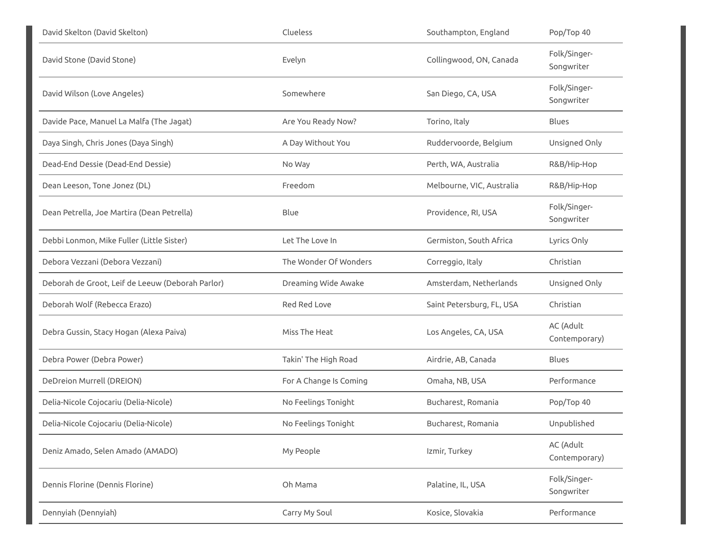| David Skelton (David Skelton)                    | Clueless               | Southampton, England      | Pop/Top 40                 |
|--------------------------------------------------|------------------------|---------------------------|----------------------------|
| David Stone (David Stone)                        | Evelyn                 | Collingwood, ON, Canada   | Folk/Singer-<br>Songwriter |
| David Wilson (Love Angeles)                      | Somewhere              | San Diego, CA, USA        | Folk/Singer-<br>Songwriter |
| Davide Pace, Manuel La Malfa (The Jagat)         | Are You Ready Now?     | Torino, Italy             | <b>Blues</b>               |
| Daya Singh, Chris Jones (Daya Singh)             | A Day Without You      | Ruddervoorde, Belgium     | Unsigned Only              |
| Dead-End Dessie (Dead-End Dessie)                | No Way                 | Perth, WA, Australia      | R&B/Hip-Hop                |
| Dean Leeson, Tone Jonez (DL)                     | Freedom                | Melbourne, VIC, Australia | R&B/Hip-Hop                |
| Dean Petrella, Joe Martira (Dean Petrella)       | Blue                   | Providence, RI, USA       | Folk/Singer-<br>Songwriter |
| Debbi Lonmon, Mike Fuller (Little Sister)        | Let The Love In        | Germiston, South Africa   | Lyrics Only                |
| Debora Vezzani (Debora Vezzani)                  | The Wonder Of Wonders  | Correggio, Italy          | Christian                  |
| Deborah de Groot, Leif de Leeuw (Deborah Parlor) | Dreaming Wide Awake    | Amsterdam, Netherlands    | Unsigned Only              |
| Deborah Wolf (Rebecca Erazo)                     | <b>Red Red Love</b>    | Saint Petersburg, FL, USA | Christian                  |
| Debra Gussin, Stacy Hogan (Alexa Paiva)          | Miss The Heat          | Los Angeles, CA, USA      | AC (Adult<br>Contemporary) |
| Debra Power (Debra Power)                        | Takin' The High Road   | Airdrie, AB, Canada       | <b>Blues</b>               |
| DeDreion Murrell (DREION)                        | For A Change Is Coming | Omaha, NB, USA            | Performance                |
| Delia-Nicole Cojocariu (Delia-Nicole)            | No Feelings Tonight    | Bucharest, Romania        | Pop/Top 40                 |
| Delia-Nicole Cojocariu (Delia-Nicole)            | No Feelings Tonight    | Bucharest, Romania        | Unpublished                |
| Deniz Amado, Selen Amado (AMADO)                 | My People              | Izmir, Turkey             | AC (Adult<br>Contemporary) |
| Dennis Florine (Dennis Florine)                  | Oh Mama                | Palatine, IL, USA         | Folk/Singer-<br>Songwriter |
| Dennyiah (Dennyiah)                              | Carry My Soul          | Kosice, Slovakia          | Performance                |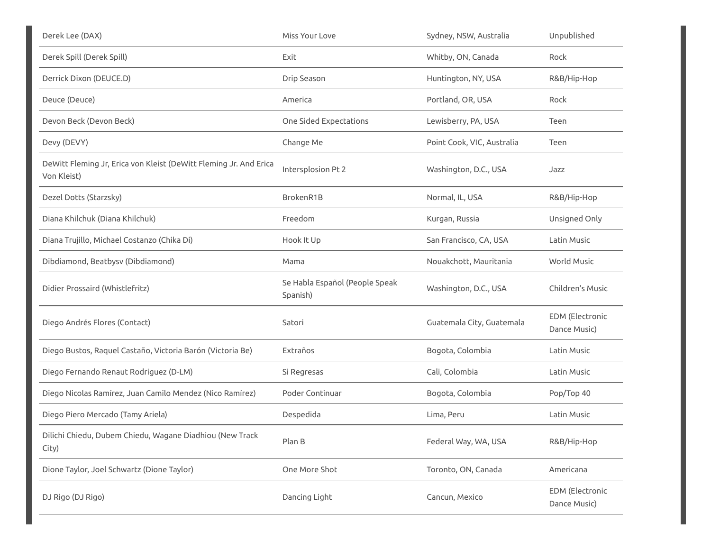| Derek Lee (DAX)                                                                  | Miss Your Love                             | Sydney, NSW, Australia     | Unpublished                            |
|----------------------------------------------------------------------------------|--------------------------------------------|----------------------------|----------------------------------------|
| Derek Spill (Derek Spill)                                                        | Exit                                       | Whitby, ON, Canada         | Rock                                   |
| Derrick Dixon (DEUCE.D)                                                          | Drip Season                                | Huntington, NY, USA        | R&B/Hip-Hop                            |
| Deuce (Deuce)                                                                    | America                                    | Portland, OR, USA          | Rock                                   |
| Devon Beck (Devon Beck)                                                          | One Sided Expectations                     | Lewisberry, PA, USA        | Teen                                   |
| Devy (DEVY)                                                                      | Change Me                                  | Point Cook, VIC, Australia | Teen                                   |
| DeWitt Fleming Jr, Erica von Kleist (DeWitt Fleming Jr. And Erica<br>Von Kleist) | Intersplosion Pt 2                         | Washington, D.C., USA      | Jazz                                   |
| Dezel Dotts (Starzsky)                                                           | BrokenR1B                                  | Normal, IL, USA            | R&B/Hip-Hop                            |
| Diana Khilchuk (Diana Khilchuk)                                                  | Freedom                                    | Kurgan, Russia             | Unsigned Only                          |
| Diana Trujillo, Michael Costanzo (Chika Di)                                      | Hook It Up                                 | San Francisco, CA, USA     | Latin Music                            |
| Dibdiamond, Beatbysv (Dibdiamond)                                                | Mama                                       | Nouakchott, Mauritania     | World Music                            |
| Didier Prossaird (Whistlefritz)                                                  | Se Habla Español (People Speak<br>Spanish) | Washington, D.C., USA      | Children's Music                       |
| Diego Andrés Flores (Contact)                                                    | Satori                                     | Guatemala City, Guatemala  | <b>EDM</b> (Electronic<br>Dance Music) |
| Diego Bustos, Raquel Castaño, Victoria Barón (Victoria Be)                       | Extraños                                   | Bogota, Colombia           | Latin Music                            |
| Diego Fernando Renaut Rodriguez (D-LM)                                           | Si Regresas                                | Cali, Colombia             | Latin Music                            |
| Diego Nicolas Ramírez, Juan Camilo Mendez (Nico Ramírez)                         | Poder Continuar                            | Bogota, Colombia           | Pop/Top 40                             |
| Diego Piero Mercado (Tamy Ariela)                                                | Despedida                                  | Lima, Peru                 | Latin Music                            |
| Dilichi Chiedu, Dubem Chiedu, Wagane Diadhiou (New Track<br>City)                | Plan B                                     | Federal Way, WA, USA       | R&B/Hip-Hop                            |
| Dione Taylor, Joel Schwartz (Dione Taylor)                                       | One More Shot                              | Toronto, ON, Canada        | Americana                              |
| DJ Rigo (DJ Rigo)                                                                | Dancing Light                              | Cancun, Mexico             | EDM (Electronic<br>Dance Music)        |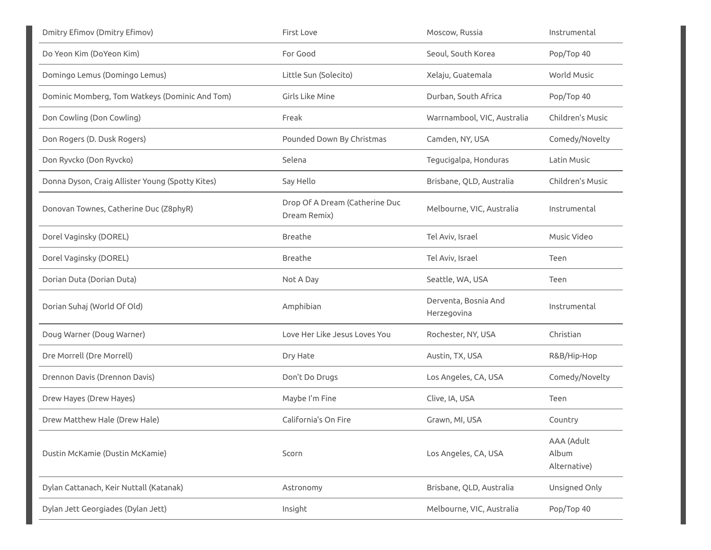| <b>Dmitry Efimov (Dmitry Efimov)</b>             | <b>First Love</b>                              | Moscow, Russia                      | Instrumental                        |
|--------------------------------------------------|------------------------------------------------|-------------------------------------|-------------------------------------|
| Do Yeon Kim (DoYeon Kim)                         | For Good                                       | Seoul, South Korea                  | Pop/Top 40                          |
| Domingo Lemus (Domingo Lemus)                    | Little Sun (Solecito)                          | Xelaju, Guatemala                   | World Music                         |
| Dominic Momberg, Tom Watkeys (Dominic And Tom)   | Girls Like Mine                                | Durban, South Africa                | Pop/Top 40                          |
| Don Cowling (Don Cowling)                        | Freak                                          | Warrnambool, VIC, Australia         | Children's Music                    |
| Don Rogers (D. Dusk Rogers)                      | Pounded Down By Christmas                      | Camden, NY, USA                     | Comedy/Novelty                      |
| Don Ryvcko (Don Ryvcko)                          | Selena                                         | Tegucigalpa, Honduras               | Latin Music                         |
| Donna Dyson, Craig Allister Young (Spotty Kites) | Say Hello                                      | Brisbane, QLD, Australia            | Children's Music                    |
| Donovan Townes, Catherine Duc (Z8phyR)           | Drop Of A Dream (Catherine Duc<br>Dream Remix) | Melbourne, VIC, Australia           | Instrumental                        |
| Dorel Vaginsky (DOREL)                           | Breathe                                        | Tel Aviv, Israel                    | Music Video                         |
| Dorel Vaginsky (DOREL)                           | Breathe                                        | Tel Aviv, Israel                    | Teen                                |
|                                                  |                                                |                                     |                                     |
| Dorian Duta (Dorian Duta)                        | Not A Day                                      | Seattle, WA, USA                    | Teen                                |
| Dorian Suhaj (World Of Old)                      | Amphibian                                      | Derventa, Bosnia And<br>Herzegovina | Instrumental                        |
| Doug Warner (Doug Warner)                        | Love Her Like Jesus Loves You                  | Rochester, NY, USA                  | Christian                           |
| Dre Morrell (Dre Morrell)                        | Dry Hate                                       | Austin, TX, USA                     | R&B/Hip-Hop                         |
| Drennon Davis (Drennon Davis)                    | Don't Do Drugs                                 | Los Angeles, CA, USA                | Comedy/Novelty                      |
| Drew Hayes (Drew Hayes)                          | Maybe I'm Fine                                 | Clive, IA, USA                      | Teen                                |
| Drew Matthew Hale (Drew Hale)                    | California's On Fire                           | Grawn, MI, USA                      | Country                             |
| Dustin McKamie (Dustin McKamie)                  | Scorn                                          | Los Angeles, CA, USA                | AAA (Adult<br>Album<br>Alternative) |
| Dylan Cattanach, Keir Nuttall (Katanak)          | Astronomy                                      | Brisbane, QLD, Australia            | Unsigned Only                       |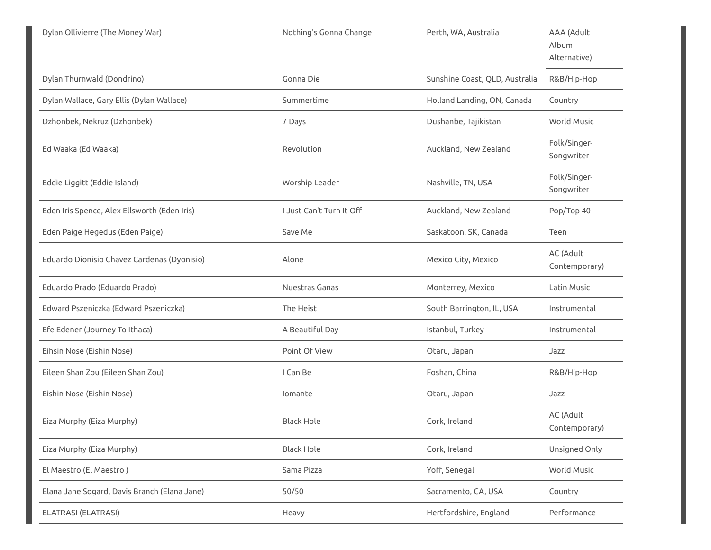| Dylan Ollivierre (The Money War)             | Nothing's Gonna Change   | Perth, WA, Australia           | AAA (Adult<br>Album<br>Alternative) |
|----------------------------------------------|--------------------------|--------------------------------|-------------------------------------|
| Dylan Thurnwald (Dondrino)                   | Gonna Die                | Sunshine Coast, QLD, Australia | R&B/Hip-Hop                         |
| Dylan Wallace, Gary Ellis (Dylan Wallace)    | Summertime               | Holland Landing, ON, Canada    | Country                             |
| Dzhonbek, Nekruz (Dzhonbek)                  | 7 Days                   | Dushanbe, Tajikistan           | World Music                         |
| Ed Waaka (Ed Waaka)                          | Revolution               | Auckland, New Zealand          | Folk/Singer-<br>Songwriter          |
| Eddie Liggitt (Eddie Island)                 | Worship Leader           | Nashville, TN, USA             | Folk/Singer-<br>Songwriter          |
| Eden Iris Spence, Alex Ellsworth (Eden Iris) | I Just Can't Turn It Off | Auckland, New Zealand          | Pop/Top 40                          |
| Eden Paige Hegedus (Eden Paige)              | Save Me                  | Saskatoon, SK, Canada          | Teen                                |
| Eduardo Dionisio Chavez Cardenas (Dyonisio)  | Alone                    | Mexico City, Mexico            | AC (Adult<br>Contemporary)          |
| Eduardo Prado (Eduardo Prado)                | Nuestras Ganas           | Monterrey, Mexico              | Latin Music                         |
| Edward Pszeniczka (Edward Pszeniczka)        | The Heist                | South Barrington, IL, USA      | Instrumental                        |
| Efe Edener (Journey To Ithaca)               | A Beautiful Day          | Istanbul, Turkey               | Instrumental                        |
| Eihsin Nose (Eishin Nose)                    | Point Of View            | Otaru, Japan                   | Jazz                                |
| Eileen Shan Zou (Eileen Shan Zou)            | I Can Be                 | Foshan, China                  | R&B/Hip-Hop                         |
| Eishin Nose (Eishin Nose)                    | lomante                  | Otaru, Japan                   | Jazz                                |
| Eiza Murphy (Eiza Murphy)                    | <b>Black Hole</b>        | Cork, Ireland                  | AC (Adult<br>Contemporary)          |
| Eiza Murphy (Eiza Murphy)                    | <b>Black Hole</b>        | Cork, Ireland                  | Unsigned Only                       |
| El Maestro (El Maestro)                      | Sama Pizza               | Yoff, Senegal                  | World Music                         |
| Elana Jane Sogard, Davis Branch (Elana Jane) | 50/50                    | Sacramento, CA, USA            | Country                             |
| ELATRASI (ELATRASI)                          | Heavy                    | Hertfordshire, England         | Performance                         |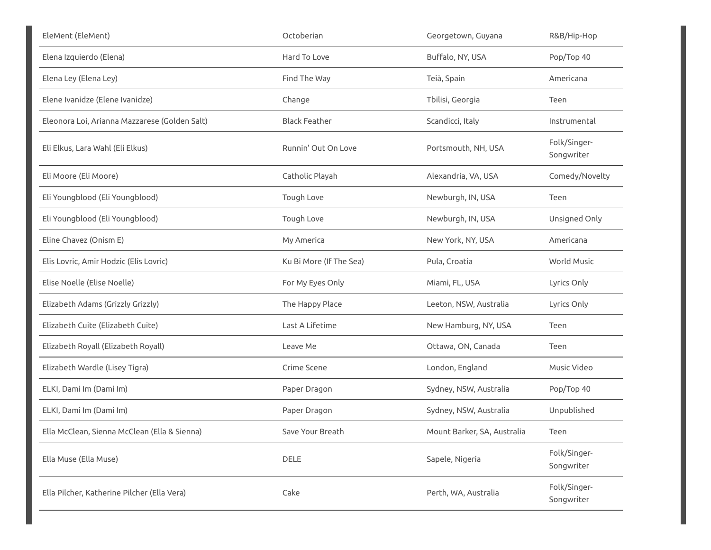| EleMent (EleMent)                             | Octoberian              | Georgetown, Guyana          | R&B/Hip-Hop                |
|-----------------------------------------------|-------------------------|-----------------------------|----------------------------|
| Elena Izquierdo (Elena)                       | Hard To Love            | Buffalo, NY, USA            | Pop/Top 40                 |
| Elena Ley (Elena Ley)                         | Find The Way            | Teià, Spain                 | Americana                  |
| Elene Ivanidze (Elene Ivanidze)               | Change                  | Tbilisi, Georgia            | Teen                       |
| Eleonora Loi, Arianna Mazzarese (Golden Salt) | <b>Black Feather</b>    | Scandicci, Italy            | Instrumental               |
| Eli Elkus, Lara Wahl (Eli Elkus)              | Runnin' Out On Love     | Portsmouth, NH, USA         | Folk/Singer-<br>Songwriter |
| Eli Moore (Eli Moore)                         | Catholic Playah         | Alexandria, VA, USA         | Comedy/Novelty             |
| Eli Youngblood (Eli Youngblood)               | Tough Love              | Newburgh, IN, USA           | Teen                       |
| Eli Youngblood (Eli Youngblood)               | Tough Love              | Newburgh, IN, USA           | Unsigned Only              |
| Eline Chavez (Onism E)                        | My America              | New York, NY, USA           | Americana                  |
| Elis Lovric, Amir Hodzic (Elis Lovric)        | Ku Bi More (If The Sea) | Pula, Croatia               | World Music                |
| Elise Noelle (Elise Noelle)                   | For My Eyes Only        | Miami, FL, USA              | Lyrics Only                |
| Elizabeth Adams (Grizzly Grizzly)             | The Happy Place         | Leeton, NSW, Australia      | Lyrics Only                |
| Elizabeth Cuite (Elizabeth Cuite)             | Last A Lifetime         | New Hamburg, NY, USA        | Teen                       |
| Elizabeth Royall (Elizabeth Royall)           | Leave Me                | Ottawa, ON, Canada          | Teen                       |
| Elizabeth Wardle (Lisey Tigra)                | Crime Scene             | London, England             | Music Video                |
| ELKI, Dami Im (Dami Im)                       | Paper Dragon            | Sydney, NSW, Australia      | Pop/Top 40                 |
| ELKI, Dami Im (Dami Im)                       | Paper Dragon            | Sydney, NSW, Australia      | Unpublished                |
| Ella McClean, Sienna McClean (Ella & Sienna)  | Save Your Breath        | Mount Barker, SA, Australia | Teen                       |
| Ella Muse (Ella Muse)                         | DELE                    | Sapele, Nigeria             | Folk/Singer-<br>Songwriter |
| Ella Pilcher, Katherine Pilcher (Ella Vera)   | Cake                    | Perth, WA, Australia        | Folk/Singer-<br>Songwriter |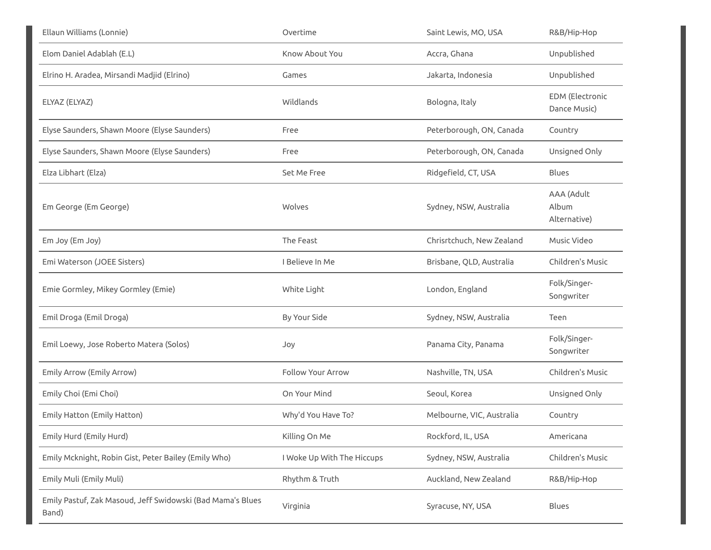| Ellaun Williams (Lonnie)                                            | Overtime                   | Saint Lewis, MO, USA      | R&B/Hip-Hop                         |
|---------------------------------------------------------------------|----------------------------|---------------------------|-------------------------------------|
| Elom Daniel Adablah (E.L)                                           | Know About You             | Accra, Ghana              | Unpublished                         |
| Elrino H. Aradea, Mirsandi Madjid (Elrino)                          | Games                      | Jakarta, Indonesia        | Unpublished                         |
| ELYAZ (ELYAZ)                                                       | Wildlands                  | Bologna, Italy            | EDM (Electronic<br>Dance Music)     |
| Elyse Saunders, Shawn Moore (Elyse Saunders)                        | Free                       | Peterborough, ON, Canada  | Country                             |
| Elyse Saunders, Shawn Moore (Elyse Saunders)                        | Free                       | Peterborough, ON, Canada  | Unsigned Only                       |
| Elza Libhart (Elza)                                                 | Set Me Free                | Ridgefield, CT, USA       | <b>Blues</b>                        |
| Em George (Em George)                                               | <b>Wolves</b>              | Sydney, NSW, Australia    | AAA (Adult<br>Album<br>Alternative) |
| Em Joy (Em Joy)                                                     | The Feast                  | Chrisrtchuch, New Zealand | Music Video                         |
| Emi Waterson (JOEE Sisters)                                         | I Believe In Me            | Brisbane, QLD, Australia  | Children's Music                    |
| Emie Gormley, Mikey Gormley (Emie)                                  | White Light                | London, England           | Folk/Singer-<br>Songwriter          |
| Emil Droga (Emil Droga)                                             | By Your Side               | Sydney, NSW, Australia    | Teen                                |
| Emil Loewy, Jose Roberto Matera (Solos)                             | Joy                        | Panama City, Panama       | Folk/Singer-<br>Songwriter          |
| Emily Arrow (Emily Arrow)                                           | <b>Follow Your Arrow</b>   | Nashville, TN, USA        | Children's Music                    |
| Emily Choi (Emi Choi)                                               | On Your Mind               | Seoul, Korea              | Unsigned Only                       |
| Emily Hatton (Emily Hatton)                                         | Why'd You Have To?         | Melbourne, VIC, Australia | Country                             |
| Emily Hurd (Emily Hurd)                                             | Killing On Me              | Rockford, IL, USA         | Americana                           |
| Emily Mcknight, Robin Gist, Peter Bailey (Emily Who)                | I Woke Up With The Hiccups | Sydney, NSW, Australia    | Children's Music                    |
| Emily Muli (Emily Muli)                                             | Rhythm & Truth             | Auckland, New Zealand     | R&B/Hip-Hop                         |
| Emily Pastuf, Zak Masoud, Jeff Swidowski (Bad Mama's Blues<br>Band) | Virginia                   | Syracuse, NY, USA         | Blues                               |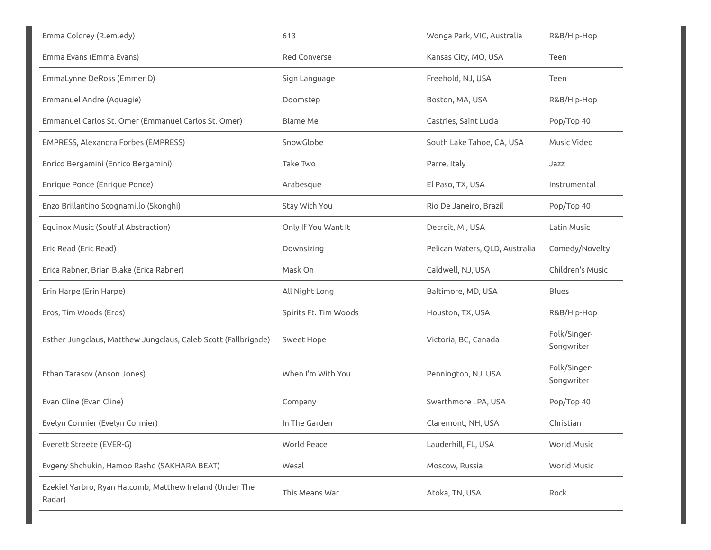| Emma Coldrey (R.em.edy)                                            | 613                   | Wonga Park, VIC, Australia     | R&B/Hip-Hop                |
|--------------------------------------------------------------------|-----------------------|--------------------------------|----------------------------|
| Emma Evans (Emma Evans)                                            | Red Converse          | Kansas City, MO, USA           | Teen                       |
| EmmaLynne DeRoss (Emmer D)                                         | Sign Language         | Freehold, NJ, USA              | Teen                       |
| Emmanuel Andre (Aquagie)                                           | Doomstep              | Boston, MA, USA                | R&B/Hip-Hop                |
| Emmanuel Carlos St. Omer (Emmanuel Carlos St. Omer)                | <b>Blame Me</b>       | Castries, Saint Lucia          | Pop/Top 40                 |
| EMPRESS, Alexandra Forbes (EMPRESS)                                | SnowGlobe             | South Lake Tahoe, CA, USA      | Music Video                |
| Enrico Bergamini (Enrico Bergamini)                                | Take Two              | Parre, Italy                   | Jazz                       |
| Enrique Ponce (Enrique Ponce)                                      | Arabesque             | El Paso, TX, USA               | Instrumental               |
| Enzo Brillantino Scognamillo (Skonghi)                             | Stay With You         | Rio De Janeiro, Brazil         | Pop/Top 40                 |
| Equinox Music (Soulful Abstraction)                                | Only If You Want It   | Detroit, MI, USA               | Latin Music                |
| Eric Read (Eric Read)                                              | Downsizing            | Pelican Waters, QLD, Australia | Comedy/Novelty             |
| Erica Rabner, Brian Blake (Erica Rabner)                           | Mask On               | Caldwell, NJ, USA              | Children's Music           |
| Erin Harpe (Erin Harpe)                                            | All Night Long        | Baltimore, MD, USA             | <b>Blues</b>               |
| Eros, Tim Woods (Eros)                                             | Spirits Ft. Tim Woods | Houston, TX, USA               | R&B/Hip-Hop                |
| Esther Jungclaus, Matthew Jungclaus, Caleb Scott (Fallbrigade)     | Sweet Hope            | Victoria, BC, Canada           | Folk/Singer-<br>Songwriter |
| Ethan Tarasov (Anson Jones)                                        | When I'm With You     | Pennington, NJ, USA            | Folk/Singer-<br>Songwriter |
| Evan Cline (Evan Cline)                                            | Company               | Swarthmore, PA, USA            | Pop/Top 40                 |
| Evelyn Cormier (Evelyn Cormier)                                    | In The Garden         | Claremont, NH, USA             | Christian                  |
| Everett Streete (EVER-G)                                           | World Peace           | Lauderhill, FL, USA            | World Music                |
| Evgeny Shchukin, Hamoo Rashd (SAKHARA BEAT)                        | Wesal                 | Moscow, Russia                 | World Music                |
| Ezekiel Yarbro, Ryan Halcomb, Matthew Ireland (Under The<br>Radar) | This Means War        | Atoka, TN, USA                 | Rock                       |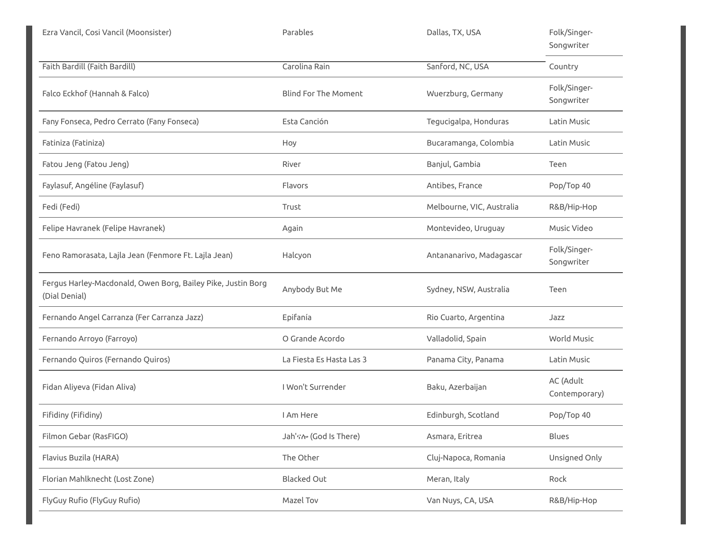| Ezra Vancil, Cosi Vancil (Moonsister)                                         | Parables                    | Dallas, TX, USA           | Folk/Singer-<br>Songwriter |
|-------------------------------------------------------------------------------|-----------------------------|---------------------------|----------------------------|
| Faith Bardill (Faith Bardill)                                                 | Carolina Rain               | Sanford, NC, USA          | Country                    |
| Falco Eckhof (Hannah & Falco)                                                 | <b>Blind For The Moment</b> | Wuerzburg, Germany        | Folk/Singer-<br>Songwriter |
| Fany Fonseca, Pedro Cerrato (Fany Fonseca)                                    | Esta Canción                | Tegucigalpa, Honduras     | Latin Music                |
| Fatiniza (Fatiniza)                                                           | Hoy                         | Bucaramanga, Colombia     | Latin Music                |
| Fatou Jeng (Fatou Jeng)                                                       | River                       | Banjul, Gambia            | Teen                       |
| Faylasuf, Angéline (Faylasuf)                                                 | Flavors                     | Antibes, France           | Pop/Top 40                 |
| Fedi (Fedi)                                                                   | Trust                       | Melbourne, VIC, Australia | R&B/Hip-Hop                |
| Felipe Havranek (Felipe Havranek)                                             | Again                       | Montevideo, Uruguay       | Music Video                |
| Feno Ramorasata, Lajla Jean (Fenmore Ft. Lajla Jean)                          | Halcyon                     | Antananarivo, Madagascar  | Folk/Singer-<br>Songwriter |
| Fergus Harley-Macdonald, Owen Borg, Bailey Pike, Justin Borg<br>(Dial Denial) | Anybody But Me              | Sydney, NSW, Australia    | Teen                       |
| Fernando Angel Carranza (Fer Carranza Jazz)                                   | Epifanía                    | Rio Cuarto, Argentina     | Jazz                       |
| Fernando Arroyo (Farroyo)                                                     | O Grande Acordo             | Valladolid, Spain         | <b>World Music</b>         |
| Fernando Quiros (Fernando Quiros)                                             | La Fiesta Es Hasta Las 3    | Panama City, Panama       | Latin Music                |
| Fidan Aliyeva (Fidan Aliva)                                                   | I Won't Surrender           | Baku, Azerbaijan          | AC (Adult<br>Contemporary) |
| Fifidiny (Fifidiny)                                                           | I Am Here                   | Edinburgh, Scotland       | Pop/Top 40                 |
| Filmon Gebar (RasFIGO)                                                        | Jah's No (God Is There)     | Asmara, Eritrea           | Blues                      |
| Flavius Buzila (HARA)                                                         | The Other                   | Cluj-Napoca, Romania      | Unsigned Only              |
| Florian Mahlknecht (Lost Zone)                                                | <b>Blacked Out</b>          | Meran, Italy              | Rock                       |
| FlyGuy Rufio (FlyGuy Rufio)                                                   | Mazel Tov                   | Van Nuys, CA, USA         | R&B/Hip-Hop                |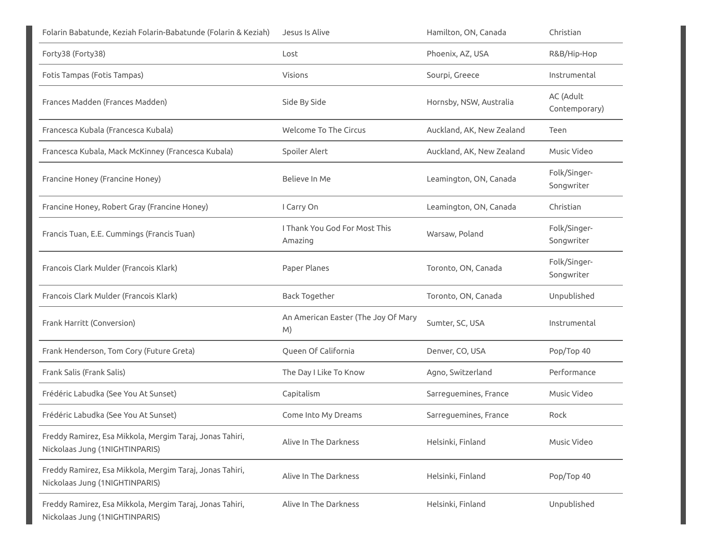| Folarin Babatunde, Keziah Folarin-Babatunde (Folarin & Keziah)                             | Jesus Is Alive                                  | Hamilton, ON, Canada      | Christian                  |
|--------------------------------------------------------------------------------------------|-------------------------------------------------|---------------------------|----------------------------|
| Forty38 (Forty38)                                                                          | Lost                                            | Phoenix, AZ, USA          | R&B/Hip-Hop                |
| Fotis Tampas (Fotis Tampas)                                                                | <b>Visions</b>                                  | Sourpi, Greece            | Instrumental               |
| Frances Madden (Frances Madden)                                                            | Side By Side                                    | Hornsby, NSW, Australia   | AC (Adult<br>Contemporary) |
| Francesca Kubala (Francesca Kubala)                                                        | <b>Welcome To The Circus</b>                    | Auckland, AK, New Zealand | Teen                       |
| Francesca Kubala, Mack McKinney (Francesca Kubala)                                         | Spoiler Alert                                   | Auckland, AK, New Zealand | Music Video                |
| Francine Honey (Francine Honey)                                                            | Believe In Me                                   | Leamington, ON, Canada    | Folk/Singer-<br>Songwriter |
| Francine Honey, Robert Gray (Francine Honey)                                               | I Carry On                                      | Leamington, ON, Canada    | Christian                  |
| Francis Tuan, E.E. Cummings (Francis Tuan)                                                 | <b>I Thank You God For Most This</b><br>Amazing | Warsaw, Poland            | Folk/Singer-<br>Songwriter |
| Francois Clark Mulder (Francois Klark)                                                     | Paper Planes                                    | Toronto, ON, Canada       | Folk/Singer-<br>Songwriter |
| Francois Clark Mulder (Francois Klark)                                                     | <b>Back Together</b>                            | Toronto, ON, Canada       | Unpublished                |
| Frank Harritt (Conversion)                                                                 | An American Easter (The Joy Of Mary<br>M)       | Sumter, SC, USA           | Instrumental               |
| Frank Henderson, Tom Cory (Future Greta)                                                   | Queen Of California                             | Denver, CO, USA           | Pop/Top 40                 |
| Frank Salis (Frank Salis)                                                                  | The Day I Like To Know                          | Agno, Switzerland         | Performance                |
| Frédéric Labudka (See You At Sunset)                                                       | Capitalism                                      | Sarreguemines, France     | Music Video                |
| Frédéric Labudka (See You At Sunset)                                                       | Come Into My Dreams                             | Sarreguemines, France     | Rock                       |
| Freddy Ramirez, Esa Mikkola, Mergim Taraj, Jonas Tahiri,<br>Nickolaas Jung (1NIGHTINPARIS) | Alive In The Darkness                           | Helsinki, Finland         | Music Video                |
| Freddy Ramirez, Esa Mikkola, Mergim Taraj, Jonas Tahiri,<br>Nickolaas Jung (1NIGHTINPARIS) | Alive In The Darkness                           | Helsinki, Finland         | Pop/Top 40                 |
| Freddy Ramirez, Esa Mikkola, Mergim Taraj, Jonas Tahiri,<br>Nickolaas Jung (1NIGHTINPARIS) | Alive In The Darkness                           | Helsinki, Finland         | Unpublished                |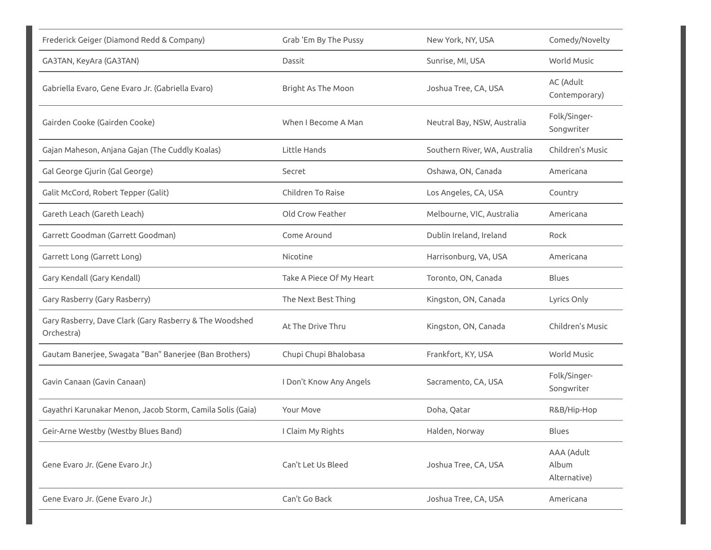| Frederick Geiger (Diamond Redd & Company)                             | Grab 'Em By The Pussy    | New York, NY, USA             | Comedy/Novelty                      |
|-----------------------------------------------------------------------|--------------------------|-------------------------------|-------------------------------------|
| GA3TAN, KeyAra (GA3TAN)                                               | Dassit                   | Sunrise, MI, USA              | World Music                         |
| Gabriella Evaro, Gene Evaro Jr. (Gabriella Evaro)                     | Bright As The Moon       | Joshua Tree, CA, USA          | AC (Adult<br>Contemporary)          |
| Gairden Cooke (Gairden Cooke)                                         | When I Become A Man      | Neutral Bay, NSW, Australia   | Folk/Singer-<br>Songwriter          |
| Gajan Maheson, Anjana Gajan (The Cuddly Koalas)                       | Little Hands             | Southern River, WA, Australia | Children's Music                    |
| Gal George Gjurin (Gal George)                                        | Secret                   | Oshawa, ON, Canada            | Americana                           |
| Galit McCord, Robert Tepper (Galit)                                   | Children To Raise        | Los Angeles, CA, USA          | Country                             |
| Gareth Leach (Gareth Leach)                                           | Old Crow Feather         | Melbourne, VIC, Australia     | Americana                           |
| Garrett Goodman (Garrett Goodman)                                     | Come Around              | Dublin Ireland, Ireland       | Rock                                |
| Garrett Long (Garrett Long)                                           | Nicotine                 | Harrisonburg, VA, USA         | Americana                           |
| Gary Kendall (Gary Kendall)                                           | Take A Piece Of My Heart | Toronto, ON, Canada           | <b>Blues</b>                        |
| Gary Rasberry (Gary Rasberry)                                         | The Next Best Thing      | Kingston, ON, Canada          | Lyrics Only                         |
| Gary Rasberry, Dave Clark (Gary Rasberry & The Woodshed<br>Orchestra) | At The Drive Thru        | Kingston, ON, Canada          | Children's Music                    |
| Gautam Banerjee, Swagata "Ban" Banerjee (Ban Brothers)                | Chupi Chupi Bhalobasa    | Frankfort, KY, USA            | World Music                         |
| Gavin Canaan (Gavin Canaan)                                           | I Don't Know Any Angels  | Sacramento, CA, USA           | Folk/Singer-<br>Songwriter          |
| Gayathri Karunakar Menon, Jacob Storm, Camila Solis (Gaia)            | Your Move                | Doha, Qatar                   | R&B/Hip-Hop                         |
| Geir-Arne Westby (Westby Blues Band)                                  | I Claim My Rights        | Halden, Norway                | Blues                               |
| Gene Evaro Jr. (Gene Evaro Jr.)                                       | Can't Let Us Bleed       | Joshua Tree, CA, USA          | AAA (Adult<br>Album<br>Alternative) |
| Gene Evaro Jr. (Gene Evaro Jr.)                                       | Can't Go Back            | Joshua Tree, CA, USA          | Americana                           |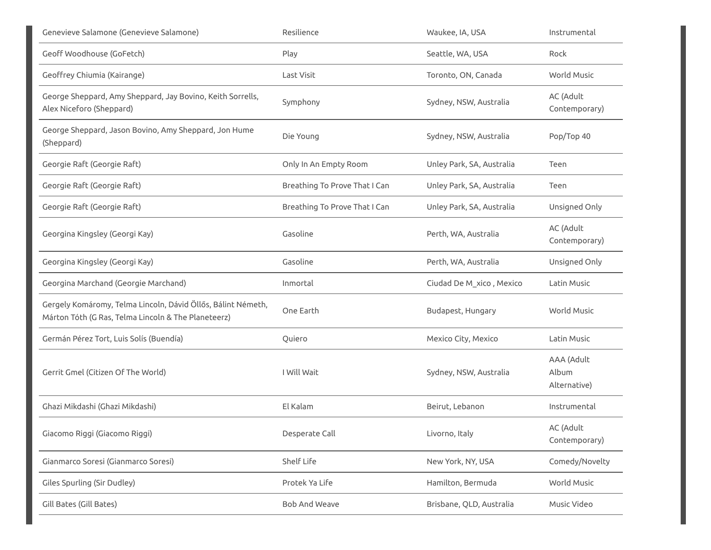| Genevieve Salamone (Genevieve Salamone)                                                                             | Resilience                    | Waukee, IA, USA           | Instrumental                        |
|---------------------------------------------------------------------------------------------------------------------|-------------------------------|---------------------------|-------------------------------------|
| Geoff Woodhouse (GoFetch)                                                                                           | Play                          | Seattle, WA, USA          | Rock                                |
| Geoffrey Chiumia (Kairange)                                                                                         | Last Visit                    | Toronto, ON, Canada       | <b>World Music</b>                  |
| George Sheppard, Amy Sheppard, Jay Bovino, Keith Sorrells,<br>Alex Niceforo (Sheppard)                              | Symphony                      | Sydney, NSW, Australia    | AC (Adult<br>Contemporary)          |
| George Sheppard, Jason Bovino, Amy Sheppard, Jon Hume<br>(Sheppard)                                                 | Die Young                     | Sydney, NSW, Australia    | Pop/Top 40                          |
| Georgie Raft (Georgie Raft)                                                                                         | Only In An Empty Room         | Unley Park, SA, Australia | Teen                                |
| Georgie Raft (Georgie Raft)                                                                                         | Breathing To Prove That I Can | Unley Park, SA, Australia | Teen                                |
| Georgie Raft (Georgie Raft)                                                                                         | Breathing To Prove That I Can | Unley Park, SA, Australia | Unsigned Only                       |
| Georgina Kingsley (Georgi Kay)                                                                                      | Gasoline                      | Perth, WA, Australia      | AC (Adult<br>Contemporary)          |
| Georgina Kingsley (Georgi Kay)                                                                                      | Gasoline                      | Perth, WA, Australia      | Unsigned Only                       |
| Georgina Marchand (Georgie Marchand)                                                                                | Inmortal                      | Ciudad De M_xico, Mexico  | Latin Music                         |
| Gergely Komáromy, Telma Lincoln, Dávid Öllős, Bálint Németh,<br>Márton Tóth (G Ras, Telma Lincoln & The Planeteerz) | One Earth                     | Budapest, Hungary         | <b>World Music</b>                  |
| Germán Pérez Tort, Luis Solís (Buendía)                                                                             | Quiero                        | Mexico City, Mexico       | Latin Music                         |
| Gerrit Gmel (Citizen Of The World)                                                                                  | I Will Wait                   | Sydney, NSW, Australia    | AAA (Adult<br>Album<br>Alternative) |
| Ghazi Mikdashi (Ghazi Mikdashi)                                                                                     | El Kalam                      | Beirut, Lebanon           | Instrumental                        |
| Giacomo Riggi (Giacomo Riggi)                                                                                       | Desperate Call                | Livorno, Italy            | AC (Adult<br>Contemporary)          |
| Gianmarco Soresi (Gianmarco Soresi)                                                                                 | Shelf Life                    | New York, NY, USA         | Comedy/Novelty                      |
| Giles Spurling (Sir Dudley)                                                                                         | Protek Ya Life                | Hamilton, Bermuda         | World Music                         |
| Gill Bates (Gill Bates)                                                                                             | Bob And Weave                 | Brisbane, QLD, Australia  | Music Video                         |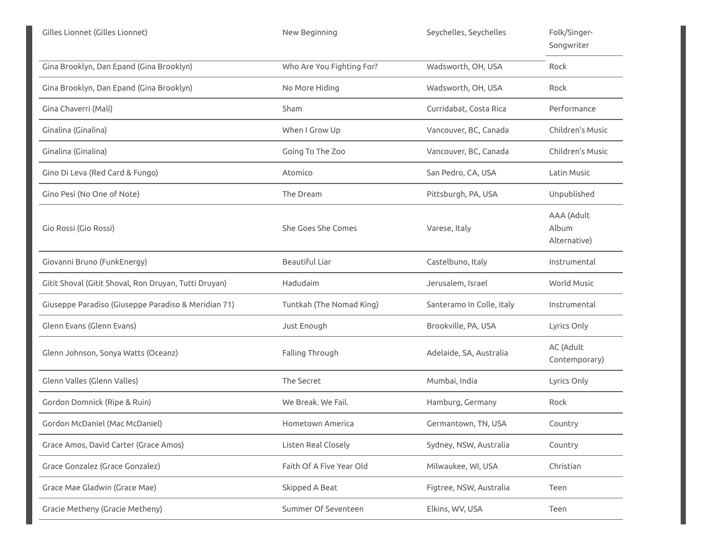| Gilles Lionnet (Gilles Lionnet)                       | New Beginning             | Seychelles, Seychelles    | Folk/Singer-<br>Songwriter          |
|-------------------------------------------------------|---------------------------|---------------------------|-------------------------------------|
| Gina Brooklyn, Dan Epand (Gina Brooklyn)              | Who Are You Fighting For? | Wadsworth, OH, USA        | Rock                                |
| Gina Brooklyn, Dan Epand (Gina Brooklyn)              | No More Hiding            | Wadsworth, OH, USA        | Rock                                |
| Gina Chaverri (Malí)                                  | Sham                      | Curridabat, Costa Rica    | Performance                         |
| Ginalina (Ginalina)                                   | When I Grow Up            | Vancouver, BC, Canada     | Children's Music                    |
| Ginalina (Ginalina)                                   | Going To The Zoo          | Vancouver, BC, Canada     | Children's Music                    |
| Gino Di Leva (Red Card & Fungo)                       | Atomico                   | San Pedro, CA, USA        | Latin Music                         |
| Gino Pesi (No One of Note)                            | The Dream                 | Pittsburgh, PA, USA       | Unpublished                         |
| Gio Rossi (Gio Rossi)                                 | She Goes She Comes        | Varese, Italy             | AAA (Adult<br>Album<br>Alternative) |
| Giovanni Bruno (FunkEnergy)                           | <b>Beautiful Liar</b>     | Castelbuno, Italy         | Instrumental                        |
| Gitit Shoval (Gitit Shoval, Ron Druyan, Tutti Druyan) | Hadudaim                  | Jerusalem, Israel         | <b>World Music</b>                  |
| Giuseppe Paradiso (Giuseppe Paradiso & Meridian 71)   | Tuntkah (The Nomad King)  | Santeramo In Colle, Italy | Instrumental                        |
| Glenn Evans (Glenn Evans)                             | Just Enough               | Brookville, PA, USA       | Lyrics Only                         |
| Glenn Johnson, Sonya Watts (Oceanz)                   | Falling Through           | Adelaide, SA, Australia   | AC (Adult<br>Contemporary)          |
| Glenn Valles (Glenn Valles)                           | The Secret                | Mumbai, India             | Lyrics Only                         |
| Gordon Domnick (Ripe & Ruin)                          | We Break. We Fail.        | Hamburg, Germany          | Rock                                |
| Gordon McDaniel (Mac McDaniel)                        | Hometown America          | Germantown, TN, USA       | Country                             |
| Grace Amos, David Carter (Grace Amos)                 | Listen Real Closely       | Sydney, NSW, Australia    | Country                             |
| Grace Gonzalez (Grace Gonzalez)                       | Faith Of A Five Year Old  | Milwaukee, WI, USA        | Christian                           |
| Grace Mae Gladwin (Grace Mae)                         | Skipped A Beat            | Figtree, NSW, Australia   | Teen                                |
| Gracie Metheny (Gracie Metheny)                       | Summer Of Seventeen       | Elkins, WV, USA           | Teen                                |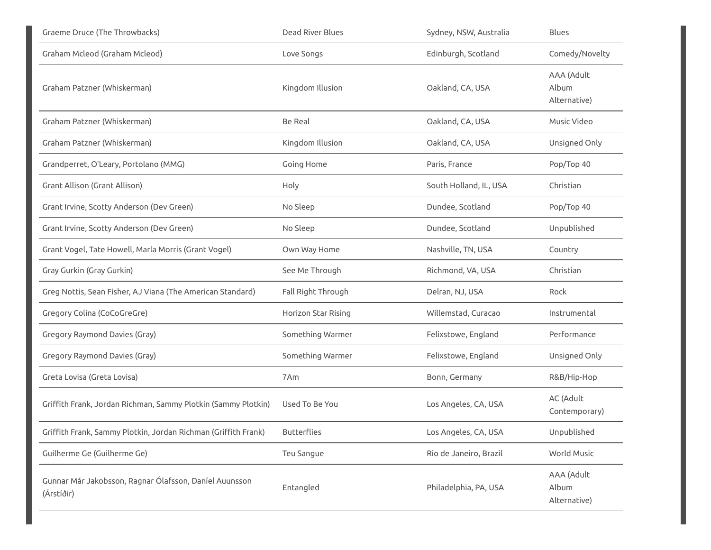| Graeme Druce (The Throwbacks)                                        | Dead River Blues    | Sydney, NSW, Australia | <b>Blues</b>                        |
|----------------------------------------------------------------------|---------------------|------------------------|-------------------------------------|
| Graham Mcleod (Graham Mcleod)                                        | Love Songs          | Edinburgh, Scotland    | Comedy/Novelty                      |
| Graham Patzner (Whiskerman)                                          | Kingdom Illusion    | Oakland, CA, USA       | AAA (Adult<br>Album<br>Alternative) |
| Graham Patzner (Whiskerman)                                          | <b>Be Real</b>      | Oakland, CA, USA       | Music Video                         |
| Graham Patzner (Whiskerman)                                          | Kingdom Illusion    | Oakland, CA, USA       | Unsigned Only                       |
| Grandperret, O'Leary, Portolano (MMG)                                | Going Home          | Paris, France          | Pop/Top 40                          |
| Grant Allison (Grant Allison)                                        | Holy                | South Holland, IL, USA | Christian                           |
| Grant Irvine, Scotty Anderson (Dev Green)                            | No Sleep            | Dundee, Scotland       | Pop/Top 40                          |
| Grant Irvine, Scotty Anderson (Dev Green)                            | No Sleep            | Dundee, Scotland       | Unpublished                         |
| Grant Vogel, Tate Howell, Marla Morris (Grant Vogel)                 | Own Way Home        | Nashville, TN, USA     | Country                             |
| Gray Gurkin (Gray Gurkin)                                            | See Me Through      | Richmond, VA, USA      | Christian                           |
| Greg Nottis, Sean Fisher, AJ Viana (The American Standard)           | Fall Right Through  | Delran, NJ, USA        | Rock                                |
| Gregory Colina (CoCoGreGre)                                          | Horizon Star Rising | Willemstad, Curacao    | Instrumental                        |
| Gregory Raymond Davies (Gray)                                        | Something Warmer    | Felixstowe, England    | Performance                         |
| Gregory Raymond Davies (Gray)                                        | Something Warmer    | Felixstowe, England    | Unsigned Only                       |
| Greta Lovisa (Greta Lovisa)                                          | 7Am                 | Bonn, Germany          | R&B/Hip-Hop                         |
| Griffith Frank, Jordan Richman, Sammy Plotkin (Sammy Plotkin)        | Used To Be You      | Los Angeles, CA, USA   | AC (Adult<br>Contemporary)          |
| Griffith Frank, Sammy Plotkin, Jordan Richman (Griffith Frank)       | <b>Butterflies</b>  | Los Angeles, CA, USA   | Unpublished                         |
| Guilherme Ge (Guilherme Ge)                                          | Teu Sangue          | Rio de Janeiro, Brazil | World Music                         |
| Gunnar Már Jakobsson, Ragnar Ólafsson, Daníel Auunsson<br>(Árstíðir) | Entangled           | Philadelphia, PA, USA  | AAA (Adult<br>Album<br>Alternative) |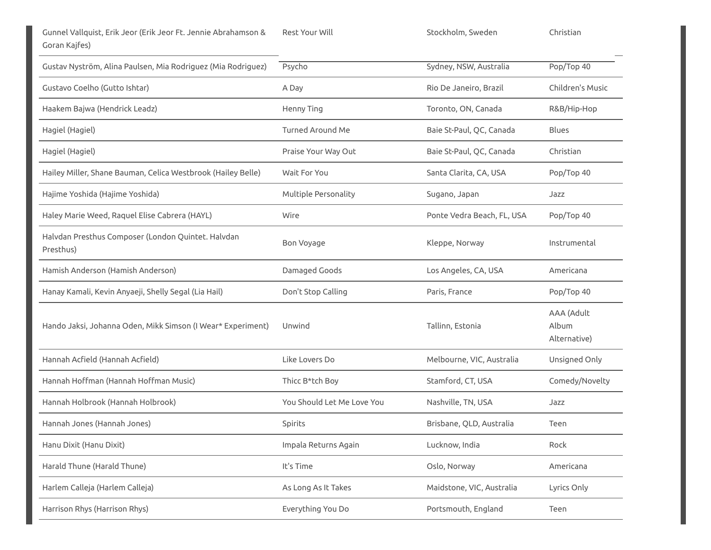| Gustav Nyström, Alina Paulsen, Mia Rodriguez (Mia Rodriguez)    | Psycho                     | Sydney, NSW, Australia     | Pop/Top 40                          |
|-----------------------------------------------------------------|----------------------------|----------------------------|-------------------------------------|
| Gustavo Coelho (Gutto Ishtar)                                   | A Day                      | Rio De Janeiro, Brazil     | Children's Music                    |
| Haakem Bajwa (Hendrick Leadz)                                   | Henny Ting                 | Toronto, ON, Canada        | R&B/Hip-Hop                         |
| Hagiel (Hagiel)                                                 | <b>Turned Around Me</b>    | Baie St-Paul, QC, Canada   | <b>Blues</b>                        |
| Hagiel (Hagiel)                                                 | Praise Your Way Out        | Baie St-Paul, QC, Canada   | Christian                           |
| Hailey Miller, Shane Bauman, Celica Westbrook (Hailey Belle)    | Wait For You               | Santa Clarita, CA, USA     | Pop/Top 40                          |
| Hajime Yoshida (Hajime Yoshida)                                 | Multiple Personality       | Sugano, Japan              | Jazz                                |
| Haley Marie Weed, Raquel Elise Cabrera (HAYL)                   | Wire                       | Ponte Vedra Beach, FL, USA | Pop/Top 40                          |
| Halvdan Presthus Composer (London Quintet. Halvdan<br>Presthus) | Bon Voyage                 | Kleppe, Norway             | Instrumental                        |
| Hamish Anderson (Hamish Anderson)                               | Damaged Goods              | Los Angeles, CA, USA       | Americana                           |
| Hanay Kamali, Kevin Anyaeji, Shelly Segal (Lia Hail)            | Don't Stop Calling         | Paris, France              | Pop/Top 40                          |
| Hando Jaksi, Johanna Oden, Mikk Simson (I Wear* Experiment)     | Unwind                     | Tallinn, Estonia           | AAA (Adult<br>Album<br>Alternative) |
| Hannah Acfield (Hannah Acfield)                                 | Like Lovers Do             | Melbourne, VIC, Australia  | Unsigned Only                       |
| Hannah Hoffman (Hannah Hoffman Music)                           | Thicc B*tch Boy            | Stamford, CT, USA          | Comedy/Novelty                      |
| Hannah Holbrook (Hannah Holbrook)                               | You Should Let Me Love You | Nashville, TN, USA         | Jazz                                |
| Hannah Jones (Hannah Jones)                                     | Spirits                    | Brisbane, QLD, Australia   | Teen                                |
| Hanu Dixit (Hanu Dixit)                                         | Impala Returns Again       | Lucknow, India             | Rock                                |
| Harald Thune (Harald Thune)                                     | It's Time                  | Oslo, Norway               | Americana                           |
| Harlem Calleja (Harlem Calleja)                                 | As Long As It Takes        | Maidstone, VIC, Australia  | Lyrics Only                         |
| Harrison Rhys (Harrison Rhys)                                   | Everything You Do          | Portsmouth, England        | Teen                                |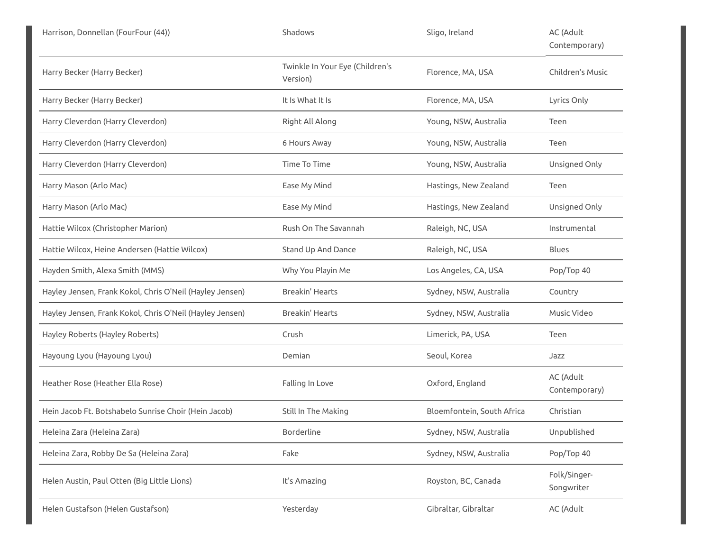| Harrison, Donnellan (FourFour (44))                      | Shadows                                     | Sligo, Ireland             | AC (Adult<br>Contemporary) |
|----------------------------------------------------------|---------------------------------------------|----------------------------|----------------------------|
| Harry Becker (Harry Becker)                              | Twinkle In Your Eye (Children's<br>Version) | Florence, MA, USA          | Children's Music           |
| Harry Becker (Harry Becker)                              | It Is What It Is                            | Florence, MA, USA          | Lyrics Only                |
| Harry Cleverdon (Harry Cleverdon)                        | Right All Along                             | Young, NSW, Australia      | Teen                       |
| Harry Cleverdon (Harry Cleverdon)                        | 6 Hours Away                                | Young, NSW, Australia      | Teen                       |
| Harry Cleverdon (Harry Cleverdon)                        | Time To Time                                | Young, NSW, Australia      | Unsigned Only              |
| Harry Mason (Arlo Mac)                                   | Ease My Mind                                | Hastings, New Zealand      | Teen                       |
| Harry Mason (Arlo Mac)                                   | Ease My Mind                                | Hastings, New Zealand      | Unsigned Only              |
| Hattie Wilcox (Christopher Marion)                       | Rush On The Savannah                        | Raleigh, NC, USA           | Instrumental               |
| Hattie Wilcox, Heine Andersen (Hattie Wilcox)            | Stand Up And Dance                          | Raleigh, NC, USA           | Blues                      |
| Hayden Smith, Alexa Smith (MMS)                          | Why You Playin Me                           | Los Angeles, CA, USA       | Pop/Top 40                 |
| Hayley Jensen, Frank Kokol, Chris O'Neil (Hayley Jensen) | Breakin' Hearts                             | Sydney, NSW, Australia     | Country                    |
| Hayley Jensen, Frank Kokol, Chris O'Neil (Hayley Jensen) | <b>Breakin' Hearts</b>                      | Sydney, NSW, Australia     | Music Video                |
| Hayley Roberts (Hayley Roberts)                          | Crush                                       | Limerick, PA, USA          | Teen                       |
| Hayoung Lyou (Hayoung Lyou)                              | Demian                                      | Seoul, Korea               | Jazz                       |
| Heather Rose (Heather Ella Rose)                         | Falling In Love                             | Oxford, England            | AC (Adult<br>Contemporary) |
| Hein Jacob Ft. Botshabelo Sunrise Choir (Hein Jacob)     | Still In The Making                         | Bloemfontein, South Africa | Christian                  |
| Heleina Zara (Heleina Zara)                              | Borderline                                  | Sydney, NSW, Australia     | Unpublished                |
| Heleina Zara, Robby De Sa (Heleina Zara)                 | Fake                                        | Sydney, NSW, Australia     | Pop/Top 40                 |
| Helen Austin, Paul Otten (Big Little Lions)              | It's Amazing                                | Royston, BC, Canada        | Folk/Singer-<br>Songwriter |
| Helen Gustafson (Helen Gustafson)                        | Yesterday                                   | Gibraltar, Gibraltar       | AC (Adult                  |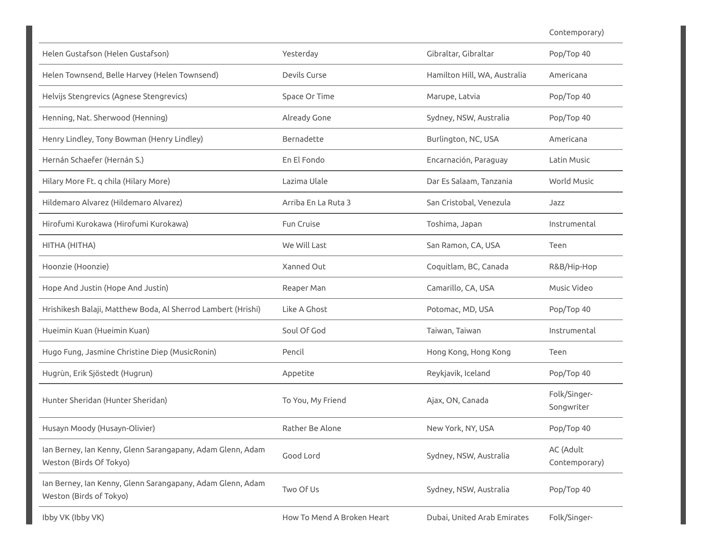Contemporary)

| Helen Gustafson (Helen Gustafson)                                                     | Yesterday                  | Gibraltar, Gibraltar         | Pop/Top 40                 |
|---------------------------------------------------------------------------------------|----------------------------|------------------------------|----------------------------|
| Helen Townsend, Belle Harvey (Helen Townsend)                                         | Devils Curse               | Hamilton Hill, WA, Australia | Americana                  |
| Helvijs Stengrevics (Agnese Stengrevics)                                              | Space Or Time              | Marupe, Latvia               | Pop/Top 40                 |
| Henning, Nat. Sherwood (Henning)                                                      | Already Gone               | Sydney, NSW, Australia       | Pop/Top 40                 |
| Henry Lindley, Tony Bowman (Henry Lindley)                                            | Bernadette                 | Burlington, NC, USA          | Americana                  |
| Hernán Schaefer (Hernán S.)                                                           | En El Fondo                | Encarnación, Paraguay        | Latin Music                |
| Hilary More Ft. q chila (Hilary More)                                                 | Lazima Ulale               | Dar Es Salaam, Tanzania      | <b>World Music</b>         |
| Hildemaro Alvarez (Hildemaro Alvarez)                                                 | Arriba En La Ruta 3        | San Cristobal, Venezula      | Jazz                       |
| Hirofumi Kurokawa (Hirofumi Kurokawa)                                                 | Fun Cruise                 | Toshima, Japan               | Instrumental               |
| HITHA (HITHA)                                                                         | We Will Last               | San Ramon, CA, USA           | Teen                       |
| Hoonzie (Hoonzie)                                                                     | Xanned Out                 | Coquitlam, BC, Canada        | R&B/Hip-Hop                |
| Hope And Justin (Hope And Justin)                                                     | Reaper Man                 | Camarillo, CA, USA           | Music Video                |
| Hrishikesh Balaji, Matthew Boda, Al Sherrod Lambert (Hrishi)                          | Like A Ghost               | Potomac, MD, USA             | Pop/Top 40                 |
| Hueimin Kuan (Hueimin Kuan)                                                           | Soul Of God                | Taiwan, Taiwan               | Instrumental               |
| Hugo Fung, Jasmine Christine Diep (MusicRonin)                                        | Pencil                     | Hong Kong, Hong Kong         | Teen                       |
| Hugrùn, Erik Sjöstedt (Hugrun)                                                        | Appetite                   | Reykjavik, Iceland           | Pop/Top 40                 |
| Hunter Sheridan (Hunter Sheridan)                                                     | To You, My Friend          | Ajax, ON, Canada             | Folk/Singer-<br>Songwriter |
| Husayn Moody (Husayn-Olivier)                                                         | Rather Be Alone            | New York, NY, USA            | Pop/Top 40                 |
| Ian Berney, Ian Kenny, Glenn Sarangapany, Adam Glenn, Adam<br>Weston (Birds Of Tokyo) | Good Lord                  | Sydney, NSW, Australia       | AC (Adult<br>Contemporary) |
| Ian Berney, Ian Kenny, Glenn Sarangapany, Adam Glenn, Adam<br>Weston (Birds of Tokyo) | Two Of Us                  | Sydney, NSW, Australia       | Pop/Top 40                 |
| Ibby VK (Ibby VK)                                                                     | How To Mend A Broken Heart | Dubai, United Arab Emirates  | Folk/Singer-               |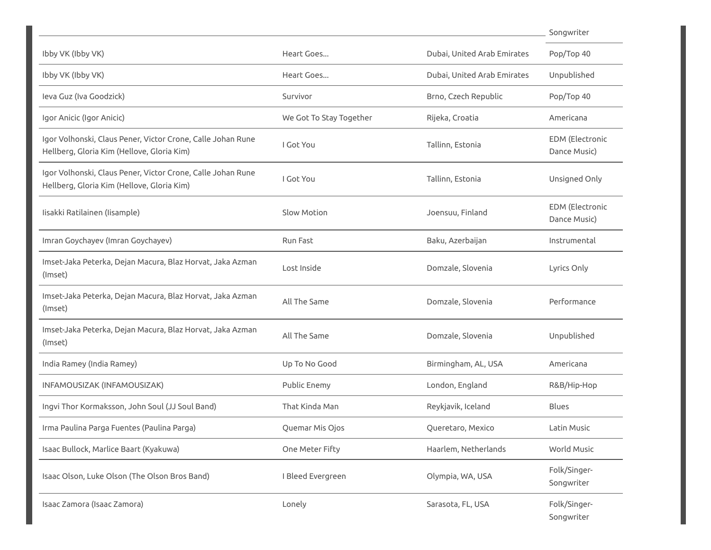|                                                                                                           |                         |                             | Songwriter                             |
|-----------------------------------------------------------------------------------------------------------|-------------------------|-----------------------------|----------------------------------------|
| Ibby VK (Ibby VK)                                                                                         | Heart Goes              | Dubai, United Arab Emirates | Pop/Top 40                             |
| Ibby VK (Ibby VK)                                                                                         | Heart Goes              | Dubai, United Arab Emirates | Unpublished                            |
| leva Guz (Iva Goodzick)                                                                                   | Survivor                | Brno, Czech Republic        | Pop/Top 40                             |
| Igor Anicic (Igor Anicic)                                                                                 | We Got To Stay Together | Rijeka, Croatia             | Americana                              |
| Igor Volhonski, Claus Pener, Victor Crone, Calle Johan Rune<br>Hellberg, Gloria Kim (Hellove, Gloria Kim) | I Got You               | Tallinn, Estonia            | <b>EDM</b> (Electronic<br>Dance Music) |
| Igor Volhonski, Claus Pener, Victor Crone, Calle Johan Rune<br>Hellberg, Gloria Kim (Hellove, Gloria Kim) | I Got You               | Tallinn, Estonia            | Unsigned Only                          |
| Iisakki Ratilainen (Iisample)                                                                             | Slow Motion             | Joensuu, Finland            | <b>EDM</b> (Electronic<br>Dance Music) |
| Imran Goychayev (Imran Goychayev)                                                                         | Run Fast                | Baku, Azerbaijan            | Instrumental                           |
| Imset-Jaka Peterka, Dejan Macura, Blaz Horvat, Jaka Azman<br>(Imset)                                      | Lost Inside             | Domzale, Slovenia           | Lyrics Only                            |
| Imset-Jaka Peterka, Dejan Macura, Blaz Horvat, Jaka Azman<br>(Imset)                                      | All The Same            | Domzale, Slovenia           | Performance                            |
| Imset-Jaka Peterka, Dejan Macura, Blaz Horvat, Jaka Azman<br>(Imset)                                      | All The Same            | Domzale, Slovenia           | Unpublished                            |
| India Ramey (India Ramey)                                                                                 | Up To No Good           | Birmingham, AL, USA         | Americana                              |
| INFAMOUSIZAK (INFAMOUSIZAK)                                                                               | Public Enemy            | London, England             | R&B/Hip-Hop                            |
| Ingvi Thor Kormaksson, John Soul (JJ Soul Band)                                                           | That Kinda Man          | Reykjavik, Iceland          | <b>Blues</b>                           |
| Irma Paulina Parga Fuentes (Paulina Parga)                                                                | Quemar Mis Ojos         | Queretaro, Mexico           | Latin Music                            |
| Isaac Bullock, Marlice Baart (Kyakuwa)                                                                    | One Meter Fifty         | Haarlem, Netherlands        | World Music                            |
| Isaac Olson, Luke Olson (The Olson Bros Band)                                                             | I Bleed Evergreen       | Olympia, WA, USA            | Folk/Singer-<br>Songwriter             |
| Isaac Zamora (Isaac Zamora)                                                                               | Lonely                  | Sarasota, FL, USA           | Folk/Singer-<br>Songwriter             |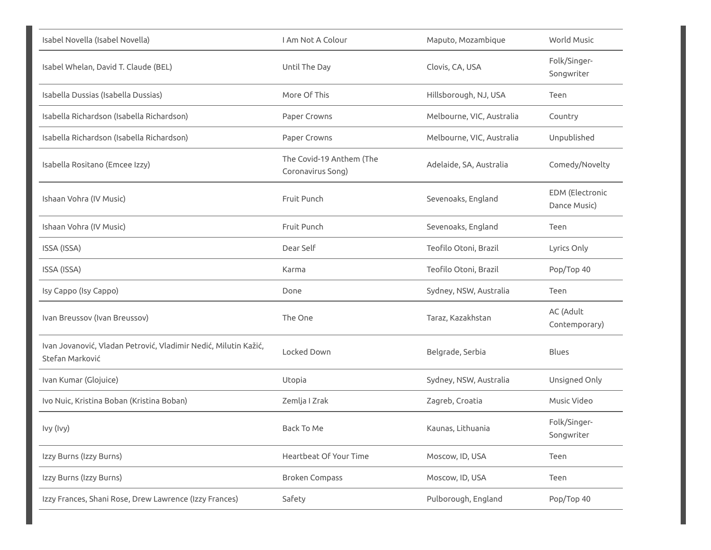| Isabel Novella (Isabel Novella)                                                    | I Am Not A Colour                             | Maputo, Mozambique        | World Music                            |
|------------------------------------------------------------------------------------|-----------------------------------------------|---------------------------|----------------------------------------|
| Isabel Whelan, David T. Claude (BEL)                                               | Until The Day                                 | Clovis, CA, USA           | Folk/Singer-<br>Songwriter             |
| Isabella Dussias (Isabella Dussias)                                                | More Of This                                  | Hillsborough, NJ, USA     | Teen                                   |
| Isabella Richardson (Isabella Richardson)                                          | Paper Crowns                                  | Melbourne, VIC, Australia | Country                                |
| Isabella Richardson (Isabella Richardson)                                          | Paper Crowns                                  | Melbourne, VIC, Australia | Unpublished                            |
| Isabella Rositano (Emcee Izzy)                                                     | The Covid-19 Anthem (The<br>Coronavirus Song) | Adelaide, SA, Australia   | Comedy/Novelty                         |
| Ishaan Vohra (IV Music)                                                            | Fruit Punch                                   | Sevenoaks, England        | <b>EDM</b> (Electronic<br>Dance Music) |
| Ishaan Vohra (IV Music)                                                            | Fruit Punch                                   | Sevenoaks, England        | Teen                                   |
| ISSA (ISSA)                                                                        | Dear Self                                     | Teofilo Otoni, Brazil     | Lyrics Only                            |
| ISSA (ISSA)                                                                        | Karma                                         | Teofilo Otoni, Brazil     | Pop/Top 40                             |
| Isy Cappo (Isy Cappo)                                                              | Done                                          | Sydney, NSW, Australia    | Teen                                   |
| Ivan Breussov (Ivan Breussov)                                                      | The One                                       | Taraz, Kazakhstan         | AC (Adult<br>Contemporary)             |
| Ivan Jovanović, Vladan Petrović, Vladimir Nedić, Milutin Kažić,<br>Stefan Marković | Locked Down                                   | Belgrade, Serbia          | <b>Blues</b>                           |
| Ivan Kumar (Glojuice)                                                              | Utopia                                        | Sydney, NSW, Australia    | Unsigned Only                          |
| Ivo Nuic, Kristina Boban (Kristina Boban)                                          | Zemlja I Zrak                                 | Zagreb, Croatia           | Music Video                            |
| Ivy (Ivy)                                                                          | Back To Me                                    | Kaunas, Lithuania         | Folk/Singer-<br>Songwriter             |
| Izzy Burns (Izzy Burns)                                                            | Heartbeat Of Your Time                        | Moscow, ID, USA           | Teen                                   |
| Izzy Burns (Izzy Burns)                                                            | <b>Broken Compass</b>                         | Moscow, ID, USA           | Teen                                   |
| Izzy Frances, Shani Rose, Drew Lawrence (Izzy Frances)                             | Safety                                        | Pulborough, England       | Pop/Top 40                             |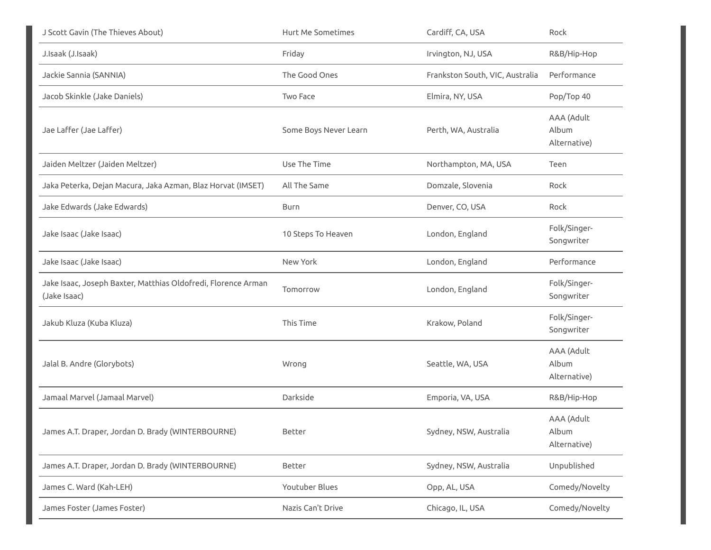| J Scott Gavin (The Thieves About)                                             | Hurt Me Sometimes     | Cardiff, CA, USA                | Rock                                |
|-------------------------------------------------------------------------------|-----------------------|---------------------------------|-------------------------------------|
| J.Isaak (J.Isaak)                                                             | Friday                | Irvington, NJ, USA              | R&B/Hip-Hop                         |
| Jackie Sannia (SANNIA)                                                        | The Good Ones         | Frankston South, VIC, Australia | Performance                         |
| Jacob Skinkle (Jake Daniels)                                                  | Two Face              | Elmira, NY, USA                 | Pop/Top 40                          |
| Jae Laffer (Jae Laffer)                                                       | Some Boys Never Learn | Perth, WA, Australia            | AAA (Adult<br>Album<br>Alternative) |
| Jaiden Meltzer (Jaiden Meltzer)                                               | Use The Time          | Northampton, MA, USA            | Teen                                |
| Jaka Peterka, Dejan Macura, Jaka Azman, Blaz Horvat (IMSET)                   | All The Same          | Domzale, Slovenia               | Rock                                |
| Jake Edwards (Jake Edwards)                                                   | Burn                  | Denver, CO, USA                 | Rock                                |
| Jake Isaac (Jake Isaac)                                                       | 10 Steps To Heaven    | London, England                 | Folk/Singer-<br>Songwriter          |
| Jake Isaac (Jake Isaac)                                                       | New York              | London, England                 | Performance                         |
| Jake Isaac, Joseph Baxter, Matthias Oldofredi, Florence Arman<br>(Jake Isaac) | Tomorrow              | London, England                 | Folk/Singer-<br>Songwriter          |
| Jakub Kluza (Kuba Kluza)                                                      | This Time             | Krakow, Poland                  | Folk/Singer-<br>Songwriter          |
| Jalal B. Andre (Glorybots)                                                    | Wrong                 | Seattle, WA, USA                | AAA (Adult<br>Album<br>Alternative) |
| Jamaal Marvel (Jamaal Marvel)                                                 | Darkside              | Emporia, VA, USA                | R&B/Hip-Hop                         |
| James A.T. Draper, Jordan D. Brady (WINTERBOURNE)                             | Better                | Sydney, NSW, Australia          | AAA (Adult<br>Album<br>Alternative) |
| James A.T. Draper, Jordan D. Brady (WINTERBOURNE)                             | Better                | Sydney, NSW, Australia          | Unpublished                         |
| James C. Ward (Kah-LEH)                                                       | Youtuber Blues        | Opp, AL, USA                    | Comedy/Novelty                      |
| James Foster (James Foster)                                                   | Nazis Can't Drive     | Chicago, IL, USA                | Comedy/Novelty                      |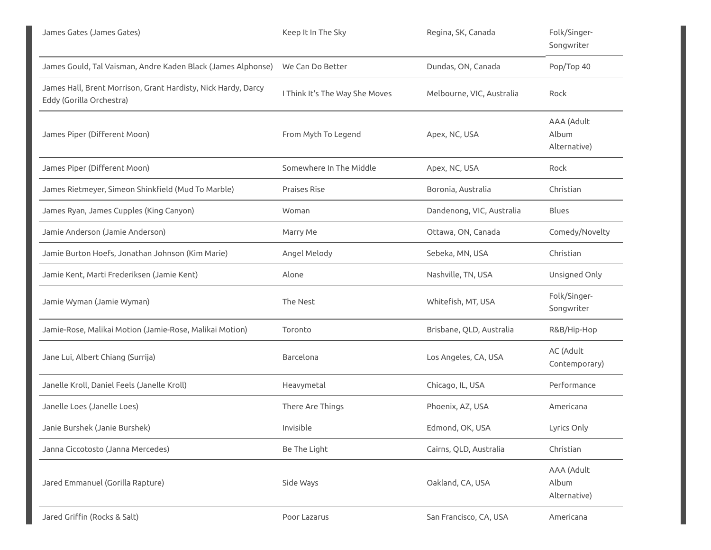| James Gates (James Gates)                                                                 | Keep It In The Sky             | Regina, SK, Canada        | Folk/Singer-<br>Songwriter          |
|-------------------------------------------------------------------------------------------|--------------------------------|---------------------------|-------------------------------------|
| James Gould, Tal Vaisman, Andre Kaden Black (James Alphonse)                              | We Can Do Better               | Dundas, ON, Canada        | Pop/Top 40                          |
| James Hall, Brent Morrison, Grant Hardisty, Nick Hardy, Darcy<br>Eddy (Gorilla Orchestra) | I Think It's The Way She Moves | Melbourne, VIC, Australia | Rock                                |
| James Piper (Different Moon)                                                              | From Myth To Legend            | Apex, NC, USA             | AAA (Adult<br>Album<br>Alternative) |
| James Piper (Different Moon)                                                              | Somewhere In The Middle        | Apex, NC, USA             | Rock                                |
| James Rietmeyer, Simeon Shinkfield (Mud To Marble)                                        | Praises Rise                   | Boronia, Australia        | Christian                           |
| James Ryan, James Cupples (King Canyon)                                                   | Woman                          | Dandenong, VIC, Australia | <b>Blues</b>                        |
| Jamie Anderson (Jamie Anderson)                                                           | Marry Me                       | Ottawa, ON, Canada        | Comedy/Novelty                      |
| Jamie Burton Hoefs, Jonathan Johnson (Kim Marie)                                          | Angel Melody                   | Sebeka, MN, USA           | Christian                           |
| Jamie Kent, Marti Frederiksen (Jamie Kent)                                                | Alone                          | Nashville, TN, USA        | Unsigned Only                       |
| Jamie Wyman (Jamie Wyman)                                                                 | The Nest                       | Whitefish, MT, USA        | Folk/Singer-<br>Songwriter          |
| Jamie-Rose, Malikai Motion (Jamie-Rose, Malikai Motion)                                   | Toronto                        | Brisbane, QLD, Australia  | R&B/Hip-Hop                         |
| Jane Lui, Albert Chiang (Surrija)                                                         | Barcelona                      | Los Angeles, CA, USA      | AC (Adult<br>Contemporary)          |
| Janelle Kroll, Daniel Feels (Janelle Kroll)                                               | Heavymetal                     | Chicago, IL, USA          | Performance                         |
| Janelle Loes (Janelle Loes)                                                               | There Are Things               | Phoenix, AZ, USA          | Americana                           |
| Janie Burshek (Janie Burshek)                                                             | Invisible                      | Edmond, OK, USA           | Lyrics Only                         |
| Janna Ciccotosto (Janna Mercedes)                                                         | Be The Light                   | Cairns, QLD, Australia    | Christian                           |
| Jared Emmanuel (Gorilla Rapture)                                                          | Side Ways                      | Oakland, CA, USA          | AAA (Adult<br>Album<br>Alternative) |
| Jared Griffin (Rocks & Salt)                                                              | Poor Lazarus                   | San Francisco, CA, USA    | Americana                           |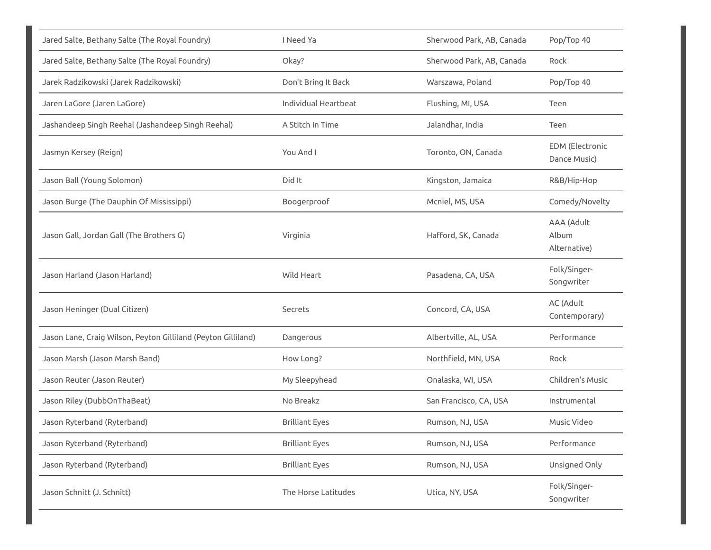| Jared Salte, Bethany Salte (The Royal Foundry)                | I Need Ya             | Sherwood Park, AB, Canada | Pop/Top 40                             |
|---------------------------------------------------------------|-----------------------|---------------------------|----------------------------------------|
| Jared Salte, Bethany Salte (The Royal Foundry)                | Okay?                 | Sherwood Park, AB, Canada | Rock                                   |
| Jarek Radzikowski (Jarek Radzikowski)                         | Don't Bring It Back   | Warszawa, Poland          | Pop/Top 40                             |
| Jaren LaGore (Jaren LaGore)                                   | Individual Heartbeat  | Flushing, MI, USA         | Teen                                   |
| Jashandeep Singh Reehal (Jashandeep Singh Reehal)             | A Stitch In Time      | Jalandhar, India          | Teen                                   |
| Jasmyn Kersey (Reign)                                         | You And I             | Toronto, ON, Canada       | <b>EDM</b> (Electronic<br>Dance Music) |
| Jason Ball (Young Solomon)                                    | Did It                | Kingston, Jamaica         | R&B/Hip-Hop                            |
| Jason Burge (The Dauphin Of Mississippi)                      | Boogerproof           | Mcniel, MS, USA           | Comedy/Novelty                         |
| Jason Gall, Jordan Gall (The Brothers G)                      | Virginia              | Hafford, SK, Canada       | AAA (Adult<br>Album<br>Alternative)    |
| Jason Harland (Jason Harland)                                 | Wild Heart            | Pasadena, CA, USA         | Folk/Singer-<br>Songwriter             |
| Jason Heninger (Dual Citizen)                                 | Secrets               | Concord, CA, USA          | AC (Adult<br>Contemporary)             |
| Jason Lane, Craig Wilson, Peyton Gilliland (Peyton Gilliland) | Dangerous             | Albertville, AL, USA      | Performance                            |
| Jason Marsh (Jason Marsh Band)                                | How Long?             | Northfield, MN, USA       | Rock                                   |
| Jason Reuter (Jason Reuter)                                   | My Sleepyhead         | Onalaska, WI, USA         | Children's Music                       |
| Jason Riley (DubbOnThaBeat)                                   | No Breakz             | San Francisco, CA, USA    | Instrumental                           |
| Jason Ryterband (Ryterband)                                   | <b>Brilliant Eyes</b> | Rumson, NJ, USA           | Music Video                            |
| Jason Ryterband (Ryterband)                                   | <b>Brilliant Eyes</b> | Rumson, NJ, USA           | Performance                            |
| Jason Ryterband (Ryterband)                                   | <b>Brilliant Eyes</b> | Rumson, NJ, USA           | Unsigned Only                          |
| Jason Schnitt (J. Schnitt)                                    | The Horse Latitudes   | Utica, NY, USA            | Folk/Singer-<br>Songwriter             |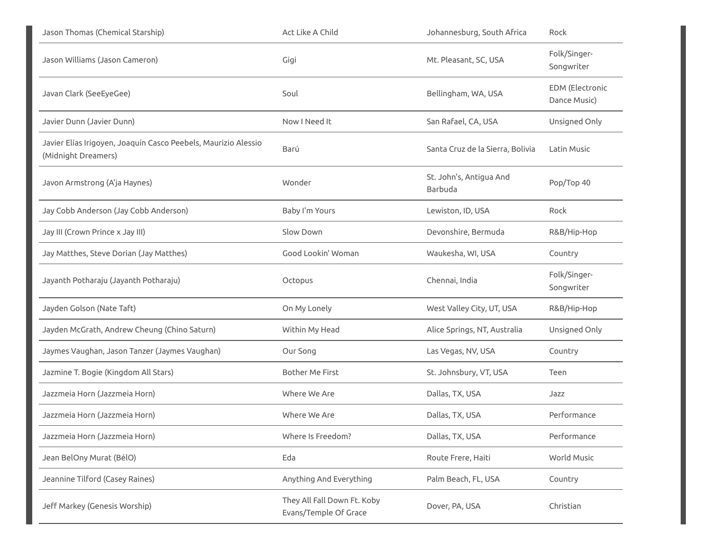| Jason Thomas (Chemical Starship)                                                      | Act Like A Child                                     | Johannesburg, South Africa         | Rock                            |
|---------------------------------------------------------------------------------------|------------------------------------------------------|------------------------------------|---------------------------------|
| Jason Williams (Jason Cameron)                                                        | Gigi                                                 | Mt. Pleasant, SC, USA              | Folk/Singer-<br>Songwriter      |
| Javan Clark (SeeEyeGee)                                                               | Soul                                                 | Bellingham, WA, USA                | EDM (Electronic<br>Dance Music) |
| Javier Dunn (Javier Dunn)                                                             | Now I Need It                                        | San Rafael, CA, USA                | Unsigned Only                   |
| Javier Elías Irigoyen, Joaquín Casco Peebels, Maurizio Alessio<br>(Midnight Dreamers) | Barú                                                 | Santa Cruz de la Sierra, Bolivia   | Latin Music                     |
| Javon Armstrong (A'ja Haynes)                                                         | Wonder                                               | St. John's, Antigua And<br>Barbuda | Pop/Top 40                      |
| Jay Cobb Anderson (Jay Cobb Anderson)                                                 | Baby I'm Yours                                       | Lewiston, ID, USA                  | Rock                            |
| Jay III (Crown Prince x Jay III)                                                      | Slow Down                                            | Devonshire, Bermuda                | R&B/Hip-Hop                     |
| Jay Matthes, Steve Dorian (Jay Matthes)                                               | Good Lookin' Woman                                   | Waukesha, WI, USA                  | Country                         |
| Jayanth Potharaju (Jayanth Potharaju)                                                 | Octopus                                              | Chennai, India                     | Folk/Singer-<br>Songwriter      |
| Jayden Golson (Nate Taft)                                                             | On My Lonely                                         | West Valley City, UT, USA          | R&B/Hip-Hop                     |
| Jayden McGrath, Andrew Cheung (Chino Saturn)                                          | Within My Head                                       | Alice Springs, NT, Australia       | Unsigned Only                   |
| Jaymes Vaughan, Jason Tanzer (Jaymes Vaughan)                                         | Our Song                                             | Las Vegas, NV, USA                 | Country                         |
| Jazmine T. Bogie (Kingdom All Stars)                                                  | Bother Me First                                      | St. Johnsbury, VT, USA             | Teen                            |
| Jazzmeia Horn (Jazzmeia Horn)                                                         | Where We Are                                         | Dallas, TX, USA                    | Jazz                            |
| Jazzmeia Horn (Jazzmeia Horn)                                                         | Where We Are                                         | Dallas, TX, USA                    | Performance                     |
| Jazzmeia Horn (Jazzmeia Horn)                                                         | Where Is Freedom?                                    | Dallas, TX, USA                    | Performance                     |
| Jean BelOny Murat (BélO)                                                              | Eda                                                  | Route Frere, Haiti                 | World Music                     |
| Jeannine Tilford (Casey Raines)                                                       | Anything And Everything                              | Palm Beach, FL, USA                | Country                         |
| Jeff Markey (Genesis Worship)                                                         | They All Fall Down Ft. Koby<br>Evans/Temple Of Grace | Dover, PA, USA                     | Christian                       |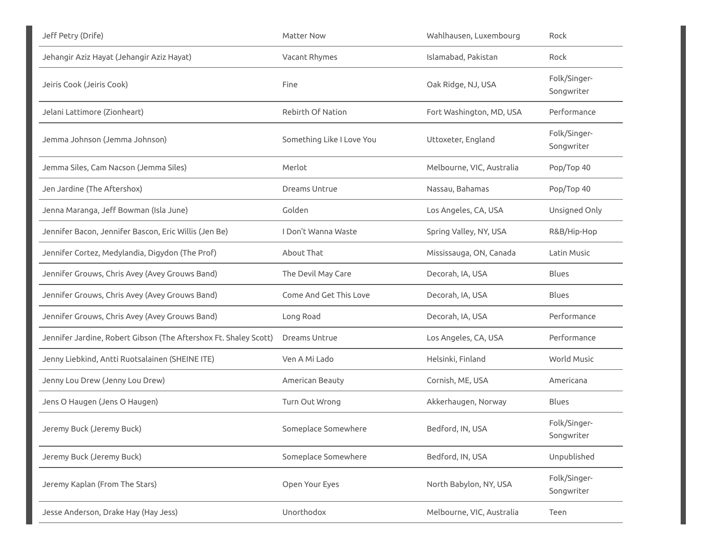| Jeff Petry (Drife)                                               | Matter Now                | Wahlhausen, Luxembourg    | Rock                       |
|------------------------------------------------------------------|---------------------------|---------------------------|----------------------------|
| Jehangir Aziz Hayat (Jehangir Aziz Hayat)                        | Vacant Rhymes             | Islamabad, Pakistan       | Rock                       |
| Jeiris Cook (Jeiris Cook)                                        | Fine                      | Oak Ridge, NJ, USA        | Folk/Singer-<br>Songwriter |
| Jelani Lattimore (Zionheart)                                     | Rebirth Of Nation         | Fort Washington, MD, USA  | Performance                |
| Jemma Johnson (Jemma Johnson)                                    | Something Like I Love You | Uttoxeter, England        | Folk/Singer-<br>Songwriter |
| Jemma Siles, Cam Nacson (Jemma Siles)                            | Merlot                    | Melbourne, VIC, Australia | Pop/Top 40                 |
| Jen Jardine (The Aftershox)                                      | Dreams Untrue             | Nassau, Bahamas           | Pop/Top 40                 |
| Jenna Maranga, Jeff Bowman (Isla June)                           | Golden                    | Los Angeles, CA, USA      | Unsigned Only              |
| Jennifer Bacon, Jennifer Bascon, Eric Willis (Jen Be)            | I Don't Wanna Waste       | Spring Valley, NY, USA    | R&B/Hip-Hop                |
| Jennifer Cortez, Medylandia, Digydon (The Prof)                  | About That                | Mississauga, ON, Canada   | Latin Music                |
| Jennifer Grouws, Chris Avey (Avey Grouws Band)                   | The Devil May Care        | Decorah, IA, USA          | Blues                      |
| Jennifer Grouws, Chris Avey (Avey Grouws Band)                   | Come And Get This Love    | Decorah, IA, USA          | Blues                      |
| Jennifer Grouws, Chris Avey (Avey Grouws Band)                   | Long Road                 | Decorah, IA, USA          | Performance                |
| Jennifer Jardine, Robert Gibson (The Aftershox Ft. Shaley Scott) | Dreams Untrue             | Los Angeles, CA, USA      | Performance                |
| Jenny Liebkind, Antti Ruotsalainen (SHEINE ITE)                  | Ven A Mi Lado             | Helsinki, Finland         | <b>World Music</b>         |
| Jenny Lou Drew (Jenny Lou Drew)                                  | American Beauty           | Cornish, ME, USA          | Americana                  |
| Jens O Haugen (Jens O Haugen)                                    | Turn Out Wrong            | Akkerhaugen, Norway       | Blues                      |
| Jeremy Buck (Jeremy Buck)                                        | Someplace Somewhere       | Bedford, IN, USA          | Folk/Singer-<br>Songwriter |
| Jeremy Buck (Jeremy Buck)                                        | Someplace Somewhere       | Bedford, IN, USA          | Unpublished                |
| Jeremy Kaplan (From The Stars)                                   | Open Your Eyes            | North Babylon, NY, USA    | Folk/Singer-<br>Songwriter |
| Jesse Anderson, Drake Hay (Hay Jess)                             | Unorthodox                | Melbourne, VIC, Australia | Teen                       |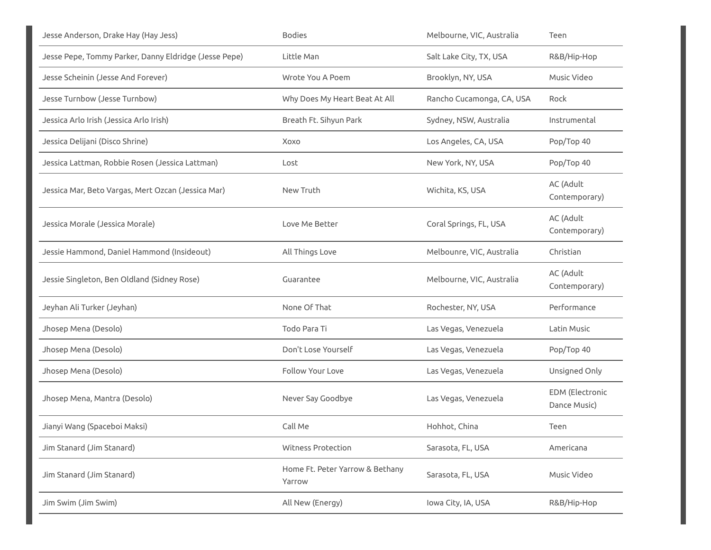| Jesse Anderson, Drake Hay (Hay Jess)                  | <b>Bodies</b>                             | Melbourne, VIC, Australia | Teen                            |
|-------------------------------------------------------|-------------------------------------------|---------------------------|---------------------------------|
| Jesse Pepe, Tommy Parker, Danny Eldridge (Jesse Pepe) | Little Man                                | Salt Lake City, TX, USA   | R&B/Hip-Hop                     |
| Jesse Scheinin (Jesse And Forever)                    | Wrote You A Poem                          | Brooklyn, NY, USA         | Music Video                     |
| Jesse Turnbow (Jesse Turnbow)                         | Why Does My Heart Beat At All             | Rancho Cucamonga, CA, USA | Rock                            |
| Jessica Arlo Irish (Jessica Arlo Irish)               | Breath Ft. Sihyun Park                    | Sydney, NSW, Australia    | Instrumental                    |
| Jessica Delijani (Disco Shrine)                       | Xoxo                                      | Los Angeles, CA, USA      | Pop/Top 40                      |
| Jessica Lattman, Robbie Rosen (Jessica Lattman)       | Lost                                      | New York, NY, USA         | Pop/Top 40                      |
| Jessica Mar, Beto Vargas, Mert Ozcan (Jessica Mar)    | New Truth                                 | Wichita, KS, USA          | AC (Adult<br>Contemporary)      |
| Jessica Morale (Jessica Morale)                       | Love Me Better                            | Coral Springs, FL, USA    | AC (Adult<br>Contemporary)      |
| Jessie Hammond, Daniel Hammond (Insideout)            | All Things Love                           | Melbounre, VIC, Australia | Christian                       |
| Jessie Singleton, Ben Oldland (Sidney Rose)           | Guarantee                                 | Melbourne, VIC, Australia | AC (Adult<br>Contemporary)      |
| Jeyhan Ali Turker (Jeyhan)                            | None Of That                              | Rochester, NY, USA        | Performance                     |
| Jhosep Mena (Desolo)                                  | Todo Para Ti                              | Las Vegas, Venezuela      | Latin Music                     |
| Jhosep Mena (Desolo)                                  | Don't Lose Yourself                       | Las Vegas, Venezuela      | Pop/Top 40                      |
| Jhosep Mena (Desolo)                                  | <b>Follow Your Love</b>                   | Las Vegas, Venezuela      | Unsigned Only                   |
| Jhosep Mena, Mantra (Desolo)                          | Never Say Goodbye                         | Las Vegas, Venezuela      | EDM (Electronic<br>Dance Music) |
| Jianyi Wang (Spaceboi Maksi)                          | Call Me                                   | Hohhot, China             | Teen                            |
| Jim Stanard (Jim Stanard)                             | <b>Witness Protection</b>                 | Sarasota, FL, USA         | Americana                       |
| Jim Stanard (Jim Stanard)                             | Home Ft. Peter Yarrow & Bethany<br>Yarrow | Sarasota, FL, USA         | Music Video                     |
| Jim Swim (Jim Swim)                                   | All New (Energy)                          | Iowa City, IA, USA        | R&B/Hip-Hop                     |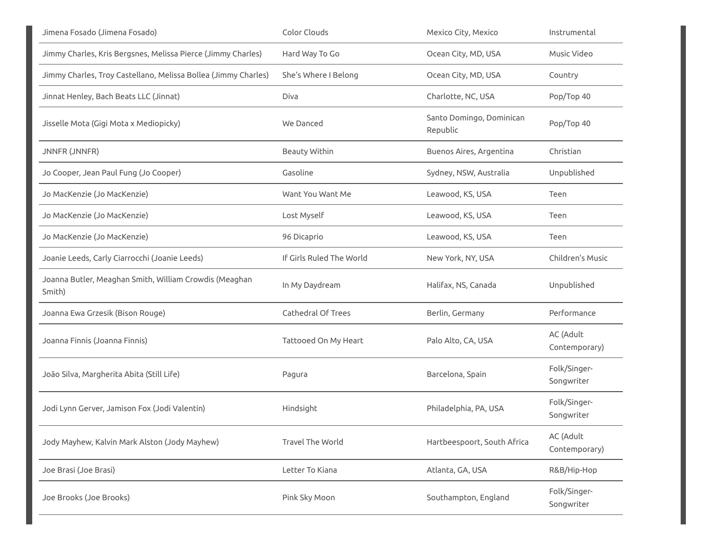| Jimena Fosado (Jimena Fosado)                                    | Color Clouds             | Mexico City, Mexico                  | Instrumental               |
|------------------------------------------------------------------|--------------------------|--------------------------------------|----------------------------|
| Jimmy Charles, Kris Bergsnes, Melissa Pierce (Jimmy Charles)     | Hard Way To Go           | Ocean City, MD, USA                  | Music Video                |
| Jimmy Charles, Troy Castellano, Melissa Bollea (Jimmy Charles)   | She's Where I Belong     | Ocean City, MD, USA                  | Country                    |
| Jinnat Henley, Bach Beats LLC (Jinnat)                           | Diva                     | Charlotte, NC, USA                   | Pop/Top 40                 |
| Jisselle Mota (Gigi Mota x Mediopicky)                           | We Danced                | Santo Domingo, Dominican<br>Republic | Pop/Top 40                 |
| <b>JNNFR (JNNFR)</b>                                             | Beauty Within            | Buenos Aires, Argentina              | Christian                  |
| Jo Cooper, Jean Paul Fung (Jo Cooper)                            | Gasoline                 | Sydney, NSW, Australia               | Unpublished                |
| Jo MacKenzie (Jo MacKenzie)                                      | Want You Want Me         | Leawood, KS, USA                     | Teen                       |
| Jo MacKenzie (Jo MacKenzie)                                      | Lost Myself              | Leawood, KS, USA                     | Teen                       |
| Jo MacKenzie (Jo MacKenzie)                                      | 96 Dicaprio              | Leawood, KS, USA                     | Teen                       |
| Joanie Leeds, Carly Ciarrocchi (Joanie Leeds)                    | If Girls Ruled The World | New York, NY, USA                    | Children's Music           |
| Joanna Butler, Meaghan Smith, William Crowdis (Meaghan<br>Smith) | In My Daydream           | Halifax, NS, Canada                  | Unpublished                |
| Joanna Ewa Grzesik (Bison Rouge)                                 | Cathedral Of Trees       | Berlin, Germany                      | Performance                |
| Joanna Finnis (Joanna Finnis)                                    | Tattooed On My Heart     | Palo Alto, CA, USA                   | AC (Adult<br>Contemporary) |
| João Silva, Margherita Abita (Still Life)                        | Pagura                   | Barcelona, Spain                     | Folk/Singer-<br>Songwriter |
| Jodi Lynn Gerver, Jamison Fox (Jodi Valentin)                    | Hindsight                | Philadelphia, PA, USA                | Folk/Singer-<br>Songwriter |
| Jody Mayhew, Kalvin Mark Alston (Jody Mayhew)                    | Travel The World         | Hartbeespoort, South Africa          | AC (Adult<br>Contemporary) |
| Joe Brasi (Joe Brasi)                                            | Letter To Kiana          | Atlanta, GA, USA                     | R&B/Hip-Hop                |
| Joe Brooks (Joe Brooks)                                          | Pink Sky Moon            | Southampton, England                 | Folk/Singer-<br>Songwriter |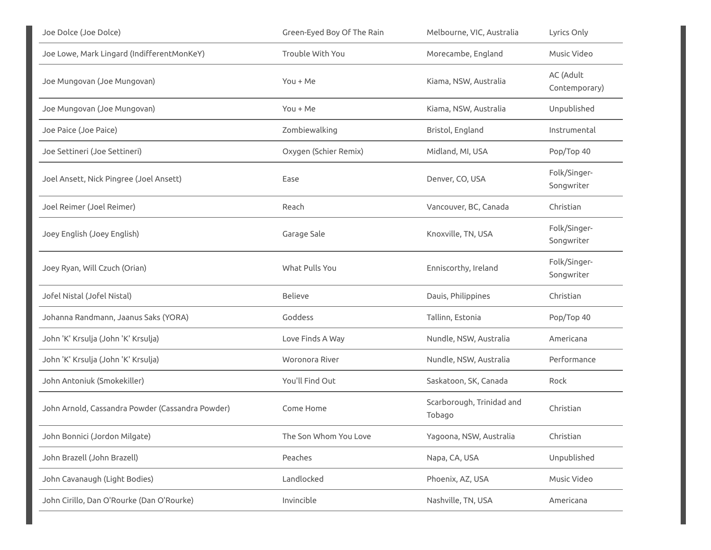| Joe Dolce (Joe Dolce)                            | Green-Eyed Boy Of The Rain | Melbourne, VIC, Australia           | Lyrics Only                |
|--------------------------------------------------|----------------------------|-------------------------------------|----------------------------|
| Joe Lowe, Mark Lingard (IndifferentMonKeY)       | Trouble With You           | Morecambe, England                  | Music Video                |
| Joe Mungovan (Joe Mungovan)                      | $You + Me$                 | Kiama, NSW, Australia               | AC (Adult<br>Contemporary) |
| Joe Mungovan (Joe Mungovan)                      | $You + Me$                 | Kiama, NSW, Australia               | Unpublished                |
| Joe Paice (Joe Paice)                            | Zombiewalking              | Bristol, England                    | Instrumental               |
| Joe Settineri (Joe Settineri)                    | Oxygen (Schier Remix)      | Midland, MI, USA                    | Pop/Top 40                 |
| Joel Ansett, Nick Pingree (Joel Ansett)          | Ease                       | Denver, CO, USA                     | Folk/Singer-<br>Songwriter |
| Joel Reimer (Joel Reimer)                        | Reach                      | Vancouver, BC, Canada               | Christian                  |
| Joey English (Joey English)                      | Garage Sale                | Knoxville, TN, USA                  | Folk/Singer-<br>Songwriter |
| Joey Ryan, Will Czuch (Orian)                    | What Pulls You             | Enniscorthy, Ireland                | Folk/Singer-<br>Songwriter |
| Jofel Nistal (Jofel Nistal)                      | <b>Believe</b>             | Dauis, Philippines                  | Christian                  |
| Johanna Randmann, Jaanus Saks (YORA)             | Goddess                    | Tallinn, Estonia                    | Pop/Top 40                 |
| John 'K' Krsulja (John 'K' Krsulja)              | Love Finds A Way           | Nundle, NSW, Australia              | Americana                  |
| John 'K' Krsulja (John 'K' Krsulja)              | Woronora River             | Nundle, NSW, Australia              | Performance                |
| John Antoniuk (Smokekiller)                      | You'll Find Out            | Saskatoon, SK, Canada               | Rock                       |
| John Arnold, Cassandra Powder (Cassandra Powder) | Come Home                  | Scarborough, Trinidad and<br>Tobago | Christian                  |
| John Bonnici (Jordon Milgate)                    | The Son Whom You Love      | Yagoona, NSW, Australia             | Christian                  |
| John Brazell (John Brazell)                      | Peaches                    | Napa, CA, USA                       | Unpublished                |
| John Cavanaugh (Light Bodies)                    | Landlocked                 | Phoenix, AZ, USA                    | Music Video                |
| John Cirillo, Dan O'Rourke (Dan O'Rourke)        | Invincible                 | Nashville, TN, USA                  | Americana                  |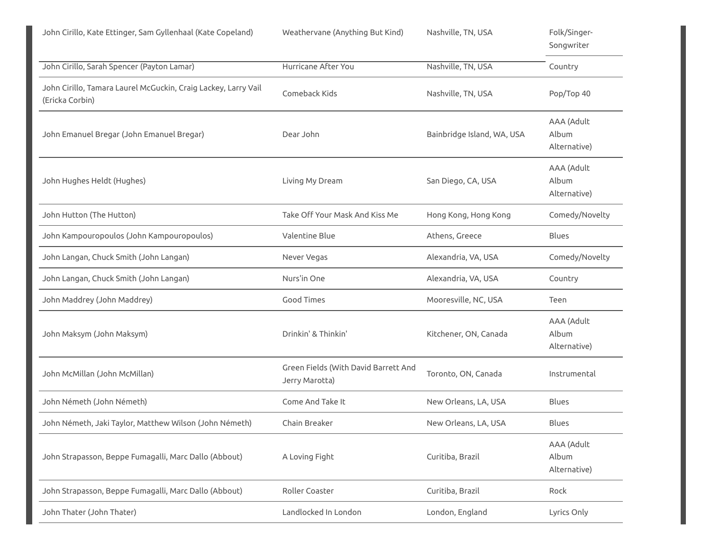John Cirillo, Kate Ettinger, Sam Gyllenhaal (Kate Copeland) Weathervane (Anything But Kind) Nashville, TN, USA Folk/Singer-

|                                                                                   |                                                        |                            | Songwriter                          |
|-----------------------------------------------------------------------------------|--------------------------------------------------------|----------------------------|-------------------------------------|
| John Cirillo, Sarah Spencer (Payton Lamar)                                        | Hurricane After You                                    | Nashville, TN, USA         | Country                             |
| John Cirillo, Tamara Laurel McGuckin, Craig Lackey, Larry Vail<br>(Ericka Corbin) | Comeback Kids                                          | Nashville, TN, USA         | Pop/Top 40                          |
| John Emanuel Bregar (John Emanuel Bregar)                                         | Dear John                                              | Bainbridge Island, WA, USA | AAA (Adult<br>Album<br>Alternative) |
| John Hughes Heldt (Hughes)                                                        | Living My Dream                                        | San Diego, CA, USA         | AAA (Adult<br>Album<br>Alternative) |
| John Hutton (The Hutton)                                                          | Take Off Your Mask And Kiss Me                         | Hong Kong, Hong Kong       | Comedy/Novelty                      |
| John Kampouropoulos (John Kampouropoulos)                                         | Valentine Blue                                         | Athens, Greece             | <b>Blues</b>                        |
| John Langan, Chuck Smith (John Langan)                                            | Never Vegas                                            | Alexandria, VA, USA        | Comedy/Novelty                      |
| John Langan, Chuck Smith (John Langan)                                            | Nurs'in One                                            | Alexandria, VA, USA        | Country                             |
| John Maddrey (John Maddrey)                                                       | <b>Good Times</b>                                      | Mooresville, NC, USA       | Teen                                |
| John Maksym (John Maksym)                                                         | Drinkin' & Thinkin'                                    | Kitchener, ON, Canada      | AAA (Adult<br>Album<br>Alternative) |
| John McMillan (John McMillan)                                                     | Green Fields (With David Barrett And<br>Jerry Marotta) | Toronto, ON, Canada        | Instrumental                        |
| John Németh (John Németh)                                                         | Come And Take It                                       | New Orleans, LA, USA       | <b>Blues</b>                        |
| John Németh, Jaki Taylor, Matthew Wilson (John Németh)                            | Chain Breaker                                          | New Orleans, LA, USA       | <b>Blues</b>                        |
| John Strapasson, Beppe Fumagalli, Marc Dallo (Abbout)                             | A Loving Fight                                         | Curitiba, Brazil           | AAA (Adult<br>Album<br>Alternative) |
| John Strapasson, Beppe Fumagalli, Marc Dallo (Abbout)                             | Roller Coaster                                         | Curitiba, Brazil           | Rock                                |
| John Thater (John Thater)                                                         | Landlocked In London                                   | London, England            | Lyrics Only                         |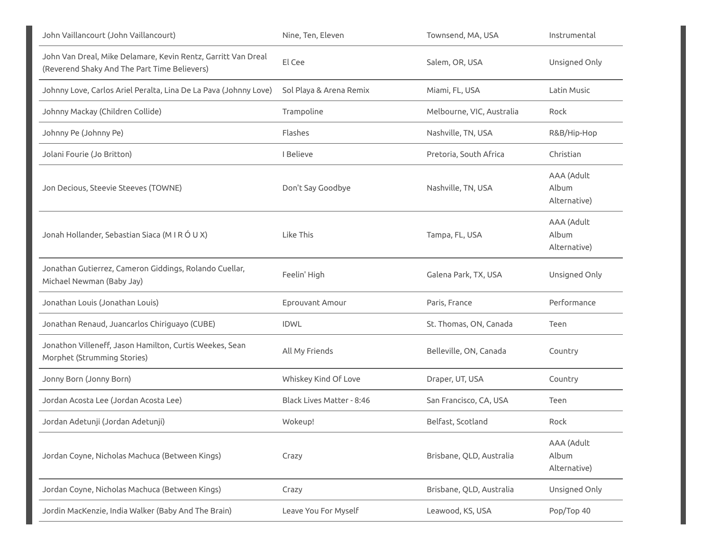| John Vaillancourt (John Vaillancourt)                                                                         | Nine, Ten, Eleven         | Townsend, MA, USA         | Instrumental                        |
|---------------------------------------------------------------------------------------------------------------|---------------------------|---------------------------|-------------------------------------|
| John Van Dreal, Mike Delamare, Kevin Rentz, Garritt Van Dreal<br>(Reverend Shaky And The Part Time Believers) | El Cee                    | Salem, OR, USA            | Unsigned Only                       |
| Johnny Love, Carlos Ariel Peralta, Lina De La Pava (Johnny Love)                                              | Sol Playa & Arena Remix   | Miami, FL, USA            | Latin Music                         |
| Johnny Mackay (Children Collide)                                                                              | Trampoline                | Melbourne, VIC, Australia | Rock                                |
| Johnny Pe (Johnny Pe)                                                                                         | Flashes                   | Nashville, TN, USA        | R&B/Hip-Hop                         |
| Jolani Fourie (Jo Britton)                                                                                    | I Believe                 | Pretoria, South Africa    | Christian                           |
| Jon Decious, Steevie Steeves (TOWNE)                                                                          | Don't Say Goodbye         | Nashville, TN, USA        | AAA (Adult<br>Album<br>Alternative) |
| Jonah Hollander, Sebastian Siaca (M I R Ó U X)                                                                | Like This                 | Tampa, FL, USA            | AAA (Adult<br>Album<br>Alternative) |
| Jonathan Gutierrez, Cameron Giddings, Rolando Cuellar,<br>Michael Newman (Baby Jay)                           | Feelin' High              | Galena Park, TX, USA      | Unsigned Only                       |
| Jonathan Louis (Jonathan Louis)                                                                               | Eprouvant Amour           | Paris, France             | Performance                         |
| Jonathan Renaud, Juancarlos Chiriguayo (CUBE)                                                                 | <b>IDWL</b>               | St. Thomas, ON, Canada    | Teen                                |
| Jonathon Villeneff, Jason Hamilton, Curtis Weekes, Sean<br>Morphet (Strumming Stories)                        | All My Friends            | Belleville, ON, Canada    | Country                             |
| Jonny Born (Jonny Born)                                                                                       | Whiskey Kind Of Love      | Draper, UT, USA           | Country                             |
| Jordan Acosta Lee (Jordan Acosta Lee)                                                                         | Black Lives Matter - 8:46 | San Francisco, CA, USA    | Teen                                |
| Jordan Adetunji (Jordan Adetunji)                                                                             | Wokeup!                   | Belfast, Scotland         | Rock                                |
| Jordan Coyne, Nicholas Machuca (Between Kings)                                                                | Crazy                     | Brisbane, QLD, Australia  | AAA (Adult<br>Album<br>Alternative) |
| Jordan Coyne, Nicholas Machuca (Between Kings)                                                                | Crazy                     | Brisbane, QLD, Australia  | Unsigned Only                       |
| Jordin MacKenzie, India Walker (Baby And The Brain)                                                           | Leave You For Myself      | Leawood, KS, USA          | Pop/Top 40                          |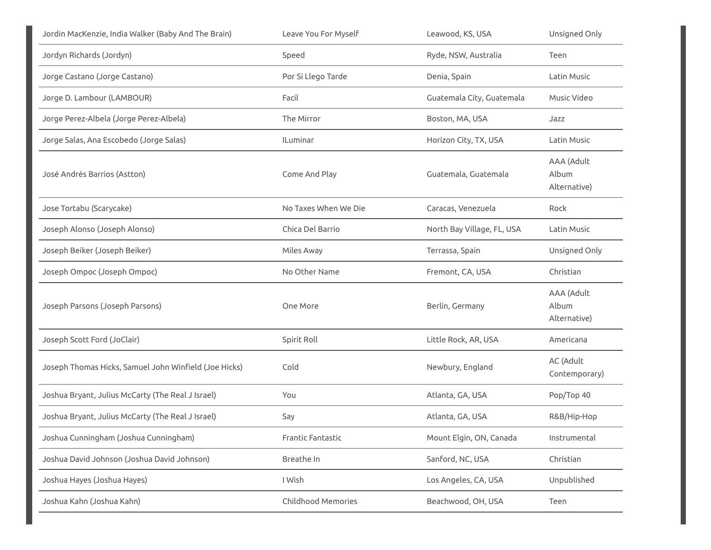| Jordin MacKenzie, India Walker (Baby And The Brain)   | Leave You For Myself      | Leawood, KS, USA           | Unsigned Only                       |
|-------------------------------------------------------|---------------------------|----------------------------|-------------------------------------|
| Jordyn Richards (Jordyn)                              | Speed                     | Ryde, NSW, Australia       | Teen                                |
| Jorge Castano (Jorge Castano)                         | Por Si Llego Tarde        | Denia, Spain               | Latin Music                         |
| Jorge D. Lambour (LAMBOUR)                            | Facil                     | Guatemala City, Guatemala  | Music Video                         |
| Jorge Perez-Albela (Jorge Perez-Albela)               | The Mirror                | Boston, MA, USA            | Jazz                                |
| Jorge Salas, Ana Escobedo (Jorge Salas)               | <b>ILuminar</b>           | Horizon City, TX, USA      | Latin Music                         |
| José Andrés Barrios (Astton)                          | Come And Play             | Guatemala, Guatemala       | AAA (Adult<br>Album<br>Alternative) |
| Jose Tortabu (Scarycake)                              | No Taxes When We Die      | Caracas, Venezuela         | Rock                                |
| Joseph Alonso (Joseph Alonso)                         | Chica Del Barrio          | North Bay Village, FL, USA | Latin Music                         |
| Joseph Beiker (Joseph Beiker)                         | Miles Away                | Terrassa, Spain            | Unsigned Only                       |
| Joseph Ompoc (Joseph Ompoc)                           | No Other Name             | Fremont, CA, USA           | Christian                           |
| Joseph Parsons (Joseph Parsons)                       | One More                  | Berlin, Germany            | AAA (Adult<br>Album<br>Alternative) |
| Joseph Scott Ford (JoClair)                           | Spirit Roll               | Little Rock, AR, USA       | Americana                           |
| Joseph Thomas Hicks, Samuel John Winfield (Joe Hicks) | Cold                      | Newbury, England           | AC (Adult<br>Contemporary)          |
| Joshua Bryant, Julius McCarty (The Real J Israel)     | You                       | Atlanta, GA, USA           | Pop/Top 40                          |
| Joshua Bryant, Julius McCarty (The Real J Israel)     | Say                       | Atlanta, GA, USA           | R&B/Hip-Hop                         |
| Joshua Cunningham (Joshua Cunningham)                 | Frantic Fantastic         | Mount Elgin, ON, Canada    | Instrumental                        |
| Joshua David Johnson (Joshua David Johnson)           | Breathe In                | Sanford, NC, USA           | Christian                           |
| Joshua Hayes (Joshua Hayes)                           | I Wish                    | Los Angeles, CA, USA       | Unpublished                         |
| Joshua Kahn (Joshua Kahn)                             | <b>Childhood Memories</b> | Beachwood, OH, USA         | Teen                                |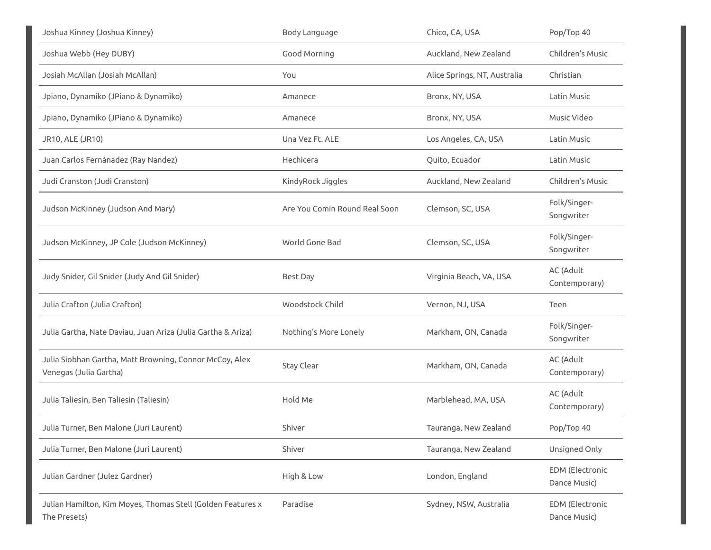| Joshua Kinney (Joshua Kinney)                                                     | Body Language                 | Chico, CA, USA               | Pop/Top 40                      |
|-----------------------------------------------------------------------------------|-------------------------------|------------------------------|---------------------------------|
| Joshua Webb (Hey DUBY)                                                            | Good Morning                  | Auckland, New Zealand        | Children's Music                |
| Josiah McAllan (Josiah McAllan)                                                   | You                           | Alice Springs, NT, Australia | Christian                       |
| Jpiano, Dynamiko (JPiano & Dynamiko)                                              | Amanece                       | Bronx, NY, USA               | Latin Music                     |
| Jpiano, Dynamiko (JPiano & Dynamiko)                                              | Amanece                       | Bronx, NY, USA               | Music Video                     |
| JR10, ALE (JR10)                                                                  | Una Vez Ft. ALE               | Los Angeles, CA, USA         | Latin Music                     |
| Juan Carlos Fernánadez (Ray Nandez)                                               | Hechicera                     | Quito, Ecuador               | Latin Music                     |
| Judi Cranston (Judi Cranston)                                                     | KindyRock Jiggles             | Auckland, New Zealand        | Children's Music                |
| Judson McKinney (Judson And Mary)                                                 | Are You Comin Round Real Soon | Clemson, SC, USA             | Folk/Singer-<br>Songwriter      |
| Judson McKinney, JP Cole (Judson McKinney)                                        | World Gone Bad                | Clemson, SC, USA             | Folk/Singer-<br>Songwriter      |
| Judy Snider, Gil Snider (Judy And Gil Snider)                                     | <b>Best Day</b>               | Virginia Beach, VA, USA      | AC (Adult<br>Contemporary)      |
| Julia Crafton (Julia Crafton)                                                     | Woodstock Child               | Vernon, NJ, USA              | Teen                            |
| Julia Gartha, Nate Daviau, Juan Ariza (Julia Gartha & Ariza)                      | Nothing's More Lonely         | Markham, ON, Canada          | Folk/Singer-<br>Songwriter      |
| Julia Siobhan Gartha, Matt Browning, Connor McCoy, Alex<br>Venegas (Julia Gartha) | Stay Clear                    | Markham, ON, Canada          | AC (Adult<br>Contemporary)      |
| Julia Taliesin, Ben Taliesin (Taliesin)                                           | Hold Me                       | Marblehead, MA, USA          | AC (Adult<br>Contemporary)      |
| Julia Turner, Ben Malone (Juri Laurent)                                           | Shiver                        | Tauranga, New Zealand        | Pop/Top 40                      |
| Julia Turner, Ben Malone (Juri Laurent)                                           | Shiver                        | Tauranga, New Zealand        | Unsigned Only                   |
| Julian Gardner (Julez Gardner)                                                    | High & Low                    | London, England              | EDM (Electronic<br>Dance Music) |
| Julian Hamilton, Kim Moyes, Thomas Stell (Golden Features x<br>The Presets)       | Paradise                      | Sydney, NSW, Australia       | EDM (Electronic<br>Dance Music) |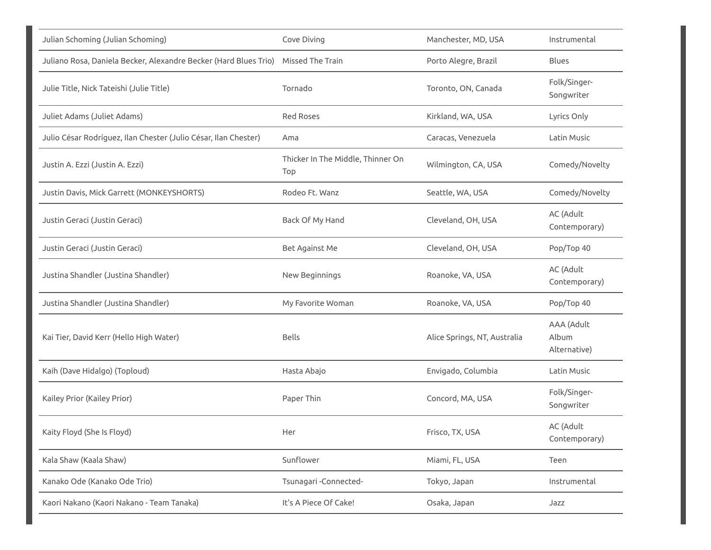| Julian Schoming (Julian Schoming)                                                 | Cove Diving                              | Manchester, MD, USA          | Instrumental                        |
|-----------------------------------------------------------------------------------|------------------------------------------|------------------------------|-------------------------------------|
| Juliano Rosa, Daniela Becker, Alexandre Becker (Hard Blues Trio) Missed The Train |                                          | Porto Alegre, Brazil         | <b>Blues</b>                        |
| Julie Title, Nick Tateishi (Julie Title)                                          | Tornado                                  | Toronto, ON, Canada          | Folk/Singer-<br>Songwriter          |
| Juliet Adams (Juliet Adams)                                                       | <b>Red Roses</b>                         | Kirkland, WA, USA            | Lyrics Only                         |
| Julio César Rodríguez, Ilan Chester (Julio César, Ilan Chester)                   | Ama                                      | Caracas, Venezuela           | Latin Music                         |
| Justin A. Ezzi (Justin A. Ezzi)                                                   | Thicker In The Middle, Thinner On<br>Top | Wilmington, CA, USA          | Comedy/Novelty                      |
| Justin Davis, Mick Garrett (MONKEYSHORTS)                                         | Rodeo Ft. Wanz                           | Seattle, WA, USA             | Comedy/Novelty                      |
| Justin Geraci (Justin Geraci)                                                     | Back Of My Hand                          | Cleveland, OH, USA           | AC (Adult<br>Contemporary)          |
| Justin Geraci (Justin Geraci)                                                     | Bet Against Me                           | Cleveland, OH, USA           | Pop/Top 40                          |
| Justina Shandler (Justina Shandler)                                               | New Beginnings                           | Roanoke, VA, USA             | AC (Adult<br>Contemporary)          |
| Justina Shandler (Justina Shandler)                                               | My Favorite Woman                        | Roanoke, VA, USA             | Pop/Top 40                          |
| Kai Tier, David Kerr (Hello High Water)                                           | <b>Bells</b>                             | Alice Springs, NT, Australia | AAA (Adult<br>Album<br>Alternative) |
| Kaih (Dave Hidalgo) (Toploud)                                                     | Hasta Abajo                              | Envigado, Columbia           | Latin Music                         |
| Kailey Prior (Kailey Prior)                                                       | Paper Thin                               | Concord, MA, USA             | Folk/Singer-<br>Songwriter          |
| Kaity Floyd (She Is Floyd)                                                        | Her                                      | Frisco, TX, USA              | AC (Adult<br>Contemporary)          |
| Kala Shaw (Kaala Shaw)                                                            | Sunflower                                | Miami, FL, USA               | Teen                                |
| Kanako Ode (Kanako Ode Trio)                                                      | Tsunagari - Connected-                   | Tokyo, Japan                 | Instrumental                        |
| Kaori Nakano (Kaori Nakano - Team Tanaka)                                         | It's A Piece Of Cake!                    | Osaka, Japan                 | Jazz                                |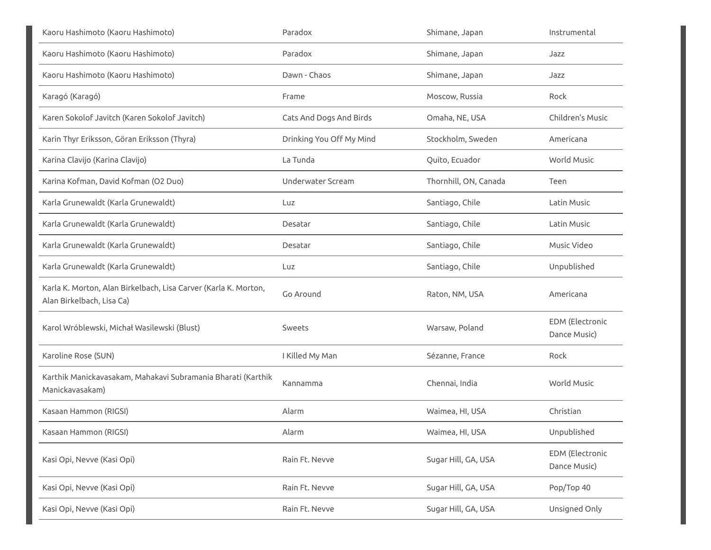| Kaoru Hashimoto (Kaoru Hashimoto)                                                            | Paradox                  | Shimane, Japan        | Instrumental                           |
|----------------------------------------------------------------------------------------------|--------------------------|-----------------------|----------------------------------------|
| Kaoru Hashimoto (Kaoru Hashimoto)                                                            | Paradox                  | Shimane, Japan        | Jazz                                   |
| Kaoru Hashimoto (Kaoru Hashimoto)                                                            | Dawn - Chaos             | Shimane, Japan        | Jazz                                   |
| Karagó (Karagó)                                                                              | Frame                    | Moscow, Russia        | Rock                                   |
| Karen Sokolof Javitch (Karen Sokolof Javitch)                                                | Cats And Dogs And Birds  | Omaha, NE, USA        | Children's Music                       |
| Karin Thyr Eriksson, Göran Eriksson (Thyra)                                                  | Drinking You Off My Mind | Stockholm, Sweden     | Americana                              |
| Karina Clavijo (Karina Clavijo)                                                              | La Tunda                 | Quito, Ecuador        | <b>World Music</b>                     |
| Karina Kofman, David Kofman (O2 Duo)                                                         | Underwater Scream        | Thornhill, ON, Canada | Teen                                   |
| Karla Grunewaldt (Karla Grunewaldt)                                                          | Luz                      | Santiago, Chile       | Latin Music                            |
| Karla Grunewaldt (Karla Grunewaldt)                                                          | Desatar                  | Santiago, Chile       | Latin Music                            |
| Karla Grunewaldt (Karla Grunewaldt)                                                          | Desatar                  | Santiago, Chile       | Music Video                            |
| Karla Grunewaldt (Karla Grunewaldt)                                                          | Luz                      | Santiago, Chile       | Unpublished                            |
| Karla K. Morton, Alan Birkelbach, Lisa Carver (Karla K. Morton,<br>Alan Birkelbach, Lisa Ca) | Go Around                | Raton, NM, USA        | Americana                              |
| Karol Wróblewski, Michał Wasilewski (Blust)                                                  | Sweets                   | Warsaw, Poland        | <b>EDM</b> (Electronic<br>Dance Music) |
| Karoline Rose (SUN)                                                                          | I Killed My Man          | Sézanne, France       | Rock                                   |
| Karthik Manickavasakam, Mahakavi Subramania Bharati (Karthik<br>Manickavasakam)              | Kannamma                 | Chennai, India        | World Music                            |
| Kasaan Hammon (RIGSI)                                                                        | Alarm                    | Waimea, HI, USA       | Christian                              |
| Kasaan Hammon (RIGSI)                                                                        | Alarm                    | Waimea, HI, USA       | Unpublished                            |
| Kasi Opi, Nevve (Kasi Opi)                                                                   | Rain Ft. Nevve           | Sugar Hill, GA, USA   | <b>EDM</b> (Electronic<br>Dance Music) |
| Kasi Opi, Nevve (Kasi Opi)                                                                   | Rain Ft. Nevve           | Sugar Hill, GA, USA   | Pop/Top 40                             |
| Kasi Opi, Nevve (Kasi Opi)                                                                   | Rain Ft. Nevve           | Sugar Hill, GA, USA   | Unsigned Only                          |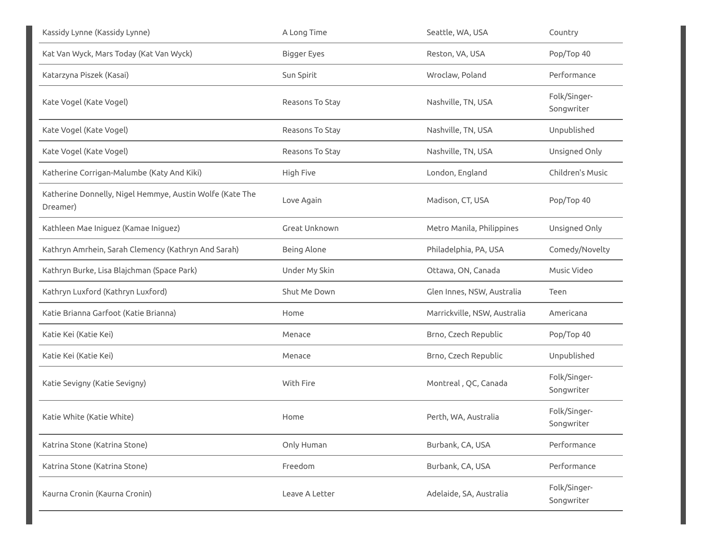| Kassidy Lynne (Kassidy Lynne)                                        | A Long Time        | Seattle, WA, USA             | Country                    |
|----------------------------------------------------------------------|--------------------|------------------------------|----------------------------|
| Kat Van Wyck, Mars Today (Kat Van Wyck)                              | <b>Bigger Eyes</b> | Reston, VA, USA              | Pop/Top 40                 |
| Katarzyna Piszek (Kasai)                                             | Sun Spirit         | Wroclaw, Poland              | Performance                |
| Kate Vogel (Kate Vogel)                                              | Reasons To Stay    | Nashville, TN, USA           | Folk/Singer-<br>Songwriter |
| Kate Vogel (Kate Vogel)                                              | Reasons To Stay    | Nashville, TN, USA           | Unpublished                |
| Kate Vogel (Kate Vogel)                                              | Reasons To Stay    | Nashville, TN, USA           | Unsigned Only              |
| Katherine Corrigan-Malumbe (Katy And Kiki)                           | High Five          | London, England              | Children's Music           |
| Katherine Donnelly, Nigel Hemmye, Austin Wolfe (Kate The<br>Dreamer) | Love Again         | Madison, CT, USA             | Pop/Top 40                 |
| Kathleen Mae Iniguez (Kamae Iniguez)                                 | Great Unknown      | Metro Manila, Philippines    | Unsigned Only              |
| Kathryn Amrhein, Sarah Clemency (Kathryn And Sarah)                  | Being Alone        | Philadelphia, PA, USA        | Comedy/Novelty             |
| Kathryn Burke, Lisa Blajchman (Space Park)                           | Under My Skin      | Ottawa, ON, Canada           | Music Video                |
| Kathryn Luxford (Kathryn Luxford)                                    | Shut Me Down       | Glen Innes, NSW, Australia   | Teen                       |
| Katie Brianna Garfoot (Katie Brianna)                                | Home               | Marrickville, NSW, Australia | Americana                  |
| Katie Kei (Katie Kei)                                                | Menace             | Brno, Czech Republic         | Pop/Top 40                 |
| Katie Kei (Katie Kei)                                                | Menace             | Brno, Czech Republic         | Unpublished                |
| Katie Sevigny (Katie Sevigny)                                        | With Fire          | Montreal, QC, Canada         | Folk/Singer-<br>Songwriter |
| Katie White (Katie White)                                            | Home               | Perth, WA, Australia         | Folk/Singer-<br>Songwriter |
| Katrina Stone (Katrina Stone)                                        | Only Human         | Burbank, CA, USA             | Performance                |
| Katrina Stone (Katrina Stone)                                        | Freedom            | Burbank, CA, USA             | Performance                |
| Kaurna Cronin (Kaurna Cronin)                                        | Leave A Letter     | Adelaide, SA, Australia      | Folk/Singer-<br>Songwriter |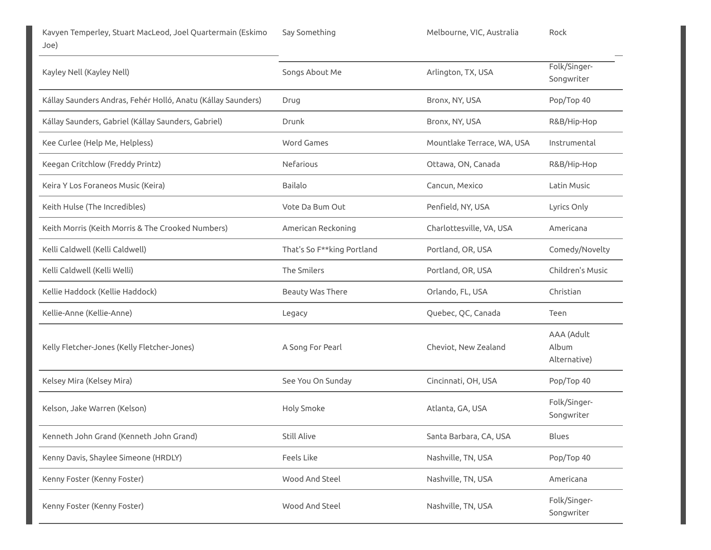| Kayley Nell (Kayley Nell)                                    | Songs About Me             | Arlington, TX, USA         | Folk/Singer-<br>Songwriter          |
|--------------------------------------------------------------|----------------------------|----------------------------|-------------------------------------|
| Kállay Saunders Andras, Fehér Holló, Anatu (Kállay Saunders) | Drug                       | Bronx, NY, USA             | Pop/Top 40                          |
| Kállay Saunders, Gabriel (Kállay Saunders, Gabriel)          | Drunk                      | Bronx, NY, USA             | R&B/Hip-Hop                         |
| Kee Curlee (Help Me, Helpless)                               | <b>Word Games</b>          | Mountlake Terrace, WA, USA | Instrumental                        |
| Keegan Critchlow (Freddy Printz)                             | Nefarious                  | Ottawa, ON, Canada         | R&B/Hip-Hop                         |
| Keira Y Los Foraneos Music (Keira)                           | <b>Bailalo</b>             | Cancun, Mexico             | Latin Music                         |
| Keith Hulse (The Incredibles)                                | Vote Da Bum Out            | Penfield, NY, USA          | Lyrics Only                         |
| Keith Morris (Keith Morris & The Crooked Numbers)            | American Reckoning         | Charlottesville, VA, USA   | Americana                           |
| Kelli Caldwell (Kelli Caldwell)                              | That's So F**king Portland | Portland, OR, USA          | Comedy/Novelty                      |
| Kelli Caldwell (Kelli Welli)                                 | The Smilers                | Portland, OR, USA          | Children's Music                    |
| Kellie Haddock (Kellie Haddock)                              | Beauty Was There           | Orlando, FL, USA           | Christian                           |
| Kellie-Anne (Kellie-Anne)                                    | Legacy                     | Quebec, QC, Canada         | Teen                                |
| Kelly Fletcher-Jones (Kelly Fletcher-Jones)                  | A Song For Pearl           | Cheviot, New Zealand       | AAA (Adult<br>Album<br>Alternative) |
| Kelsey Mira (Kelsey Mira)                                    | See You On Sunday          | Cincinnati, OH, USA        | Pop/Top 40                          |
| Kelson, Jake Warren (Kelson)                                 | Holy Smoke                 | Atlanta, GA, USA           | Folk/Singer-<br>Songwriter          |
| Kenneth John Grand (Kenneth John Grand)                      | <b>Still Alive</b>         | Santa Barbara, CA, USA     | <b>Blues</b>                        |
| Kenny Davis, Shaylee Simeone (HRDLY)                         | Feels Like                 | Nashville, TN, USA         | Pop/Top 40                          |
| Kenny Foster (Kenny Foster)                                  | Wood And Steel             | Nashville, TN, USA         | Americana                           |
| Kenny Foster (Kenny Foster)                                  | Wood And Steel             | Nashville, TN, USA         | Folk/Singer-<br>Songwriter          |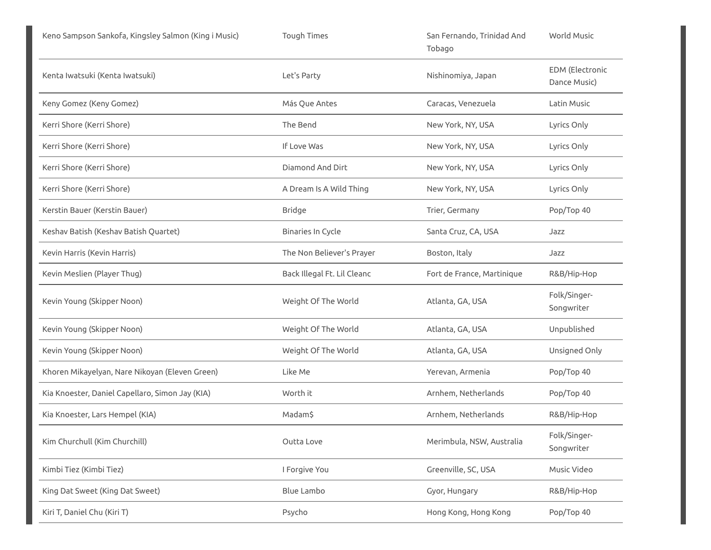| Keno Sampson Sankofa, Kingsley Salmon (King i Music) | <b>Tough Times</b>          | San Fernando, Trinidad And<br>Tobago | World Music                            |
|------------------------------------------------------|-----------------------------|--------------------------------------|----------------------------------------|
| Kenta Iwatsuki (Kenta Iwatsuki)                      | Let's Party                 | Nishinomiya, Japan                   | <b>EDM</b> (Electronic<br>Dance Music) |
| Keny Gomez (Keny Gomez)                              | Más Que Antes               | Caracas, Venezuela                   | Latin Music                            |
| Kerri Shore (Kerri Shore)                            | The Bend                    | New York, NY, USA                    | Lyrics Only                            |
| Kerri Shore (Kerri Shore)                            | If Love Was                 | New York, NY, USA                    | Lyrics Only                            |
| Kerri Shore (Kerri Shore)                            | Diamond And Dirt            | New York, NY, USA                    | Lyrics Only                            |
| Kerri Shore (Kerri Shore)                            | A Dream Is A Wild Thing     | New York, NY, USA                    | Lyrics Only                            |
| Kerstin Bauer (Kerstin Bauer)                        | <b>Bridge</b>               | Trier, Germany                       | Pop/Top 40                             |
| Keshav Batish (Keshav Batish Quartet)                | Binaries In Cycle           | Santa Cruz, CA, USA                  | Jazz                                   |
| Kevin Harris (Kevin Harris)                          | The Non Believer's Prayer   | Boston, Italy                        | Jazz                                   |
| Kevin Meslien (Player Thug)                          | Back Illegal Ft. Lil Cleanc | Fort de France, Martinique           | R&B/Hip-Hop                            |
| Kevin Young (Skipper Noon)                           | Weight Of The World         | Atlanta, GA, USA                     | Folk/Singer-<br>Songwriter             |
| Kevin Young (Skipper Noon)                           | Weight Of The World         | Atlanta, GA, USA                     | Unpublished                            |
| Kevin Young (Skipper Noon)                           | Weight Of The World         | Atlanta, GA, USA                     | Unsigned Only                          |
| Khoren Mikayelyan, Nare Nikoyan (Eleven Green)       | Like Me                     | Yerevan, Armenia                     | Pop/Top 40                             |
| Kia Knoester, Daniel Capellaro, Simon Jay (KIA)      | Worth it                    | Arnhem, Netherlands                  | Pop/Top 40                             |
| Kia Knoester, Lars Hempel (KIA)                      | Madam\$                     | Arnhem, Netherlands                  | R&B/Hip-Hop                            |
| Kim Churchull (Kim Churchill)                        | Outta Love                  | Merimbula, NSW, Australia            | Folk/Singer-<br>Songwriter             |
| Kimbi Tiez (Kimbi Tiez)                              | I Forgive You               | Greenville, SC, USA                  | Music Video                            |
| King Dat Sweet (King Dat Sweet)                      | <b>Blue Lambo</b>           | Gyor, Hungary                        | R&B/Hip-Hop                            |
| Kiri T, Daniel Chu (Kiri T)                          | Psycho                      | Hong Kong, Hong Kong                 | Pop/Top 40                             |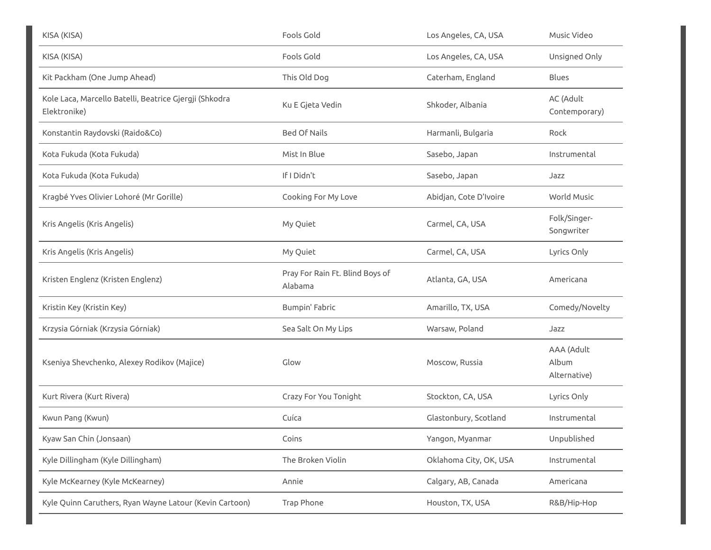| KISA (KISA)                                                            | Fools Gold                                 | Los Angeles, CA, USA   | Music Video                         |
|------------------------------------------------------------------------|--------------------------------------------|------------------------|-------------------------------------|
| KISA (KISA)                                                            | Fools Gold                                 | Los Angeles, CA, USA   | Unsigned Only                       |
| Kit Packham (One Jump Ahead)                                           | This Old Dog                               | Caterham, England      | <b>Blues</b>                        |
| Kole Laca, Marcello Batelli, Beatrice Gjergji (Shkodra<br>Elektronike) | Ku E Gjeta Vedin                           | Shkoder, Albania       | AC (Adult<br>Contemporary)          |
| Konstantin Raydovski (Raido&Co)                                        | <b>Bed Of Nails</b>                        | Harmanli, Bulgaria     | Rock                                |
| Kota Fukuda (Kota Fukuda)                                              | Mist In Blue                               | Sasebo, Japan          | Instrumental                        |
| Kota Fukuda (Kota Fukuda)                                              | If I Didn't                                | Sasebo, Japan          | Jazz                                |
| Kragbé Yves Olivier Lohoré (Mr Gorille)                                | Cooking For My Love                        | Abidjan, Cote D'Ivoire | World Music                         |
| Kris Angelis (Kris Angelis)                                            | My Quiet                                   | Carmel, CA, USA        | Folk/Singer-<br>Songwriter          |
| Kris Angelis (Kris Angelis)                                            | My Quiet                                   | Carmel, CA, USA        | Lyrics Only                         |
| Kristen Englenz (Kristen Englenz)                                      | Pray For Rain Ft. Blind Boys of<br>Alabama | Atlanta, GA, USA       | Americana                           |
| Kristin Key (Kristin Key)                                              | Bumpin' Fabric                             | Amarillo, TX, USA      | Comedy/Novelty                      |
| Krzysia Górniak (Krzysia Górniak)                                      | Sea Salt On My Lips                        | Warsaw, Poland         | Jazz                                |
| Kseniya Shevchenko, Alexey Rodikov (Majice)                            | Glow                                       | Moscow, Russia         | AAA (Adult<br>Album<br>Alternative) |
| Kurt Rivera (Kurt Rivera)                                              | Crazy For You Tonight                      | Stockton, CA, USA      | Lyrics Only                         |
| Kwun Pang (Kwun)                                                       | Cuíca                                      | Glastonbury, Scotland  | Instrumental                        |
| Kyaw San Chin (Jonsaan)                                                | Coins                                      | Yangon, Myanmar        | Unpublished                         |
| Kyle Dillingham (Kyle Dillingham)                                      | The Broken Violin                          | Oklahoma City, OK, USA | Instrumental                        |
| Kyle McKearney (Kyle McKearney)                                        | Annie                                      | Calgary, AB, Canada    | Americana                           |
| Kyle Quinn Caruthers, Ryan Wayne Latour (Kevin Cartoon)                | Trap Phone                                 | Houston, TX, USA       | R&B/Hip-Hop                         |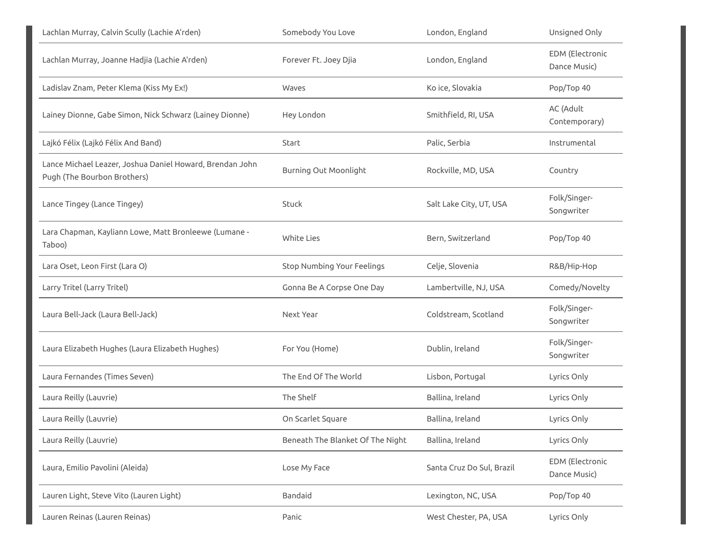| Lachlan Murray, Calvin Scully (Lachie A'rden)                                           | Somebody You Love                 | London, England           | Unsigned Only                   |
|-----------------------------------------------------------------------------------------|-----------------------------------|---------------------------|---------------------------------|
| Lachlan Murray, Joanne Hadjia (Lachie A'rden)                                           | Forever Ft. Joey Djia             | London, England           | EDM (Electronic<br>Dance Music) |
| Ladislav Znam, Peter Klema (Kiss My Ex!)                                                | Waves                             | Ko ice, Slovakia          | Pop/Top 40                      |
| Lainey Dionne, Gabe Simon, Nick Schwarz (Lainey Dionne)                                 | Hey London                        | Smithfield, RI, USA       | AC (Adult<br>Contemporary)      |
| Lajkó Félix (Lajkó Félix And Band)                                                      | Start                             | Palic, Serbia             | Instrumental                    |
| Lance Michael Leazer, Joshua Daniel Howard, Brendan John<br>Pugh (The Bourbon Brothers) | <b>Burning Out Moonlight</b>      | Rockville, MD, USA        | Country                         |
| Lance Tingey (Lance Tingey)                                                             | Stuck                             | Salt Lake City, UT, USA   | Folk/Singer-<br>Songwriter      |
| Lara Chapman, Kayliann Lowe, Matt Bronleewe (Lumane -<br>Taboo)                         | <b>White Lies</b>                 | Bern, Switzerland         | Pop/Top 40                      |
| Lara Oset, Leon First (Lara O)                                                          | <b>Stop Numbing Your Feelings</b> | Celje, Slovenia           | R&B/Hip-Hop                     |
| Larry Tritel (Larry Tritel)                                                             | Gonna Be A Corpse One Day         | Lambertville, NJ, USA     | Comedy/Novelty                  |
| Laura Bell-Jack (Laura Bell-Jack)                                                       | Next Year                         | Coldstream, Scotland      | Folk/Singer-<br>Songwriter      |
| Laura Elizabeth Hughes (Laura Elizabeth Hughes)                                         | For You (Home)                    | Dublin, Ireland           | Folk/Singer-<br>Songwriter      |
| Laura Fernandes (Times Seven)                                                           | The End Of The World              | Lisbon, Portugal          | Lyrics Only                     |
| Laura Reilly (Lauvrie)                                                                  | The Shelf                         | Ballina, Ireland          | Lyrics Only                     |
| Laura Reilly (Lauvrie)                                                                  | On Scarlet Square                 | Ballina, Ireland          | Lyrics Only                     |
| Laura Reilly (Lauvrie)                                                                  | Beneath The Blanket Of The Night  | Ballina, Ireland          | Lyrics Only                     |
| Laura, Emilio Pavolini (Aleida)                                                         | Lose My Face                      | Santa Cruz Do Sul, Brazil | EDM (Electronic<br>Dance Music) |
| Lauren Light, Steve Vito (Lauren Light)                                                 | Bandaid                           | Lexington, NC, USA        | Pop/Top 40                      |
| Lauren Reinas (Lauren Reinas)                                                           | Panic                             | West Chester, PA, USA     | Lyrics Only                     |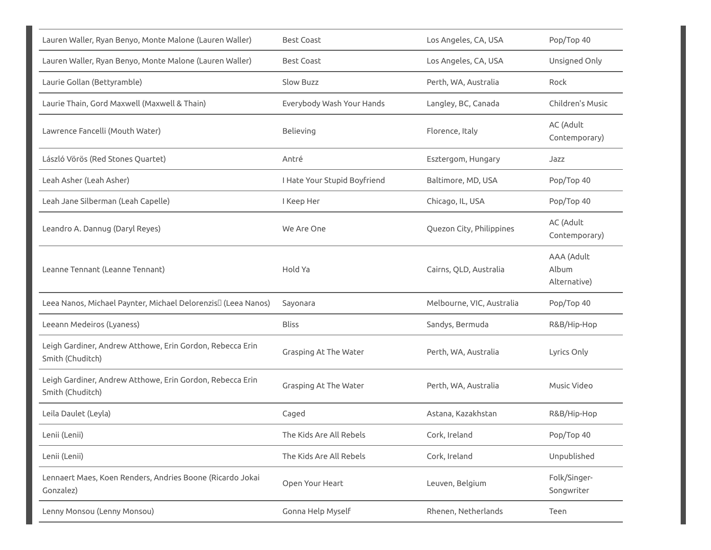| Lauren Waller, Ryan Benyo, Monte Malone (Lauren Waller)                       | <b>Best Coast</b>            | Los Angeles, CA, USA      | Pop/Top 40                          |
|-------------------------------------------------------------------------------|------------------------------|---------------------------|-------------------------------------|
| Lauren Waller, Ryan Benyo, Monte Malone (Lauren Waller)                       | <b>Best Coast</b>            | Los Angeles, CA, USA      | Unsigned Only                       |
| Laurie Gollan (Bettyramble)                                                   | Slow Buzz                    | Perth, WA, Australia      | Rock                                |
| Laurie Thain, Gord Maxwell (Maxwell & Thain)                                  | Everybody Wash Your Hands    | Langley, BC, Canada       | Children's Music                    |
| Lawrence Fancelli (Mouth Water)                                               | Believing                    | Florence, Italy           | AC (Adult<br>Contemporary)          |
| László Vörös (Red Stones Quartet)                                             | Antré                        | Esztergom, Hungary        | Jazz                                |
| Leah Asher (Leah Asher)                                                       | I Hate Your Stupid Boyfriend | Baltimore, MD, USA        | Pop/Top 40                          |
| Leah Jane Silberman (Leah Capelle)                                            | I Keep Her                   | Chicago, IL, USA          | Pop/Top 40                          |
| Leandro A. Dannug (Daryl Reyes)                                               | We Are One                   | Quezon City, Philippines  | AC (Adult<br>Contemporary)          |
| Leanne Tennant (Leanne Tennant)                                               | Hold Ya                      | Cairns, QLD, Australia    | AAA (Adult<br>Album<br>Alternative) |
| Leea Nanos, Michael Paynter, Michael Delorenzis <sup>[]</sup> (Leea Nanos)    | Sayonara                     | Melbourne, VIC, Australia | Pop/Top 40                          |
| Leeann Medeiros (Lyaness)                                                     | <b>Bliss</b>                 | Sandys, Bermuda           | R&B/Hip-Hop                         |
| Leigh Gardiner, Andrew Atthowe, Erin Gordon, Rebecca Erin<br>Smith (Chuditch) | Grasping At The Water        | Perth, WA, Australia      | Lyrics Only                         |
| Leigh Gardiner, Andrew Atthowe, Erin Gordon, Rebecca Erin<br>Smith (Chuditch) | Grasping At The Water        | Perth, WA, Australia      | Music Video                         |
| Leila Daulet (Leyla)                                                          | Caged                        | Astana, Kazakhstan        | R&B/Hip-Hop                         |
| Lenii (Lenii)                                                                 | The Kids Are All Rebels      | Cork, Ireland             | Pop/Top 40                          |
| Lenii (Lenii)                                                                 | The Kids Are All Rebels      | Cork, Ireland             | Unpublished                         |
| Lennaert Maes, Koen Renders, Andries Boone (Ricardo Jokai<br>Gonzalez)        | Open Your Heart              | Leuven, Belgium           | Folk/Singer-<br>Songwriter          |
| Lenny Monsou (Lenny Monsou)                                                   | Gonna Help Myself            | Rhenen, Netherlands       | Teen                                |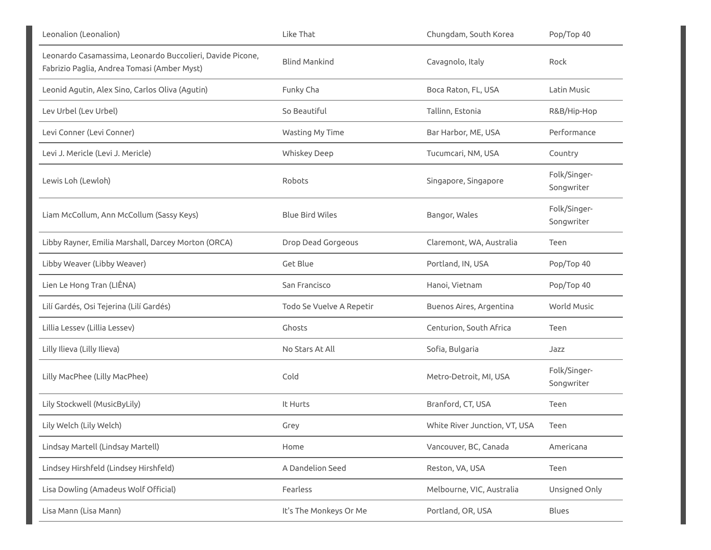| Leonalion (Leonalion)                                                                                    | Like That                | Chungdam, South Korea         | Pop/Top 40                 |
|----------------------------------------------------------------------------------------------------------|--------------------------|-------------------------------|----------------------------|
| Leonardo Casamassima, Leonardo Buccolieri, Davide Picone,<br>Fabrizio Paglia, Andrea Tomasi (Amber Myst) | <b>Blind Mankind</b>     | Cavagnolo, Italy              | Rock                       |
| Leonid Agutin, Alex Sino, Carlos Oliva (Agutin)                                                          | Funky Cha                | Boca Raton, FL, USA           | Latin Music                |
| Lev Urbel (Lev Urbel)                                                                                    | So Beautiful             | Tallinn, Estonia              | R&B/Hip-Hop                |
| Levi Conner (Levi Conner)                                                                                | Wasting My Time          | Bar Harbor, ME, USA           | Performance                |
| Levi J. Mericle (Levi J. Mericle)                                                                        | <b>Whiskey Deep</b>      | Tucumcari, NM, USA            | Country                    |
| Lewis Loh (Lewloh)                                                                                       | Robots                   | Singapore, Singapore          | Folk/Singer-<br>Songwriter |
| Liam McCollum, Ann McCollum (Sassy Keys)                                                                 | <b>Blue Bird Wiles</b>   | Bangor, Wales                 | Folk/Singer-<br>Songwriter |
| Libby Rayner, Emilia Marshall, Darcey Morton (ORCA)                                                      | Drop Dead Gorgeous       | Claremont, WA, Australia      | Teen                       |
| Libby Weaver (Libby Weaver)                                                                              | Get Blue                 | Portland, IN, USA             | Pop/Top 40                 |
| Lien Le Hong Tran (LIÊNA)                                                                                | San Francisco            | Hanoi, Vietnam                | Pop/Top 40                 |
| Lilí Gardés, Osi Tejerina (Lilí Gardés)                                                                  | Todo Se Vuelve A Repetir | Buenos Aires, Argentina       | World Music                |
| Lillia Lessev (Lillia Lessev)                                                                            | Ghosts                   | Centurion, South Africa       | Teen                       |
| Lilly Ilieva (Lilly Ilieva)                                                                              | No Stars At All          | Sofia, Bulgaria               | Jazz                       |
| Lilly MacPhee (Lilly MacPhee)                                                                            | Cold                     | Metro-Detroit, MI, USA        | Folk/Singer-<br>Songwriter |
| Lily Stockwell (MusicByLily)                                                                             | It Hurts                 | Branford, CT, USA             | Teen                       |
| Lily Welch (Lily Welch)                                                                                  | Grey                     | White River Junction, VT, USA | Teen                       |
| Lindsay Martell (Lindsay Martell)                                                                        | Home                     | Vancouver, BC, Canada         | Americana                  |
| Lindsey Hirshfeld (Lindsey Hirshfeld)                                                                    | A Dandelion Seed         | Reston, VA, USA               | Teen                       |
| Lisa Dowling (Amadeus Wolf Official)                                                                     | Fearless                 | Melbourne, VIC, Australia     | Unsigned Only              |
| Lisa Mann (Lisa Mann)                                                                                    | It's The Monkeys Or Me   | Portland, OR, USA             | <b>Blues</b>               |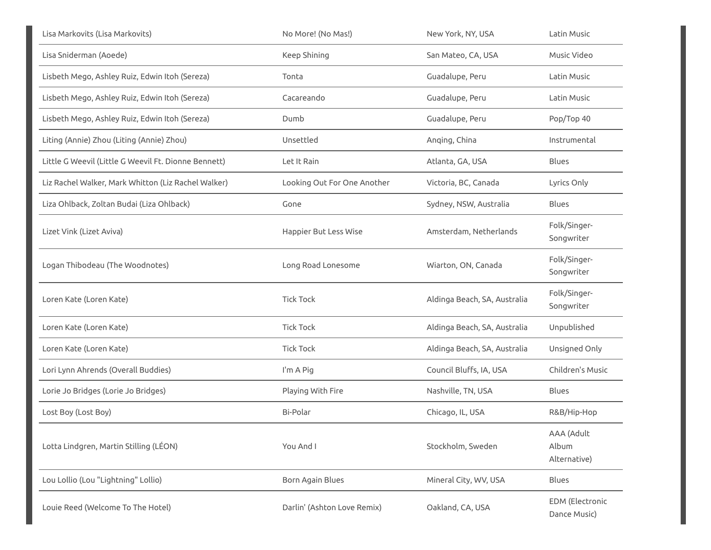| Lisa Markovits (Lisa Markovits)                      | No More! (No Mas!)          | New York, NY, USA            | Latin Music                         |
|------------------------------------------------------|-----------------------------|------------------------------|-------------------------------------|
| Lisa Sniderman (Aoede)                               | Keep Shining                | San Mateo, CA, USA           | Music Video                         |
| Lisbeth Mego, Ashley Ruiz, Edwin Itoh (Sereza)       | Tonta                       | Guadalupe, Peru              | Latin Music                         |
| Lisbeth Mego, Ashley Ruiz, Edwin Itoh (Sereza)       | Cacareando                  | Guadalupe, Peru              | Latin Music                         |
| Lisbeth Mego, Ashley Ruiz, Edwin Itoh (Sereza)       | Dumb                        | Guadalupe, Peru              | Pop/Top 40                          |
| Liting (Annie) Zhou (Liting (Annie) Zhou)            | Unsettled                   | Anging, China                | Instrumental                        |
| Little G Weevil (Little G Weevil Ft. Dionne Bennett) | Let It Rain                 | Atlanta, GA, USA             | Blues                               |
| Liz Rachel Walker, Mark Whitton (Liz Rachel Walker)  | Looking Out For One Another | Victoria, BC, Canada         | Lyrics Only                         |
| Liza Ohlback, Zoltan Budai (Liza Ohlback)            | Gone                        | Sydney, NSW, Australia       | Blues                               |
| Lizet Vink (Lizet Aviva)                             | Happier But Less Wise       | Amsterdam, Netherlands       | Folk/Singer-<br>Songwriter          |
| Logan Thibodeau (The Woodnotes)                      | Long Road Lonesome          | Wiarton, ON, Canada          | Folk/Singer-<br>Songwriter          |
| Loren Kate (Loren Kate)                              | <b>Tick Tock</b>            | Aldinga Beach, SA, Australia | Folk/Singer-<br>Songwriter          |
| Loren Kate (Loren Kate)                              | <b>Tick Tock</b>            | Aldinga Beach, SA, Australia | Unpublished                         |
| Loren Kate (Loren Kate)                              | <b>Tick Tock</b>            | Aldinga Beach, SA, Australia | Unsigned Only                       |
| Lori Lynn Ahrends (Overall Buddies)                  | I'm A Pig                   | Council Bluffs, IA, USA      | Children's Music                    |
| Lorie Jo Bridges (Lorie Jo Bridges)                  | Playing With Fire           | Nashville, TN, USA           | Blues                               |
| Lost Boy (Lost Boy)                                  | Bi-Polar                    | Chicago, IL, USA             | R&B/Hip-Hop                         |
| Lotta Lindgren, Martin Stilling (LÉON)               | You And I                   | Stockholm, Sweden            | AAA (Adult<br>Album<br>Alternative) |
| Lou Lollio (Lou "Lightning" Lollio)                  | Born Again Blues            | Mineral City, WV, USA        | Blues                               |
| Louie Reed (Welcome To The Hotel)                    | Darlin' (Ashton Love Remix) | Oakland, CA, USA             | EDM (Electronic<br>Dance Music)     |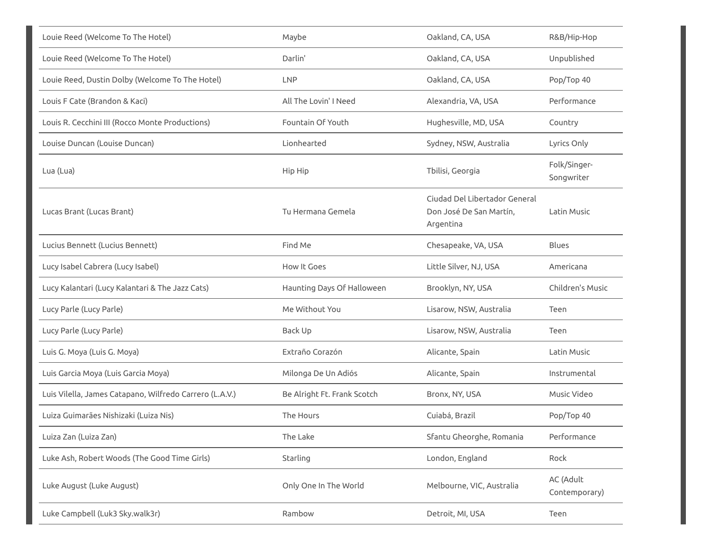| Louie Reed (Welcome To The Hotel)                       | Maybe                       | Oakland, CA, USA                                                      | R&B/Hip-Hop                |
|---------------------------------------------------------|-----------------------------|-----------------------------------------------------------------------|----------------------------|
| Louie Reed (Welcome To The Hotel)                       | Darlin'                     | Oakland, CA, USA                                                      | Unpublished                |
| Louie Reed, Dustin Dolby (Welcome To The Hotel)         | <b>LNP</b>                  | Oakland, CA, USA                                                      | Pop/Top 40                 |
| Louis F Cate (Brandon & Kaci)                           | All The Lovin' I Need       | Alexandria, VA, USA                                                   | Performance                |
| Louis R. Cecchini III (Rocco Monte Productions)         | Fountain Of Youth           | Hughesville, MD, USA                                                  | Country                    |
| Louise Duncan (Louise Duncan)                           | Lionhearted                 | Sydney, NSW, Australia                                                | Lyrics Only                |
| Lua (Lua)                                               | Hip Hip                     | Tbilisi, Georgia                                                      | Folk/Singer-<br>Songwriter |
| Lucas Brant (Lucas Brant)                               | Tu Hermana Gemela           | Ciudad Del Libertador General<br>Don José De San Martín,<br>Argentina | Latin Music                |
| Lucius Bennett (Lucius Bennett)                         | Find Me                     | Chesapeake, VA, USA                                                   | <b>Blues</b>               |
| Lucy Isabel Cabrera (Lucy Isabel)                       | How It Goes                 | Little Silver, NJ, USA                                                | Americana                  |
| Lucy Kalantari (Lucy Kalantari & The Jazz Cats)         | Haunting Days Of Halloween  | Brooklyn, NY, USA                                                     | Children's Music           |
| Lucy Parle (Lucy Parle)                                 | Me Without You              | Lisarow, NSW, Australia                                               | Teen                       |
| Lucy Parle (Lucy Parle)                                 | Back Up                     | Lisarow, NSW, Australia                                               | Teen                       |
| Luis G. Moya (Luis G. Moya)                             | Extraño Corazón             | Alicante, Spain                                                       | Latin Music                |
| Luis Garcia Moya (Luis Garcia Moya)                     | Milonga De Un Adiós         | Alicante, Spain                                                       | Instrumental               |
| Luis Vilella, James Catapano, Wilfredo Carrero (L.A.V.) | Be Alright Ft. Frank Scotch | Bronx, NY, USA                                                        | Music Video                |
| Luiza Guimarães Nishizaki (Luiza Nis)                   | The Hours                   | Cuiabá, Brazil                                                        | Pop/Top 40                 |
| Luiza Zan (Luiza Zan)                                   | The Lake                    | Sfantu Gheorghe, Romania                                              | Performance                |
| Luke Ash, Robert Woods (The Good Time Girls)            | Starling                    | London, England                                                       | Rock                       |
| Luke August (Luke August)                               | Only One In The World       | Melbourne, VIC, Australia                                             | AC (Adult<br>Contemporary) |
| Luke Campbell (Luk3 Sky.walk3r)                         | Rambow                      | Detroit, MI, USA                                                      | Teen                       |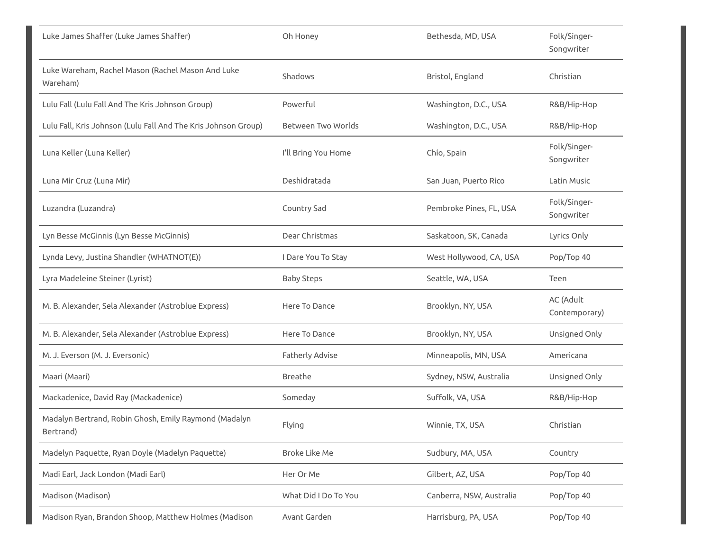| Luke James Shaffer (Luke James Shaffer)                            | Oh Honey             | Bethesda, MD, USA        | Folk/Singer-<br>Songwriter |
|--------------------------------------------------------------------|----------------------|--------------------------|----------------------------|
| Luke Wareham, Rachel Mason (Rachel Mason And Luke<br>Wareham)      | Shadows              | Bristol, England         | Christian                  |
| Lulu Fall (Lulu Fall And The Kris Johnson Group)                   | Powerful             | Washington, D.C., USA    | R&B/Hip-Hop                |
| Lulu Fall, Kris Johnson (Lulu Fall And The Kris Johnson Group)     | Between Two Worlds   | Washington, D.C., USA    | R&B/Hip-Hop                |
| Luna Keller (Luna Keller)                                          | I'll Bring You Home  | Chío, Spain              | Folk/Singer-<br>Songwriter |
| Luna Mir Cruz (Luna Mir)                                           | Deshidratada         | San Juan, Puerto Rico    | Latin Music                |
| Luzandra (Luzandra)                                                | Country Sad          | Pembroke Pines, FL, USA  | Folk/Singer-<br>Songwriter |
| Lyn Besse McGinnis (Lyn Besse McGinnis)                            | Dear Christmas       | Saskatoon, SK, Canada    | Lyrics Only                |
| Lynda Levy, Justina Shandler (WHATNOT(E))                          | I Dare You To Stay   | West Hollywood, CA, USA  | Pop/Top 40                 |
| Lyra Madeleine Steiner (Lyrist)                                    | <b>Baby Steps</b>    | Seattle, WA, USA         | Teen                       |
| M. B. Alexander, Sela Alexander (Astroblue Express)                | Here To Dance        | Brooklyn, NY, USA        | AC (Adult<br>Contemporary) |
| M. B. Alexander, Sela Alexander (Astroblue Express)                | Here To Dance        | Brooklyn, NY, USA        | Unsigned Only              |
| M. J. Everson (M. J. Eversonic)                                    | Fatherly Advise      | Minneapolis, MN, USA     | Americana                  |
| Maari (Maari)                                                      | Breathe              | Sydney, NSW, Australia   | Unsigned Only              |
| Mackadenice, David Ray (Mackadenice)                               | Someday              | Suffolk, VA, USA         | R&B/Hip-Hop                |
| Madalyn Bertrand, Robin Ghosh, Emily Raymond (Madalyn<br>Bertrand) | Flying               | Winnie, TX, USA          | Christian                  |
| Madelyn Paquette, Ryan Doyle (Madelyn Paquette)                    | <b>Broke Like Me</b> | Sudbury, MA, USA         | Country                    |
| Madi Earl, Jack London (Madi Earl)                                 | Her Or Me            | Gilbert, AZ, USA         | Pop/Top 40                 |
| Madison (Madison)                                                  | What Did I Do To You | Canberra, NSW, Australia | Pop/Top 40                 |
| Madison Ryan, Brandon Shoop, Matthew Holmes (Madison               | Avant Garden         | Harrisburg, PA, USA      | Pop/Top 40                 |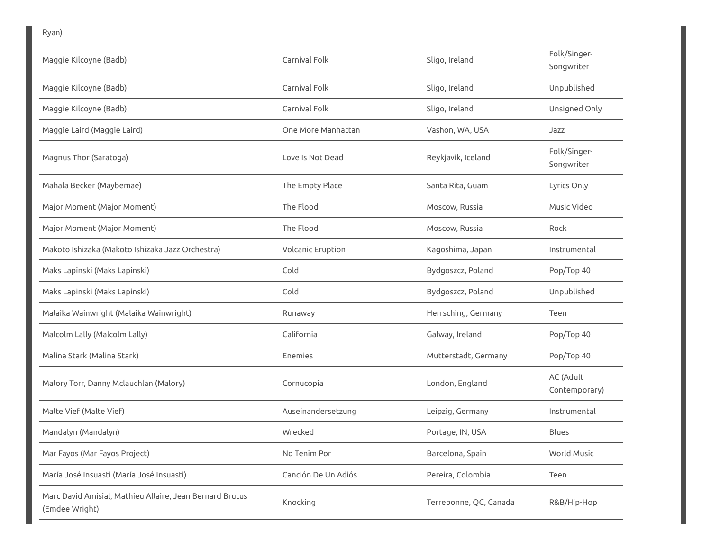| Maggie Kilcoyne (Badb)                                                     | Carnival Folk       | Sligo, Ireland         | Folk/Singer-<br>Songwriter |
|----------------------------------------------------------------------------|---------------------|------------------------|----------------------------|
| Maggie Kilcoyne (Badb)                                                     | Carnival Folk       | Sligo, Ireland         | Unpublished                |
| Maggie Kilcoyne (Badb)                                                     | Carnival Folk       | Sligo, Ireland         | Unsigned Only              |
| Maggie Laird (Maggie Laird)                                                | One More Manhattan  | Vashon, WA, USA        | Jazz                       |
| Magnus Thor (Saratoga)                                                     | Love Is Not Dead    | Reykjavik, Iceland     | Folk/Singer-<br>Songwriter |
| Mahala Becker (Maybemae)                                                   | The Empty Place     | Santa Rita, Guam       | Lyrics Only                |
| Major Moment (Major Moment)                                                | The Flood           | Moscow, Russia         | Music Video                |
| Major Moment (Major Moment)                                                | The Flood           | Moscow, Russia         | Rock                       |
| Makoto Ishizaka (Makoto Ishizaka Jazz Orchestra)                           | Volcanic Eruption   | Kagoshima, Japan       | Instrumental               |
| Maks Lapinski (Maks Lapinski)                                              | Cold                | Bydgoszcz, Poland      | Pop/Top 40                 |
| Maks Lapinski (Maks Lapinski)                                              | Cold                | Bydgoszcz, Poland      | Unpublished                |
| Malaika Wainwright (Malaika Wainwright)                                    | Runaway             | Herrsching, Germany    | Teen                       |
| Malcolm Lally (Malcolm Lally)                                              | California          | Galway, Ireland        | Pop/Top 40                 |
| Malina Stark (Malina Stark)                                                | Enemies             | Mutterstadt, Germany   | Pop/Top 40                 |
| Malory Torr, Danny Mclauchlan (Malory)                                     | Cornucopia          | London, England        | AC (Adult<br>Contemporary) |
| Malte Vief (Malte Vief)                                                    | Auseinandersetzung  | Leipzig, Germany       | Instrumental               |
| Mandalyn (Mandalyn)                                                        | Wrecked             | Portage, IN, USA       | <b>Blues</b>               |
| Mar Fayos (Mar Fayos Project)                                              | No Tenim Por        | Barcelona, Spain       | World Music                |
| María José Insuasti (María José Insuasti)                                  | Canción De Un Adiós | Pereira, Colombia      | Teen                       |
| Marc David Amisial, Mathieu Allaire, Jean Bernard Brutus<br>(Emdee Wright) | Knocking            | Terrebonne, QC, Canada | R&B/Hip-Hop                |

Ryan)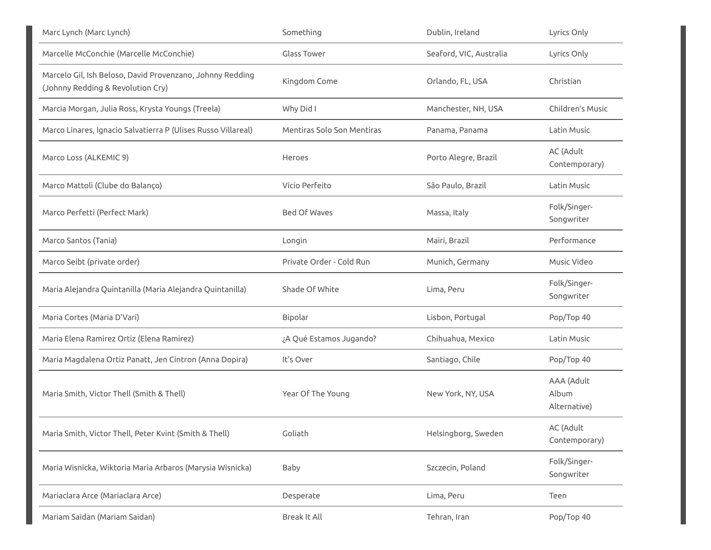| Marc Lynch (Marc Lynch)                                                                        | Something                  | Dublin, Ireland         | Lyrics Only                         |
|------------------------------------------------------------------------------------------------|----------------------------|-------------------------|-------------------------------------|
| Marcelle McConchie (Marcelle McConchie)                                                        | <b>Glass Tower</b>         | Seaford, VIC, Australia | Lyrics Only                         |
| Marcelo Gil, Ish Beloso, David Provenzano, Johnny Redding<br>(Johnny Redding & Revolution Cry) | Kingdom Come               | Orlando, FL, USA        | Christian                           |
| Marcia Morgan, Julia Ross, Krysta Youngs (Treela)                                              | Why Did I                  | Manchester, NH, USA     | Children's Music                    |
| Marco Linares, Ignacio Salvatierra P (Ulises Russo Villareal)                                  | Mentiras Solo Son Mentiras | Panama, Panama          | Latin Music                         |
| Marco Loss (ALKEMIC 9)                                                                         | <b>Heroes</b>              | Porto Alegre, Brazil    | AC (Adult<br>Contemporary)          |
| Marco Mattoli (Clube do Balanço)                                                               | Vício Perfeito             | São Paulo, Brazil       | Latin Music                         |
| Marco Perfetti (Perfect Mark)                                                                  | Bed Of Waves               | Massa, Italy            | Folk/Singer-<br>Songwriter          |
| Marco Santos (Tania)                                                                           | Longin                     | Mairi, Brazil           | Performance                         |
| Marco Seibt (private order)                                                                    | Private Order - Cold Run   | Munich, Germany         | Music Video                         |
| Maria Alejandra Quintanilla (Maria Alejandra Quintanilla)                                      | Shade Of White             | Lima, Peru              | Folk/Singer-<br>Songwriter          |
| Maria Cortes (Maria D'Vari)                                                                    | Bipolar                    | Lisbon, Portugal        | Pop/Top 40                          |
| Maria Elena Ramirez Ortiz (Elena Ramirez)                                                      | ¿A Qué Estamos Jugando?    | Chihuahua, Mexico       | Latin Music                         |
| Maria Magdalena Ortiz Panatt, Jen Cintron (Anna Dopira)                                        | It's Over                  | Santiago, Chile         | Pop/Top 40                          |
| Maria Smith, Victor Thell (Smith & Thell)                                                      | Year Of The Young          | New York, NY, USA       | AAA (Adult<br>Album<br>Alternative) |
| Maria Smith, Victor Thell, Peter Kvint (Smith & Thell)                                         | Goliath                    | Helsingborg, Sweden     | AC (Adult<br>Contemporary)          |
| Maria Wisnicka, Wiktoria Maria Arbaros (Marysia Wisnicka)                                      | <b>Baby</b>                | Szczecin, Poland        | Folk/Singer-<br>Songwriter          |
| Mariaclara Arce (Mariaclara Arce)                                                              | Desperate                  | Lima, Peru              | Teen                                |
| Mariam Saidan (Mariam Saidan)                                                                  | Break It All               | Tehran, Iran            | Pop/Top 40                          |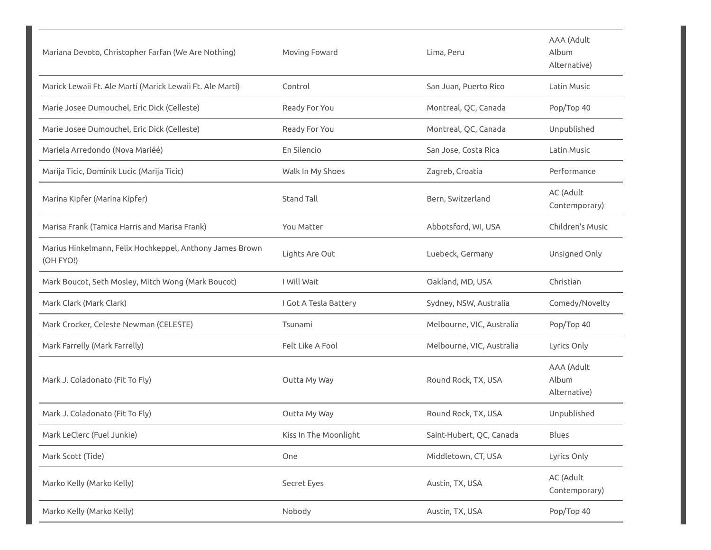| Mariana Devoto, Christopher Farfan (We Are Nothing)                   | Moving Foward         | Lima, Peru                | AAA (Adult<br>Album<br>Alternative) |
|-----------------------------------------------------------------------|-----------------------|---------------------------|-------------------------------------|
| Marick Lewaii Ft. Ale Martí (Marick Lewaii Ft. Ale Martí)             | Control               | San Juan, Puerto Rico     | Latin Music                         |
| Marie Josee Dumouchel, Eric Dick (Celleste)                           | Ready For You         | Montreal, QC, Canada      | Pop/Top 40                          |
| Marie Josee Dumouchel, Eric Dick (Celleste)                           | Ready For You         | Montreal, QC, Canada      | Unpublished                         |
| Mariela Arredondo (Nova Mariéé)                                       | En Silencio           | San Jose, Costa Rica      | Latin Music                         |
| Marija Ticic, Dominik Lucic (Marija Ticic)                            | Walk In My Shoes      | Zagreb, Croatia           | Performance                         |
| Marina Kipfer (Marina Kipfer)                                         | <b>Stand Tall</b>     | Bern, Switzerland         | AC (Adult<br>Contemporary)          |
| Marisa Frank (Tamica Harris and Marisa Frank)                         | You Matter            | Abbotsford, WI, USA       | Children's Music                    |
| Marius Hinkelmann, Felix Hochkeppel, Anthony James Brown<br>(OH FYO!) | Lights Are Out        | Luebeck, Germany          | Unsigned Only                       |
| Mark Boucot, Seth Mosley, Mitch Wong (Mark Boucot)                    | I Will Wait           | Oakland, MD, USA          | Christian                           |
| Mark Clark (Mark Clark)                                               | I Got A Tesla Battery | Sydney, NSW, Australia    | Comedy/Novelty                      |
| Mark Crocker, Celeste Newman (CELESTE)                                | Tsunami               | Melbourne, VIC, Australia | Pop/Top 40                          |
| Mark Farrelly (Mark Farrelly)                                         | Felt Like A Fool      | Melbourne, VIC, Australia | Lyrics Only                         |
| Mark J. Coladonato (Fit To Fly)                                       | Outta My Way          | Round Rock, TX, USA       | AAA (Adult<br>Album<br>Alternative) |
| Mark J. Coladonato (Fit To Fly)                                       | Outta My Way          | Round Rock, TX, USA       | Unpublished                         |
| Mark LeClerc (Fuel Junkie)                                            | Kiss In The Moonlight | Saint-Hubert, QC, Canada  | Blues                               |
| Mark Scott (Tide)                                                     | One                   | Middletown, CT, USA       | Lyrics Only                         |
| Marko Kelly (Marko Kelly)                                             | Secret Eyes           | Austin, TX, USA           | AC (Adult<br>Contemporary)          |
| Marko Kelly (Marko Kelly)                                             | Nobody                | Austin, TX, USA           | Pop/Top 40                          |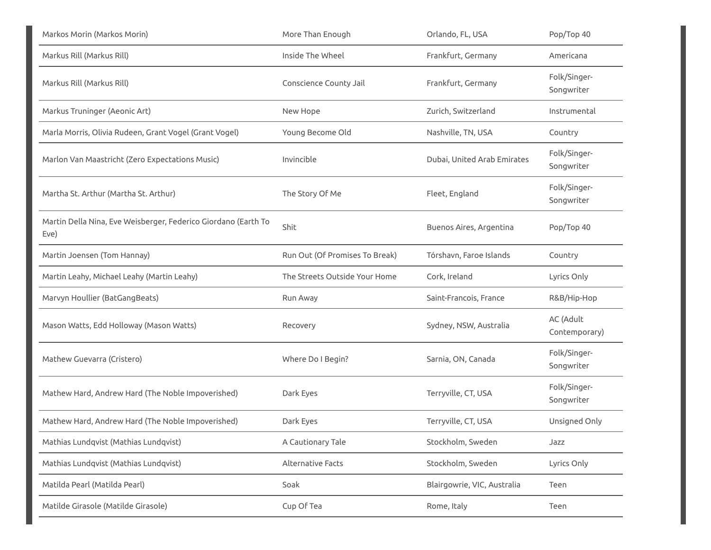| Markos Morin (Markos Morin)                                            | More Than Enough               | Orlando, FL, USA            | Pop/Top 40                 |
|------------------------------------------------------------------------|--------------------------------|-----------------------------|----------------------------|
| Markus Rill (Markus Rill)                                              | Inside The Wheel               | Frankfurt, Germany          | Americana                  |
| Markus Rill (Markus Rill)                                              | Conscience County Jail         | Frankfurt, Germany          | Folk/Singer-<br>Songwriter |
| Markus Truninger (Aeonic Art)                                          | New Hope                       | Zurich, Switzerland         | Instrumental               |
| Marla Morris, Olivia Rudeen, Grant Vogel (Grant Vogel)                 | Young Become Old               | Nashville, TN, USA          | Country                    |
| Marlon Van Maastricht (Zero Expectations Music)                        | Invincible                     | Dubai, United Arab Emirates | Folk/Singer-<br>Songwriter |
| Martha St. Arthur (Martha St. Arthur)                                  | The Story Of Me                | Fleet, England              | Folk/Singer-<br>Songwriter |
| Martin Della Nina, Eve Weisberger, Federico Giordano (Earth To<br>Eve) | Shit                           | Buenos Aires, Argentina     | Pop/Top 40                 |
| Martin Joensen (Tom Hannay)                                            | Run Out (Of Promises To Break) | Tórshavn, Faroe Islands     | Country                    |
| Martin Leahy, Michael Leahy (Martin Leahy)                             | The Streets Outside Your Home  | Cork, Ireland               | Lyrics Only                |
| Marvyn Houllier (BatGangBeats)                                         | Run Away                       | Saint-Francois, France      | R&B/Hip-Hop                |
| Mason Watts, Edd Holloway (Mason Watts)                                | Recovery                       | Sydney, NSW, Australia      | AC (Adult<br>Contemporary) |
| Mathew Guevarra (Cristero)                                             | Where Do I Begin?              | Sarnia, ON, Canada          | Folk/Singer-<br>Songwriter |
| Mathew Hard, Andrew Hard (The Noble Impoverished)                      | Dark Eyes                      | Terryville, CT, USA         | Folk/Singer-<br>Songwriter |
| Mathew Hard, Andrew Hard (The Noble Impoverished)                      | Dark Eyes                      | Terryville, CT, USA         | Unsigned Only              |
| Mathias Lundqvist (Mathias Lundqvist)                                  | A Cautionary Tale              | Stockholm, Sweden           | Jazz                       |
| Mathias Lundqvist (Mathias Lundqvist)                                  | Alternative Facts              | Stockholm, Sweden           | Lyrics Only                |
| Matilda Pearl (Matilda Pearl)                                          | Soak                           | Blairgowrie, VIC, Australia | Teen                       |
| Matilde Girasole (Matilde Girasole)                                    | Cup Of Tea                     | Rome, Italy                 | Teen                       |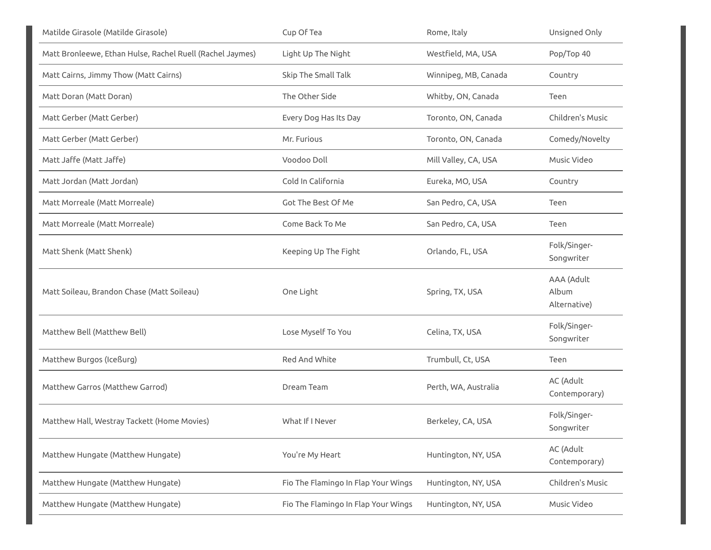| Matilde Girasole (Matilde Girasole)                       | Cup Of Tea                          | Rome, Italy          | Unsigned Only                       |
|-----------------------------------------------------------|-------------------------------------|----------------------|-------------------------------------|
| Matt Bronleewe, Ethan Hulse, Rachel Ruell (Rachel Jaymes) | Light Up The Night                  | Westfield, MA, USA   | Pop/Top 40                          |
| Matt Cairns, Jimmy Thow (Matt Cairns)                     | Skip The Small Talk                 | Winnipeg, MB, Canada | Country                             |
| Matt Doran (Matt Doran)                                   | The Other Side                      | Whitby, ON, Canada   | Teen                                |
| Matt Gerber (Matt Gerber)                                 | Every Dog Has Its Day               | Toronto, ON, Canada  | Children's Music                    |
| Matt Gerber (Matt Gerber)                                 | Mr. Furious                         | Toronto, ON, Canada  | Comedy/Novelty                      |
| Matt Jaffe (Matt Jaffe)                                   | Voodoo Doll                         | Mill Valley, CA, USA | Music Video                         |
| Matt Jordan (Matt Jordan)                                 | Cold In California                  | Eureka, MO, USA      | Country                             |
| Matt Morreale (Matt Morreale)                             | Got The Best Of Me                  | San Pedro, CA, USA   | Teen                                |
| Matt Morreale (Matt Morreale)                             | Come Back To Me                     | San Pedro, CA, USA   | Teen                                |
| Matt Shenk (Matt Shenk)                                   | Keeping Up The Fight                | Orlando, FL, USA     | Folk/Singer-<br>Songwriter          |
| Matt Soileau, Brandon Chase (Matt Soileau)                | One Light                           | Spring, TX, USA      | AAA (Adult<br>Album<br>Alternative) |
| Matthew Bell (Matthew Bell)                               | Lose Myself To You                  | Celina, TX, USA      | Folk/Singer-<br>Songwriter          |
| Matthew Burgos (Iceßurg)                                  | Red And White                       | Trumbull, Ct, USA    | Teen                                |
| Matthew Garros (Matthew Garrod)                           | Dream Team                          | Perth, WA, Australia | AC (Adult<br>Contemporary)          |
| Matthew Hall, Westray Tackett (Home Movies)               | What If I Never                     | Berkeley, CA, USA    | Folk/Singer-<br>Songwriter          |
| Matthew Hungate (Matthew Hungate)                         | You're My Heart                     | Huntington, NY, USA  | AC (Adult<br>Contemporary)          |
| Matthew Hungate (Matthew Hungate)                         | Fio The Flamingo In Flap Your Wings | Huntington, NY, USA  | Children's Music                    |
| Matthew Hungate (Matthew Hungate)                         | Fio The Flamingo In Flap Your Wings | Huntington, NY, USA  | Music Video                         |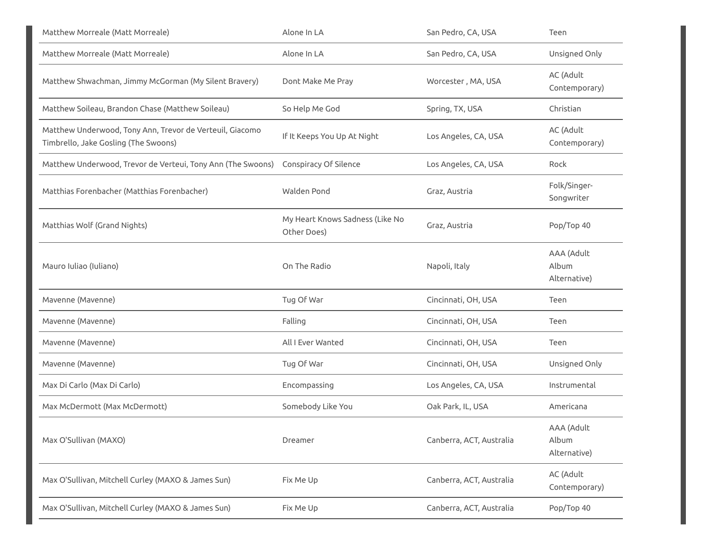| Matthew Morreale (Matt Morreale)                                                                 | Alone In LA                                    | San Pedro, CA, USA       | Teen                                |
|--------------------------------------------------------------------------------------------------|------------------------------------------------|--------------------------|-------------------------------------|
| Matthew Morreale (Matt Morreale)                                                                 | Alone In LA                                    | San Pedro, CA, USA       | Unsigned Only                       |
| Matthew Shwachman, Jimmy McGorman (My Silent Bravery)                                            | Dont Make Me Pray                              | Worcester, MA, USA       | AC (Adult<br>Contemporary)          |
| Matthew Soileau, Brandon Chase (Matthew Soileau)                                                 | So Help Me God                                 | Spring, TX, USA          | Christian                           |
| Matthew Underwood, Tony Ann, Trevor de Verteuil, Giacomo<br>Timbrello, Jake Gosling (The Swoons) | If It Keeps You Up At Night                    | Los Angeles, CA, USA     | AC (Adult<br>Contemporary)          |
| Matthew Underwood, Trevor de Verteui, Tony Ann (The Swoons)                                      | Conspiracy Of Silence                          | Los Angeles, CA, USA     | Rock                                |
| Matthias Forenbacher (Matthias Forenbacher)                                                      | Walden Pond                                    | Graz, Austria            | Folk/Singer-<br>Songwriter          |
| Matthias Wolf (Grand Nights)                                                                     | My Heart Knows Sadness (Like No<br>Other Does) | Graz, Austria            | Pop/Top 40                          |
| Mauro Iuliao (Iuliano)                                                                           | On The Radio                                   | Napoli, Italy            | AAA (Adult<br>Album<br>Alternative) |
| Mavenne (Mavenne)                                                                                | Tug Of War                                     | Cincinnati, OH, USA      | Teen                                |
| Mavenne (Mavenne)                                                                                | Falling                                        | Cincinnati, OH, USA      | Teen                                |
| Mavenne (Mavenne)                                                                                | All I Ever Wanted                              | Cincinnati, OH, USA      | Teen                                |
| Mavenne (Mavenne)                                                                                | Tug Of War                                     | Cincinnati, OH, USA      | Unsigned Only                       |
| Max Di Carlo (Max Di Carlo)                                                                      | Encompassing                                   | Los Angeles, CA, USA     | Instrumental                        |
| Max McDermott (Max McDermott)                                                                    | Somebody Like You                              | Oak Park, IL, USA        | Americana                           |
| Max O'Sullivan (MAXO)                                                                            | Dreamer                                        | Canberra, ACT, Australia | AAA (Adult<br>Album<br>Alternative) |
| Max O'Sullivan, Mitchell Curley (MAXO & James Sun)                                               | Fix Me Up                                      | Canberra, ACT, Australia | AC (Adult<br>Contemporary)          |
| Max O'Sullivan, Mitchell Curley (MAXO & James Sun)                                               | Fix Me Up                                      | Canberra, ACT, Australia | Pop/Top 40                          |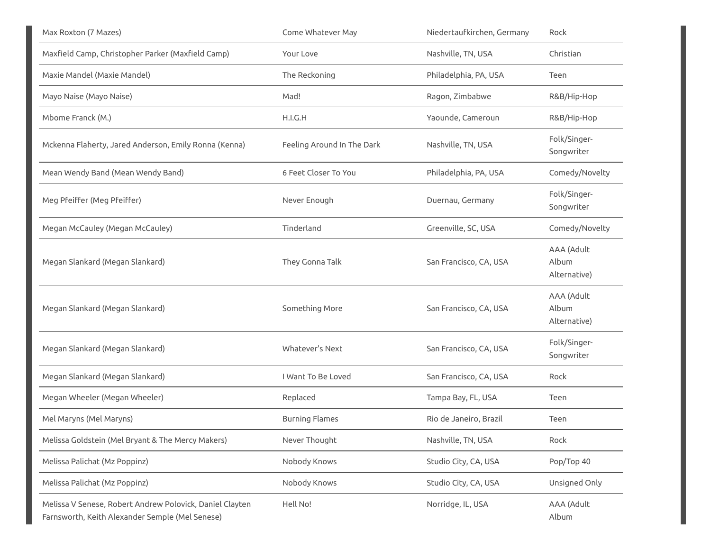| Max Roxton (7 Mazes)                                                                                        | Come Whatever May          | Niedertaufkirchen, Germany | Rock                                |
|-------------------------------------------------------------------------------------------------------------|----------------------------|----------------------------|-------------------------------------|
| Maxfield Camp, Christopher Parker (Maxfield Camp)                                                           | Your Love                  | Nashville, TN, USA         | Christian                           |
| Maxie Mandel (Maxie Mandel)                                                                                 | The Reckoning              | Philadelphia, PA, USA      | Teen                                |
| Mayo Naise (Mayo Naise)                                                                                     | Mad!                       | Ragon, Zimbabwe            | R&B/Hip-Hop                         |
| Mbome Franck (M.)                                                                                           | H.I.G.H                    | Yaounde, Cameroun          | R&B/Hip-Hop                         |
| Mckenna Flaherty, Jared Anderson, Emily Ronna (Kenna)                                                       | Feeling Around In The Dark | Nashville, TN, USA         | Folk/Singer-<br>Songwriter          |
| Mean Wendy Band (Mean Wendy Band)                                                                           | 6 Feet Closer To You       | Philadelphia, PA, USA      | Comedy/Novelty                      |
| Meg Pfeiffer (Meg Pfeiffer)                                                                                 | Never Enough               | Duernau, Germany           | Folk/Singer-<br>Songwriter          |
| Megan McCauley (Megan McCauley)                                                                             | Tinderland                 | Greenville, SC, USA        | Comedy/Novelty                      |
| Megan Slankard (Megan Slankard)                                                                             | They Gonna Talk            | San Francisco, CA, USA     | AAA (Adult<br>Album<br>Alternative) |
| Megan Slankard (Megan Slankard)                                                                             | Something More             | San Francisco, CA, USA     | AAA (Adult<br>Album<br>Alternative) |
| Megan Slankard (Megan Slankard)                                                                             | Whatever's Next            | San Francisco, CA, USA     | Folk/Singer-<br>Songwriter          |
| Megan Slankard (Megan Slankard)                                                                             | I Want To Be Loved         | San Francisco, CA, USA     | Rock                                |
| Megan Wheeler (Megan Wheeler)                                                                               | Replaced                   | Tampa Bay, FL, USA         | Teen                                |
| Mel Maryns (Mel Maryns)                                                                                     | <b>Burning Flames</b>      | Rio de Janeiro, Brazil     | Teen                                |
| Melissa Goldstein (Mel Bryant & The Mercy Makers)                                                           | Never Thought              | Nashville, TN, USA         | Rock                                |
| Melissa Palichat (Mz Poppinz)                                                                               | Nobody Knows               | Studio City, CA, USA       | Pop/Top 40                          |
| Melissa Palichat (Mz Poppinz)                                                                               | Nobody Knows               | Studio City, CA, USA       | Unsigned Only                       |
| Melissa V Senese, Robert Andrew Polovick, Daniel Clayten<br>Farnsworth, Keith Alexander Semple (Mel Senese) | Hell No!                   | Norridge, IL, USA          | AAA (Adult<br>Album                 |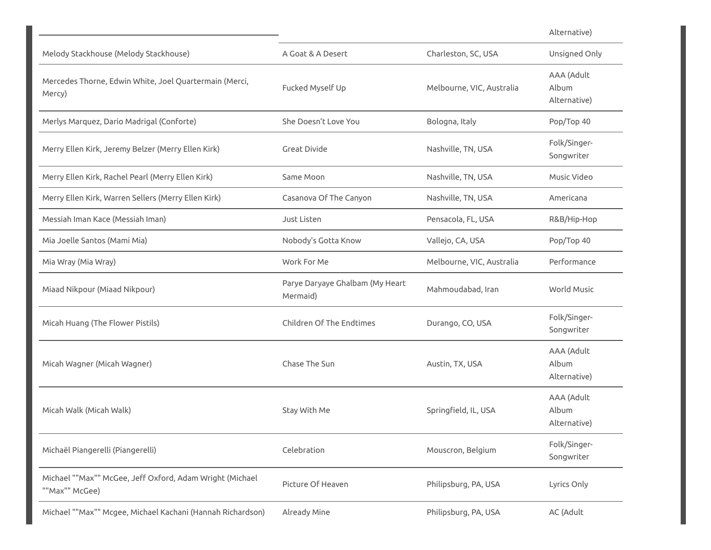|                                                                            |                                             |                           | Alternative)                        |
|----------------------------------------------------------------------------|---------------------------------------------|---------------------------|-------------------------------------|
| Melody Stackhouse (Melody Stackhouse)                                      | A Goat & A Desert                           | Charleston, SC, USA       | Unsigned Only                       |
| Mercedes Thorne, Edwin White, Joel Quartermain (Merci,<br>Mercy)           | Fucked Myself Up                            | Melbourne, VIC, Australia | AAA (Adult<br>Album<br>Alternative) |
| Merlys Marquez, Dario Madrigal (Conforte)                                  | She Doesn't Love You                        | Bologna, Italy            | Pop/Top 40                          |
| Merry Ellen Kirk, Jeremy Belzer (Merry Ellen Kirk)                         | Great Divide                                | Nashville, TN, USA        | Folk/Singer-<br>Songwriter          |
| Merry Ellen Kirk, Rachel Pearl (Merry Ellen Kirk)                          | Same Moon                                   | Nashville, TN, USA        | Music Video                         |
| Merry Ellen Kirk, Warren Sellers (Merry Ellen Kirk)                        | Casanova Of The Canyon                      | Nashville, TN, USA        | Americana                           |
| Messiah Iman Kace (Messiah Iman)                                           | Just Listen                                 | Pensacola, FL, USA        | R&B/Hip-Hop                         |
| Mia Joelle Santos (Mami Mia)                                               | Nobody's Gotta Know                         | Vallejo, CA, USA          | Pop/Top 40                          |
| Mia Wray (Mia Wray)                                                        | Work For Me                                 | Melbourne, VIC, Australia | Performance                         |
| Miaad Nikpour (Miaad Nikpour)                                              | Parye Daryaye Ghalbam (My Heart<br>Mermaid) | Mahmoudabad, Iran         | World Music                         |
| Micah Huang (The Flower Pistils)                                           | Children Of The Endtimes                    | Durango, CO, USA          | Folk/Singer-<br>Songwriter          |
| Micah Wagner (Micah Wagner)                                                | Chase The Sun                               | Austin, TX, USA           | AAA (Adult<br>Album<br>Alternative) |
| Micah Walk (Micah Walk)                                                    | Stay With Me                                | Springfield, IL, USA      | AAA (Adult<br>Album<br>Alternative) |
| Michaël Piangerelli (Piangerelli)                                          | Celebration                                 | Mouscron, Belgium         | Folk/Singer-<br>Songwriter          |
| Michael ""Max"" McGee, Jeff Oxford, Adam Wright (Michael<br>""Max"" McGee) | Picture Of Heaven                           | Philipsburg, PA, USA      | Lyrics Only                         |
| Michael ""Max"" Mcgee, Michael Kachani (Hannah Richardson)                 | Already Mine                                | Philipsburg, PA, USA      | AC (Adult                           |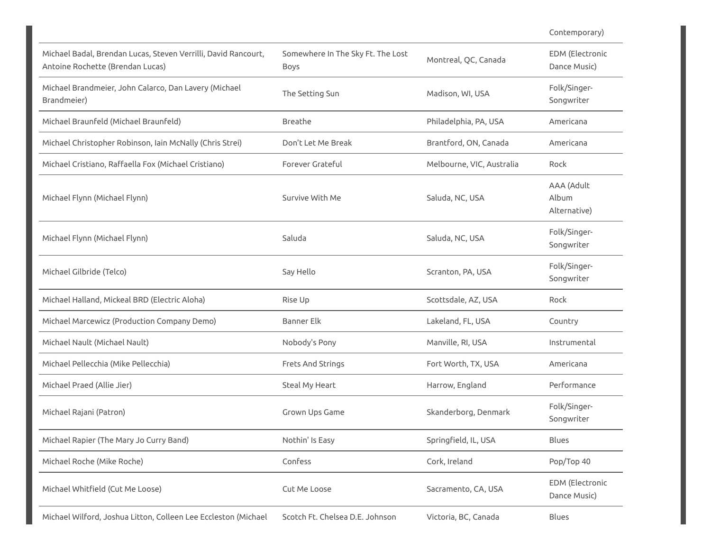|                                                                                                    |                                                  |                           | Contemporary)                          |
|----------------------------------------------------------------------------------------------------|--------------------------------------------------|---------------------------|----------------------------------------|
| Michael Badal, Brendan Lucas, Steven Verrilli, David Rancourt,<br>Antoine Rochette (Brendan Lucas) | Somewhere In The Sky Ft. The Lost<br><b>Boys</b> | Montreal, QC, Canada      | <b>EDM</b> (Electronic<br>Dance Music) |
| Michael Brandmeier, John Calarco, Dan Lavery (Michael<br>Brandmeier)                               | The Setting Sun                                  | Madison, WI, USA          | Folk/Singer-<br>Songwriter             |
| Michael Braunfeld (Michael Braunfeld)                                                              | Breathe                                          | Philadelphia, PA, USA     | Americana                              |
| Michael Christopher Robinson, Iain McNally (Chris Strei)                                           | Don't Let Me Break                               | Brantford, ON, Canada     | Americana                              |
| Michael Cristiano, Raffaella Fox (Michael Cristiano)                                               | Forever Grateful                                 | Melbourne, VIC, Australia | Rock                                   |
| Michael Flynn (Michael Flynn)                                                                      | Survive With Me                                  | Saluda, NC, USA           | AAA (Adult<br>Album<br>Alternative)    |
| Michael Flynn (Michael Flynn)                                                                      | Saluda                                           | Saluda, NC, USA           | Folk/Singer-<br>Songwriter             |
| Michael Gilbride (Telco)                                                                           | Say Hello                                        | Scranton, PA, USA         | Folk/Singer-<br>Songwriter             |
| Michael Halland, Mickeal BRD (Electric Aloha)                                                      | Rise Up                                          | Scottsdale, AZ, USA       | Rock                                   |
| Michael Marcewicz (Production Company Demo)                                                        | Banner Elk                                       | Lakeland, FL, USA         | Country                                |
| Michael Nault (Michael Nault)                                                                      | Nobody's Pony                                    | Manville, RI, USA         | Instrumental                           |
| Michael Pellecchia (Mike Pellecchia)                                                               | Frets And Strings                                | Fort Worth, TX, USA       | Americana                              |
| Michael Praed (Allie Jier)                                                                         | Steal My Heart                                   | Harrow, England           | Performance                            |
| Michael Rajani (Patron)                                                                            | Grown Ups Game                                   | Skanderborg, Denmark      | Folk/Singer-<br>Songwriter             |
| Michael Rapier (The Mary Jo Curry Band)                                                            | Nothin' Is Easy                                  | Springfield, IL, USA      | Blues                                  |
| Michael Roche (Mike Roche)                                                                         | Confess                                          | Cork, Ireland             | Pop/Top 40                             |
| Michael Whitfield (Cut Me Loose)                                                                   | Cut Me Loose                                     | Sacramento, CA, USA       | <b>EDM</b> (Electronic<br>Dance Music) |
| Michael Wilford, Joshua Litton, Colleen Lee Eccleston (Michael                                     | Scotch Ft. Chelsea D.E. Johnson                  | Victoria, BC, Canada      | Blues                                  |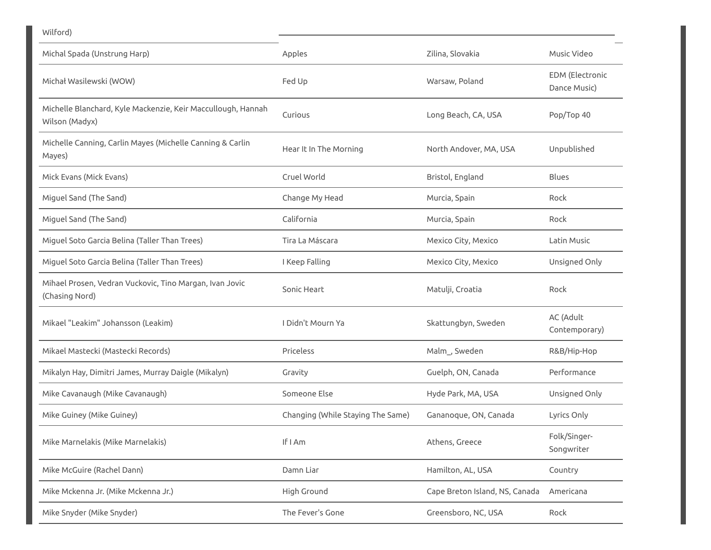| Wilford)                                                                       |                                   |                                |                                        |
|--------------------------------------------------------------------------------|-----------------------------------|--------------------------------|----------------------------------------|
| Michal Spada (Unstrung Harp)                                                   | Apples                            | Zilina, Slovakia               | Music Video                            |
| Michał Wasilewski (WOW)                                                        | Fed Up                            | Warsaw, Poland                 | <b>EDM</b> (Electronic<br>Dance Music) |
| Michelle Blanchard, Kyle Mackenzie, Keir Maccullough, Hannah<br>Wilson (Madyx) | Curious                           | Long Beach, CA, USA            | Pop/Top 40                             |
| Michelle Canning, Carlin Mayes (Michelle Canning & Carlin<br>Mayes)            | Hear It In The Morning            | North Andover, MA, USA         | Unpublished                            |
| Mick Evans (Mick Evans)                                                        | Cruel World                       | Bristol, England               | <b>Blues</b>                           |
| Miguel Sand (The Sand)                                                         | Change My Head                    | Murcia, Spain                  | Rock                                   |
| Miguel Sand (The Sand)                                                         | California                        | Murcia, Spain                  | Rock                                   |
| Miguel Soto Garcia Belina (Taller Than Trees)                                  | Tira La Máscara                   | Mexico City, Mexico            | Latin Music                            |
| Miguel Soto Garcia Belina (Taller Than Trees)                                  | I Keep Falling                    | Mexico City, Mexico            | Unsigned Only                          |
| Mihael Prosen, Vedran Vuckovic, Tino Margan, Ivan Jovic<br>(Chasing Nord)      | Sonic Heart                       | Matulji, Croatia               | Rock                                   |
| Mikael "Leakim" Johansson (Leakim)                                             | I Didn't Mourn Ya                 | Skattungbyn, Sweden            | AC (Adult<br>Contemporary)             |
| Mikael Mastecki (Mastecki Records)                                             | Priceless                         | Malm_, Sweden                  | R&B/Hip-Hop                            |
| Mikalyn Hay, Dimitri James, Murray Daigle (Mikalyn)                            | Gravity                           | Guelph, ON, Canada             | Performance                            |
| Mike Cavanaugh (Mike Cavanaugh)                                                | Someone Else                      | Hyde Park, MA, USA             | Unsigned Only                          |
| Mike Guiney (Mike Guiney)                                                      | Changing (While Staying The Same) | Gananoque, ON, Canada          | Lyrics Only                            |
| Mike Marnelakis (Mike Marnelakis)                                              | If I Am                           | Athens, Greece                 | Folk/Singer-<br>Songwriter             |
| Mike McGuire (Rachel Dann)                                                     | Damn Liar                         | Hamilton, AL, USA              | Country                                |
| Mike Mckenna Jr. (Mike Mckenna Jr.)                                            | High Ground                       | Cape Breton Island, NS, Canada | Americana                              |
| Mike Snyder (Mike Snyder)                                                      | The Fever's Gone                  | Greensboro, NC, USA            | Rock                                   |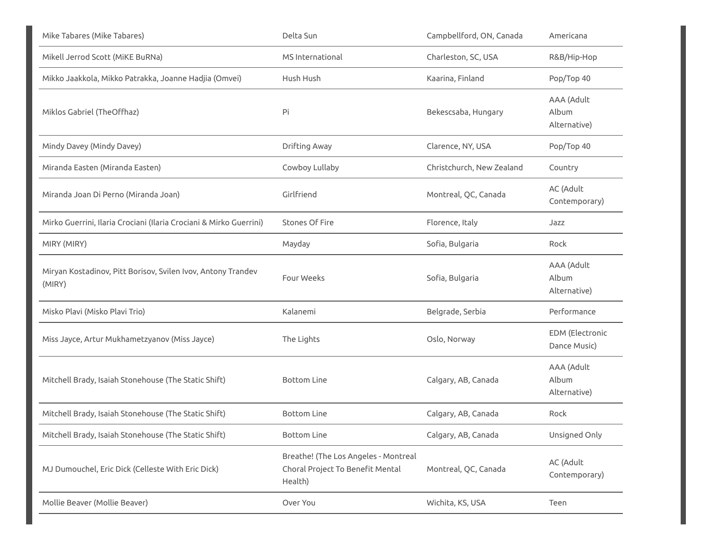| Mike Tabares (Mike Tabares)                                            | Delta Sun                                                                           | Campbellford, ON, Canada  | Americana                           |
|------------------------------------------------------------------------|-------------------------------------------------------------------------------------|---------------------------|-------------------------------------|
| Mikell Jerrod Scott (MiKE BuRNa)                                       | MS International                                                                    | Charleston, SC, USA       | R&B/Hip-Hop                         |
| Mikko Jaakkola, Mikko Patrakka, Joanne Hadjia (Omvei)                  | Hush Hush                                                                           | Kaarina, Finland          | Pop/Top 40                          |
| Miklos Gabriel (TheOffhaz)                                             | Pi                                                                                  | Bekescsaba, Hungary       | AAA (Adult<br>Album<br>Alternative) |
| Mindy Davey (Mindy Davey)                                              | Drifting Away                                                                       | Clarence, NY, USA         | Pop/Top 40                          |
| Miranda Easten (Miranda Easten)                                        | Cowboy Lullaby                                                                      | Christchurch, New Zealand | Country                             |
| Miranda Joan Di Perno (Miranda Joan)                                   | Girlfriend                                                                          | Montreal, QC, Canada      | AC (Adult<br>Contemporary)          |
| Mirko Guerrini, Ilaria Crociani (Ilaria Crociani & Mirko Guerrini)     | Stones Of Fire                                                                      | Florence, Italy           | Jazz                                |
| MIRY (MIRY)                                                            | Mayday                                                                              | Sofia, Bulgaria           | Rock                                |
| Miryan Kostadinov, Pitt Borisov, Svilen Ivov, Antony Trandev<br>(MIRY) | Four Weeks                                                                          | Sofia, Bulgaria           | AAA (Adult<br>Album<br>Alternative) |
| Misko Plavi (Misko Plavi Trio)                                         | Kalanemi                                                                            | Belgrade, Serbia          | Performance                         |
| Miss Jayce, Artur Mukhametzyanov (Miss Jayce)                          | The Lights                                                                          | Oslo, Norway              | EDM (Electronic<br>Dance Music)     |
| Mitchell Brady, Isaiah Stonehouse (The Static Shift)                   | <b>Bottom Line</b>                                                                  | Calgary, AB, Canada       | AAA (Adult<br>Album<br>Alternative) |
| Mitchell Brady, Isaiah Stonehouse (The Static Shift)                   | <b>Bottom Line</b>                                                                  | Calgary, AB, Canada       | Rock                                |
| Mitchell Brady, Isaiah Stonehouse (The Static Shift)                   | <b>Bottom Line</b>                                                                  | Calgary, AB, Canada       | Unsigned Only                       |
| MJ Dumouchel, Eric Dick (Celleste With Eric Dick)                      | Breathe! (The Los Angeles - Montreal<br>Choral Project To Benefit Mental<br>Health) | Montreal, QC, Canada      | AC (Adult<br>Contemporary)          |
| Mollie Beaver (Mollie Beaver)                                          | Over You                                                                            | Wichita, KS, USA          | Teen                                |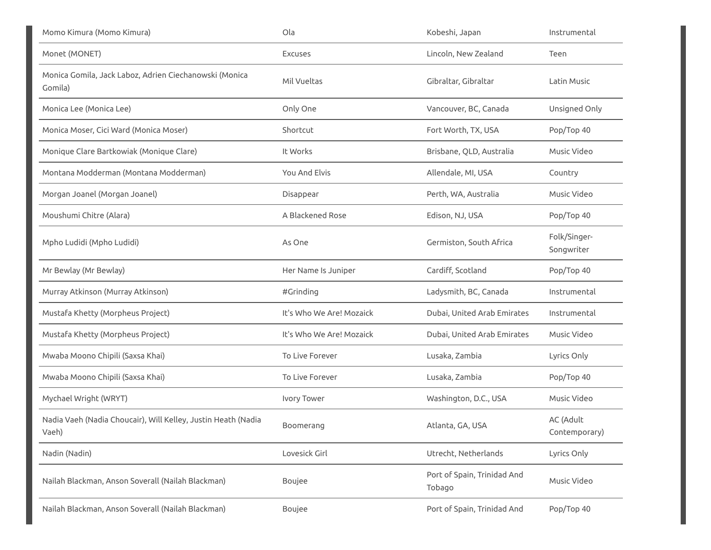| Momo Kimura (Momo Kimura)                                              | Ola                      | Kobeshi, Japan                        | Instrumental               |
|------------------------------------------------------------------------|--------------------------|---------------------------------------|----------------------------|
| Monet (MONET)                                                          | <b>Excuses</b>           | Lincoln, New Zealand                  | Teen                       |
| Monica Gomila, Jack Laboz, Adrien Ciechanowski (Monica<br>Gomila)      | Mil Vueltas              | Gibraltar, Gibraltar                  | Latin Music                |
| Monica Lee (Monica Lee)                                                | Only One                 | Vancouver, BC, Canada                 | Unsigned Only              |
| Monica Moser, Cici Ward (Monica Moser)                                 | Shortcut                 | Fort Worth, TX, USA                   | Pop/Top 40                 |
| Monique Clare Bartkowiak (Monique Clare)                               | It Works                 | Brisbane, QLD, Australia              | Music Video                |
| Montana Modderman (Montana Modderman)                                  | You And Elvis            | Allendale, MI, USA                    | Country                    |
| Morgan Joanel (Morgan Joanel)                                          | Disappear                | Perth, WA, Australia                  | Music Video                |
| Moushumi Chitre (Alara)                                                | A Blackened Rose         | Edison, NJ, USA                       | Pop/Top 40                 |
| Mpho Ludidi (Mpho Ludidi)                                              | As One                   | Germiston, South Africa               | Folk/Singer-<br>Songwriter |
| Mr Bewlay (Mr Bewlay)                                                  | Her Name Is Juniper      | Cardiff, Scotland                     | Pop/Top 40                 |
| Murray Atkinson (Murray Atkinson)                                      | #Grinding                | Ladysmith, BC, Canada                 | Instrumental               |
| Mustafa Khetty (Morpheus Project)                                      | It's Who We Are! Mozaick | Dubai, United Arab Emirates           | Instrumental               |
| Mustafa Khetty (Morpheus Project)                                      | It's Who We Are! Mozaick | Dubai, United Arab Emirates           | Music Video                |
| Mwaba Moono Chipili (Saxsa Khai)                                       | To Live Forever          | Lusaka, Zambia                        | Lyrics Only                |
| Mwaba Moono Chipili (Saxsa Khai)                                       | To Live Forever          | Lusaka, Zambia                        | Pop/Top 40                 |
| Mychael Wright (WRYT)                                                  | Ivory Tower              | Washington, D.C., USA                 | Music Video                |
| Nadia Vaeh (Nadia Choucair), Will Kelley, Justin Heath (Nadia<br>Vaeh) | Boomerang                | Atlanta, GA, USA                      | AC (Adult<br>Contemporary) |
| Nadin (Nadin)                                                          | Lovesick Girl            | Utrecht, Netherlands                  | Lyrics Only                |
| Nailah Blackman, Anson Soverall (Nailah Blackman)                      | Boujee                   | Port of Spain, Trinidad And<br>Tobago | Music Video                |
| Nailah Blackman, Anson Soverall (Nailah Blackman)                      | Boujee                   | Port of Spain, Trinidad And           | Pop/Top 40                 |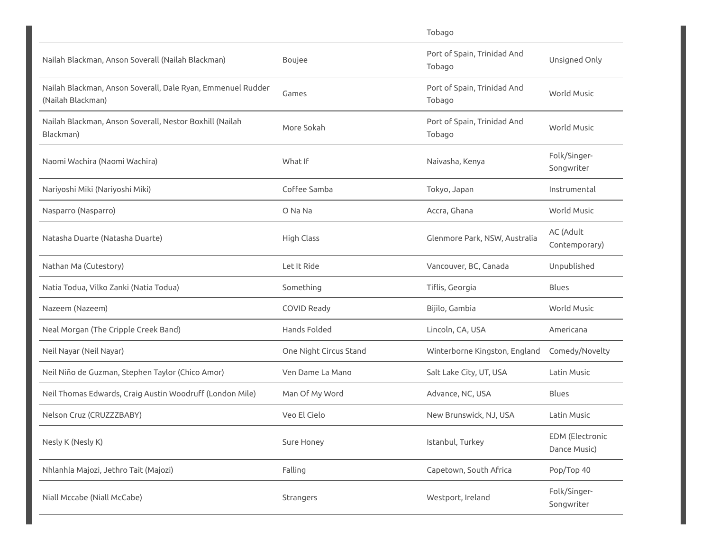|                                                                                  |                        | Tobago                                |                                        |
|----------------------------------------------------------------------------------|------------------------|---------------------------------------|----------------------------------------|
| Nailah Blackman, Anson Soverall (Nailah Blackman)                                | Boujee                 | Port of Spain, Trinidad And<br>Tobago | Unsigned Only                          |
| Nailah Blackman, Anson Soverall, Dale Ryan, Emmenuel Rudder<br>(Nailah Blackman) | Games                  | Port of Spain, Trinidad And<br>Tobago | <b>World Music</b>                     |
| Nailah Blackman, Anson Soverall, Nestor Boxhill (Nailah<br>Blackman)             | More Sokah             | Port of Spain, Trinidad And<br>Tobago | <b>World Music</b>                     |
| Naomi Wachira (Naomi Wachira)                                                    | What If                | Naivasha, Kenya                       | Folk/Singer-<br>Songwriter             |
| Nariyoshi Miki (Nariyoshi Miki)                                                  | Coffee Samba           | Tokyo, Japan                          | Instrumental                           |
| Nasparro (Nasparro)                                                              | O Na Na                | Accra, Ghana                          | <b>World Music</b>                     |
| Natasha Duarte (Natasha Duarte)                                                  | <b>High Class</b>      | Glenmore Park, NSW, Australia         | AC (Adult<br>Contemporary)             |
| Nathan Ma (Cutestory)                                                            | Let It Ride            | Vancouver, BC, Canada                 | Unpublished                            |
| Natia Todua, Vilko Zanki (Natia Todua)                                           | Something              | Tiflis, Georgia                       | Blues                                  |
| Nazeem (Nazeem)                                                                  | <b>COVID Ready</b>     | Bijilo, Gambia                        | World Music                            |
| Neal Morgan (The Cripple Creek Band)                                             | Hands Folded           | Lincoln, CA, USA                      | Americana                              |
| Neil Nayar (Neil Nayar)                                                          | One Night Circus Stand | Winterborne Kingston, England         | Comedy/Novelty                         |
| Neil Niño de Guzman, Stephen Taylor (Chico Amor)                                 | Ven Dame La Mano       | Salt Lake City, UT, USA               | Latin Music                            |
| Neil Thomas Edwards, Craig Austin Woodruff (London Mile)                         | Man Of My Word         | Advance, NC, USA                      | Blues                                  |
| Nelson Cruz (CRUZZZBABY)                                                         | Veo El Cielo           | New Brunswick, NJ, USA                | Latin Music                            |
| Nesly K (Nesly K)                                                                | Sure Honey             | Istanbul, Turkey                      | <b>EDM</b> (Electronic<br>Dance Music) |
| Nhlanhla Majozi, Jethro Tait (Majozi)                                            | Falling                | Capetown, South Africa                | Pop/Top 40                             |
| Niall Mccabe (Niall McCabe)                                                      | Strangers              | Westport, Ireland                     | Folk/Singer-<br>Songwriter             |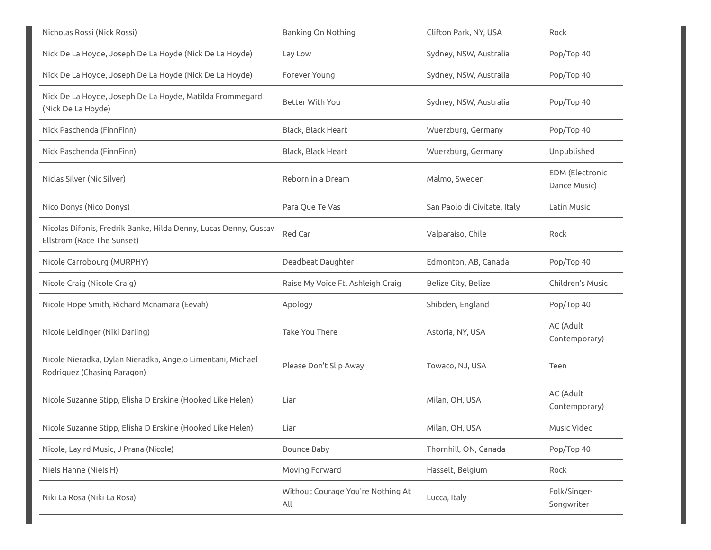| Nicholas Rossi (Nick Rossi)                                                                    | Banking On Nothing                       | Clifton Park, NY, USA        | Rock                                   |
|------------------------------------------------------------------------------------------------|------------------------------------------|------------------------------|----------------------------------------|
| Nick De La Hoyde, Joseph De La Hoyde (Nick De La Hoyde)                                        | Lay Low                                  | Sydney, NSW, Australia       | Pop/Top 40                             |
| Nick De La Hoyde, Joseph De La Hoyde (Nick De La Hoyde)                                        | Forever Young                            | Sydney, NSW, Australia       | Pop/Top 40                             |
| Nick De La Hoyde, Joseph De La Hoyde, Matilda Frommegard<br>(Nick De La Hoyde)                 | Better With You                          | Sydney, NSW, Australia       | Pop/Top 40                             |
| Nick Paschenda (FinnFinn)                                                                      | Black, Black Heart                       | Wuerzburg, Germany           | Pop/Top 40                             |
| Nick Paschenda (FinnFinn)                                                                      | Black, Black Heart                       | Wuerzburg, Germany           | Unpublished                            |
| Niclas Silver (Nic Silver)                                                                     | Reborn in a Dream                        | Malmo, Sweden                | <b>EDM</b> (Electronic<br>Dance Music) |
| Nico Donys (Nico Donys)                                                                        | Para Que Te Vas                          | San Paolo di Civitate, Italy | Latin Music                            |
| Nicolas Difonis, Fredrik Banke, Hilda Denny, Lucas Denny, Gustav<br>Ellström (Race The Sunset) | Red Car                                  | Valparaiso, Chile            | Rock                                   |
| Nicole Carrobourg (MURPHY)                                                                     | Deadbeat Daughter                        | Edmonton, AB, Canada         | Pop/Top 40                             |
| Nicole Craig (Nicole Craig)                                                                    | Raise My Voice Ft. Ashleigh Craig        | Belize City, Belize          | Children's Music                       |
| Nicole Hope Smith, Richard Mcnamara (Eevah)                                                    | Apology                                  | Shibden, England             | Pop/Top 40                             |
| Nicole Leidinger (Niki Darling)                                                                | <b>Take You There</b>                    | Astoria, NY, USA             | AC (Adult<br>Contemporary)             |
| Nicole Nieradka, Dylan Nieradka, Angelo Limentani, Michael<br>Rodriguez (Chasing Paragon)      | Please Don't Slip Away                   | Towaco, NJ, USA              | Teen                                   |
| Nicole Suzanne Stipp, Elisha D Erskine (Hooked Like Helen)                                     | Liar                                     | Milan, OH, USA               | AC (Adult<br>Contemporary)             |
| Nicole Suzanne Stipp, Elisha D Erskine (Hooked Like Helen)                                     | Liar                                     | Milan, OH, USA               | Music Video                            |
| Nicole, Layird Music, J Prana (Nicole)                                                         | <b>Bounce Baby</b>                       | Thornhill, ON, Canada        | Pop/Top 40                             |
| Niels Hanne (Niels H)                                                                          | Moving Forward                           | Hasselt, Belgium             | Rock                                   |
| Niki La Rosa (Niki La Rosa)                                                                    | Without Courage You're Nothing At<br>All | Lucca, Italy                 | Folk/Singer-<br>Songwriter             |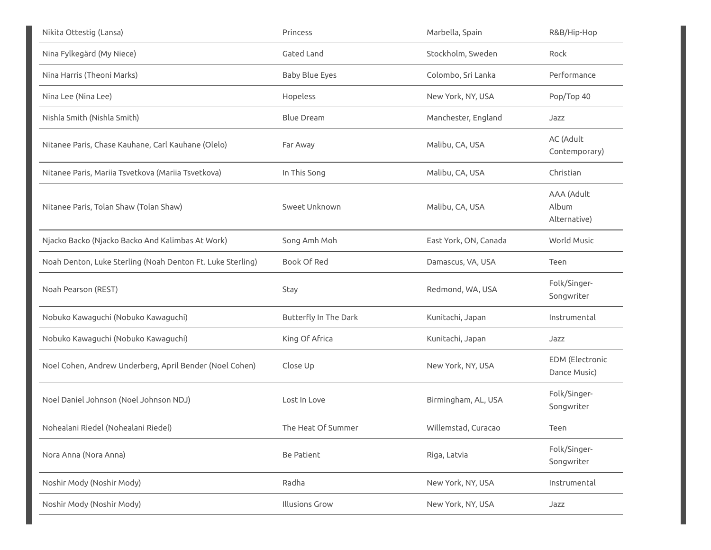| Nikita Ottestig (Lansa)                                    | Princess              | Marbella, Spain       | R&B/Hip-Hop                         |
|------------------------------------------------------------|-----------------------|-----------------------|-------------------------------------|
| Nina Fylkegärd (My Niece)                                  | Gated Land            | Stockholm, Sweden     | Rock                                |
| Nina Harris (Theoni Marks)                                 | <b>Baby Blue Eyes</b> | Colombo, Sri Lanka    | Performance                         |
| Nina Lee (Nina Lee)                                        | Hopeless              | New York, NY, USA     | Pop/Top 40                          |
| Nishla Smith (Nishla Smith)                                | <b>Blue Dream</b>     | Manchester, England   | Jazz                                |
| Nitanee Paris, Chase Kauhane, Carl Kauhane (Olelo)         | Far Away              | Malibu, CA, USA       | AC (Adult<br>Contemporary)          |
| Nitanee Paris, Mariia Tsvetkova (Mariia Tsvetkova)         | In This Song          | Malibu, CA, USA       | Christian                           |
| Nitanee Paris, Tolan Shaw (Tolan Shaw)                     | Sweet Unknown         | Malibu, CA, USA       | AAA (Adult<br>Album<br>Alternative) |
| Njacko Backo (Njacko Backo And Kalimbas At Work)           | Song Amh Moh          | East York, ON, Canada | World Music                         |
| Noah Denton, Luke Sterling (Noah Denton Ft. Luke Sterling) | <b>Book Of Red</b>    | Damascus, VA, USA     | Teen                                |
| Noah Pearson (REST)                                        | Stay                  | Redmond, WA, USA      | Folk/Singer-<br>Songwriter          |
| Nobuko Kawaguchi (Nobuko Kawaguchi)                        | Butterfly In The Dark | Kunitachi, Japan      | Instrumental                        |
| Nobuko Kawaguchi (Nobuko Kawaguchi)                        | King Of Africa        | Kunitachi, Japan      | Jazz                                |
| Noel Cohen, Andrew Underberg, April Bender (Noel Cohen)    | Close Up              | New York, NY, USA     | EDM (Electronic<br>Dance Music)     |
| Noel Daniel Johnson (Noel Johnson NDJ)                     | Lost In Love          | Birmingham, AL, USA   | Folk/Singer-<br>Songwriter          |
| Nohealani Riedel (Nohealani Riedel)                        | The Heat Of Summer    | Willemstad, Curacao   | Teen                                |
| Nora Anna (Nora Anna)                                      | Be Patient            | Riga, Latvia          | Folk/Singer-<br>Songwriter          |
| Noshir Mody (Noshir Mody)                                  | Radha                 | New York, NY, USA     | Instrumental                        |
| Noshir Mody (Noshir Mody)                                  | <b>Illusions Grow</b> | New York, NY, USA     | Jazz                                |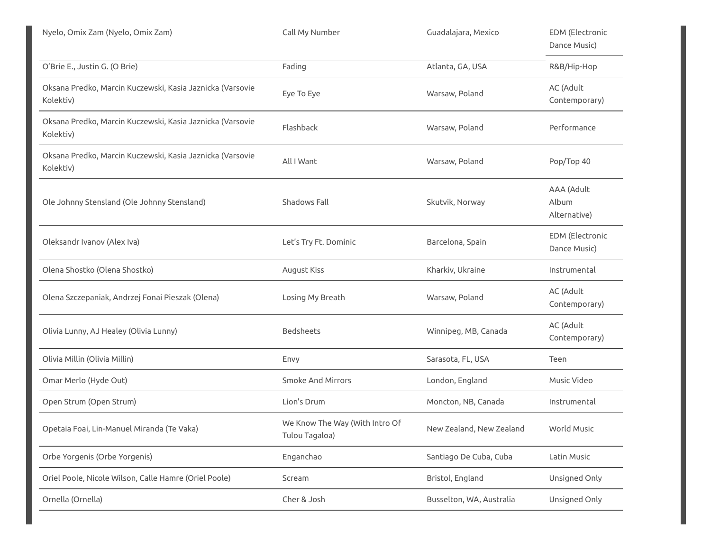| Nyelo, Omix Zam (Nyelo, Omix Zam)                                      | Call My Number                                   | Guadalajara, Mexico      | EDM (Electronic<br>Dance Music)        |
|------------------------------------------------------------------------|--------------------------------------------------|--------------------------|----------------------------------------|
| O'Brie E., Justin G. (O Brie)                                          | Fading                                           | Atlanta, GA, USA         | R&B/Hip-Hop                            |
| Oksana Predko, Marcin Kuczewski, Kasia Jaznicka (Varsovie<br>Kolektiv) | Eye To Eye                                       | Warsaw, Poland           | AC (Adult<br>Contemporary)             |
| Oksana Predko, Marcin Kuczewski, Kasia Jaznicka (Varsovie<br>Kolektiv) | Flashback                                        | Warsaw, Poland           | Performance                            |
| Oksana Predko, Marcin Kuczewski, Kasia Jaznicka (Varsovie<br>Kolektiv) | All I Want                                       | Warsaw, Poland           | Pop/Top 40                             |
| Ole Johnny Stensland (Ole Johnny Stensland)                            | Shadows Fall                                     | Skutvik, Norway          | AAA (Adult<br>Album<br>Alternative)    |
| Oleksandr Ivanov (Alex Iva)                                            | Let's Try Ft. Dominic                            | Barcelona, Spain         | <b>EDM</b> (Electronic<br>Dance Music) |
| Olena Shostko (Olena Shostko)                                          | August Kiss                                      | Kharkiv, Ukraine         | Instrumental                           |
| Olena Szczepaniak, Andrzej Fonai Pieszak (Olena)                       | Losing My Breath                                 | Warsaw, Poland           | AC (Adult<br>Contemporary)             |
| Olivia Lunny, AJ Healey (Olivia Lunny)                                 | Bedsheets                                        | Winnipeg, MB, Canada     | AC (Adult<br>Contemporary)             |
| Olivia Millin (Olivia Millin)                                          | Envy                                             | Sarasota, FL, USA        | Teen                                   |
| Omar Merlo (Hyde Out)                                                  | <b>Smoke And Mirrors</b>                         | London, England          | Music Video                            |
| Open Strum (Open Strum)                                                | Lion's Drum                                      | Moncton, NB, Canada      | Instrumental                           |
| Opetaia Foai, Lin-Manuel Miranda (Te Vaka)                             | We Know The Way (With Intro Of<br>Tulou Tagaloa) | New Zealand, New Zealand | World Music                            |
| Orbe Yorgenis (Orbe Yorgenis)                                          | Enganchao                                        | Santiago De Cuba, Cuba   | Latin Music                            |
| Oriel Poole, Nicole Wilson, Calle Hamre (Oriel Poole)                  | Scream                                           | Bristol, England         | Unsigned Only                          |
| Ornella (Ornella)                                                      | Cher & Josh                                      | Busselton, WA, Australia | Unsigned Only                          |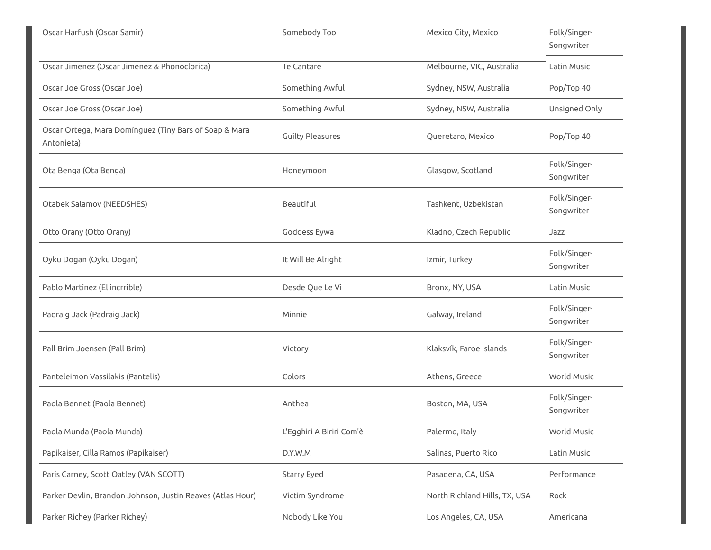| Oscar Harfush (Oscar Samir)                                          | Somebody Too             | Mexico City, Mexico           | Folk/Singer-<br>Songwriter |
|----------------------------------------------------------------------|--------------------------|-------------------------------|----------------------------|
| Oscar Jimenez (Oscar Jimenez & Phonoclorica)                         | Te Cantare               | Melbourne, VIC, Australia     | Latin Music                |
| Oscar Joe Gross (Oscar Joe)                                          | Something Awful          | Sydney, NSW, Australia        | Pop/Top 40                 |
| Oscar Joe Gross (Oscar Joe)                                          | Something Awful          | Sydney, NSW, Australia        | Unsigned Only              |
| Oscar Ortega, Mara Domínguez (Tiny Bars of Soap & Mara<br>Antonieta) | <b>Guilty Pleasures</b>  | Queretaro, Mexico             | Pop/Top 40                 |
| Ota Benga (Ota Benga)                                                | Honeymoon                | Glasgow, Scotland             | Folk/Singer-<br>Songwriter |
| Otabek Salamov (NEEDSHES)                                            | Beautiful                | Tashkent, Uzbekistan          | Folk/Singer-<br>Songwriter |
| Otto Orany (Otto Orany)                                              | Goddess Eywa             | Kladno, Czech Republic        | Jazz                       |
| Oyku Dogan (Oyku Dogan)                                              | It Will Be Alright       | Izmir, Turkey                 | Folk/Singer-<br>Songwriter |
| Pablo Martinez (El incrrible)                                        | Desde Que Le Vi          | Bronx, NY, USA                | Latin Music                |
| Padraig Jack (Padraig Jack)                                          | Minnie                   | Galway, Ireland               | Folk/Singer-<br>Songwriter |
| Pall Brim Joensen (Pall Brim)                                        | Victory                  | Klaksvík, Faroe Islands       | Folk/Singer-<br>Songwriter |
| Panteleimon Vassilakis (Pantelis)                                    | Colors                   | Athens, Greece                | World Music                |
| Paola Bennet (Paola Bennet)                                          | Anthea                   | Boston, MA, USA               | Folk/Singer-<br>Songwriter |
| Paola Munda (Paola Munda)                                            | L'Egghiri A Biriri Com'è | Palermo, Italy                | World Music                |
| Papikaiser, Cilla Ramos (Papikaiser)                                 | D.Y.W.M                  | Salinas, Puerto Rico          | Latin Music                |
| Paris Carney, Scott Oatley (VAN SCOTT)                               | Starry Eyed              | Pasadena, CA, USA             | Performance                |
| Parker Devlin, Brandon Johnson, Justin Reaves (Atlas Hour)           | Victim Syndrome          | North Richland Hills, TX, USA | Rock                       |
| Parker Richey (Parker Richey)                                        | Nobody Like You          | Los Angeles, CA, USA          | Americana                  |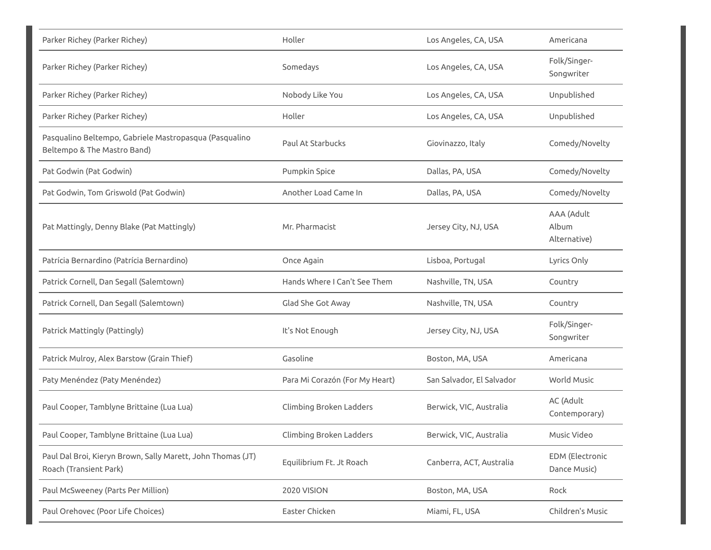| Parker Richey (Parker Richey)                                                         | Holler                         | Los Angeles, CA, USA      | Americana                           |
|---------------------------------------------------------------------------------------|--------------------------------|---------------------------|-------------------------------------|
| Parker Richey (Parker Richey)                                                         | Somedays                       | Los Angeles, CA, USA      | Folk/Singer-<br>Songwriter          |
| Parker Richey (Parker Richey)                                                         | Nobody Like You                | Los Angeles, CA, USA      | Unpublished                         |
| Parker Richey (Parker Richey)                                                         | Holler                         | Los Angeles, CA, USA      | Unpublished                         |
| Pasqualino Beltempo, Gabriele Mastropasqua (Pasqualino<br>Beltempo & The Mastro Band) | Paul At Starbucks              | Giovinazzo, Italy         | Comedy/Novelty                      |
| Pat Godwin (Pat Godwin)                                                               | Pumpkin Spice                  | Dallas, PA, USA           | Comedy/Novelty                      |
| Pat Godwin, Tom Griswold (Pat Godwin)                                                 | Another Load Came In           | Dallas, PA, USA           | Comedy/Novelty                      |
| Pat Mattingly, Denny Blake (Pat Mattingly)                                            | Mr. Pharmacist                 | Jersey City, NJ, USA      | AAA (Adult<br>Album<br>Alternative) |
| Patrícia Bernardino (Patrícia Bernardino)                                             | Once Again                     | Lisboa, Portugal          | Lyrics Only                         |
| Patrick Cornell, Dan Segall (Salemtown)                                               | Hands Where I Can't See Them   | Nashville, TN, USA        | Country                             |
| Patrick Cornell, Dan Segall (Salemtown)                                               | Glad She Got Away              | Nashville, TN, USA        | Country                             |
| Patrick Mattingly (Pattingly)                                                         | It's Not Enough                | Jersey City, NJ, USA      | Folk/Singer-<br>Songwriter          |
| Patrick Mulroy, Alex Barstow (Grain Thief)                                            | Gasoline                       | Boston, MA, USA           | Americana                           |
| Paty Menéndez (Paty Menéndez)                                                         | Para Mi Corazón (For My Heart) | San Salvador, El Salvador | World Music                         |
| Paul Cooper, Tamblyne Brittaine (Lua Lua)                                             | Climbing Broken Ladders        | Berwick, VIC, Australia   | AC (Adult<br>Contemporary)          |
| Paul Cooper, Tamblyne Brittaine (Lua Lua)                                             | Climbing Broken Ladders        | Berwick, VIC, Australia   | Music Video                         |
| Paul Dal Broi, Kieryn Brown, Sally Marett, John Thomas (JT)<br>Roach (Transient Park) | Equilibrium Ft. Jt Roach       | Canberra, ACT, Australia  | EDM (Electronic<br>Dance Music)     |
| Paul McSweeney (Parts Per Million)                                                    | 2020 VISION                    | Boston, MA, USA           | Rock                                |
| Paul Orehovec (Poor Life Choices)                                                     | Easter Chicken                 | Miami, FL, USA            | Children's Music                    |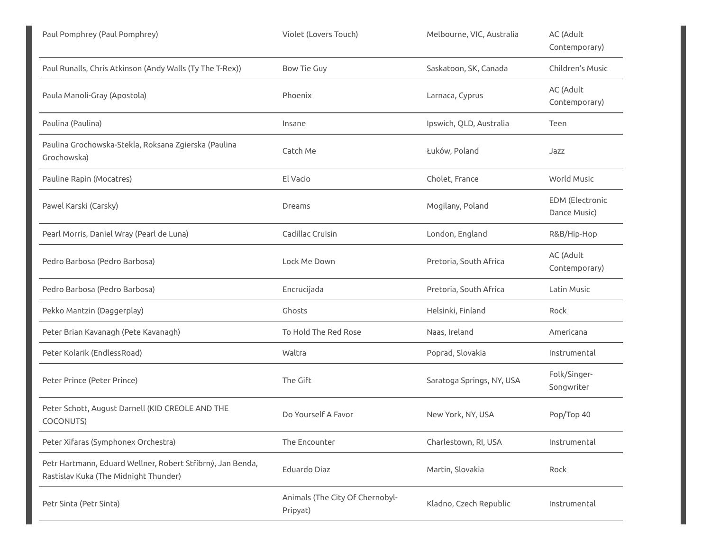| Paul Pomphrey (Paul Pomphrey)                                                                       | Violet (Lovers Touch)                       | Melbourne, VIC, Australia | AC (Adult<br>Contemporary)             |
|-----------------------------------------------------------------------------------------------------|---------------------------------------------|---------------------------|----------------------------------------|
| Paul Runalls, Chris Atkinson (Andy Walls (Ty The T-Rex))                                            | <b>Bow Tie Guy</b>                          | Saskatoon, SK, Canada     | Children's Music                       |
| Paula Manoli-Gray (Apostola)                                                                        | Phoenix                                     | Larnaca, Cyprus           | AC (Adult<br>Contemporary)             |
| Paulina (Paulina)                                                                                   | Insane                                      | Ipswich, QLD, Australia   | Teen                                   |
| Paulina Grochowska-Stekla, Roksana Zgierska (Paulina<br>Grochowska)                                 | Catch Me                                    | Łuków, Poland             | Jazz                                   |
| Pauline Rapin (Mocatres)                                                                            | El Vacio                                    | Cholet, France            | World Music                            |
| Pawel Karski (Carsky)                                                                               | Dreams                                      | Mogilany, Poland          | <b>EDM</b> (Electronic<br>Dance Music) |
| Pearl Morris, Daniel Wray (Pearl de Luna)                                                           | Cadillac Cruisin                            | London, England           | R&B/Hip-Hop                            |
| Pedro Barbosa (Pedro Barbosa)                                                                       | Lock Me Down                                | Pretoria, South Africa    | AC (Adult<br>Contemporary)             |
| Pedro Barbosa (Pedro Barbosa)                                                                       | Encrucijada                                 | Pretoria, South Africa    | Latin Music                            |
| Pekko Mantzin (Daggerplay)                                                                          | Ghosts                                      | Helsinki, Finland         | Rock                                   |
| Peter Brian Kavanagh (Pete Kavanagh)                                                                | To Hold The Red Rose                        | Naas, Ireland             | Americana                              |
| Peter Kolarik (EndlessRoad)                                                                         | Waltra                                      | Poprad, Slovakia          | Instrumental                           |
| Peter Prince (Peter Prince)                                                                         | The Gift                                    | Saratoga Springs, NY, USA | Folk/Singer-<br>Songwriter             |
| Peter Schott, August Darnell (KID CREOLE AND THE<br>COCONUTS)                                       | Do Yourself A Favor                         | New York, NY, USA         | Pop/Top 40                             |
| Peter Xifaras (Symphonex Orchestra)                                                                 | The Encounter                               | Charlestown, RI, USA      | Instrumental                           |
| Petr Hartmann, Eduard Wellner, Robert Stříbrný, Jan Benda,<br>Rastislav Kuka (The Midnight Thunder) | Eduardo Diaz                                | Martin, Slovakia          | Rock                                   |
| Petr Sinta (Petr Sinta)                                                                             | Animals (The City Of Chernobyl-<br>Pripyat) | Kladno, Czech Republic    | Instrumental                           |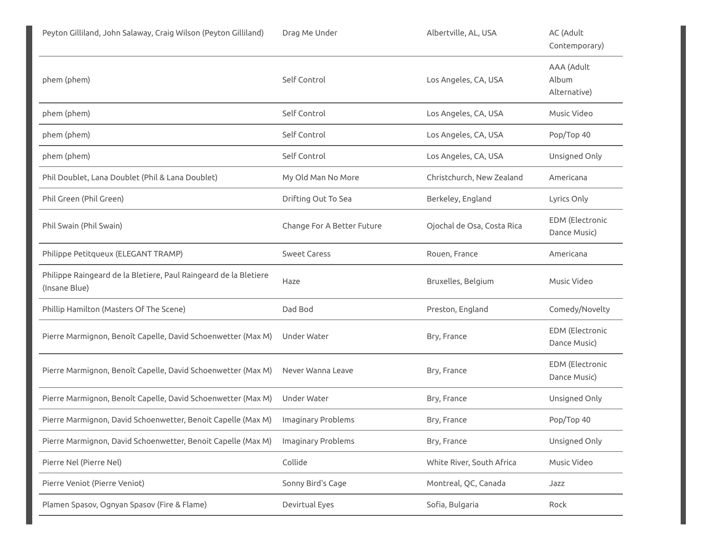| Peyton Gilliland, John Salaway, Craig Wilson (Peyton Gilliland)                   | Drag Me Under              | Albertville, AL, USA       | AC (Adult<br>Contemporary)             |
|-----------------------------------------------------------------------------------|----------------------------|----------------------------|----------------------------------------|
| phem (phem)                                                                       | Self Control               | Los Angeles, CA, USA       | AAA (Adult<br>Album<br>Alternative)    |
| phem (phem)                                                                       | Self Control               | Los Angeles, CA, USA       | Music Video                            |
| phem (phem)                                                                       | Self Control               | Los Angeles, CA, USA       | Pop/Top 40                             |
| phem (phem)                                                                       | Self Control               | Los Angeles, CA, USA       | Unsigned Only                          |
| Phil Doublet, Lana Doublet (Phil & Lana Doublet)                                  | My Old Man No More         | Christchurch, New Zealand  | Americana                              |
| Phil Green (Phil Green)                                                           | Drifting Out To Sea        | Berkeley, England          | Lyrics Only                            |
| Phil Swain (Phil Swain)                                                           | Change For A Better Future | Ojochal de Osa, Costa Rica | EDM (Electronic<br>Dance Music)        |
| Philippe Petitqueux (ELEGANT TRAMP)                                               | <b>Sweet Caress</b>        | Rouen, France              | Americana                              |
| Philippe Raingeard de la Bletiere, Paul Raingeard de la Bletiere<br>(Insane Blue) | Haze                       | Bruxelles, Belgium         | Music Video                            |
| Phillip Hamilton (Masters Of The Scene)                                           | Dad Bod                    | Preston, England           | Comedy/Novelty                         |
| Pierre Marmignon, Benoît Capelle, David Schoenwetter (Max M)                      | Under Water                | Bry, France                | <b>EDM</b> (Electronic<br>Dance Music) |
| Pierre Marmignon, Benoît Capelle, David Schoenwetter (Max M)                      | Never Wanna Leave          | Bry, France                | <b>EDM</b> (Electronic<br>Dance Music) |
| Pierre Marmignon, Benoît Capelle, David Schoenwetter (Max M)                      | Under Water                | Bry, France                | Unsigned Only                          |
| Pierre Marmignon, David Schoenwetter, Benoit Capelle (Max M)                      | Imaginary Problems         | Bry, France                | Pop/Top 40                             |
| Pierre Marmignon, David Schoenwetter, Benoit Capelle (Max M)                      | Imaginary Problems         | Bry, France                | Unsigned Only                          |
| Pierre Nel (Pierre Nel)                                                           | Collide                    | White River, South Africa  | Music Video                            |
| Pierre Veniot (Pierre Veniot)                                                     | Sonny Bird's Cage          | Montreal, QC, Canada       | Jazz                                   |
| Plamen Spasov, Ognyan Spasov (Fire & Flame)                                       | Devirtual Eyes             | Sofia, Bulgaria            | Rock                                   |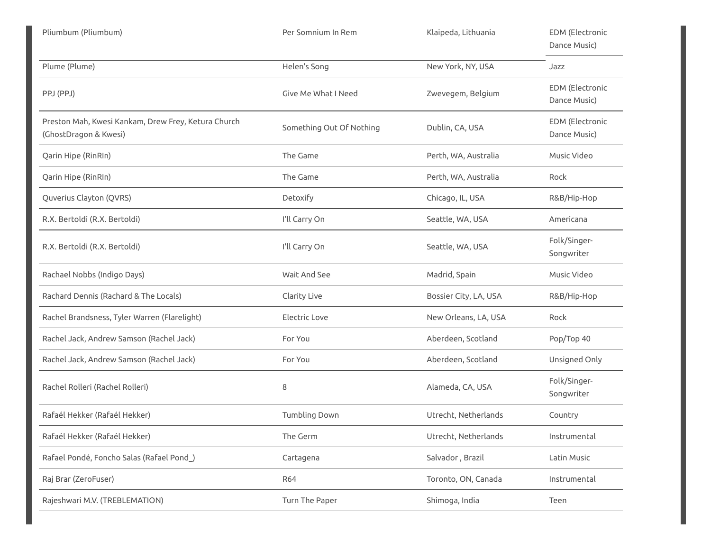| Pliumbum (Pliumbum)                                                          | Per Somnium In Rem       | Klaipeda, Lithuania   | <b>EDM</b> (Electronic<br>Dance Music) |
|------------------------------------------------------------------------------|--------------------------|-----------------------|----------------------------------------|
| Plume (Plume)                                                                | Helen's Song             | New York, NY, USA     | Jazz                                   |
| PPJ (PPJ)                                                                    | Give Me What I Need      | Zwevegem, Belgium     | <b>EDM</b> (Electronic<br>Dance Music) |
| Preston Mah, Kwesi Kankam, Drew Frey, Ketura Church<br>(GhostDragon & Kwesi) | Something Out Of Nothing | Dublin, CA, USA       | <b>EDM</b> (Electronic<br>Dance Music) |
| Qarin Hipe (RinRIn)                                                          | The Game                 | Perth, WA, Australia  | Music Video                            |
| Qarin Hipe (RinRIn)                                                          | The Game                 | Perth, WA, Australia  | Rock                                   |
| Quverius Clayton (QVRS)                                                      | Detoxify                 | Chicago, IL, USA      | R&B/Hip-Hop                            |
| R.X. Bertoldi (R.X. Bertoldi)                                                | I'll Carry On            | Seattle, WA, USA      | Americana                              |
| R.X. Bertoldi (R.X. Bertoldi)                                                | I'll Carry On            | Seattle, WA, USA      | Folk/Singer-<br>Songwriter             |
| Rachael Nobbs (Indigo Days)                                                  | Wait And See             | Madrid, Spain         | Music Video                            |
| Rachard Dennis (Rachard & The Locals)                                        | Clarity Live             | Bossier City, LA, USA | R&B/Hip-Hop                            |
| Rachel Brandsness, Tyler Warren (Flarelight)                                 | Electric Love            | New Orleans, LA, USA  | Rock                                   |
| Rachel Jack, Andrew Samson (Rachel Jack)                                     | For You                  | Aberdeen, Scotland    | Pop/Top 40                             |
| Rachel Jack, Andrew Samson (Rachel Jack)                                     | For You                  | Aberdeen, Scotland    | Unsigned Only                          |
| Rachel Rolleri (Rachel Rolleri)                                              | 8                        | Alameda, CA, USA      | Folk/Singer-<br>Songwriter             |
| Rafaél Hekker (Rafaél Hekker)                                                | Tumbling Down            | Utrecht, Netherlands  | Country                                |
| Rafaél Hekker (Rafaél Hekker)                                                | The Germ                 | Utrecht, Netherlands  | Instrumental                           |
| Rafael Pondé, Foncho Salas (Rafael Pond)                                     | Cartagena                | Salvador, Brazil      | Latin Music                            |
| Raj Brar (ZeroFuser)                                                         | <b>R64</b>               | Toronto, ON, Canada   | Instrumental                           |
| Rajeshwari M.V. (TREBLEMATION)                                               | Turn The Paper           | Shimoga, India        | Teen                                   |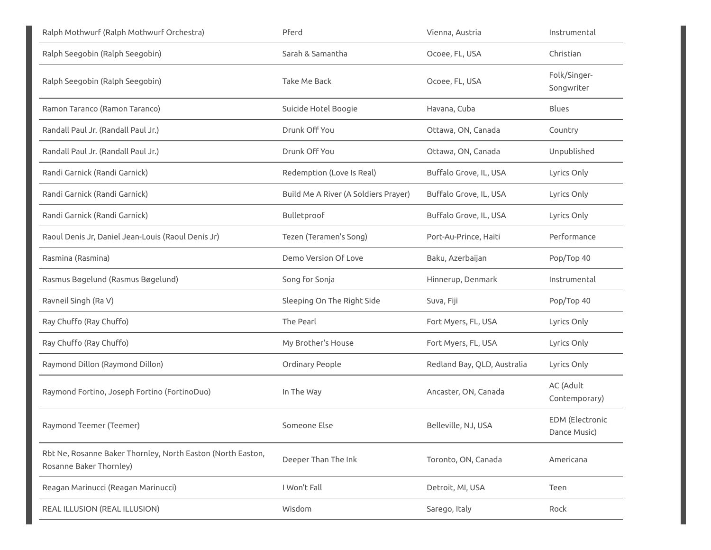| Ralph Mothwurf (Ralph Mothwurf Orchestra)                                              | Pferd                                | Vienna, Austria             | Instrumental                           |
|----------------------------------------------------------------------------------------|--------------------------------------|-----------------------------|----------------------------------------|
| Ralph Seegobin (Ralph Seegobin)                                                        | Sarah & Samantha                     | Ocoee, FL, USA              | Christian                              |
| Ralph Seegobin (Ralph Seegobin)                                                        | <b>Take Me Back</b>                  | Ocoee, FL, USA              | Folk/Singer-<br>Songwriter             |
| Ramon Taranco (Ramon Taranco)                                                          | Suicide Hotel Boogie                 | Havana, Cuba                | Blues                                  |
| Randall Paul Jr. (Randall Paul Jr.)                                                    | Drunk Off You                        | Ottawa, ON, Canada          | Country                                |
| Randall Paul Jr. (Randall Paul Jr.)                                                    | Drunk Off You                        | Ottawa, ON, Canada          | Unpublished                            |
| Randi Garnick (Randi Garnick)                                                          | Redemption (Love Is Real)            | Buffalo Grove, IL, USA      | Lyrics Only                            |
| Randi Garnick (Randi Garnick)                                                          | Build Me A River (A Soldiers Prayer) | Buffalo Grove, IL, USA      | Lyrics Only                            |
| Randi Garnick (Randi Garnick)                                                          | Bulletproof                          | Buffalo Grove, IL, USA      | Lyrics Only                            |
| Raoul Denis Jr, Daniel Jean-Louis (Raoul Denis Jr)                                     | Tezen (Teramen's Song)               | Port-Au-Prince, Haiti       | Performance                            |
| Rasmina (Rasmina)                                                                      | Demo Version Of Love                 | Baku, Azerbaijan            | Pop/Top 40                             |
| Rasmus Bøgelund (Rasmus Bøgelund)                                                      | Song for Sonja                       | Hinnerup, Denmark           | Instrumental                           |
| Ravneil Singh (Ra V)                                                                   | Sleeping On The Right Side           | Suva, Fiji                  | Pop/Top 40                             |
| Ray Chuffo (Ray Chuffo)                                                                | The Pearl                            | Fort Myers, FL, USA         | Lyrics Only                            |
| Ray Chuffo (Ray Chuffo)                                                                | My Brother's House                   | Fort Myers, FL, USA         | Lyrics Only                            |
| Raymond Dillon (Raymond Dillon)                                                        | Ordinary People                      | Redland Bay, QLD, Australia | Lyrics Only                            |
| Raymond Fortino, Joseph Fortino (FortinoDuo)                                           | In The Way                           | Ancaster, ON, Canada        | AC (Adult<br>Contemporary)             |
| Raymond Teemer (Teemer)                                                                | Someone Else                         | Belleville, NJ, USA         | <b>EDM</b> (Electronic<br>Dance Music) |
| Rbt Ne, Rosanne Baker Thornley, North Easton (North Easton,<br>Rosanne Baker Thornley) | Deeper Than The Ink                  | Toronto, ON, Canada         | Americana                              |
| Reagan Marinucci (Reagan Marinucci)                                                    | I Won't Fall                         | Detroit, MI, USA            | Teen                                   |
| REAL ILLUSION (REAL ILLUSION)                                                          | Wisdom                               | Sarego, Italy               | Rock                                   |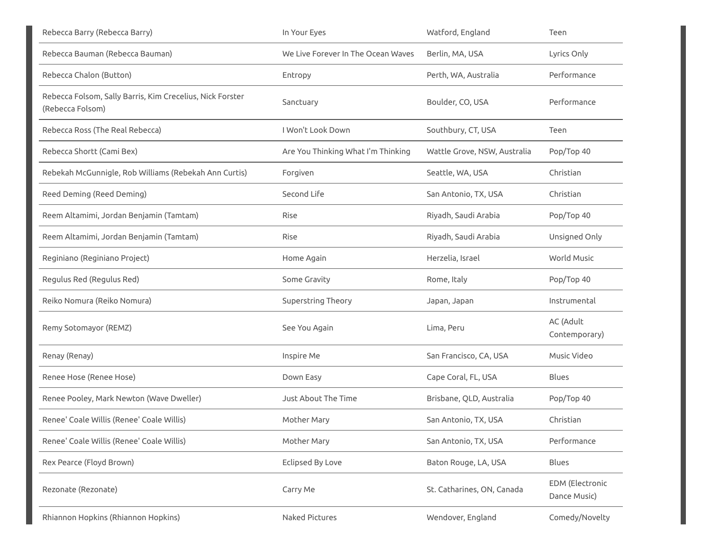| Rebecca Barry (Rebecca Barry)                                                 | In Your Eyes                       | Watford, England             | Teen                            |
|-------------------------------------------------------------------------------|------------------------------------|------------------------------|---------------------------------|
| Rebecca Bauman (Rebecca Bauman)                                               | We Live Forever In The Ocean Waves | Berlin, MA, USA              | Lyrics Only                     |
| Rebecca Chalon (Button)                                                       | Entropy                            | Perth, WA, Australia         | Performance                     |
| Rebecca Folsom, Sally Barris, Kim Crecelius, Nick Forster<br>(Rebecca Folsom) | Sanctuary                          | Boulder, CO, USA             | Performance                     |
| Rebecca Ross (The Real Rebecca)                                               | I Won't Look Down                  | Southbury, CT, USA           | Teen                            |
| Rebecca Shortt (Cami Bex)                                                     | Are You Thinking What I'm Thinking | Wattle Grove, NSW, Australia | Pop/Top 40                      |
| Rebekah McGunnigle, Rob Williams (Rebekah Ann Curtis)                         | Forgiven                           | Seattle, WA, USA             | Christian                       |
| Reed Deming (Reed Deming)                                                     | Second Life                        | San Antonio, TX, USA         | Christian                       |
| Reem Altamimi, Jordan Benjamin (Tamtam)                                       | Rise                               | Riyadh, Saudi Arabia         | Pop/Top 40                      |
| Reem Altamimi, Jordan Benjamin (Tamtam)                                       | Rise                               | Riyadh, Saudi Arabia         | Unsigned Only                   |
| Reginiano (Reginiano Project)                                                 | Home Again                         | Herzelia, Israel             | World Music                     |
| Regulus Red (Regulus Red)                                                     | Some Gravity                       | Rome, Italy                  | Pop/Top 40                      |
| Reiko Nomura (Reiko Nomura)                                                   | Superstring Theory                 | Japan, Japan                 | Instrumental                    |
| Remy Sotomayor (REMZ)                                                         | See You Again                      | Lima, Peru                   | AC (Adult<br>Contemporary)      |
| Renay (Renay)                                                                 | Inspire Me                         | San Francisco, CA, USA       | Music Video                     |
| Renee Hose (Renee Hose)                                                       | Down Easy                          | Cape Coral, FL, USA          | <b>Blues</b>                    |
| Renee Pooley, Mark Newton (Wave Dweller)                                      | Just About The Time                | Brisbane, QLD, Australia     | Pop/Top 40                      |
| Renee' Coale Willis (Renee' Coale Willis)                                     | Mother Mary                        | San Antonio, TX, USA         | Christian                       |
| Renee' Coale Willis (Renee' Coale Willis)                                     | Mother Mary                        | San Antonio, TX, USA         | Performance                     |
| Rex Pearce (Floyd Brown)                                                      | <b>Eclipsed By Love</b>            | Baton Rouge, LA, USA         | Blues                           |
| Rezonate (Rezonate)                                                           | Carry Me                           | St. Catharines, ON, Canada   | EDM (Electronic<br>Dance Music) |
| Rhiannon Hopkins (Rhiannon Hopkins)                                           | Naked Pictures                     | Wendover, England            | Comedy/Novelty                  |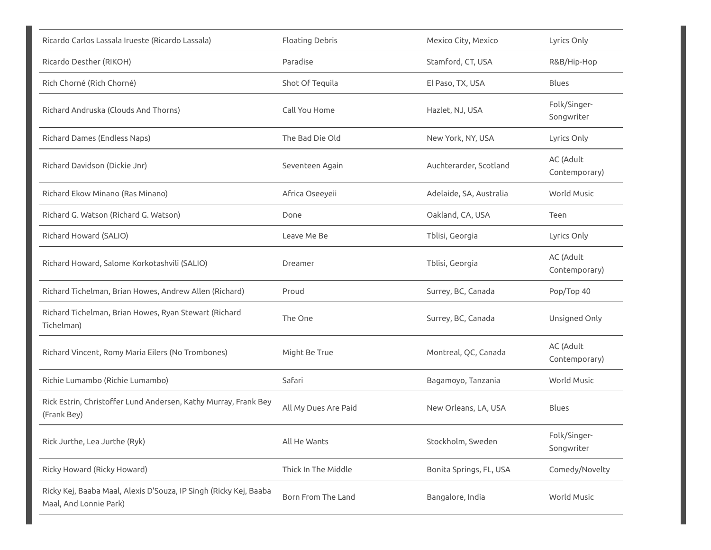| Ricardo Carlos Lassala Irueste (Ricardo Lassala)                                            | <b>Floating Debris</b> | Mexico City, Mexico     | Lyrics Only                |
|---------------------------------------------------------------------------------------------|------------------------|-------------------------|----------------------------|
| Ricardo Desther (RIKOH)                                                                     | Paradise               | Stamford, CT, USA       | R&B/Hip-Hop                |
| Rich Chorné (Rich Chorné)                                                                   | Shot Of Tequila        | El Paso, TX, USA        | <b>Blues</b>               |
| Richard Andruska (Clouds And Thorns)                                                        | Call You Home          | Hazlet, NJ, USA         | Folk/Singer-<br>Songwriter |
| Richard Dames (Endless Naps)                                                                | The Bad Die Old        | New York, NY, USA       | Lyrics Only                |
| Richard Davidson (Dickie Jnr)                                                               | Seventeen Again        | Auchterarder, Scotland  | AC (Adult<br>Contemporary) |
| Richard Ekow Minano (Ras Minano)                                                            | Africa Oseeyeii        | Adelaide, SA, Australia | World Music                |
| Richard G. Watson (Richard G. Watson)                                                       | Done                   | Oakland, CA, USA        | Teen                       |
| Richard Howard (SALIO)                                                                      | Leave Me Be            | Tblisi, Georgia         | Lyrics Only                |
| Richard Howard, Salome Korkotashvili (SALIO)                                                | Dreamer                | Tblisi, Georgia         | AC (Adult<br>Contemporary) |
| Richard Tichelman, Brian Howes, Andrew Allen (Richard)                                      | Proud                  | Surrey, BC, Canada      | Pop/Top 40                 |
| Richard Tichelman, Brian Howes, Ryan Stewart (Richard<br>Tichelman)                         | The One                | Surrey, BC, Canada      | Unsigned Only              |
| Richard Vincent, Romy Maria Eilers (No Trombones)                                           | Might Be True          | Montreal, QC, Canada    | AC (Adult<br>Contemporary) |
| Richie Lumambo (Richie Lumambo)                                                             | Safari                 | Bagamoyo, Tanzania      | <b>World Music</b>         |
| Rick Estrin, Christoffer Lund Andersen, Kathy Murray, Frank Bey<br>(Frank Bey)              | All My Dues Are Paid   | New Orleans, LA, USA    | <b>Blues</b>               |
| Rick Jurthe, Lea Jurthe (Ryk)                                                               | All He Wants           | Stockholm, Sweden       | Folk/Singer-<br>Songwriter |
| Ricky Howard (Ricky Howard)                                                                 | Thick In The Middle    | Bonita Springs, FL, USA | Comedy/Novelty             |
| Ricky Kej, Baaba Maal, Alexis D'Souza, IP Singh (Ricky Kej, Baaba<br>Maal, And Lonnie Park) | Born From The Land     | Bangalore, India        | World Music                |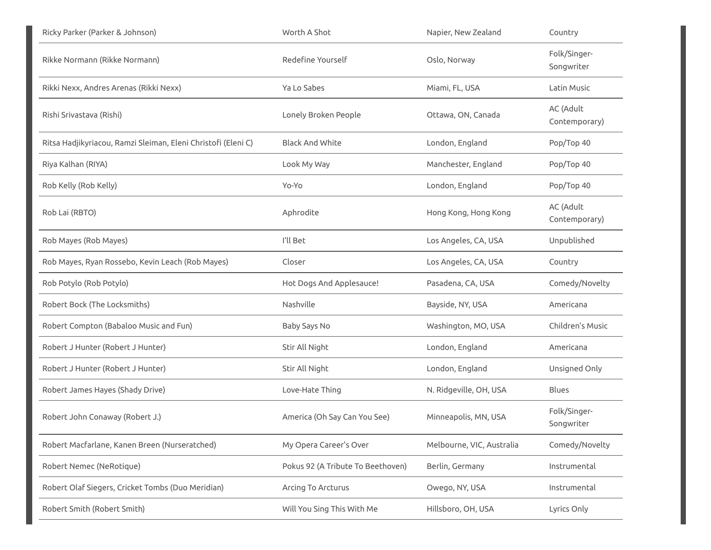| Ricky Parker (Parker & Johnson)                               | Worth A Shot                      | Napier, New Zealand       | Country                    |
|---------------------------------------------------------------|-----------------------------------|---------------------------|----------------------------|
| Rikke Normann (Rikke Normann)                                 | Redefine Yourself                 | Oslo, Norway              | Folk/Singer-<br>Songwriter |
| Rikki Nexx, Andres Arenas (Rikki Nexx)                        | Ya Lo Sabes                       | Miami, FL, USA            | Latin Music                |
| Rishi Srivastava (Rishi)                                      | Lonely Broken People              | Ottawa, ON, Canada        | AC (Adult<br>Contemporary) |
| Ritsa Hadjikyriacou, Ramzi Sleiman, Eleni Christofi (Eleni C) | <b>Black And White</b>            | London, England           | Pop/Top 40                 |
| Riya Kalhan (RIYA)                                            | Look My Way                       | Manchester, England       | Pop/Top 40                 |
| Rob Kelly (Rob Kelly)                                         | Yo-Yo                             | London, England           | Pop/Top 40                 |
| Rob Lai (RBTO)                                                | Aphrodite                         | Hong Kong, Hong Kong      | AC (Adult<br>Contemporary) |
| Rob Mayes (Rob Mayes)                                         | I'll Bet                          | Los Angeles, CA, USA      | Unpublished                |
| Rob Mayes, Ryan Rossebo, Kevin Leach (Rob Mayes)              | Closer                            | Los Angeles, CA, USA      | Country                    |
| Rob Potylo (Rob Potylo)                                       | Hot Dogs And Applesauce!          | Pasadena, CA, USA         | Comedy/Novelty             |
| Robert Bock (The Locksmiths)                                  | Nashville                         | Bayside, NY, USA          | Americana                  |
| Robert Compton (Babaloo Music and Fun)                        | Baby Says No                      | Washington, MO, USA       | Children's Music           |
| Robert J Hunter (Robert J Hunter)                             | Stir All Night                    | London, England           | Americana                  |
| Robert J Hunter (Robert J Hunter)                             | Stir All Night                    | London, England           | Unsigned Only              |
| Robert James Hayes (Shady Drive)                              | Love-Hate Thing                   | N. Ridgeville, OH, USA    | Blues                      |
| Robert John Conaway (Robert J.)                               | America (Oh Say Can You See)      | Minneapolis, MN, USA      | Folk/Singer-<br>Songwriter |
| Robert Macfarlane, Kanen Breen (Nurseratched)                 | My Opera Career's Over            | Melbourne, VIC, Australia | Comedy/Novelty             |
| Robert Nemec (NeRotique)                                      | Pokus 92 (A Tribute To Beethoven) | Berlin, Germany           | Instrumental               |
| Robert Olaf Siegers, Cricket Tombs (Duo Meridian)             | Arcing To Arcturus                | Owego, NY, USA            | Instrumental               |
| Robert Smith (Robert Smith)                                   | Will You Sing This With Me        | Hillsboro, OH, USA        | Lyrics Only                |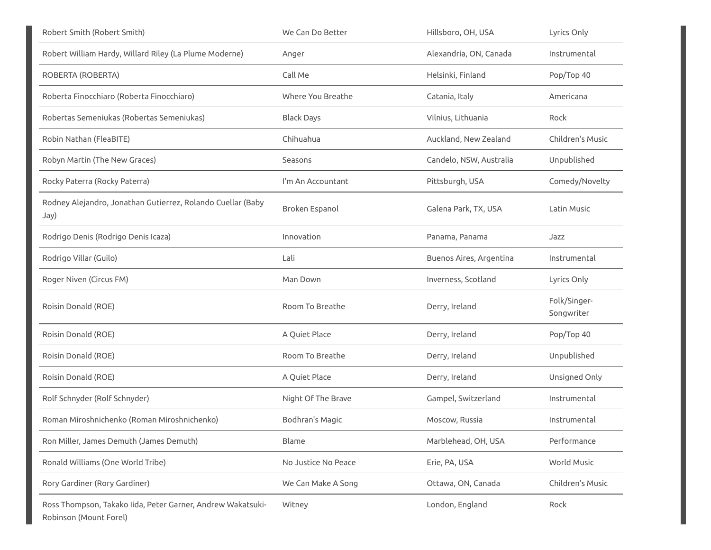| Robert Smith (Robert Smith)                                                           | We Can Do Better    | Hillsboro, OH, USA      | Lyrics Only                |
|---------------------------------------------------------------------------------------|---------------------|-------------------------|----------------------------|
| Robert William Hardy, Willard Riley (La Plume Moderne)                                | Anger               | Alexandria, ON, Canada  | Instrumental               |
| ROBERTA (ROBERTA)                                                                     | Call Me             | Helsinki, Finland       | Pop/Top 40                 |
| Roberta Finocchiaro (Roberta Finocchiaro)                                             | Where You Breathe   | Catania, Italy          | Americana                  |
| Robertas Semeniukas (Robertas Semeniukas)                                             | <b>Black Days</b>   | Vilnius, Lithuania      | Rock                       |
| Robin Nathan (FleaBITE)                                                               | Chihuahua           | Auckland, New Zealand   | Children's Music           |
| Robyn Martin (The New Graces)                                                         | Seasons             | Candelo, NSW, Australia | Unpublished                |
| Rocky Paterra (Rocky Paterra)                                                         | I'm An Accountant   | Pittsburgh, USA         | Comedy/Novelty             |
| Rodney Alejandro, Jonathan Gutierrez, Rolando Cuellar (Baby<br>Jay)                   | Broken Espanol      | Galena Park, TX, USA    | Latin Music                |
| Rodrigo Denis (Rodrigo Denis Icaza)                                                   | Innovation          | Panama, Panama          | Jazz                       |
| Rodrigo Villar (Guilo)                                                                | Lali                | Buenos Aires, Argentina | Instrumental               |
| Roger Niven (Circus FM)                                                               | Man Down            | Inverness, Scotland     | Lyrics Only                |
| Roisin Donald (ROE)                                                                   | Room To Breathe     | Derry, Ireland          | Folk/Singer-<br>Songwriter |
| Roisin Donald (ROE)                                                                   | A Quiet Place       | Derry, Ireland          | Pop/Top 40                 |
| Roisin Donald (ROE)                                                                   | Room To Breathe     | Derry, Ireland          | Unpublished                |
| Roisin Donald (ROE)                                                                   | A Quiet Place       | Derry, Ireland          | Unsigned Only              |
| Rolf Schnyder (Rolf Schnyder)                                                         | Night Of The Brave  | Gampel, Switzerland     | Instrumental               |
| Roman Miroshnichenko (Roman Miroshnichenko)                                           | Bodhran's Magic     | Moscow, Russia          | Instrumental               |
| Ron Miller, James Demuth (James Demuth)                                               | Blame               | Marblehead, OH, USA     | Performance                |
| Ronald Williams (One World Tribe)                                                     | No Justice No Peace | Erie, PA, USA           | World Music                |
| Rory Gardiner (Rory Gardiner)                                                         | We Can Make A Song  | Ottawa, ON, Canada      | Children's Music           |
| Ross Thompson, Takako Iida, Peter Garner, Andrew Wakatsuki-<br>Robinson (Mount Forel) | Witney              | London, England         | Rock                       |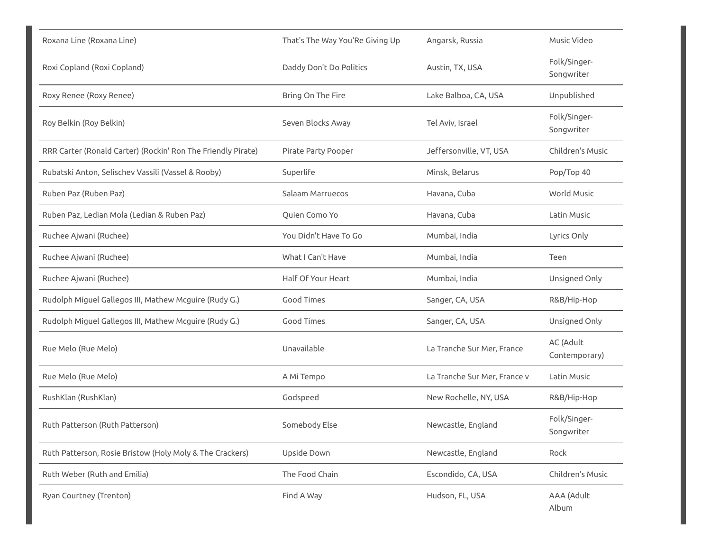| Roxana Line (Roxana Line)                                    | That's The Way You'Re Giving Up | Angarsk, Russia              | Music Video                |
|--------------------------------------------------------------|---------------------------------|------------------------------|----------------------------|
| Roxi Copland (Roxi Copland)                                  | Daddy Don't Do Politics         | Austin, TX, USA              | Folk/Singer-<br>Songwriter |
| Roxy Renee (Roxy Renee)                                      | Bring On The Fire               | Lake Balboa, CA, USA         | Unpublished                |
| Roy Belkin (Roy Belkin)                                      | Seven Blocks Away               | Tel Aviv, Israel             | Folk/Singer-<br>Songwriter |
| RRR Carter (Ronald Carter) (Rockin' Ron The Friendly Pirate) | Pirate Party Pooper             | Jeffersonville, VT, USA      | Children's Music           |
| Rubatski Anton, Selischev Vassili (Vassel & Rooby)           | Superlife                       | Minsk, Belarus               | Pop/Top 40                 |
| Ruben Paz (Ruben Paz)                                        | Salaam Marruecos                | Havana, Cuba                 | World Music                |
| Ruben Paz, Ledian Mola (Ledian & Ruben Paz)                  | Quien Como Yo                   | Havana, Cuba                 | Latin Music                |
| Ruchee Ajwani (Ruchee)                                       | You Didn't Have To Go           | Mumbai, India                | Lyrics Only                |
| Ruchee Ajwani (Ruchee)                                       | What I Can't Have               | Mumbai, India                | Teen                       |
| Ruchee Ajwani (Ruchee)                                       | Half Of Your Heart              | Mumbai, India                | Unsigned Only              |
| Rudolph Miguel Gallegos III, Mathew Mcguire (Rudy G.)        | <b>Good Times</b>               | Sanger, CA, USA              | R&B/Hip-Hop                |
| Rudolph Miguel Gallegos III, Mathew Mcguire (Rudy G.)        | <b>Good Times</b>               | Sanger, CA, USA              | Unsigned Only              |
| Rue Melo (Rue Melo)                                          | Unavailable                     | La Tranche Sur Mer, France   | AC (Adult<br>Contemporary) |
| Rue Melo (Rue Melo)                                          | A Mi Tempo                      | La Tranche Sur Mer, France v | Latin Music                |
| RushKlan (RushKlan)                                          | Godspeed                        | New Rochelle, NY, USA        | R&B/Hip-Hop                |
| Ruth Patterson (Ruth Patterson)                              | Somebody Else                   | Newcastle, England           | Folk/Singer-<br>Songwriter |
| Ruth Patterson, Rosie Bristow (Holy Moly & The Crackers)     | Upside Down                     | Newcastle, England           | Rock                       |
| Ruth Weber (Ruth and Emilia)                                 | The Food Chain                  | Escondido, CA, USA           | Children's Music           |
| Ryan Courtney (Trenton)                                      | Find A Way                      | Hudson, FL, USA              | AAA (Adult<br>Album        |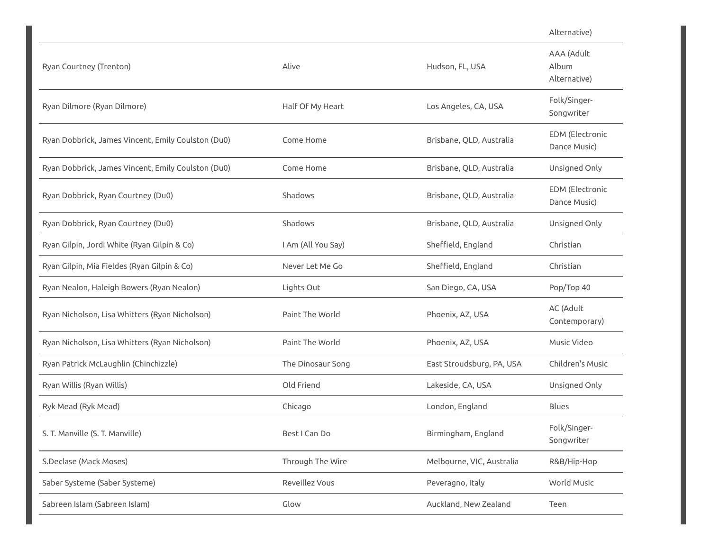|                                                    |                    |                           | Alternative)                           |
|----------------------------------------------------|--------------------|---------------------------|----------------------------------------|
| Ryan Courtney (Trenton)                            | Alive              | Hudson, FL, USA           | AAA (Adult<br>Album<br>Alternative)    |
| Ryan Dilmore (Ryan Dilmore)                        | Half Of My Heart   | Los Angeles, CA, USA      | Folk/Singer-<br>Songwriter             |
| Ryan Dobbrick, James Vincent, Emily Coulston (Du0) | Come Home          | Brisbane, QLD, Australia  | <b>EDM</b> (Electronic<br>Dance Music) |
| Ryan Dobbrick, James Vincent, Emily Coulston (Du0) | Come Home          | Brisbane, QLD, Australia  | Unsigned Only                          |
| Ryan Dobbrick, Ryan Courtney (Du0)                 | Shadows            | Brisbane, QLD, Australia  | <b>EDM</b> (Electronic<br>Dance Music) |
| Ryan Dobbrick, Ryan Courtney (Du0)                 | Shadows            | Brisbane, QLD, Australia  | Unsigned Only                          |
| Ryan Gilpin, Jordi White (Ryan Gilpin & Co)        | I Am (All You Say) | Sheffield, England        | Christian                              |
| Ryan Gilpin, Mia Fieldes (Ryan Gilpin & Co)        | Never Let Me Go    | Sheffield, England        | Christian                              |
| Ryan Nealon, Haleigh Bowers (Ryan Nealon)          | Lights Out         | San Diego, CA, USA        | Pop/Top 40                             |
| Ryan Nicholson, Lisa Whitters (Ryan Nicholson)     | Paint The World    | Phoenix, AZ, USA          | AC (Adult<br>Contemporary)             |
| Ryan Nicholson, Lisa Whitters (Ryan Nicholson)     | Paint The World    | Phoenix, AZ, USA          | Music Video                            |
| Ryan Patrick McLaughlin (Chinchizzle)              | The Dinosaur Song  | East Stroudsburg, PA, USA | Children's Music                       |
| Ryan Willis (Ryan Willis)                          | Old Friend         | Lakeside, CA, USA         | Unsigned Only                          |
| Ryk Mead (Ryk Mead)                                | Chicago            | London, England           | Blues                                  |
| S. T. Manville (S. T. Manville)                    | Best I Can Do      | Birmingham, England       | Folk/Singer-<br>Songwriter             |
| S.Declase (Mack Moses)                             | Through The Wire   | Melbourne, VIC, Australia | R&B/Hip-Hop                            |
| Saber Systeme (Saber Systeme)                      | Reveillez Vous     | Peveragno, Italy          | World Music                            |
| Sabreen Islam (Sabreen Islam)                      | Glow               | Auckland, New Zealand     | Teen                                   |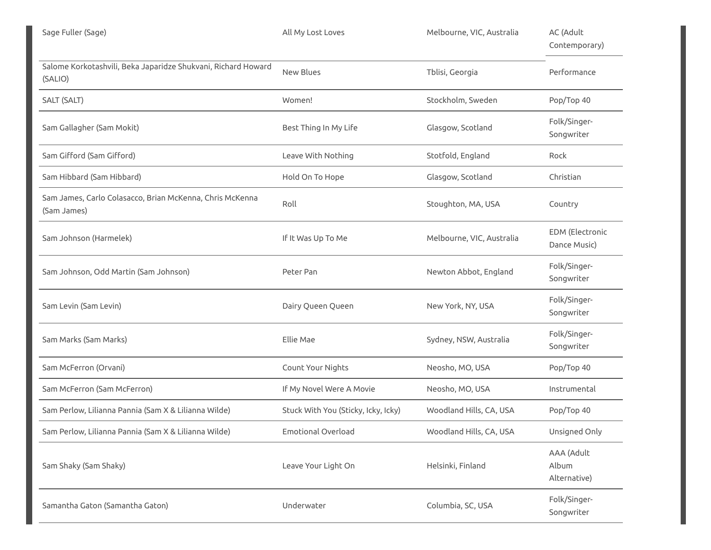| Sage Fuller (Sage)                                                       | All My Lost Loves                   | Melbourne, VIC, Australia | AC (Adult<br>Contemporary)             |
|--------------------------------------------------------------------------|-------------------------------------|---------------------------|----------------------------------------|
| Salome Korkotashvili, Beka Japaridze Shukvani, Richard Howard<br>(SALIO) | New Blues                           | Tblisi, Georgia           | Performance                            |
| SALT (SALT)                                                              | Women!                              | Stockholm, Sweden         | Pop/Top 40                             |
| Sam Gallagher (Sam Mokit)                                                | Best Thing In My Life               | Glasgow, Scotland         | Folk/Singer-<br>Songwriter             |
| Sam Gifford (Sam Gifford)                                                | Leave With Nothing                  | Stotfold, England         | Rock                                   |
| Sam Hibbard (Sam Hibbard)                                                | Hold On To Hope                     | Glasgow, Scotland         | Christian                              |
| Sam James, Carlo Colasacco, Brian McKenna, Chris McKenna<br>(Sam James)  | Roll                                | Stoughton, MA, USA        | Country                                |
| Sam Johnson (Harmelek)                                                   | If It Was Up To Me                  | Melbourne, VIC, Australia | <b>EDM</b> (Electronic<br>Dance Music) |
| Sam Johnson, Odd Martin (Sam Johnson)                                    | Peter Pan                           | Newton Abbot, England     | Folk/Singer-<br>Songwriter             |
| Sam Levin (Sam Levin)                                                    | Dairy Queen Queen                   | New York, NY, USA         | Folk/Singer-<br>Songwriter             |
| Sam Marks (Sam Marks)                                                    | Ellie Mae                           | Sydney, NSW, Australia    | Folk/Singer-<br>Songwriter             |
| Sam McFerron (Orvani)                                                    | Count Your Nights                   | Neosho, MO, USA           | Pop/Top 40                             |
| Sam McFerron (Sam McFerron)                                              | If My Novel Were A Movie            | Neosho, MO, USA           | Instrumental                           |
| Sam Perlow, Lilianna Pannia (Sam X & Lilianna Wilde)                     | Stuck With You (Sticky, Icky, Icky) | Woodland Hills, CA, USA   | Pop/Top 40                             |
| Sam Perlow, Lilianna Pannia (Sam X & Lilianna Wilde)                     | <b>Emotional Overload</b>           | Woodland Hills, CA, USA   | Unsigned Only                          |
| Sam Shaky (Sam Shaky)                                                    | Leave Your Light On                 | Helsinki, Finland         | AAA (Adult<br>Album<br>Alternative)    |
| Samantha Gaton (Samantha Gaton)                                          | Underwater                          | Columbia, SC, USA         | Folk/Singer-<br>Songwriter             |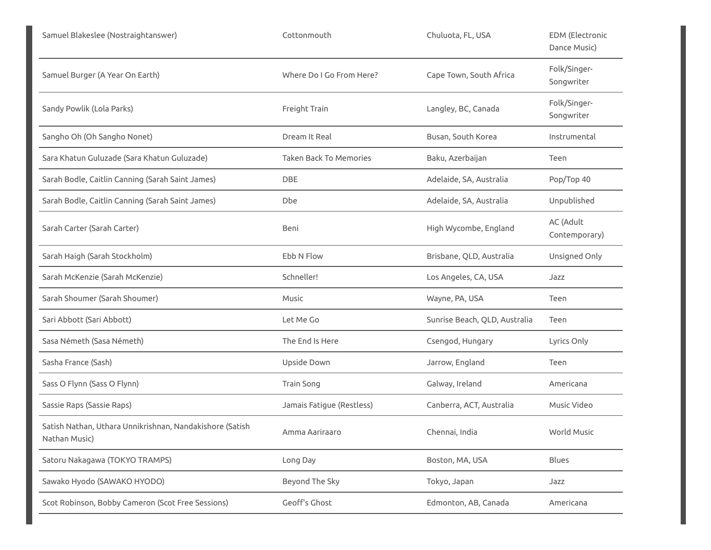| Samuel Blakeslee (Nostraightanswer)                                       | Cottonmouth                   | Chuluota, FL, USA             | <b>EDM</b> (Electronic<br>Dance Music) |
|---------------------------------------------------------------------------|-------------------------------|-------------------------------|----------------------------------------|
| Samuel Burger (A Year On Earth)                                           | Where Do I Go From Here?      | Cape Town, South Africa       | Folk/Singer-<br>Songwriter             |
| Sandy Powlik (Lola Parks)                                                 | Freight Train                 | Langley, BC, Canada           | Folk/Singer-<br>Songwriter             |
| Sangho Oh (Oh Sangho Nonet)                                               | Dream It Real                 | Busan, South Korea            | Instrumental                           |
| Sara Khatun Guluzade (Sara Khatun Guluzade)                               | <b>Taken Back To Memories</b> | Baku, Azerbaijan              | Teen                                   |
| Sarah Bodle, Caitlin Canning (Sarah Saint James)                          | <b>DBE</b>                    | Adelaide, SA, Australia       | Pop/Top 40                             |
| Sarah Bodle, Caitlin Canning (Sarah Saint James)                          | Dbe                           | Adelaide, SA, Australia       | Unpublished                            |
| Sarah Carter (Sarah Carter)                                               | Beni                          | High Wycombe, England         | AC (Adult<br>Contemporary)             |
| Sarah Haigh (Sarah Stockholm)                                             | Ebb N Flow                    | Brisbane, QLD, Australia      | Unsigned Only                          |
| Sarah McKenzie (Sarah McKenzie)                                           | Schneller!                    | Los Angeles, CA, USA          | Jazz                                   |
| Sarah Shoumer (Sarah Shoumer)                                             | Music                         | Wayne, PA, USA                | Teen                                   |
| Sari Abbott (Sari Abbott)                                                 | Let Me Go                     | Sunrise Beach, QLD, Australia | Teen                                   |
| Sasa Németh (Sasa Németh)                                                 | The End Is Here               | Csengod, Hungary              | Lyrics Only                            |
| Sasha France (Sash)                                                       | Upside Down                   | Jarrow, England               | Teen                                   |
| Sass O Flynn (Sass O Flynn)                                               | Train Song                    | Galway, Ireland               | Americana                              |
| Sassie Raps (Sassie Raps)                                                 | Jamais Fatigue (Restless)     | Canberra, ACT, Australia      | Music Video                            |
| Satish Nathan, Uthara Unnikrishnan, Nandakishore (Satish<br>Nathan Music) | Amma Aariraaro                | Chennai, India                | World Music                            |
| Satoru Nakagawa (TOKYO TRAMPS)                                            | Long Day                      | Boston, MA, USA               | Blues                                  |
| Sawako Hyodo (SAWAKO HYODO)                                               | Beyond The Sky                | Tokyo, Japan                  | Jazz                                   |
| Scot Robinson, Bobby Cameron (Scot Free Sessions)                         | Geoff's Ghost                 | Edmonton, AB, Canada          | Americana                              |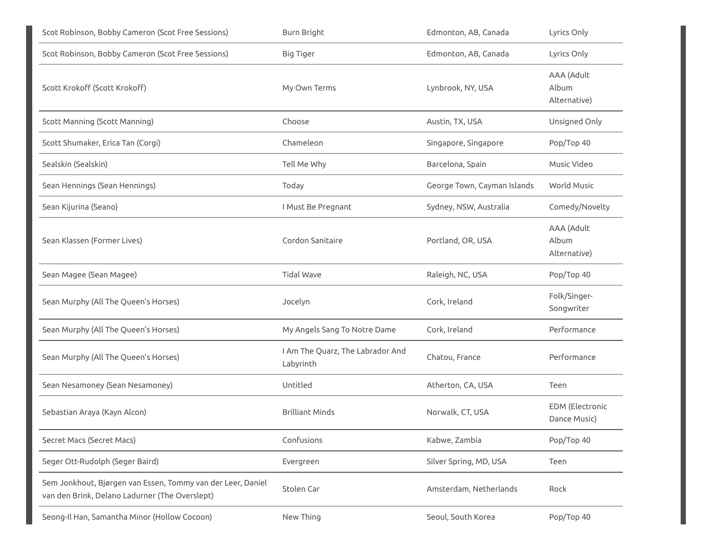| Scot Robinson, Bobby Cameron (Scot Free Sessions)                                                             | Burn Bright                                   | Edmonton, AB, Canada        | Lyrics Only                         |
|---------------------------------------------------------------------------------------------------------------|-----------------------------------------------|-----------------------------|-------------------------------------|
| Scot Robinson, Bobby Cameron (Scot Free Sessions)                                                             | Big Tiger                                     | Edmonton, AB, Canada        | Lyrics Only                         |
| Scott Krokoff (Scott Krokoff)                                                                                 | My Own Terms                                  | Lynbrook, NY, USA           | AAA (Adult<br>Album<br>Alternative) |
| <b>Scott Manning (Scott Manning)</b>                                                                          | Choose                                        | Austin, TX, USA             | Unsigned Only                       |
| Scott Shumaker, Erica Tan (Corgi)                                                                             | Chameleon                                     | Singapore, Singapore        | Pop/Top 40                          |
| Sealskin (Sealskin)                                                                                           | Tell Me Why                                   | Barcelona, Spain            | Music Video                         |
| Sean Hennings (Sean Hennings)                                                                                 | Today                                         | George Town, Cayman Islands | World Music                         |
| Sean Kijurina (Seano)                                                                                         | I Must Be Pregnant                            | Sydney, NSW, Australia      | Comedy/Novelty                      |
| Sean Klassen (Former Lives)                                                                                   | Cordon Sanitaire                              | Portland, OR, USA           | AAA (Adult<br>Album<br>Alternative) |
| Sean Magee (Sean Magee)                                                                                       | <b>Tidal Wave</b>                             | Raleigh, NC, USA            | Pop/Top 40                          |
| Sean Murphy (All The Queen's Horses)                                                                          | Jocelyn                                       | Cork, Ireland               | Folk/Singer-<br>Songwriter          |
| Sean Murphy (All The Queen's Horses)                                                                          | My Angels Sang To Notre Dame                  | Cork, Ireland               | Performance                         |
| Sean Murphy (All The Queen's Horses)                                                                          | I Am The Quarz, The Labrador And<br>Labyrinth | Chatou, France              | Performance                         |
| Sean Nesamoney (Sean Nesamoney)                                                                               | Untitled                                      | Atherton, CA, USA           | Teen                                |
| Sebastian Araya (Kayn Alcon)                                                                                  | <b>Brilliant Minds</b>                        | Norwalk, CT, USA            | EDM (Electronic<br>Dance Music)     |
| Secret Macs (Secret Macs)                                                                                     | Confusions                                    | Kabwe, Zambia               | Pop/Top 40                          |
| Seger Ott-Rudolph (Seger Baird)                                                                               | Evergreen                                     | Silver Spring, MD, USA      | Teen                                |
| Sem Jonkhout, Bjørgen van Essen, Tommy van der Leer, Daniel<br>van den Brink, Delano Ladurner (The Overslept) | Stolen Car                                    | Amsterdam, Netherlands      | Rock                                |
| Seong-Il Han, Samantha Minor (Hollow Cocoon)                                                                  | New Thing                                     | Seoul, South Korea          | Pop/Top 40                          |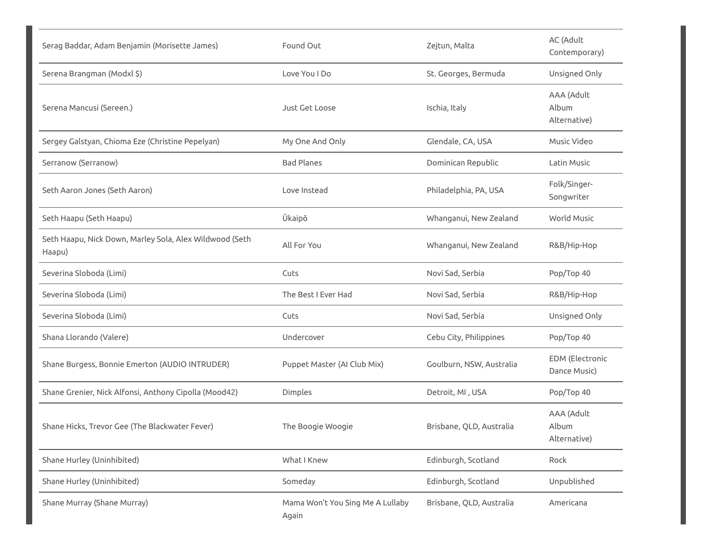| Serag Baddar, Adam Benjamin (Morisette James)                     | Found Out                                 | Zejtun, Malta            | AC (Adult<br>Contemporary)             |
|-------------------------------------------------------------------|-------------------------------------------|--------------------------|----------------------------------------|
| Serena Brangman (Modxl \$)                                        | Love You I Do                             | St. Georges, Bermuda     | Unsigned Only                          |
| Serena Mancusi (Sereen.)                                          | <b>Just Get Loose</b>                     | Ischia, Italy            | AAA (Adult<br>Album<br>Alternative)    |
| Sergey Galstyan, Chioma Eze (Christine Pepelyan)                  | My One And Only                           | Glendale, CA, USA        | Music Video                            |
| Serranow (Serranow)                                               | <b>Bad Planes</b>                         | Dominican Republic       | Latin Music                            |
| Seth Aaron Jones (Seth Aaron)                                     | Love Instead                              | Philadelphia, PA, USA    | Folk/Singer-<br>Songwriter             |
| Seth Haapu (Seth Haapu)                                           | Ūkaipō                                    | Whanganui, New Zealand   | <b>World Music</b>                     |
| Seth Haapu, Nick Down, Marley Sola, Alex Wildwood (Seth<br>Haapu) | All For You                               | Whanganui, New Zealand   | R&B/Hip-Hop                            |
| Severina Sloboda (Limi)                                           | Cuts                                      | Novi Sad, Serbia         | Pop/Top 40                             |
| Severina Sloboda (Limi)                                           | The Best I Ever Had                       | Novi Sad, Serbia         | R&B/Hip-Hop                            |
| Severina Sloboda (Limi)                                           | Cuts                                      | Novi Sad, Serbia         | Unsigned Only                          |
| Shana Llorando (Valere)                                           | Undercover                                | Cebu City, Philippines   | Pop/Top 40                             |
| Shane Burgess, Bonnie Emerton (AUDIO INTRUDER)                    | Puppet Master (AI Club Mix)               | Goulburn, NSW, Australia | <b>EDM</b> (Electronic<br>Dance Music) |
| Shane Grenier, Nick Alfonsi, Anthony Cipolla (Mood42)             | Dimples                                   | Detroit, MI, USA         | Pop/Top 40                             |
| Shane Hicks, Trevor Gee (The Blackwater Fever)                    | The Boogie Woogie                         | Brisbane, QLD, Australia | AAA (Adult<br>Album<br>Alternative)    |
| Shane Hurley (Uninhibited)                                        | What I Knew                               | Edinburgh, Scotland      | Rock                                   |
| Shane Hurley (Uninhibited)                                        | Someday                                   | Edinburgh, Scotland      | Unpublished                            |
| Shane Murray (Shane Murray)                                       | Mama Won't You Sing Me A Lullaby<br>Again | Brisbane, QLD, Australia | Americana                              |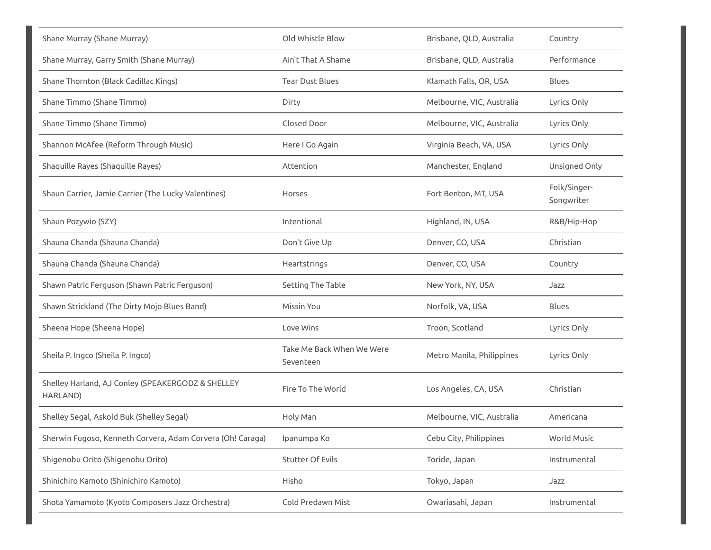| Shane Murray (Shane Murray)                                   | Old Whistle Blow                       | Brisbane, QLD, Australia  | Country                    |
|---------------------------------------------------------------|----------------------------------------|---------------------------|----------------------------|
| Shane Murray, Garry Smith (Shane Murray)                      | Ain't That A Shame                     | Brisbane, QLD, Australia  | Performance                |
| Shane Thornton (Black Cadillac Kings)                         | <b>Tear Dust Blues</b>                 | Klamath Falls, OR, USA    | <b>Blues</b>               |
| Shane Timmo (Shane Timmo)                                     | Dirty                                  | Melbourne, VIC, Australia | Lyrics Only                |
| Shane Timmo (Shane Timmo)                                     | Closed Door                            | Melbourne, VIC, Australia | Lyrics Only                |
| Shannon McAfee (Reform Through Music)                         | Here I Go Again                        | Virginia Beach, VA, USA   | Lyrics Only                |
| Shaquille Rayes (Shaquille Rayes)                             | Attention                              | Manchester, England       | Unsigned Only              |
| Shaun Carrier, Jamie Carrier (The Lucky Valentines)           | Horses                                 | Fort Benton, MT, USA      | Folk/Singer-<br>Songwriter |
| Shaun Pozywio (SZY)                                           | Intentional                            | Highland, IN, USA         | R&B/Hip-Hop                |
| Shauna Chanda (Shauna Chanda)                                 | Don't Give Up                          | Denver, CO, USA           | Christian                  |
| Shauna Chanda (Shauna Chanda)                                 | Heartstrings                           | Denver, CO, USA           | Country                    |
| Shawn Patric Ferguson (Shawn Patric Ferguson)                 | Setting The Table                      | New York, NY, USA         | Jazz                       |
| Shawn Strickland (The Dirty Mojo Blues Band)                  | Missin You                             | Norfolk, VA, USA          | <b>Blues</b>               |
| Sheena Hope (Sheena Hope)                                     | Love Wins                              | Troon, Scotland           | Lyrics Only                |
| Sheila P. Ingco (Sheila P. Ingco)                             | Take Me Back When We Were<br>Seventeen | Metro Manila, Philippines | Lyrics Only                |
| Shelley Harland, AJ Conley (SPEAKERGODZ & SHELLEY<br>HARLAND) | Fire To The World                      | Los Angeles, CA, USA      | Christian                  |
| Shelley Segal, Askold Buk (Shelley Segal)                     | Holy Man                               | Melbourne, VIC, Australia | Americana                  |
| Sherwin Fugoso, Kenneth Corvera, Adam Corvera (Oh! Caraga)    | Ipanumpa Ko                            | Cebu City, Philippines    | World Music                |
| Shigenobu Orito (Shigenobu Orito)                             | Stutter Of Evils                       | Toride, Japan             | Instrumental               |
| Shinichiro Kamoto (Shinichiro Kamoto)                         | Hisho                                  | Tokyo, Japan              | Jazz                       |
| Shota Yamamoto (Kyoto Composers Jazz Orchestra)               | Cold Predawn Mist                      | Owariasahi, Japan         | Instrumental               |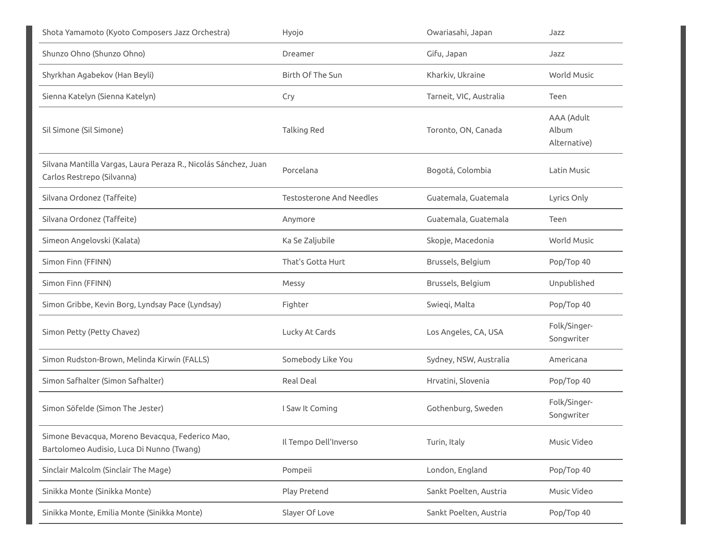| Shota Yamamoto (Kyoto Composers Jazz Orchestra)                                               | Hyojo                           | Owariasahi, Japan       | Jazz                                |
|-----------------------------------------------------------------------------------------------|---------------------------------|-------------------------|-------------------------------------|
| Shunzo Ohno (Shunzo Ohno)                                                                     | Dreamer                         | Gifu, Japan             | Jazz                                |
| Shyrkhan Agabekov (Han Beyli)                                                                 | Birth Of The Sun                | Kharkiv, Ukraine        | <b>World Music</b>                  |
| Sienna Katelyn (Sienna Katelyn)                                                               | Сгу                             | Tarneit, VIC, Australia | Teen                                |
| Sil Simone (Sil Simone)                                                                       | Talking Red                     | Toronto, ON, Canada     | AAA (Adult<br>Album<br>Alternative) |
| Silvana Mantilla Vargas, Laura Peraza R., Nicolás Sánchez, Juan<br>Carlos Restrepo (Silvanna) | Porcelana                       | Bogotá, Colombia        | Latin Music                         |
| Silvana Ordonez (Taffeite)                                                                    | <b>Testosterone And Needles</b> | Guatemala, Guatemala    | Lyrics Only                         |
| Silvana Ordonez (Taffeite)                                                                    | Anymore                         | Guatemala, Guatemala    | Teen                                |
| Simeon Angelovski (Kalata)                                                                    | Ka Se Zaljubile                 | Skopje, Macedonia       | <b>World Music</b>                  |
| Simon Finn (FFINN)                                                                            | That's Gotta Hurt               | Brussels, Belgium       | Pop/Top 40                          |
| Simon Finn (FFINN)                                                                            | Messy                           | Brussels, Belgium       | Unpublished                         |
| Simon Gribbe, Kevin Borg, Lyndsay Pace (Lyndsay)                                              | Fighter                         | Swieqi, Malta           | Pop/Top 40                          |
| Simon Petty (Petty Chavez)                                                                    | Lucky At Cards                  | Los Angeles, CA, USA    | Folk/Singer-<br>Songwriter          |
| Simon Rudston-Brown, Melinda Kirwin (FALLS)                                                   | Somebody Like You               | Sydney, NSW, Australia  | Americana                           |
| Simon Safhalter (Simon Safhalter)                                                             | Real Deal                       | Hrvatini, Slovenia      | Pop/Top 40                          |
| Simon Söfelde (Simon The Jester)                                                              | I Saw It Coming                 | Gothenburg, Sweden      | Folk/Singer-<br>Songwriter          |
| Simone Bevacqua, Moreno Bevacqua, Federico Mao,<br>Bartolomeo Audisio, Luca Di Nunno (Twang)  | Il Tempo Dell'Inverso           | Turin, Italy            | Music Video                         |
| Sinclair Malcolm (Sinclair The Mage)                                                          | Pompeii                         | London, England         | Pop/Top 40                          |
|                                                                                               |                                 |                         |                                     |
| Sinikka Monte (Sinikka Monte)                                                                 | Play Pretend                    | Sankt Poelten, Austria  | Music Video                         |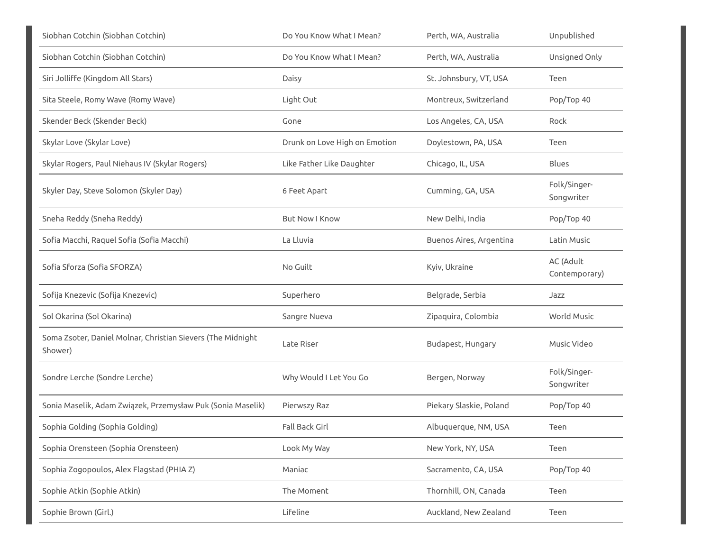| Siobhan Cotchin (Siobhan Cotchin)                                      | Do You Know What I Mean?      | Perth, WA, Australia    | Unpublished                |
|------------------------------------------------------------------------|-------------------------------|-------------------------|----------------------------|
| Siobhan Cotchin (Siobhan Cotchin)                                      | Do You Know What I Mean?      | Perth, WA, Australia    | Unsigned Only              |
| Siri Jolliffe (Kingdom All Stars)                                      | Daisy                         | St. Johnsbury, VT, USA  | Teen                       |
| Sita Steele, Romy Wave (Romy Wave)                                     | Light Out                     | Montreux, Switzerland   | Pop/Top 40                 |
| Skender Beck (Skender Beck)                                            | Gone                          | Los Angeles, CA, USA    | Rock                       |
| Skylar Love (Skylar Love)                                              | Drunk on Love High on Emotion | Doylestown, PA, USA     | Teen                       |
| Skylar Rogers, Paul Niehaus IV (Skylar Rogers)                         | Like Father Like Daughter     | Chicago, IL, USA        | <b>Blues</b>               |
| Skyler Day, Steve Solomon (Skyler Day)                                 | 6 Feet Apart                  | Cumming, GA, USA        | Folk/Singer-<br>Songwriter |
| Sneha Reddy (Sneha Reddy)                                              | <b>But Now I Know</b>         | New Delhi, India        | Pop/Top 40                 |
| Sofia Macchi, Raquel Sofia (Sofia Macchi)                              | La Lluvia                     | Buenos Aires, Argentina | Latin Music                |
| Sofia Sforza (Sofia SFORZA)                                            | No Guilt                      | Kyiv, Ukraine           | AC (Adult<br>Contemporary) |
| Sofija Knezevic (Sofija Knezevic)                                      | Superhero                     | Belgrade, Serbia        | Jazz                       |
| Sol Okarina (Sol Okarina)                                              | Sangre Nueva                  | Zipaquira, Colombia     | World Music                |
| Soma Zsoter, Daniel Molnar, Christian Sievers (The Midnight<br>Shower) | Late Riser                    | Budapest, Hungary       | Music Video                |
| Sondre Lerche (Sondre Lerche)                                          | Why Would I Let You Go        | Bergen, Norway          | Folk/Singer-<br>Songwriter |
| Sonia Maselik, Adam Związek, Przemysław Puk (Sonia Maselik)            | Pierwszy Raz                  | Piekary Slaskie, Poland | Pop/Top 40                 |
| Sophia Golding (Sophia Golding)                                        | Fall Back Girl                | Albuquerque, NM, USA    | Teen                       |
| Sophia Orensteen (Sophia Orensteen)                                    | Look My Way                   | New York, NY, USA       | Teen                       |
| Sophia Zogopoulos, Alex Flagstad (PHIA Z)                              | Maniac                        | Sacramento, CA, USA     | Pop/Top 40                 |
| Sophie Atkin (Sophie Atkin)                                            | The Moment                    | Thornhill, ON, Canada   | Teen                       |
| Sophie Brown (Girl.)                                                   | Lifeline                      | Auckland, New Zealand   | Teen                       |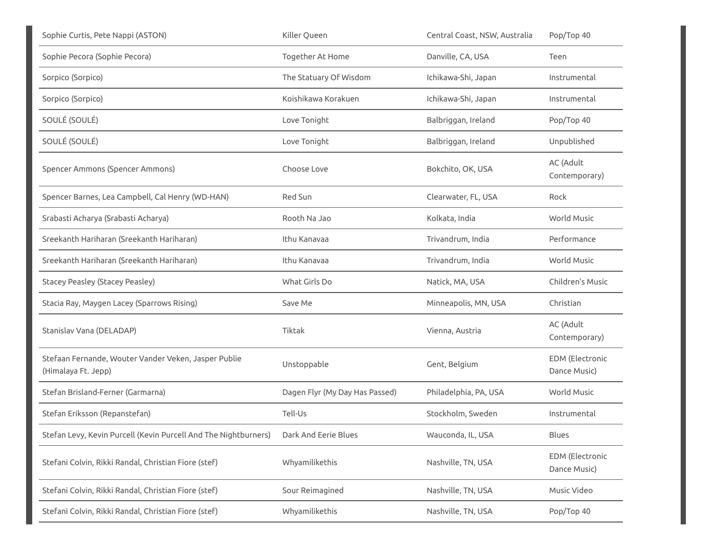| Sophie Curtis, Pete Nappi (ASTON)                                           | Killer Queen                   | Central Coast, NSW, Australia | Pop/Top 40                             |
|-----------------------------------------------------------------------------|--------------------------------|-------------------------------|----------------------------------------|
| Sophie Pecora (Sophie Pecora)                                               | Together At Home               | Danville, CA, USA             | Teen                                   |
| Sorpico (Sorpico)                                                           | The Statuary Of Wisdom         | Ichikawa-Shi, Japan           | Instrumental                           |
| Sorpico (Sorpico)                                                           | Koishikawa Korakuen            | Ichikawa-Shi, Japan           | Instrumental                           |
| SOULÉ (SOULÉ)                                                               | Love Tonight                   | Balbriggan, Ireland           | Pop/Top 40                             |
| SOULÉ (SOULÉ)                                                               | Love Tonight                   | Balbriggan, Ireland           | Unpublished                            |
| Spencer Ammons (Spencer Ammons)                                             | Choose Love                    | Bokchito, OK, USA             | AC (Adult<br>Contemporary)             |
| Spencer Barnes, Lea Campbell, Cal Henry (WD-HAN)                            | Red Sun                        | Clearwater, FL, USA           | Rock                                   |
| Srabasti Acharya (Srabasti Acharya)                                         | Rooth Na Jao                   | Kolkata, India                | <b>World Music</b>                     |
| Sreekanth Hariharan (Sreekanth Hariharan)                                   | Ithu Kanavaa                   | Trivandrum, India             | Performance                            |
| Sreekanth Hariharan (Sreekanth Hariharan)                                   | Ithu Kanavaa                   | Trivandrum, India             | <b>World Music</b>                     |
| <b>Stacey Peasley (Stacey Peasley)</b>                                      | What Girls Do                  | Natick, MA, USA               | Children's Music                       |
| Stacia Ray, Maygen Lacey (Sparrows Rising)                                  | Save Me                        | Minneapolis, MN, USA          | Christian                              |
| Stanislav Vana (DELADAP)                                                    | Tiktak                         | Vienna, Austria               | AC (Adult<br>Contemporary)             |
| Stefaan Fernande, Wouter Vander Veken, Jasper Publie<br>(Himalaya Ft. Jepp) | Unstoppable                    | Gent, Belgium                 | <b>EDM</b> (Electronic<br>Dance Music) |
| Stefan Brisland-Ferner (Garmarna)                                           | Dagen Flyr (My Day Has Passed) | Philadelphia, PA, USA         | World Music                            |
| Stefan Eriksson (Repanstefan)                                               | Tell-Us                        | Stockholm, Sweden             | Instrumental                           |
| Stefan Levy, Kevin Purcell (Kevin Purcell And The Nightburners)             | Dark And Eerie Blues           | Wauconda, IL, USA             | <b>Blues</b>                           |
| Stefani Colvin, Rikki Randal, Christian Fiore (stef)                        | Whyamilikethis                 | Nashville, TN, USA            | <b>EDM</b> (Electronic<br>Dance Music) |
| Stefani Colvin, Rikki Randal, Christian Fiore (stef)                        | Sour Reimagined                | Nashville, TN, USA            | Music Video                            |
| Stefani Colvin, Rikki Randal, Christian Fiore (stef)                        | Whyamilikethis                 | Nashville, TN, USA            | Pop/Top 40                             |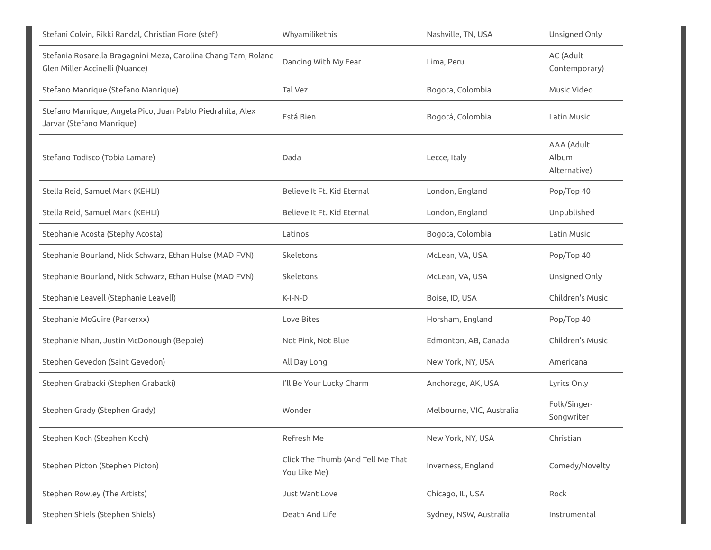| Stefani Colvin, Rikki Randal, Christian Fiore (stef)                                             | Whyamilikethis                                    | Nashville, TN, USA        | Unsigned Only                       |
|--------------------------------------------------------------------------------------------------|---------------------------------------------------|---------------------------|-------------------------------------|
| Stefania Rosarella Bragagnini Meza, Carolina Chang Tam, Roland<br>Glen Miller Accinelli (Nuance) | Dancing With My Fear                              | Lima, Peru                | AC (Adult<br>Contemporary)          |
| Stefano Manrique (Stefano Manrique)                                                              | Tal Vez                                           | Bogota, Colombia          | Music Video                         |
| Stefano Manrique, Angela Pico, Juan Pablo Piedrahita, Alex<br>Jarvar (Stefano Manrique)          | Está Bien                                         | Bogotá, Colombia          | Latin Music                         |
| Stefano Todisco (Tobia Lamare)                                                                   | Dada                                              | Lecce, Italy              | AAA (Adult<br>Album<br>Alternative) |
| Stella Reid, Samuel Mark (KEHLI)                                                                 | Believe It Ft. Kid Eternal                        | London, England           | Pop/Top 40                          |
| Stella Reid, Samuel Mark (KEHLI)                                                                 | Believe It Ft. Kid Eternal                        | London, England           | Unpublished                         |
| Stephanie Acosta (Stephy Acosta)                                                                 | Latinos                                           | Bogota, Colombia          | Latin Music                         |
| Stephanie Bourland, Nick Schwarz, Ethan Hulse (MAD FVN)                                          | Skeletons                                         | McLean, VA, USA           | Pop/Top 40                          |
| Stephanie Bourland, Nick Schwarz, Ethan Hulse (MAD FVN)                                          | Skeletons                                         | McLean, VA, USA           | Unsigned Only                       |
| Stephanie Leavell (Stephanie Leavell)                                                            | $K-I-N-D$                                         | Boise, ID, USA            | Children's Music                    |
| Stephanie McGuire (Parkerxx)                                                                     | Love Bites                                        | Horsham, England          | Pop/Top 40                          |
| Stephanie Nhan, Justin McDonough (Beppie)                                                        | Not Pink, Not Blue                                | Edmonton, AB, Canada      | Children's Music                    |
| Stephen Gevedon (Saint Gevedon)                                                                  | All Day Long                                      | New York, NY, USA         | Americana                           |
| Stephen Grabacki (Stephen Grabacki)                                                              | I'll Be Your Lucky Charm                          | Anchorage, AK, USA        | Lyrics Only                         |
| Stephen Grady (Stephen Grady)                                                                    | Wonder                                            | Melbourne, VIC, Australia | Folk/Singer-<br>Songwriter          |
| Stephen Koch (Stephen Koch)                                                                      | Refresh Me                                        | New York, NY, USA         | Christian                           |
| Stephen Picton (Stephen Picton)                                                                  | Click The Thumb (And Tell Me That<br>You Like Me) | Inverness, England        | Comedy/Novelty                      |
| Stephen Rowley (The Artists)                                                                     | Just Want Love                                    | Chicago, IL, USA          | Rock                                |
| Stephen Shiels (Stephen Shiels)                                                                  | Death And Life                                    | Sydney, NSW, Australia    | Instrumental                        |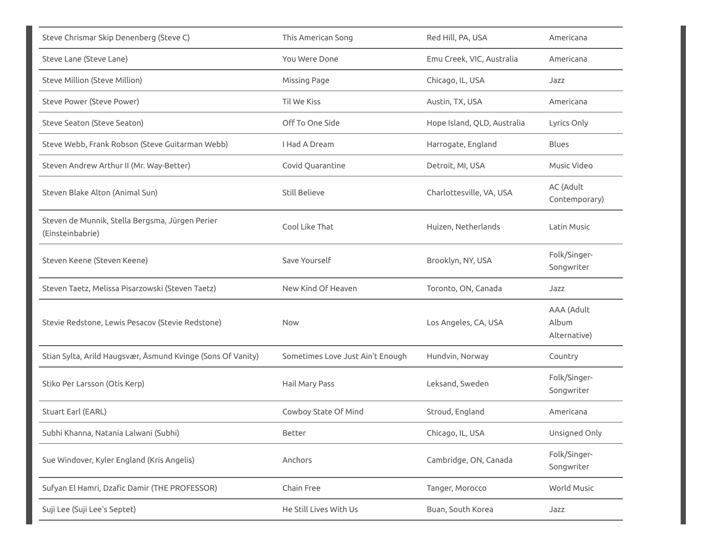| Steve Chrismar Skip Denenberg (Steve C)                             | This American Song               | Red Hill, PA, USA           | Americana                           |
|---------------------------------------------------------------------|----------------------------------|-----------------------------|-------------------------------------|
| Steve Lane (Steve Lane)                                             | You Were Done                    | Emu Creek, VIC, Australia   | Americana                           |
| Steve Million (Steve Million)                                       | Missing Page                     | Chicago, IL, USA            | Jazz                                |
| Steve Power (Steve Power)                                           | Til We Kiss                      | Austin, TX, USA             | Americana                           |
| Steve Seaton (Steve Seaton)                                         | Off To One Side                  | Hope Island, QLD, Australia | Lyrics Only                         |
| Steve Webb, Frank Robson (Steve Guitarman Webb)                     | I Had A Dream                    | Harrogate, England          | Blues                               |
| Steven Andrew Arthur II (Mr. Way-Better)                            | Covid Quarantine                 | Detroit, MI, USA            | Music Video                         |
| Steven Blake Alton (Animal Sun)                                     | <b>Still Believe</b>             | Charlottesville, VA, USA    | AC (Adult<br>Contemporary)          |
| Steven de Munnik, Stella Bergsma, Jürgen Perier<br>(Einsteinbabrie) | Cool Like That                   | Huizen, Netherlands         | Latin Music                         |
| Steven Keene (Steven Keene)                                         | Save Yourself                    | Brooklyn, NY, USA           | Folk/Singer-<br>Songwriter          |
| Steven Taetz, Melissa Pisarzowski (Steven Taetz)                    | New Kind Of Heaven               | Toronto, ON, Canada         | Jazz                                |
| Stevie Redstone, Lewis Pesacov (Stevie Redstone)                    | Now                              | Los Angeles, CA, USA        | AAA (Adult<br>Album<br>Alternative) |
| Stian Sylta, Arild Haugsvær, Åsmund Kvinge (Sons Of Vanity)         | Sometimes Love Just Ain't Enough | Hundvin, Norway             | Country                             |
| Stiko Per Larsson (Otis Kerp)                                       | Hail Mary Pass                   | Leksand, Sweden             | Folk/Singer-<br>Songwriter          |
| Stuart Earl (EARL)                                                  | Cowboy State Of Mind             | Stroud, England             | Americana                           |
| Subhi Khanna, Natania Lalwani (Subhi)                               | Better                           | Chicago, IL, USA            | Unsigned Only                       |
| Sue Windover, Kyler England (Kris Angelis)                          | Anchors                          | Cambridge, ON, Canada       | Folk/Singer-<br>Songwriter          |
| Sufyan El Hamri, Dzafic Damir (THE PROFESSOR)                       | Chain Free                       | Tanger, Morocco             | World Music                         |
| Suji Lee (Suji Lee's Septet)                                        | He Still Lives With Us           | Buan, South Korea           | Jazz                                |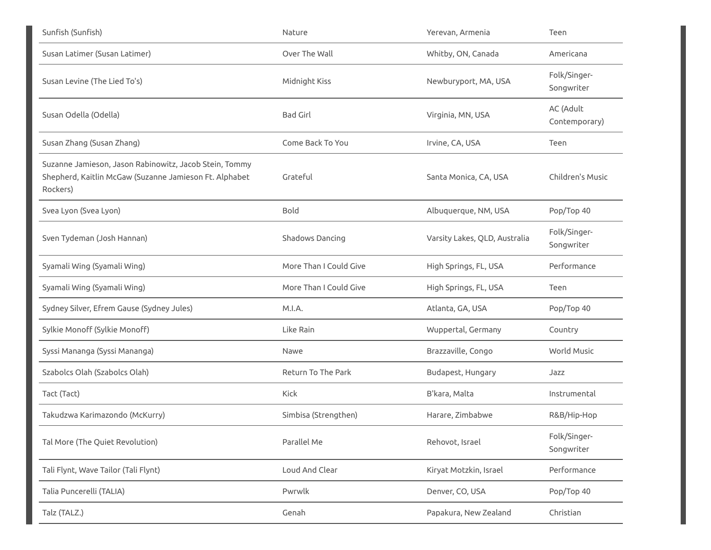| Sunfish (Sunfish)                                                                                                            | Nature                 | Yerevan, Armenia              | Teen                       |
|------------------------------------------------------------------------------------------------------------------------------|------------------------|-------------------------------|----------------------------|
| Susan Latimer (Susan Latimer)                                                                                                | Over The Wall          | Whitby, ON, Canada            | Americana                  |
| Susan Levine (The Lied To's)                                                                                                 | Midnight Kiss          | Newburyport, MA, USA          | Folk/Singer-<br>Songwriter |
| Susan Odella (Odella)                                                                                                        | <b>Bad Girl</b>        | Virginia, MN, USA             | AC (Adult<br>Contemporary) |
| Susan Zhang (Susan Zhang)                                                                                                    | Come Back To You       | Irvine, CA, USA               | Teen                       |
| Suzanne Jamieson, Jason Rabinowitz, Jacob Stein, Tommy<br>Shepherd, Kaitlin McGaw (Suzanne Jamieson Ft. Alphabet<br>Rockers) | Grateful               | Santa Monica, CA, USA         | Children's Music           |
| Svea Lyon (Svea Lyon)                                                                                                        | <b>Bold</b>            | Albuquerque, NM, USA          | Pop/Top 40                 |
| Sven Tydeman (Josh Hannan)                                                                                                   | Shadows Dancing        | Varsity Lakes, QLD, Australia | Folk/Singer-<br>Songwriter |
| Syamali Wing (Syamali Wing)                                                                                                  | More Than I Could Give | High Springs, FL, USA         | Performance                |
| Syamali Wing (Syamali Wing)                                                                                                  | More Than I Could Give | High Springs, FL, USA         | Teen                       |
| Sydney Silver, Efrem Gause (Sydney Jules)                                                                                    | M.I.A.                 | Atlanta, GA, USA              | Pop/Top 40                 |
| Sylkie Monoff (Sylkie Monoff)                                                                                                | Like Rain              | Wuppertal, Germany            | Country                    |
| Syssi Mananga (Syssi Mananga)                                                                                                | Nawe                   | Brazzaville, Congo            | <b>World Music</b>         |
| Szabolcs Olah (Szabolcs Olah)                                                                                                | Return To The Park     | Budapest, Hungary             | Jazz                       |
| Tact (Tact)                                                                                                                  | Kick                   | B'kara, Malta                 | Instrumental               |
| Takudzwa Karimazondo (McKurry)                                                                                               | Simbisa (Strengthen)   | Harare, Zimbabwe              | R&B/Hip-Hop                |
| Tal More (The Quiet Revolution)                                                                                              | Parallel Me            | Rehovot, Israel               | Folk/Singer-<br>Songwriter |
| Tali Flynt, Wave Tailor (Tali Flynt)                                                                                         | Loud And Clear         | Kiryat Motzkin, Israel        | Performance                |
| Talia Puncerelli (TALIA)                                                                                                     | Pwrwlk                 | Denver, CO, USA               | Pop/Top 40                 |
| Talz (TALZ.)                                                                                                                 | Genah                  | Papakura, New Zealand         | Christian                  |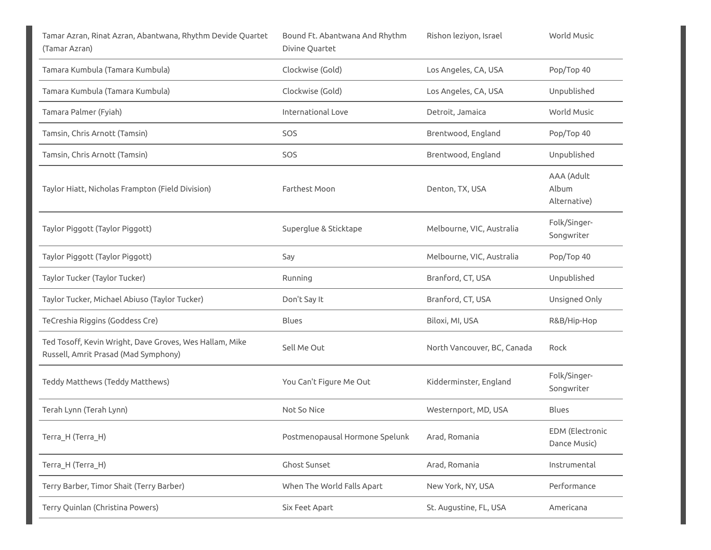| Tamar Azran, Rinat Azran, Abantwana, Rhythm Devide Quartet<br>(Tamar Azran)                     | Bound Ft. Abantwana And Rhythm<br>Divine Quartet | Rishon leziyon, Israel      | World Music                            |
|-------------------------------------------------------------------------------------------------|--------------------------------------------------|-----------------------------|----------------------------------------|
| Tamara Kumbula (Tamara Kumbula)                                                                 | Clockwise (Gold)                                 | Los Angeles, CA, USA        | Pop/Top 40                             |
| Tamara Kumbula (Tamara Kumbula)                                                                 | Clockwise (Gold)                                 | Los Angeles, CA, USA        | Unpublished                            |
| Tamara Palmer (Fyiah)                                                                           | International Love                               | Detroit, Jamaica            | World Music                            |
| Tamsin, Chris Arnott (Tamsin)                                                                   | SOS                                              | Brentwood, England          | Pop/Top 40                             |
| Tamsin, Chris Arnott (Tamsin)                                                                   | SOS                                              | Brentwood, England          | Unpublished                            |
| Taylor Hiatt, Nicholas Frampton (Field Division)                                                | Farthest Moon                                    | Denton, TX, USA             | AAA (Adult<br>Album<br>Alternative)    |
| Taylor Piggott (Taylor Piggott)                                                                 | Superglue & Sticktape                            | Melbourne, VIC, Australia   | Folk/Singer-<br>Songwriter             |
| Taylor Piggott (Taylor Piggott)                                                                 | Say                                              | Melbourne, VIC, Australia   | Pop/Top 40                             |
| Taylor Tucker (Taylor Tucker)                                                                   | Running                                          | Branford, CT, USA           | Unpublished                            |
| Taylor Tucker, Michael Abiuso (Taylor Tucker)                                                   | Don't Say It                                     | Branford, CT, USA           | Unsigned Only                          |
| TeCreshia Riggins (Goddess Cre)                                                                 | Blues                                            | Biloxi, MI, USA             | R&B/Hip-Hop                            |
| Ted Tosoff, Kevin Wright, Dave Groves, Wes Hallam, Mike<br>Russell, Amrit Prasad (Mad Symphony) | Sell Me Out                                      | North Vancouver, BC, Canada | Rock                                   |
| Teddy Matthews (Teddy Matthews)                                                                 | You Can't Figure Me Out                          | Kidderminster, England      | Folk/Singer-<br>Songwriter             |
| Terah Lynn (Terah Lynn)                                                                         | Not So Nice                                      | Westernport, MD, USA        | <b>Blues</b>                           |
| Terra_H (Terra_H)                                                                               | Postmenopausal Hormone Spelunk                   | Arad, Romania               | <b>EDM</b> (Electronic<br>Dance Music) |
| Terra_H (Terra_H)                                                                               | Ghost Sunset                                     | Arad, Romania               | Instrumental                           |
| Terry Barber, Timor Shait (Terry Barber)                                                        | When The World Falls Apart                       | New York, NY, USA           | Performance                            |
| Terry Quinlan (Christina Powers)                                                                | Six Feet Apart                                   | St. Augustine, FL, USA      | Americana                              |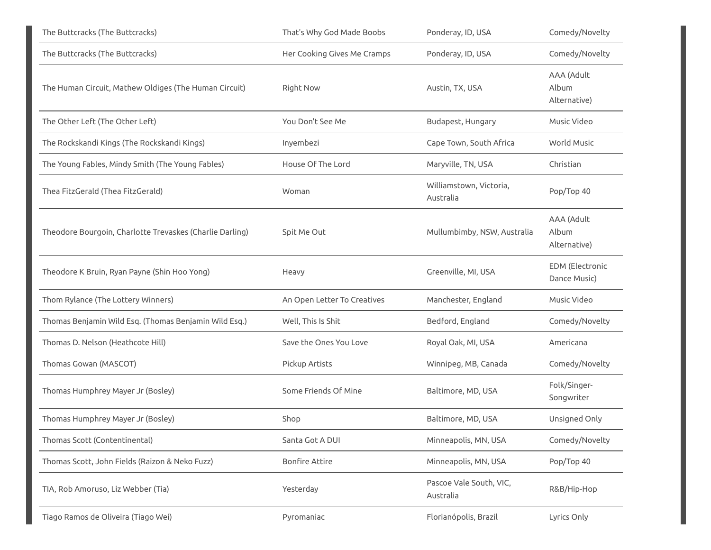| The Buttcracks (The Buttcracks)                          | That's Why God Made Boobs   | Ponderay, ID, USA                    | Comedy/Novelty                         |
|----------------------------------------------------------|-----------------------------|--------------------------------------|----------------------------------------|
| The Buttcracks (The Buttcracks)                          | Her Cooking Gives Me Cramps | Ponderay, ID, USA                    | Comedy/Novelty                         |
| The Human Circuit, Mathew Oldiges (The Human Circuit)    | <b>Right Now</b>            | Austin, TX, USA                      | AAA (Adult<br>Album<br>Alternative)    |
| The Other Left (The Other Left)                          | You Don't See Me            | Budapest, Hungary                    | Music Video                            |
| The Rockskandi Kings (The Rockskandi Kings)              | Inyembezi                   | Cape Town, South Africa              | <b>World Music</b>                     |
| The Young Fables, Mindy Smith (The Young Fables)         | House Of The Lord           | Maryville, TN, USA                   | Christian                              |
| Thea FitzGerald (Thea FitzGerald)                        | Woman                       | Williamstown, Victoria,<br>Australia | Pop/Top 40                             |
| Theodore Bourgoin, Charlotte Trevaskes (Charlie Darling) | Spit Me Out                 | Mullumbimby, NSW, Australia          | AAA (Adult<br>Album<br>Alternative)    |
| Theodore K Bruin, Ryan Payne (Shin Hoo Yong)             | Heavy                       | Greenville, MI, USA                  | <b>EDM</b> (Electronic<br>Dance Music) |
| Thom Rylance (The Lottery Winners)                       | An Open Letter To Creatives | Manchester, England                  | Music Video                            |
| Thomas Benjamin Wild Esq. (Thomas Benjamin Wild Esq.)    | Well, This Is Shit          | Bedford, England                     | Comedy/Novelty                         |
| Thomas D. Nelson (Heathcote Hill)                        | Save the Ones You Love      | Royal Oak, MI, USA                   | Americana                              |
| Thomas Gowan (MASCOT)                                    | Pickup Artists              | Winnipeg, MB, Canada                 | Comedy/Novelty                         |
| Thomas Humphrey Mayer Jr (Bosley)                        | Some Friends Of Mine        | Baltimore, MD, USA                   | Folk/Singer-<br>Songwriter             |
| Thomas Humphrey Mayer Jr (Bosley)                        | Shop                        | Baltimore, MD, USA                   | Unsigned Only                          |
| Thomas Scott (Contentinental)                            | Santa Got A DUI             | Minneapolis, MN, USA                 | Comedy/Novelty                         |
| Thomas Scott, John Fields (Raizon & Neko Fuzz)           | <b>Bonfire Attire</b>       | Minneapolis, MN, USA                 | Pop/Top 40                             |
| TIA, Rob Amoruso, Liz Webber (Tia)                       | Yesterday                   | Pascoe Vale South, VIC,<br>Australia | R&B/Hip-Hop                            |
| Tiago Ramos de Oliveira (Tiago Wei)                      | Pyromaniac                  | Florianópolis, Brazil                | Lyrics Only                            |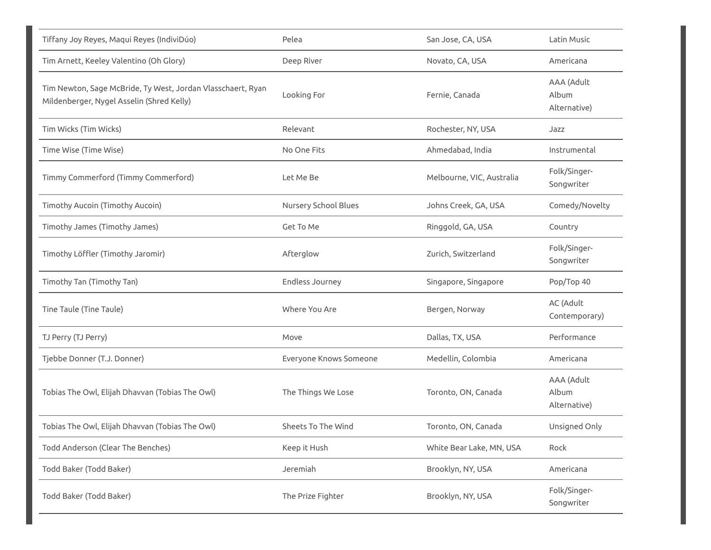| Tiffany Joy Reyes, Maqui Reyes (IndiviDúo)                                                               | Pelea                  | San Jose, CA, USA         | Latin Music                         |
|----------------------------------------------------------------------------------------------------------|------------------------|---------------------------|-------------------------------------|
| Tim Arnett, Keeley Valentino (Oh Glory)                                                                  | Deep River             | Novato, CA, USA           | Americana                           |
| Tim Newton, Sage McBride, Ty West, Jordan Vlasschaert, Ryan<br>Mildenberger, Nygel Asselin (Shred Kelly) | Looking For            | Fernie, Canada            | AAA (Adult<br>Album<br>Alternative) |
| Tim Wicks (Tim Wicks)                                                                                    | Relevant               | Rochester, NY, USA        | Jazz                                |
| Time Wise (Time Wise)                                                                                    | No One Fits            | Ahmedabad, India          | Instrumental                        |
| Timmy Commerford (Timmy Commerford)                                                                      | Let Me Be              | Melbourne, VIC, Australia | Folk/Singer-<br>Songwriter          |
| Timothy Aucoin (Timothy Aucoin)                                                                          | Nursery School Blues   | Johns Creek, GA, USA      | Comedy/Novelty                      |
| Timothy James (Timothy James)                                                                            | Get To Me              | Ringgold, GA, USA         | Country                             |
| Timothy Löffler (Timothy Jaromir)                                                                        | Afterglow              | Zurich, Switzerland       | Folk/Singer-<br>Songwriter          |
| Timothy Tan (Timothy Tan)                                                                                | Endless Journey        | Singapore, Singapore      | Pop/Top 40                          |
| Tine Taule (Tine Taule)                                                                                  | Where You Are          | Bergen, Norway            | AC (Adult<br>Contemporary)          |
| TJ Perry (TJ Perry)                                                                                      | Move                   | Dallas, TX, USA           | Performance                         |
| Tjebbe Donner (T.J. Donner)                                                                              | Everyone Knows Someone | Medellin, Colombia        | Americana                           |
| Tobias The Owl, Elijah Dhavvan (Tobias The Owl)                                                          | The Things We Lose     | Toronto, ON, Canada       | AAA (Adult<br>Album<br>Alternative) |
| Tobias The Owl, Elijah Dhavvan (Tobias The Owl)                                                          | Sheets To The Wind     | Toronto, ON, Canada       | Unsigned Only                       |
| Todd Anderson (Clear The Benches)                                                                        | Keep it Hush           | White Bear Lake, MN, USA  | Rock                                |
| Todd Baker (Todd Baker)                                                                                  | Jeremiah               | Brooklyn, NY, USA         | Americana                           |
| Todd Baker (Todd Baker)                                                                                  | The Prize Fighter      | Brooklyn, NY, USA         | Folk/Singer-<br>Songwriter          |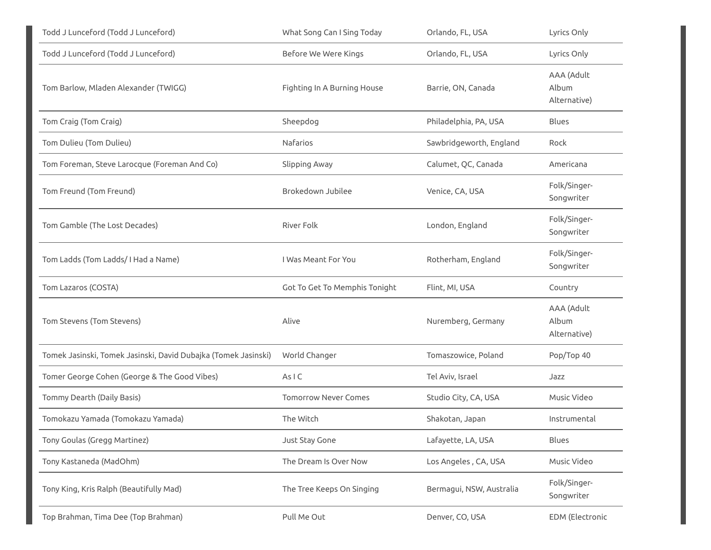| Todd J Lunceford (Todd J Lunceford)                            | What Song Can I Sing Today    | Orlando, FL, USA         | Lyrics Only                         |
|----------------------------------------------------------------|-------------------------------|--------------------------|-------------------------------------|
| Todd J Lunceford (Todd J Lunceford)                            | Before We Were Kings          | Orlando, FL, USA         | Lyrics Only                         |
| Tom Barlow, Mladen Alexander (TWIGG)                           | Fighting In A Burning House   | Barrie, ON, Canada       | AAA (Adult<br>Album<br>Alternative) |
| Tom Craig (Tom Craig)                                          | Sheepdog                      | Philadelphia, PA, USA    | <b>Blues</b>                        |
| Tom Dulieu (Tom Dulieu)                                        | Nafarios                      | Sawbridgeworth, England  | Rock                                |
| Tom Foreman, Steve Larocque (Foreman And Co)                   | Slipping Away                 | Calumet, QC, Canada      | Americana                           |
| Tom Freund (Tom Freund)                                        | Brokedown Jubilee             | Venice, CA, USA          | Folk/Singer-<br>Songwriter          |
| Tom Gamble (The Lost Decades)                                  | River Folk                    | London, England          | Folk/Singer-<br>Songwriter          |
| Tom Ladds (Tom Ladds/I Had a Name)                             | I Was Meant For You           | Rotherham, England       | Folk/Singer-<br>Songwriter          |
| Tom Lazaros (COSTA)                                            | Got To Get To Memphis Tonight | Flint, MI, USA           | Country                             |
| Tom Stevens (Tom Stevens)                                      | Alive                         | Nuremberg, Germany       | AAA (Adult<br>Album<br>Alternative) |
| Tomek Jasinski, Tomek Jasinski, David Dubajka (Tomek Jasinski) | World Changer                 | Tomaszowice, Poland      | Pop/Top 40                          |
| Tomer George Cohen (George & The Good Vibes)                   | AsIC                          | Tel Aviv, Israel         | Jazz                                |
| Tommy Dearth (Daily Basis)                                     | <b>Tomorrow Never Comes</b>   | Studio City, CA, USA     | Music Video                         |
| Tomokazu Yamada (Tomokazu Yamada)                              | The Witch                     | Shakotan, Japan          | Instrumental                        |
| Tony Goulas (Gregg Martinez)                                   | Just Stay Gone                | Lafayette, LA, USA       | Blues                               |
| Tony Kastaneda (MadOhm)                                        | The Dream Is Over Now         | Los Angeles, CA, USA     | Music Video                         |
| Tony King, Kris Ralph (Beautifully Mad)                        | The Tree Keeps On Singing     | Bermagui, NSW, Australia | Folk/Singer-<br>Songwriter          |
| Top Brahman, Tima Dee (Top Brahman)                            | Pull Me Out                   | Denver, CO, USA          | <b>EDM</b> (Electronic              |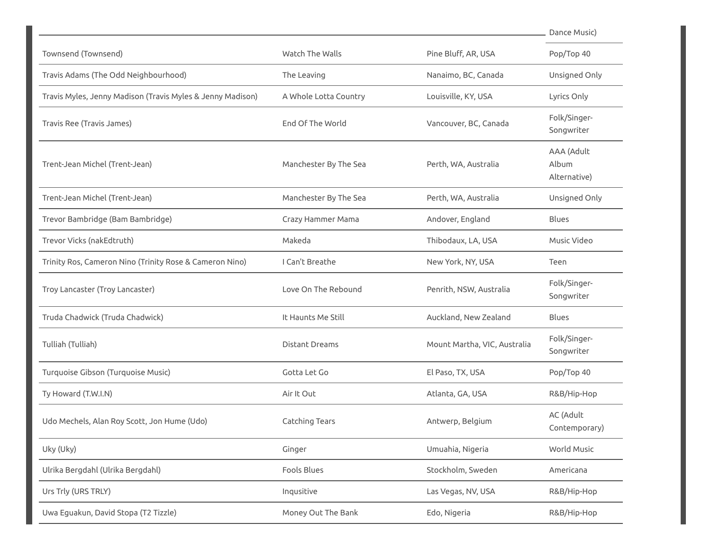|                                                            |                       |                              | Dance Music)                        |
|------------------------------------------------------------|-----------------------|------------------------------|-------------------------------------|
| Townsend (Townsend)                                        | Watch The Walls       | Pine Bluff, AR, USA          | Pop/Top 40                          |
| Travis Adams (The Odd Neighbourhood)                       | The Leaving           | Nanaimo, BC, Canada          | Unsigned Only                       |
| Travis Myles, Jenny Madison (Travis Myles & Jenny Madison) | A Whole Lotta Country | Louisville, KY, USA          | Lyrics Only                         |
| Travis Ree (Travis James)                                  | End Of The World      | Vancouver, BC, Canada        | Folk/Singer-<br>Songwriter          |
| Trent-Jean Michel (Trent-Jean)                             | Manchester By The Sea | Perth, WA, Australia         | AAA (Adult<br>Album<br>Alternative) |
| Trent-Jean Michel (Trent-Jean)                             | Manchester By The Sea | Perth, WA, Australia         | Unsigned Only                       |
| Trevor Bambridge (Bam Bambridge)                           | Crazy Hammer Mama     | Andover, England             | <b>Blues</b>                        |
| Trevor Vicks (nakEdtruth)                                  | Makeda                | Thibodaux, LA, USA           | Music Video                         |
| Trinity Ros, Cameron Nino (Trinity Rose & Cameron Nino)    | I Can't Breathe       | New York, NY, USA            | Teen                                |
| Troy Lancaster (Troy Lancaster)                            | Love On The Rebound   | Penrith, NSW, Australia      | Folk/Singer-<br>Songwriter          |
| Truda Chadwick (Truda Chadwick)                            | It Haunts Me Still    | Auckland, New Zealand        | <b>Blues</b>                        |
| Tulliah (Tulliah)                                          | <b>Distant Dreams</b> | Mount Martha, VIC, Australia | Folk/Singer-<br>Songwriter          |
| Turquoise Gibson (Turquoise Music)                         | Gotta Let Go          | El Paso, TX, USA             | Pop/Top 40                          |
| Ty Howard (T.W.I.N)                                        | Air It Out            | Atlanta, GA, USA             | R&B/Hip-Hop                         |
| Udo Mechels, Alan Roy Scott, Jon Hume (Udo)                | Catching Tears        | Antwerp, Belgium             | AC (Adult<br>Contemporary)          |
| Uky (Uky)                                                  | Ginger                | Umuahia, Nigeria             | World Music                         |
| Ulrika Bergdahl (Ulrika Bergdahl)                          | Fools Blues           | Stockholm, Sweden            | Americana                           |
| Urs Trly (URS TRLY)                                        | Inqusitive            | Las Vegas, NV, USA           | R&B/Hip-Hop                         |
| Uwa Eguakun, David Stopa (T2 Tizzle)                       | Money Out The Bank    | Edo, Nigeria                 | R&B/Hip-Hop                         |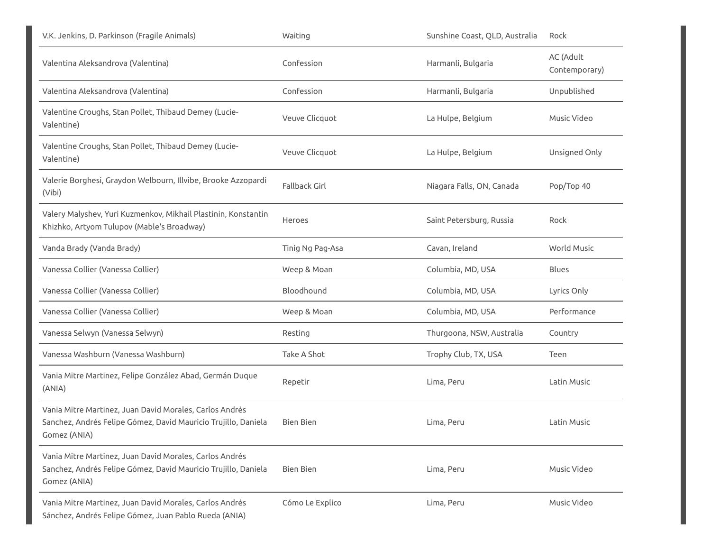| V.K. Jenkins, D. Parkinson (Fragile Animals)                                                                                              | Waiting          | Sunshine Coast, QLD, Australia | Rock                       |
|-------------------------------------------------------------------------------------------------------------------------------------------|------------------|--------------------------------|----------------------------|
| Valentina Aleksandrova (Valentina)                                                                                                        | Confession       | Harmanli, Bulgaria             | AC (Adult<br>Contemporary) |
| Valentina Aleksandrova (Valentina)                                                                                                        | Confession       | Harmanli, Bulgaria             | Unpublished                |
| Valentine Croughs, Stan Pollet, Thibaud Demey (Lucie-<br>Valentine)                                                                       | Veuve Clicquot   | La Hulpe, Belgium              | Music Video                |
| Valentine Croughs, Stan Pollet, Thibaud Demey (Lucie-<br>Valentine)                                                                       | Veuve Clicquot   | La Hulpe, Belgium              | Unsigned Only              |
| Valerie Borghesi, Graydon Welbourn, Illvibe, Brooke Azzopardi<br>(Vibi)                                                                   | Fallback Girl    | Niagara Falls, ON, Canada      | Pop/Top 40                 |
| Valery Malyshev, Yuri Kuzmenkov, Mikhail Plastinin, Konstantin<br>Khizhko, Artyom Tulupov (Mable's Broadway)                              | Heroes           | Saint Petersburg, Russia       | Rock                       |
| Vanda Brady (Vanda Brady)                                                                                                                 | Tinig Ng Pag-Asa | Cavan, Ireland                 | <b>World Music</b>         |
| Vanessa Collier (Vanessa Collier)                                                                                                         | Weep & Moan      | Columbia, MD, USA              | Blues                      |
| Vanessa Collier (Vanessa Collier)                                                                                                         | Bloodhound       | Columbia, MD, USA              | Lyrics Only                |
| Vanessa Collier (Vanessa Collier)                                                                                                         | Weep & Moan      | Columbia, MD, USA              | Performance                |
| Vanessa Selwyn (Vanessa Selwyn)                                                                                                           | Resting          | Thurgoona, NSW, Australia      | Country                    |
| Vanessa Washburn (Vanessa Washburn)                                                                                                       | Take A Shot      | Trophy Club, TX, USA           | Teen                       |
| Vania Mitre Martinez, Felipe González Abad, Germán Duque<br>(ANIA)                                                                        | Repetir          | Lima, Peru                     | Latin Music                |
| Vania Mitre Martinez, Juan David Morales, Carlos Andrés<br>Sanchez, Andrés Felipe Gómez, David Mauricio Trujillo, Daniela<br>Gomez (ANIA) | Bien Bien        | Lima, Peru                     | Latin Music                |
| Vania Mitre Martinez, Juan David Morales, Carlos Andrés<br>Sanchez, Andrés Felipe Gómez, David Mauricio Trujillo, Daniela<br>Gomez (ANIA) | Bien Bien        | Lima, Peru                     | Music Video                |
| Vania Mitre Martinez, Juan David Morales, Carlos Andrés<br>Sánchez, Andrés Felipe Gómez, Juan Pablo Rueda (ANIA)                          | Cómo Le Explico  | Lima, Peru                     | Music Video                |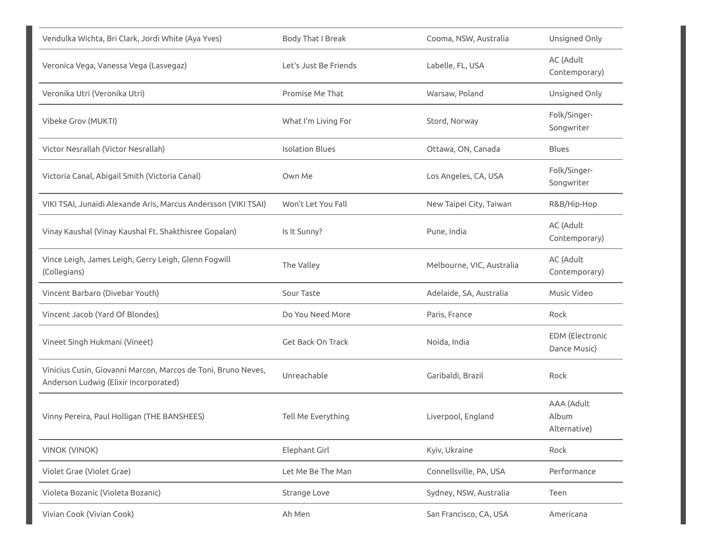| Vendulka Wichta, Bri Clark, Jordi White (Aya Yves)                                                     | Body That I Break        | Cooma, NSW, Australia     | Unsigned Only                       |
|--------------------------------------------------------------------------------------------------------|--------------------------|---------------------------|-------------------------------------|
| Veronica Vega, Vanessa Vega (Lasvegaz)                                                                 | Let's Just Be Friends    | Labelle, FL, USA          | AC (Adult<br>Contemporary)          |
| Veronika Utri (Veronika Utri)                                                                          | Promise Me That          | Warsaw, Poland            | Unsigned Only                       |
| Vibeke Grov (MUKTI)                                                                                    | What I'm Living For      | Stord, Norway             | Folk/Singer-<br>Songwriter          |
| Victor Nesrallah (Victor Nesrallah)                                                                    | <b>Isolation Blues</b>   | Ottawa, ON, Canada        | <b>Blues</b>                        |
| Victoria Canal, Abigail Smith (Victoria Canal)                                                         | Own Me                   | Los Angeles, CA, USA      | Folk/Singer-<br>Songwriter          |
| VIKI TSAI, Junaidi Alexande Aris, Marcus Andersson (VIKI TSAI)                                         | Won't Let You Fall       | New Taipei City, Taiwan   | R&B/Hip-Hop                         |
| Vinay Kaushal (Vinay Kaushal Ft. Shakthisree Gopalan)                                                  | Is It Sunny?             | Pune, India               | AC (Adult<br>Contemporary)          |
| Vince Leigh, James Leigh, Gerry Leigh, Glenn Fogwill<br>(Collegians)                                   | The Valley               | Melbourne, VIC, Australia | AC (Adult<br>Contemporary)          |
| Vincent Barbaro (Divebar Youth)                                                                        | Sour Taste               | Adelaide, SA, Australia   | Music Video                         |
| Vincent Jacob (Yard Of Blondes)                                                                        | Do You Need More         | Paris, France             | Rock                                |
| Vineet Singh Hukmani (Vineet)                                                                          | <b>Get Back On Track</b> | Noida, India              | EDM (Electronic<br>Dance Music)     |
| Vinicius Cusin, Giovanni Marcon, Marcos de Toni, Bruno Neves,<br>Anderson Ludwig (Elixir Incorporated) | Unreachable              | Garibaldi, Brazil         | Rock                                |
| Vinny Pereira, Paul Holligan (THE BANSHEES)                                                            | Tell Me Everything       | Liverpool, England        | AAA (Adult<br>Album<br>Alternative) |
| <b>VINOK (VINOK)</b>                                                                                   | Elephant Girl            | Kyiv, Ukraine             | Rock                                |
| Violet Grae (Violet Grae)                                                                              | Let Me Be The Man        | Connellsville, PA, USA    | Performance                         |
| Violeta Bozanic (Violeta Bozanic)                                                                      | Strange Love             | Sydney, NSW, Australia    | Teen                                |
| Vivian Cook (Vivian Cook)                                                                              | Ah Men                   | San Francisco, CA, USA    | Americana                           |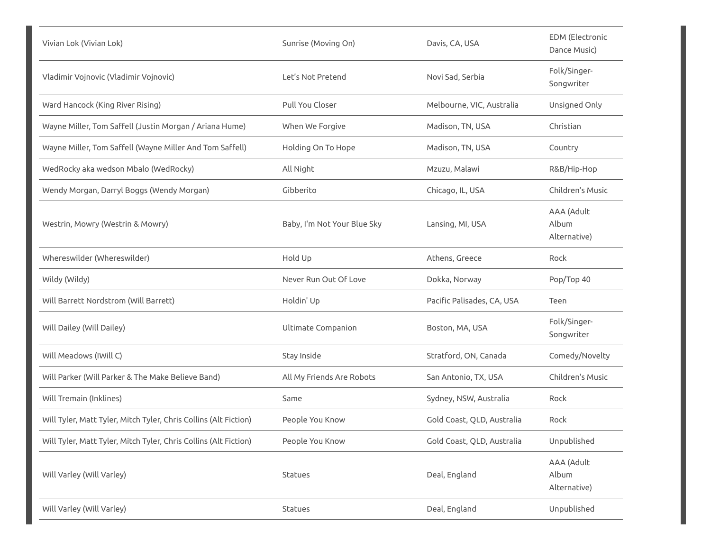| Vivian Lok (Vivian Lok)                                          | Sunrise (Moving On)         | Davis, CA, USA             | <b>EDM</b> (Electronic<br>Dance Music) |
|------------------------------------------------------------------|-----------------------------|----------------------------|----------------------------------------|
| Vladimir Vojnovic (Vladimir Vojnovic)                            | Let's Not Pretend           | Novi Sad, Serbia           | Folk/Singer-<br>Songwriter             |
| Ward Hancock (King River Rising)                                 | Pull You Closer             | Melbourne, VIC, Australia  | Unsigned Only                          |
| Wayne Miller, Tom Saffell (Justin Morgan / Ariana Hume)          | When We Forgive             | Madison, TN, USA           | Christian                              |
| Wayne Miller, Tom Saffell (Wayne Miller And Tom Saffell)         | Holding On To Hope          | Madison, TN, USA           | Country                                |
| WedRocky aka wedson Mbalo (WedRocky)                             | All Night                   | Mzuzu, Malawi              | R&B/Hip-Hop                            |
| Wendy Morgan, Darryl Boggs (Wendy Morgan)                        | Gibberito                   | Chicago, IL, USA           | Children's Music                       |
| Westrin, Mowry (Westrin & Mowry)                                 | Baby, I'm Not Your Blue Sky | Lansing, MI, USA           | AAA (Adult<br>Album<br>Alternative)    |
| Whereswilder (Whereswilder)                                      | Hold Up                     | Athens, Greece             | Rock                                   |
| Wildy (Wildy)                                                    | Never Run Out Of Love       | Dokka, Norway              | Pop/Top 40                             |
| Will Barrett Nordstrom (Will Barrett)                            | Holdin' Up                  | Pacific Palisades, CA, USA | Teen                                   |
| Will Dailey (Will Dailey)                                        | Ultimate Companion          | Boston, MA, USA            | Folk/Singer-<br>Songwriter             |
| Will Meadows (IWill C)                                           | Stay Inside                 | Stratford, ON, Canada      | Comedy/Novelty                         |
| Will Parker (Will Parker & The Make Believe Band)                | All My Friends Are Robots   | San Antonio, TX, USA       | Children's Music                       |
| Will Tremain (Inklines)                                          | Same                        | Sydney, NSW, Australia     | Rock                                   |
| Will Tyler, Matt Tyler, Mitch Tyler, Chris Collins (Alt Fiction) | People You Know             | Gold Coast, QLD, Australia | Rock                                   |
| Will Tyler, Matt Tyler, Mitch Tyler, Chris Collins (Alt Fiction) | People You Know             | Gold Coast, QLD, Australia | Unpublished                            |
| Will Varley (Will Varley)                                        | Statues                     | Deal, England              | AAA (Adult<br>Album<br>Alternative)    |
| Will Varley (Will Varley)                                        | Statues                     | Deal, England              | Unpublished                            |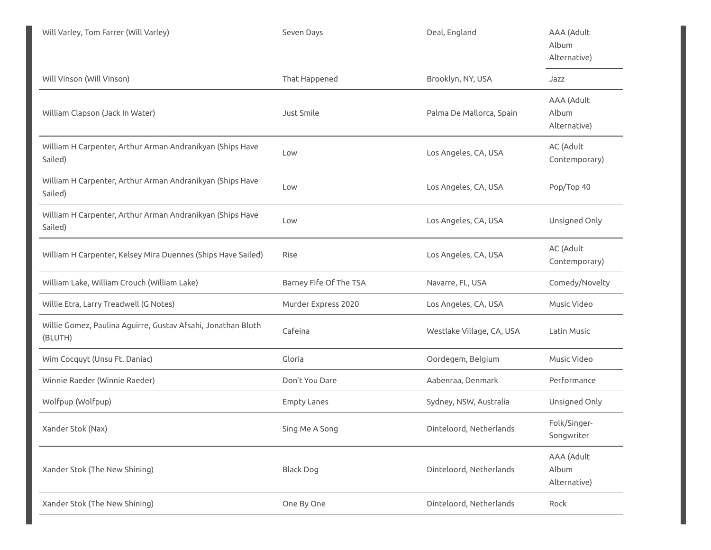| Will Varley, Tom Farrer (Will Varley)                                   | Seven Days             | Deal, England             | AAA (Adult<br>Album<br>Alternative) |
|-------------------------------------------------------------------------|------------------------|---------------------------|-------------------------------------|
| Will Vinson (Will Vinson)                                               | That Happened          | Brooklyn, NY, USA         | Jazz                                |
| William Clapson (Jack In Water)                                         | Just Smile             | Palma De Mallorca, Spain  | AAA (Adult<br>Album<br>Alternative) |
| William H Carpenter, Arthur Arman Andranikyan (Ships Have<br>Sailed)    | Low                    | Los Angeles, CA, USA      | AC (Adult<br>Contemporary)          |
| William H Carpenter, Arthur Arman Andranikyan (Ships Have<br>Sailed)    | Low                    | Los Angeles, CA, USA      | Pop/Top 40                          |
| William H Carpenter, Arthur Arman Andranikyan (Ships Have<br>Sailed)    | Low                    | Los Angeles, CA, USA      | Unsigned Only                       |
| William H Carpenter, Kelsey Mira Duennes (Ships Have Sailed)            | Rise                   | Los Angeles, CA, USA      | AC (Adult<br>Contemporary)          |
| William Lake, William Crouch (William Lake)                             | Barney Fife Of The TSA | Navarre, FL, USA          | Comedy/Novelty                      |
| Willie Etra, Larry Treadwell (G Notes)                                  | Murder Express 2020    | Los Angeles, CA, USA      | Music Video                         |
| Willie Gomez, Paulina Aguirre, Gustav Afsahi, Jonathan Bluth<br>(BLUTH) | Cafeína                | Westlake Village, CA, USA | Latin Music                         |
| Wim Cocquyt (Unsu Ft. Daniac)                                           | Gloria                 | Oordegem, Belgium         | Music Video                         |
| Winnie Raeder (Winnie Raeder)                                           | Don't You Dare         | Aabenraa, Denmark         | Performance                         |
| Wolfpup (Wolfpup)                                                       | <b>Empty Lanes</b>     | Sydney, NSW, Australia    | Unsigned Only                       |
| Xander Stok (Nax)                                                       | Sing Me A Song         | Dinteloord, Netherlands   | Folk/Singer-<br>Songwriter          |
| Xander Stok (The New Shining)                                           | <b>Black Dog</b>       | Dinteloord, Netherlands   | AAA (Adult<br>Album<br>Alternative) |
| Xander Stok (The New Shining)                                           | One By One             | Dinteloord, Netherlands   | Rock                                |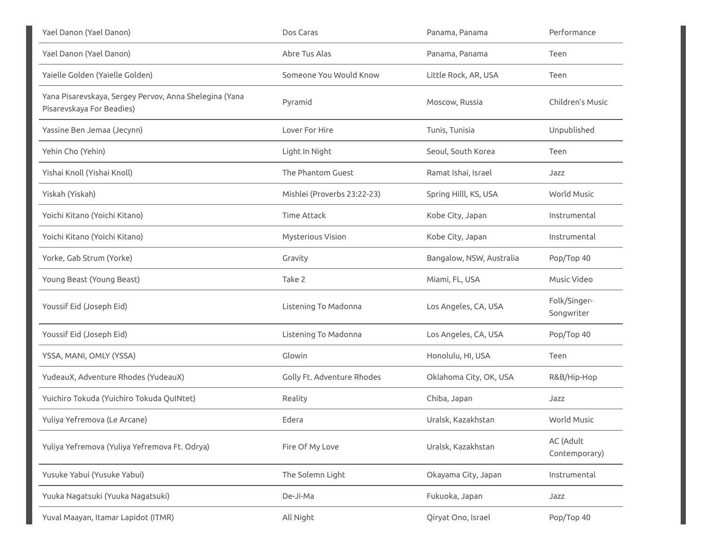| Yael Danon (Yael Danon)                                                             | Dos Caras                   | Panama, Panama           | Performance                |
|-------------------------------------------------------------------------------------|-----------------------------|--------------------------|----------------------------|
| Yael Danon (Yael Danon)                                                             | Abre Tus Alas               | Panama, Panama           | Teen                       |
| Yaielle Golden (Yaielle Golden)                                                     | Someone You Would Know      | Little Rock, AR, USA     | Teen                       |
| Yana Pisarevskaya, Sergey Pervov, Anna Shelegina (Yana<br>Pisarevskaya For Beadies) | Pyramid                     | Moscow, Russia           | Children's Music           |
| Yassine Ben Jemaa (Jecynn)                                                          | Lover For Hire              | Tunis, Tunisia           | Unpublished                |
| Yehin Cho (Yehin)                                                                   | Light In Night              | Seoul, South Korea       | Teen                       |
| Yishai Knoll (Yishai Knoll)                                                         | The Phantom Guest           | Ramat Ishai, Israel      | Jazz                       |
| Yiskah (Yiskah)                                                                     | Mishlei (Proverbs 23:22-23) | Spring Hilll, KS, USA    | World Music                |
| Yoichi Kitano (Yoichi Kitano)                                                       | <b>Time Attack</b>          | Kobe City, Japan         | Instrumental               |
| Yoichi Kitano (Yoichi Kitano)                                                       | Mysterious Vision           | Kobe City, Japan         | Instrumental               |
| Yorke, Gab Strum (Yorke)                                                            | Gravity                     | Bangalow, NSW, Australia | Pop/Top 40                 |
| Young Beast (Young Beast)                                                           | Take 2                      | Miami, FL, USA           | Music Video                |
| Youssif Eid (Joseph Eid)                                                            | Listening To Madonna        | Los Angeles, CA, USA     | Folk/Singer-<br>Songwriter |
| Youssif Eid (Joseph Eid)                                                            | Listening To Madonna        | Los Angeles, CA, USA     | Pop/Top 40                 |
| YSSA, MANI, OMLY (YSSA)                                                             | Glowin                      | Honolulu, HI, USA        | Teen                       |
| YudeauX, Adventure Rhodes (YudeauX)                                                 | Golly Ft. Adventure Rhodes  | Oklahoma City, OK, USA   | R&B/Hip-Hop                |
| Yuichiro Tokuda (Yuichiro Tokuda QuINtet)                                           | Reality                     | Chiba, Japan             | Jazz                       |
| Yuliya Yefremova (Le Arcane)                                                        | Edera                       | Uralsk, Kazakhstan       | World Music                |
| Yuliya Yefremova (Yuliya Yefremova Ft. Odrya)                                       | Fire Of My Love             | Uralsk, Kazakhstan       | AC (Adult<br>Contemporary) |
| Yusuke Yabui (Yusuke Yabui)                                                         | The Solemn Light            | Okayama City, Japan      | Instrumental               |
| Yuuka Nagatsuki (Yuuka Nagatsuki)                                                   | De-Ji-Ma                    | Fukuoka, Japan           | Jazz                       |
| Yuval Maayan, Itamar Lapidot (ITMR)                                                 | All Night                   | Qiryat Ono, Israel       | Pop/Top 40                 |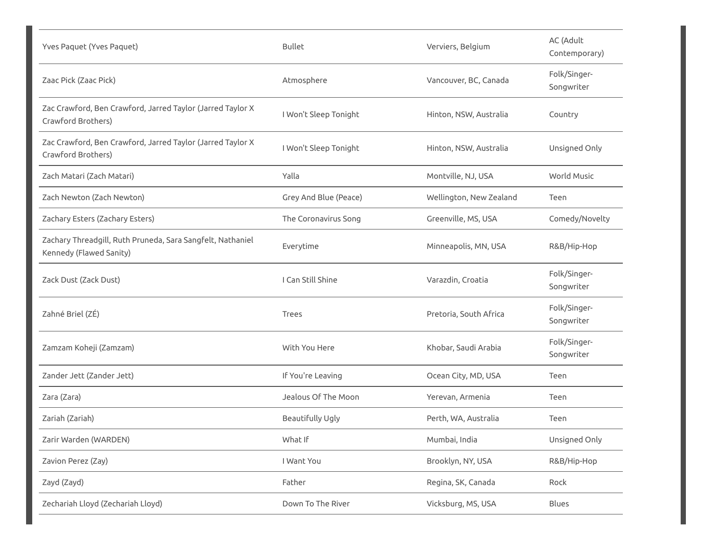| Yves Paquet (Yves Paquet)                                                             | <b>Bullet</b>         | Verviers, Belgium       | AC (Adult<br>Contemporary) |
|---------------------------------------------------------------------------------------|-----------------------|-------------------------|----------------------------|
| Zaac Pick (Zaac Pick)                                                                 | Atmosphere            | Vancouver, BC, Canada   | Folk/Singer-<br>Songwriter |
| Zac Crawford, Ben Crawford, Jarred Taylor (Jarred Taylor X<br>Crawford Brothers)      | I Won't Sleep Tonight | Hinton, NSW, Australia  | Country                    |
| Zac Crawford, Ben Crawford, Jarred Taylor (Jarred Taylor X<br>Crawford Brothers)      | I Won't Sleep Tonight | Hinton, NSW, Australia  | Unsigned Only              |
| Zach Matari (Zach Matari)                                                             | Yalla                 | Montville, NJ, USA      | <b>World Music</b>         |
| Zach Newton (Zach Newton)                                                             | Grey And Blue (Peace) | Wellington, New Zealand | Teen                       |
| Zachary Esters (Zachary Esters)                                                       | The Coronavirus Song  | Greenville, MS, USA     | Comedy/Novelty             |
| Zachary Threadgill, Ruth Pruneda, Sara Sangfelt, Nathaniel<br>Kennedy (Flawed Sanity) | Everytime             | Minneapolis, MN, USA    | R&B/Hip-Hop                |
| Zack Dust (Zack Dust)                                                                 | I Can Still Shine     | Varazdin, Croatia       | Folk/Singer-<br>Songwriter |
| Zahné Briel (ZÉ)                                                                      | Trees                 | Pretoria, South Africa  | Folk/Singer-<br>Songwriter |
| Zamzam Koheji (Zamzam)                                                                | With You Here         | Khobar, Saudi Arabia    | Folk/Singer-<br>Songwriter |
| Zander Jett (Zander Jett)                                                             | If You're Leaving     | Ocean City, MD, USA     | Teen                       |
| Zara (Zara)                                                                           | Jealous Of The Moon   | Yerevan, Armenia        | Teen                       |
| Zariah (Zariah)                                                                       | Beautifully Ugly      | Perth, WA, Australia    | Teen                       |
| Zarir Warden (WARDEN)                                                                 | What If               | Mumbai, India           | Unsigned Only              |
| Zavion Perez (Zay)                                                                    | I Want You            | Brooklyn, NY, USA       | R&B/Hip-Hop                |
| Zayd (Zayd)                                                                           | Father                | Regina, SK, Canada      | Rock                       |
| Zechariah Lloyd (Zechariah Lloyd)                                                     | Down To The River     | Vicksburg, MS, USA      | Blues                      |